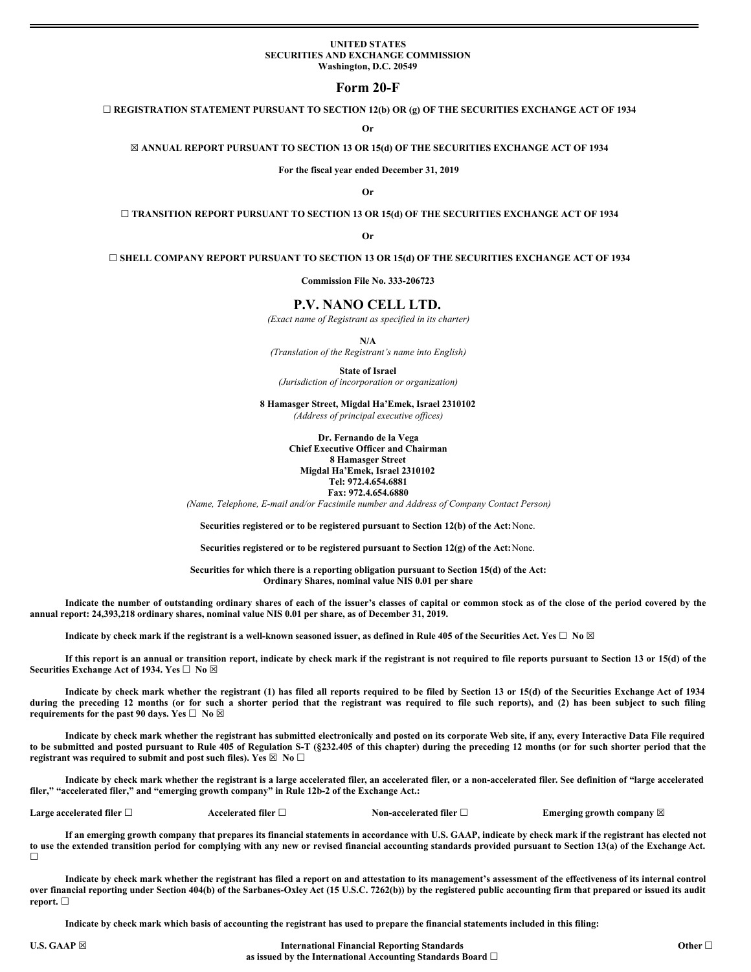## **UNITED STATES SECURITIES AND EXCHANGE COMMISSION Washington, D.C. 20549**

# **Form 20-F**

☐ **REGISTRATION STATEMENT PURSUANT TO SECTION 12(b) OR (g) OF THE SECURITIES EXCHANGE ACT OF 1934**

**Or**

☒ **ANNUAL REPORT PURSUANT TO SECTION 13 OR 15(d) OF THE SECURITIES EXCHANGE ACT OF 1934**

**For the fiscal year ended December 31, 2019**

**Or**

☐ **TRANSITION REPORT PURSUANT TO SECTION 13 OR 15(d) OF THE SECURITIES EXCHANGE ACT OF 1934**

**Or**

☐ **SHELL COMPANY REPORT PURSUANT TO SECTION 13 OR 15(d) OF THE SECURITIES EXCHANGE ACT OF 1934**

**Commission File No. 333-206723**

# **P.V. NANO CELL LTD.**

*(Exact name of Registrant as specified in its charter)*

**N/A**

*(Translation of the Registrant's name into English)*

**State of Israel**

*(Jurisdiction of incorporation or organization)*

**8 Hamasger Street, Migdal Ha'Emek, Israel 2310102** *(Address of principal executive of ices)*

> **Dr. Fernando de la Vega Chief Executive Officer and Chairman 8 Hamasger Street Migdal Ha'Emek, Israel 2310102 Tel: 972.4.654.6881 Fax: 972.4.654.6880**

*(Name, Telephone, E-mail and/or Facsimile number and Address of Company Contact Person)*

**Securities registered or to be registered pursuant to Section 12(b) of the Act:**None.

**Securities registered or to be registered pursuant to Section 12(g) of the Act:**None.

**Securities for which there is a reporting obligation pursuant to Section 15(d) of the Act: Ordinary Shares, nominal value NIS 0.01 per share**

Indicate the number of outstanding ordinary shares of each of the issuer's classes of capital or common stock as of the close of the period covered by the **annual report: 24,393,218 ordinary shares, nominal value NIS 0.01 per share, as of December 31, 2019.**

Indicate by check mark if the registrant is a well-known seasoned issuer, as defined in Rule 405 of the Securities Act. Yes  $\Box$  No  $\boxtimes$ 

If this report is an annual or transition report, indicate by check mark if the registrant is not required to file reports pursuant to Section 13 or 15(d) of the **Securities Exchange Act of 1934. Yes** ☐ **No ☒**

Indicate by check mark whether the registrant (1) has filed all reports required to be filed by Section 13 or 15(d) of the Securities Exchange Act of 1934 during the preceding 12 months (or for such a shorter period that the registrant was required to file such reports), and (2) has been subject to such filing **requirements for the past 90 days. Yes ☐ No ☒**

Indicate by check mark whether the registrant has submitted electronically and posted on its corporate Web site, if any, every Interactive Data File required to be submitted and posted pursuant to Rule 405 of Regulation S-T (§232.405 of this chapter) during the preceding 12 months (or for such shorter period that the **registrant** was required to submit and post such files). Yes  $\boxtimes$  No  $\Box$ 

Indicate by check mark whether the registrant is a large accelerated filer, an accelerated filer, or a non-accelerated filer. See definition of "large accelerated **filer," "accelerated filer," and "emerging growth company" in Rule 12b-2 of the Exchange Act.:**

**Large accelerated filer ☐ Accelerated filer ☐ Non-accelerated filer ☐ Emerging growth company** ☒

If an emerging growth company that prepares its financial statements in accordance with U.S. GAAP, indicate by check mark if the registrant has elected not to use the extended transition period for complying with any new or revised financial accounting standards provided pursuant to Section 13(a) of the Exchange Act. ☐

Indicate by check mark whether the registrant has filed a report on and attestation to its management's assessment of the effectiveness of its internal control over financial reporting under Section 404(b) of the Sarbanes-Oxley Act (15 U.S.C. 7262(b)) by the registered public accounting firm that prepared or issued its audit **report.** ☐

Indicate by check mark which basis of accounting the registrant has used to prepare the financial statements included in this filing: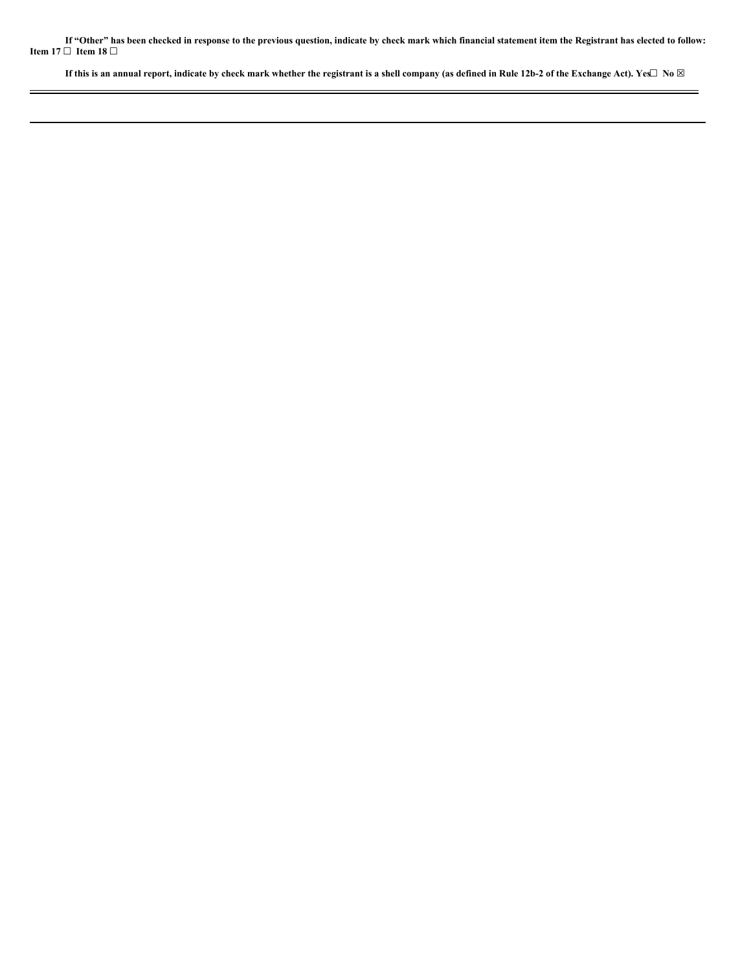If "Other" has been checked in response to the previous question, indicate by check mark which financial statement item the Registrant has elected to follow: **Item 17** ☐ **Item 18** ☐

If this is an annual report, indicate by check mark whether the registrant is a shell company (as defined in Rule 12b-2 of the Exchange Act). Yes $\Box$  No  $\boxtimes$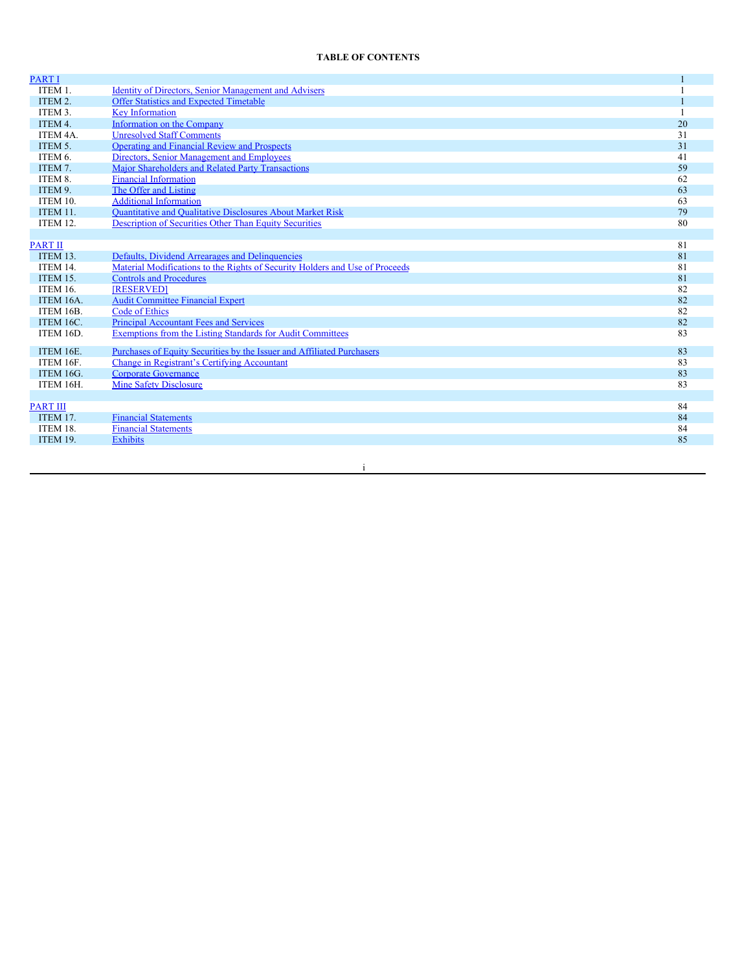## **TABLE OF CONTENTS**

| <b>PART I</b>   |                                                                              |    |
|-----------------|------------------------------------------------------------------------------|----|
| ITEM 1.         | <b>Identity of Directors, Senior Management and Advisers</b>                 |    |
| ITEM 2.         | <b>Offer Statistics and Expected Timetable</b>                               |    |
| ITEM 3.         | <b>Key Information</b>                                                       |    |
| ITEM 4.         | Information on the Company                                                   | 20 |
| ITEM 4A.        | <b>Unresolved Staff Comments</b>                                             | 31 |
| ITEM 5.         | <b>Operating and Financial Review and Prospects</b>                          | 31 |
| ITEM 6.         | Directors, Senior Management and Employees                                   | 41 |
| ITEM 7.         | Major Shareholders and Related Party Transactions                            | 59 |
| ITEM 8.         | <b>Financial Information</b>                                                 | 62 |
| ITEM 9.         | The Offer and Listing                                                        | 63 |
| <b>ITEM 10.</b> | <b>Additional Information</b>                                                | 63 |
| ITEM 11.        | <b>Ouantitative and Qualitative Disclosures About Market Risk</b>            | 79 |
| <b>ITEM 12.</b> | Description of Securities Other Than Equity Securities                       | 80 |
|                 |                                                                              |    |
| <b>PART II</b>  |                                                                              | 81 |
| <b>ITEM 13.</b> | Defaults, Dividend Arrearages and Delinquencies                              | 81 |
| ITEM 14.        | Material Modifications to the Rights of Security Holders and Use of Proceeds | 81 |
| <b>ITEM 15.</b> | <b>Controls and Procedures</b>                                               | 81 |
| <b>ITEM 16.</b> | <b>IRESERVED1</b>                                                            | 82 |
| ITEM 16A.       | <b>Audit Committee Financial Expert</b>                                      | 82 |
| ITEM 16B.       | Code of Ethics                                                               | 82 |
| ITEM 16C.       | <b>Principal Accountant Fees and Services</b>                                | 82 |
| ITEM 16D.       | <b>Exemptions from the Listing Standards for Audit Committees</b>            | 83 |
| ITEM 16E.       | Purchases of Equity Securities by the Issuer and Affiliated Purchasers       | 83 |
| ITEM 16F.       | Change in Registrant's Certifying Accountant                                 | 83 |
| ITEM 16G.       | <b>Corporate Governance</b>                                                  | 83 |
| ITEM 16H.       | <b>Mine Safety Disclosure</b>                                                | 83 |
|                 |                                                                              |    |
| <b>PART III</b> |                                                                              | 84 |
| <b>ITEM 17.</b> | <b>Financial Statements</b>                                                  | 84 |
| ITEM 18.        | <b>Financial Statements</b>                                                  | 84 |
| <b>ITEM 19.</b> | <b>Exhibits</b>                                                              | 85 |
|                 |                                                                              |    |

i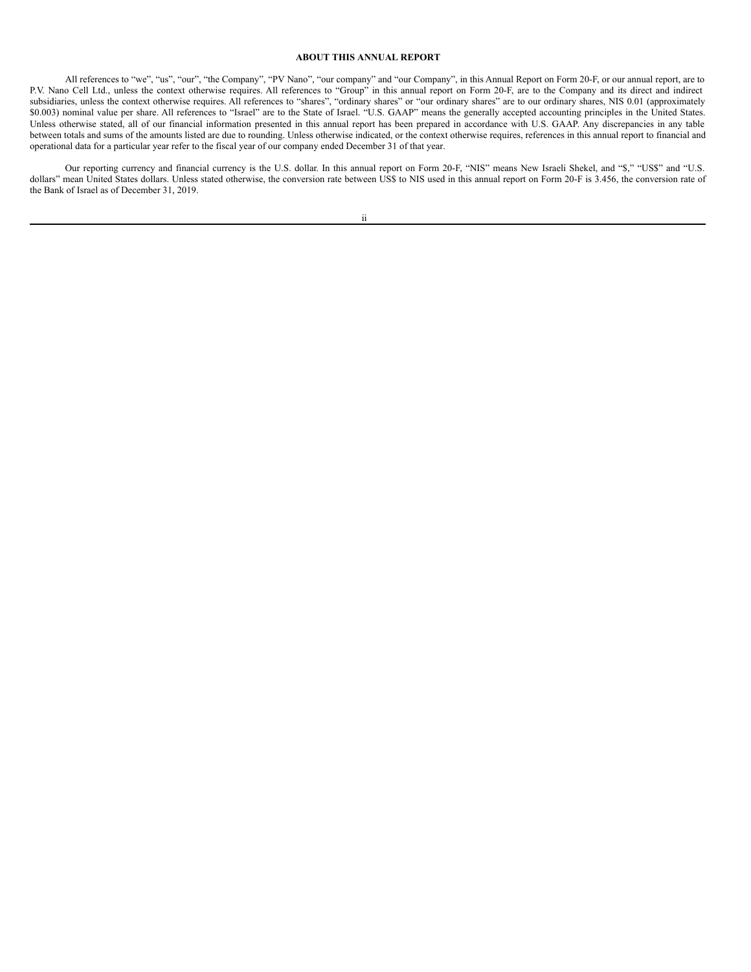### **ABOUT THIS ANNUAL REPORT**

All references to "we", "us", "our", "the Company", "PV Nano", "our company" and "our Company", in this Annual Report on Form 20-F, or our annual report, are to P.V. Nano Cell Ltd., unless the context otherwise requires. All references to "Group" in this annual report on Form 20-F, are to the Company and its direct and indirect subsidiaries, unless the context otherwise requires. All references to "shares", "ordinary shares" or "our ordinary shares" are to our ordinary shares, NIS 0.01 (approximately \$0.003) nominal value per share. All references to "Israel" are to the State of Israel. "U.S. GAAP" means the generally accepted accounting principles in the United States. Unless otherwise stated, all of our financial information presented in this annual report has been prepared in accordance with U.S. GAAP. Any discrepancies in any table between totals and sums of the amounts listed are due to rounding. Unless otherwise indicated, or the context otherwise requires, references in this annual report to financial and operational data for a particular year refer to the fiscal year of our company ended December 31 of that year.

Our reporting currency and financial currency is the U.S. dollar. In this annual report on Form 20-F, "NIS" means New Israeli Shekel, and "\$," "US\$" and "U.S. dollars" mean United States dollars. Unless stated otherwise, the conversion rate between US\$ to NIS used in this annual report on Form 20-F is 3.456, the conversion rate of the Bank of Israel as of December 31, 2019.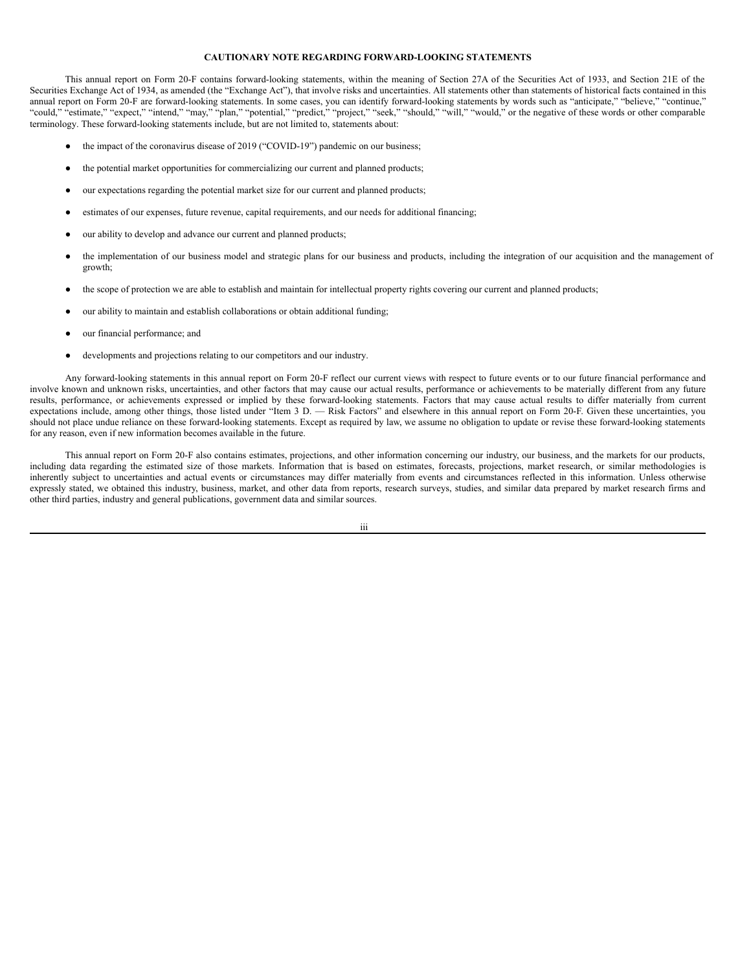#### **CAUTIONARY NOTE REGARDING FORWARD-LOOKING STATEMENTS**

This annual report on Form 20-F contains forward-looking statements, within the meaning of Section 27A of the Securities Act of 1933, and Section 21E of the Securities Exchange Act of 1934, as amended (the "Exchange Act"), that involve risks and uncertainties. All statements other than statements of historical facts contained in this annual report on Form 20-F are forward-looking statements. In some cases, you can identify forward-looking statements by words such as "anticipate," "believe," "continue," "could," "estimate," "expect," "intend," "may," "plan," "potential," "predict," "project," "seek," "should," "will," "would," or the negative of these words or other comparable terminology. These forward-looking statements include, but are not limited to, statements about:

- the impact of the coronavirus disease of 2019 ("COVID-19") pandemic on our business;
- the potential market opportunities for commercializing our current and planned products;
- our expectations regarding the potential market size for our current and planned products;
- estimates of our expenses, future revenue, capital requirements, and our needs for additional financing;
- our ability to develop and advance our current and planned products;
- the implementation of our business model and strategic plans for our business and products, including the integration of our acquisition and the management of growth;
- the scope of protection we are able to establish and maintain for intellectual property rights covering our current and planned products;
- our ability to maintain and establish collaborations or obtain additional funding;
- our financial performance; and
- developments and projections relating to our competitors and our industry.

Any forward-looking statements in this annual report on Form 20-F reflect our current views with respect to future events or to our future financial performance and involve known and unknown risks, uncertainties, and other factors that may cause our actual results, performance or achievements to be materially different from any future results, performance, or achievements expressed or implied by these forward-looking statements. Factors that may cause actual results to differ materially from current expectations include, among other things, those listed under "Item 3 D. — Risk Factors" and elsewhere in this annual report on Form 20-F. Given these uncertainties, you should not place undue reliance on these forward-looking statements. Except as required by law, we assume no obligation to update or revise these forward-looking statements for any reason, even if new information becomes available in the future.

This annual report on Form 20-F also contains estimates, projections, and other information concerning our industry, our business, and the markets for our products, including data regarding the estimated size of those markets. Information that is based on estimates, forecasts, projections, market research, or similar methodologies is inherently subject to uncertainties and actual events or circumstances may differ materially from events and circumstances reflected in this information. Unless otherwise expressly stated, we obtained this industry, business, market, and other data from reports, research surveys, studies, and similar data prepared by market research firms and other third parties, industry and general publications, government data and similar sources.

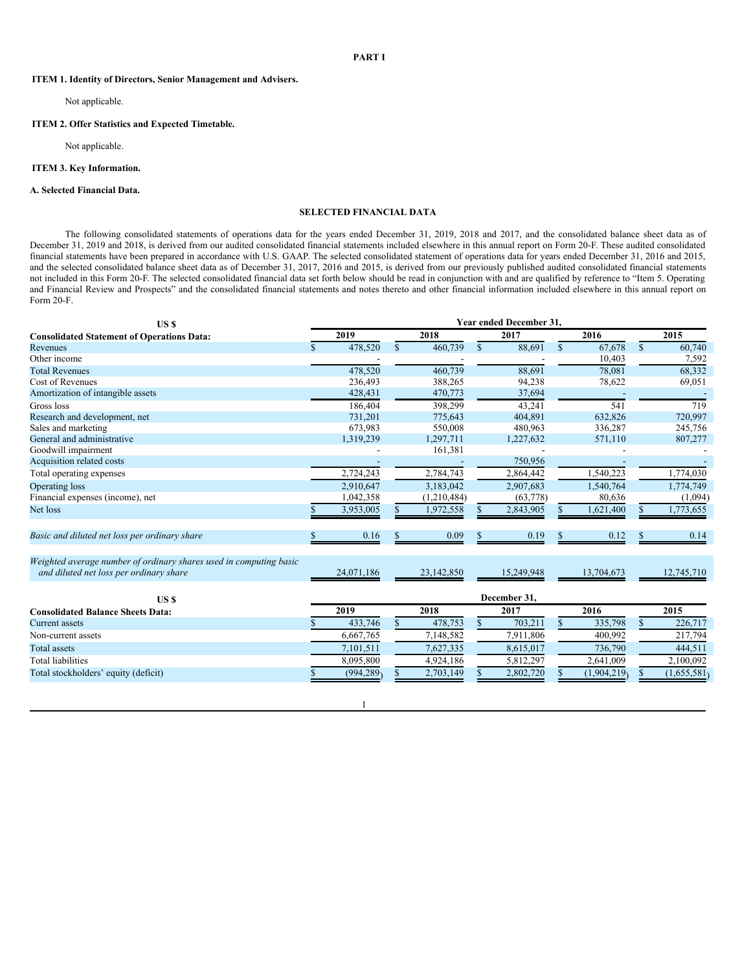### <span id="page-5-0"></span>**PART I**

## <span id="page-5-1"></span>**ITEM 1. Identity of Directors, Senior Management and Advisers.**

Not applicable.

## <span id="page-5-2"></span>**ITEM 2. Offer Statistics and Expected Timetable.**

Not applicable.

## <span id="page-5-3"></span>**ITEM 3. Key Information.**

## **A. Selected Financial Data.**

## **SELECTED FINANCIAL DATA**

The following consolidated statements of operations data for the years ended December 31, 2019, 2018 and 2017, and the consolidated balance sheet data as of December 31, 2019 and 2018, is derived from our audited consolidated financial statements included elsewhere in this annual report on Form 20-F. These audited consolidated financial statements have been prepared in accordance with U.S. GAAP. The selected consolidated statement of operations data for years ended December 31, 2016 and 2015, and the selected consolidated balance sheet data as of December 31, 2017, 2016 and 2015, is derived from our previously published audited consolidated financial statements not included in this Form 20-F. The selected consolidated financial data set forth below should be read in conjunction with and are qualified by reference to "Item 5. Operating and Financial Review and Prospects" and the consolidated financial statements and notes thereto and other financial information included elsewhere in this annual report on Form 20-F.

| US <sub>S</sub>                                                                                               |              | <b>Year ended December 31.</b> |              |             |               |              |               |             |              |             |  |
|---------------------------------------------------------------------------------------------------------------|--------------|--------------------------------|--------------|-------------|---------------|--------------|---------------|-------------|--------------|-------------|--|
| <b>Consolidated Statement of Operations Data:</b>                                                             |              | 2019                           |              | 2018        |               | 2017         |               | 2016        |              | 2015        |  |
| Revenues                                                                                                      | $\mathbf{s}$ | 478,520                        | $\mathbb{S}$ | 460,739     | $\mathbb{S}$  | 88,691       | $\mathbb{S}$  | 67,678      | $\mathbb{S}$ | 60,740      |  |
| Other income                                                                                                  |              |                                |              |             |               |              |               | 10,403      |              | 7,592       |  |
| <b>Total Revenues</b>                                                                                         |              | 478,520                        |              | 460,739     |               | 88,691       |               | 78.081      |              | 68,332      |  |
| Cost of Revenues                                                                                              |              | 236,493                        |              | 388,265     |               | 94,238       |               | 78,622      |              | 69,051      |  |
| Amortization of intangible assets                                                                             |              | 428,431                        |              | 470,773     |               | 37,694       |               |             |              |             |  |
| Gross loss                                                                                                    |              | 186,404                        |              | 398,299     |               | 43,241       |               | 541         |              | 719         |  |
| Research and development, net                                                                                 |              | 731,201                        |              | 775,643     |               | 404,891      |               | 632,826     |              | 720,997     |  |
| Sales and marketing                                                                                           |              | 673,983                        |              | 550,008     |               | 480,963      |               | 336,287     |              | 245,756     |  |
| General and administrative                                                                                    |              | 1,319,239                      |              | 1,297,711   |               | 1,227,632    |               | 571,110     |              | 807,277     |  |
| Goodwill impairment                                                                                           |              |                                |              | 161,381     |               |              |               |             |              |             |  |
| Acquisition related costs                                                                                     |              |                                |              |             |               | 750,956      |               |             |              |             |  |
| Total operating expenses                                                                                      |              | 2,724,243                      |              | 2,784,743   |               | 2,864,442    |               | 1,540,223   |              | 1,774,030   |  |
| Operating loss                                                                                                |              | 2.910.647                      |              | 3,183,042   |               | 2,907,683    |               | 1,540,764   |              | 1,774,749   |  |
| Financial expenses (income), net                                                                              |              | 1,042,358                      |              | (1,210,484) |               | (63, 778)    |               | 80,636      |              | (1,094)     |  |
| Net loss                                                                                                      |              | 3,953,005                      | \$           | 1,972,558   |               | 2,843,905    | \$            | 1,621,400   |              | 1,773,655   |  |
| Basic and diluted net loss per ordinary share                                                                 | S            | 0.16                           | \$.          | 0.09        | <sup>\$</sup> | 0.19         | S             | 0.12        | \$.          | 0.14        |  |
| Weighted average number of ordinary shares used in computing basic<br>and diluted net loss per ordinary share |              | 24,071,186                     |              | 23,142,850  |               | 15,249,948   |               | 13,704,673  |              | 12,745,710  |  |
| US <sub>\$</sub>                                                                                              |              |                                |              |             |               | December 31, |               |             |              |             |  |
| <b>Consolidated Balance Sheets Data:</b>                                                                      |              | 2019                           |              | 2018        |               | 2017         |               | 2016        |              | 2015        |  |
| Current assets                                                                                                |              | 433,746                        | \$           | 478,753     | $\mathbb{S}$  | 703,211      | <sup>\$</sup> | 335,798     | $\mathbb{S}$ | 226,717     |  |
| Non-current assets                                                                                            |              | 6,667,765                      |              | 7,148,582   |               | 7,911,806    |               | 400,992     |              | 217,794     |  |
| <b>Total assets</b>                                                                                           |              | 7,101,511                      |              | 7,627,335   |               | 8,615,017    |               | 736,790     |              | 444,511     |  |
| <b>Total liabilities</b>                                                                                      |              | 8,095,800                      |              | 4,924,186   |               | 5,812,297    |               | 2,641,009   |              | 2,100,092   |  |
| Total stockholders' equity (deficit)                                                                          |              | (994, 289)                     |              | 2,703,149   |               | 2,802,720    |               | (1,904,219) |              | (1,655,581) |  |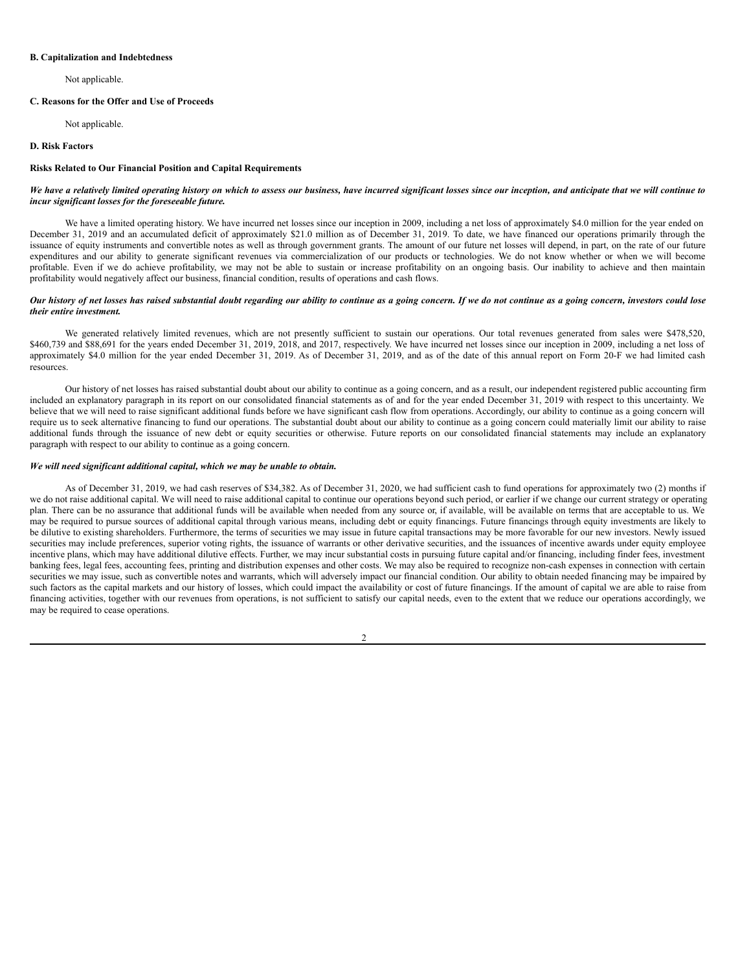#### **B. Capitalization and Indebtedness**

Not applicable.

## **C. Reasons for the Offer and Use of Proceeds**

Not applicable.

#### **D. Risk Factors**

## **Risks Related to Our Financial Position and Capital Requirements**

### We have a relatively limited operating history on which to assess our business, have incurred significant losses since our inception, and anticipate that we will continue to *incur significant losses for the foreseeable future.*

We have a limited operating history. We have incurred net losses since our inception in 2009, including a net loss of approximately \$4.0 million for the year ended on December 31, 2019 and an accumulated deficit of approximately \$21.0 million as of December 31, 2019. To date, we have financed our operations primarily through the issuance of equity instruments and convertible notes as well as through government grants. The amount of our future net losses will depend, in part, on the rate of our future expenditures and our ability to generate significant revenues via commercialization of our products or technologies. We do not know whether or when we will become profitable. Even if we do achieve profitability, we may not be able to sustain or increase profitability on an ongoing basis. Our inability to achieve and then maintain profitability would negatively affect our business, financial condition, results of operations and cash flows.

#### Our history of net losses has raised substantial doubt regarding our ability to continue as a going concern. If we do not continue as a going concern, investors could lose *their entire investment.*

We generated relatively limited revenues, which are not presently sufficient to sustain our operations. Our total revenues generated from sales were \$478,520, \$460,739 and \$88,691 for the years ended December 31, 2019, 2018, and 2017, respectively. We have incurred net losses since our inception in 2009, including a net loss of approximately \$4.0 million for the year ended December 31, 2019. As of December 31, 2019, and as of the date of this annual report on Form 20-F we had limited cash resources.

Our history of net losses has raised substantial doubt about our ability to continue as a going concern, and as a result, our independent registered public accounting firm included an explanatory paragraph in its report on our consolidated financial statements as of and for the year ended December 31, 2019 with respect to this uncertainty. We believe that we will need to raise significant additional funds before we have significant cash flow from operations. Accordingly, our ability to continue as a going concern will require us to seek alternative financing to fund our operations. The substantial doubt about our ability to continue as a going concern could materially limit our ability to raise additional funds through the issuance of new debt or equity securities or otherwise. Future reports on our consolidated financial statements may include an explanatory paragraph with respect to our ability to continue as a going concern.

## *We will need significant additional capital, which we may be unable to obtain.*

As of December 31, 2019, we had cash reserves of \$34,382. As of December 31, 2020, we had sufficient cash to fund operations for approximately two (2) months if we do not raise additional capital. We will need to raise additional capital to continue our operations beyond such period, or earlier if we change our current strategy or operating plan. There can be no assurance that additional funds will be available when needed from any source or, if available, will be available on terms that are acceptable to us. We may be required to pursue sources of additional capital through various means, including debt or equity financings. Future financings through equity investments are likely to be dilutive to existing shareholders. Furthermore, the terms of securities we may issue in future capital transactions may be more favorable for our new investors. Newly issued securities may include preferences, superior voting rights, the issuance of warrants or other derivative securities, and the issuances of incentive awards under equity employee incentive plans, which may have additional dilutive effects. Further, we may incur substantial costs in pursuing future capital and/or financing, including finder fees, investment banking fees, legal fees, accounting fees, printing and distribution expenses and other costs. We may also be required to recognize non-cash expenses in connection with certain securities we may issue, such as convertible notes and warrants, which will adversely impact our financial condition. Our ability to obtain needed financing may be impaired by such factors as the capital markets and our history of losses, which could impact the availability or cost of future financings. If the amount of capital we are able to raise from financing activities, together with our revenues from operations, is not sufficient to satisfy our capital needs, even to the extent that we reduce our operations accordingly, we may be required to cease operations.

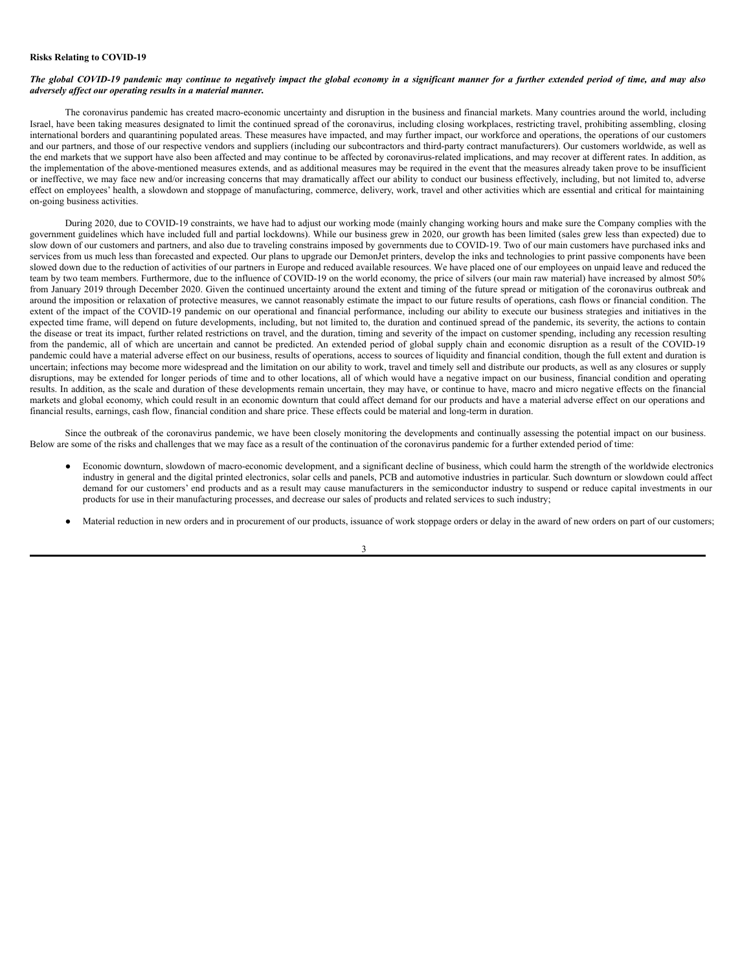#### **Risks Relating to COVID-19**

## The global COVID-19 pandemic may continue to negatively impact the global economy in a significant manner for a further extended period of time, and may also *adversely af ect our operating results in a material manner.*

The coronavirus pandemic has created macro-economic uncertainty and disruption in the business and financial markets. Many countries around the world, including Israel, have been taking measures designated to limit the continued spread of the coronavirus, including closing workplaces, restricting travel, prohibiting assembling, closing international borders and quarantining populated areas. These measures have impacted, and may further impact, our workforce and operations, the operations of our customers and our partners, and those of our respective vendors and suppliers (including our subcontractors and third-party contract manufacturers). Our customers worldwide, as well as the end markets that we support have also been affected and may continue to be affected by coronavirus-related implications, and may recover at different rates. In addition, as the implementation of the above-mentioned measures extends, and as additional measures may be required in the event that the measures already taken prove to be insufficient or ineffective, we may face new and/or increasing concerns that may dramatically affect our ability to conduct our business effectively, including, but not limited to, adverse effect on employees' health, a slowdown and stoppage of manufacturing, commerce, delivery, work, travel and other activities which are essential and critical for maintaining on-going business activities.

During 2020, due to COVID-19 constraints, we have had to adjust our working mode (mainly changing working hours and make sure the Company complies with the government guidelines which have included full and partial lockdowns). While our business grew in 2020, our growth has been limited (sales grew less than expected) due to slow down of our customers and partners, and also due to traveling constrains imposed by governments due to COVID-19. Two of our main customers have purchased inks and services from us much less than forecasted and expected. Our plans to upgrade our DemonJet printers, develop the inks and technologies to print passive components have been slowed down due to the reduction of activities of our partners in Europe and reduced available resources. We have placed one of our employees on unpaid leave and reduced the team by two team members. Furthermore, due to the influence of COVID-19 on the world economy, the price of silvers (our main raw material) have increased by almost 50% from January 2019 through December 2020. Given the continued uncertainty around the extent and timing of the future spread or mitigation of the coronavirus outbreak and around the imposition or relaxation of protective measures, we cannot reasonably estimate the impact to our future results of operations, cash flows or financial condition. The extent of the impact of the COVID-19 pandemic on our operational and financial performance, including our ability to execute our business strategies and initiatives in the expected time frame, will depend on future developments, including, but not limited to, the duration and continued spread of the pandemic, its severity, the actions to contain the disease or treat its impact, further related restrictions on travel, and the duration, timing and severity of the impact on customer spending, including any recession resulting from the pandemic, all of which are uncertain and cannot be predicted. An extended period of global supply chain and economic disruption as a result of the COVID-19 pandemic could have a material adverse effect on our business, results of operations, access to sources of liquidity and financial condition, though the full extent and duration is uncertain; infections may become more widespread and the limitation on our ability to work, travel and timely sell and distribute our products, as well as any closures or supply disruptions, may be extended for longer periods of time and to other locations, all of which would have a negative impact on our business, financial condition and operating results. In addition, as the scale and duration of these developments remain uncertain, they may have, or continue to have, macro and micro negative effects on the financial markets and global economy, which could result in an economic downturn that could affect demand for our products and have a material adverse effect on our operations and financial results, earnings, cash flow, financial condition and share price. These effects could be material and long-term in duration.

Since the outbreak of the coronavirus pandemic, we have been closely monitoring the developments and continually assessing the potential impact on our business. Below are some of the risks and challenges that we may face as a result of the continuation of the coronavirus pandemic for a further extended period of time:

- Economic downturn, slowdown of macro-economic development, and a significant decline of business, which could harm the strength of the worldwide electronics industry in general and the digital printed electronics, solar cells and panels, PCB and automotive industries in particular. Such downturn or slowdown could affect demand for our customers' end products and as a result may cause manufacturers in the semiconductor industry to suspend or reduce capital investments in our products for use in their manufacturing processes, and decrease our sales of products and related services to such industry;
- Material reduction in new orders and in procurement of our products, issuance of work stoppage orders or delay in the award of new orders on part of our customers;

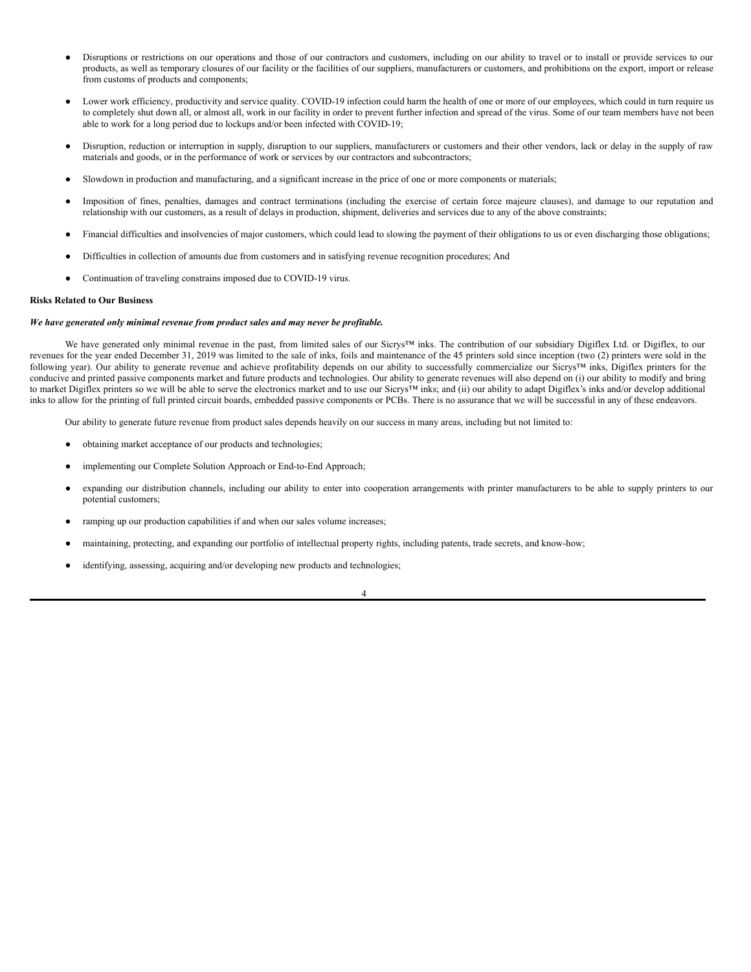- Disruptions or restrictions on our operations and those of our contractors and customers, including on our ability to travel or to install or provide services to our products, as well as temporary closures of our facility or the facilities of our suppliers, manufacturers or customers, and prohibitions on the export, import or release from customs of products and components;
- Lower work efficiency, productivity and service quality. COVID-19 infection could harm the health of one or more of our employees, which could in turn require us to completely shut down all, or almost all, work in our facility in order to prevent further infection and spread of the virus. Some of our team members have not been able to work for a long period due to lockups and/or been infected with COVID-19;
- Disruption, reduction or interruption in supply, disruption to our suppliers, manufacturers or customers and their other vendors, lack or delay in the supply of raw materials and goods, or in the performance of work or services by our contractors and subcontractors;
- Slowdown in production and manufacturing, and a significant increase in the price of one or more components or materials;
- Imposition of fines, penalties, damages and contract terminations (including the exercise of certain force majeure clauses), and damage to our reputation and relationship with our customers, as a result of delays in production, shipment, deliveries and services due to any of the above constraints;
- Financial difficulties and insolvencies of major customers, which could lead to slowing the payment of their obligations to us or even discharging those obligations;
- Difficulties in collection of amounts due from customers and in satisfying revenue recognition procedures; And
- Continuation of traveling constrains imposed due to COVID-19 virus.

#### **Risks Related to Our Business**

## *We have generated only minimal revenue from product sales and may never be profitable.*

We have generated only minimal revenue in the past, from limited sales of our Sicrys™ inks. The contribution of our subsidiary Digiflex Ltd. or Digiflex, to our revenues for the year ended December 31, 2019 was limited to the sale of inks, foils and maintenance of the 45 printers sold since inception (two (2) printers were sold in the following year). Our ability to generate revenue and achieve profitability depends on our ability to successfully commercialize our Sicrys™ inks, Digiflex printers for the conducive and printed passive components market and future products and technologies. Our ability to generate revenues will also depend on (i) our ability to modify and bring to market Digiflex printers so we will be able to serve the electronics market and to use our Sicrys™ inks; and (ii) our ability to adapt Digiflex's inks and/or develop additional inks to allow for the printing of full printed circuit boards, embedded passive components or PCBs. There is no assurance that we will be successful in any of these endeavors.

Our ability to generate future revenue from product sales depends heavily on our success in many areas, including but not limited to:

- obtaining market acceptance of our products and technologies;
- implementing our Complete Solution Approach or End-to-End Approach;
- expanding our distribution channels, including our ability to enter into cooperation arrangements with printer manufacturers to be able to supply printers to our potential customers;
- ramping up our production capabilities if and when our sales volume increases;
- maintaining, protecting, and expanding our portfolio of intellectual property rights, including patents, trade secrets, and know-how;
- identifying, assessing, acquiring and/or developing new products and technologies;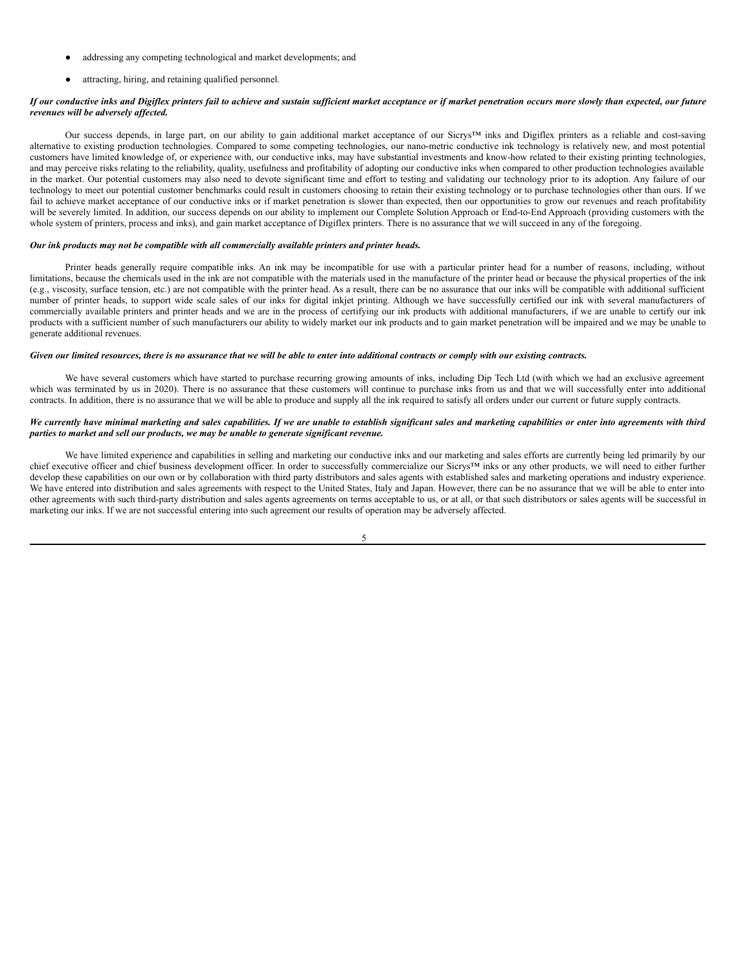- addressing any competing technological and market developments; and
- attracting, hiring, and retaining qualified personnel.

## If our conductive inks and Digiflex printers fail to achieve and sustain sufficient market acceptance or if market penetration occurs more slowly than expected, our future *revenues will be adversely af ected.*

Our success depends, in large part, on our ability to gain additional market acceptance of our Sicrys™ inks and Digiflex printers as a reliable and cost-saving alternative to existing production technologies. Compared to some competing technologies, our nano-metric conductive ink technology is relatively new, and most potential customers have limited knowledge of, or experience with, our conductive inks, may have substantial investments and know-how related to their existing printing technologies, and may perceive risks relating to the reliability, quality, usefulness and profitability of adopting our conductive inks when compared to other production technologies available in the market. Our potential customers may also need to devote significant time and effort to testing and validating our technology prior to its adoption. Any failure of our technology to meet our potential customer benchmarks could result in customers choosing to retain their existing technology or to purchase technologies other than ours. If we fail to achieve market acceptance of our conductive inks or if market penetration is slower than expected, then our opportunities to grow our revenues and reach profitability will be severely limited. In addition, our success depends on our ability to implement our Complete Solution Approach or End-to-End Approach (providing customers with the whole system of printers, process and inks), and gain market acceptance of Digiflex printers. There is no assurance that we will succeed in any of the foregoing.

#### *Our ink products may not be compatible with all commercially available printers and printer heads.*

Printer heads generally require compatible inks. An ink may be incompatible for use with a particular printer head for a number of reasons, including, without limitations, because the chemicals used in the ink are not compatible with the materials used in the manufacture of the printer head or because the physical properties of the ink (e.g., viscosity, surface tension, etc.) are not compatible with the printer head. As a result, there can be no assurance that our inks will be compatible with additional sufficient number of printer heads, to support wide scale sales of our inks for digital inkjet printing. Although we have successfully certified our ink with several manufacturers of commercially available printers and printer heads and we are in the process of certifying our ink products with additional manufacturers, if we are unable to certify our ink products with a sufficient number of such manufacturers our ability to widely market our ink products and to gain market penetration will be impaired and we may be unable to generate additional revenues.

## Given our limited resources, there is no assurance that we will be able to enter into additional contracts or comply with our existing contracts.

We have several customers which have started to purchase recurring growing amounts of inks, including Dip Tech Ltd (with which we had an exclusive agreement which was terminated by us in 2020). There is no assurance that these customers will continue to purchase inks from us and that we will successfully enter into additional contracts. In addition, there is no assurance that we will be able to produce and supply all the ink required to satisfy all orders under our current or future supply contracts.

## We currently have minimal marketing and sales capabilities. If we are unable to establish significant sales and marketing capabilities or enter into agreements with third *parties to market and sell our products, we may be unable to generate significant revenue.*

We have limited experience and capabilities in selling and marketing our conductive inks and our marketing and sales efforts are currently being led primarily by our chief executive officer and chief business development officer. In order to successfully commercialize our Sicrys™ inks or any other products, we will need to either further develop these capabilities on our own or by collaboration with third party distributors and sales agents with established sales and marketing operations and industry experience. We have entered into distribution and sales agreements with respect to the United States, Italy and Japan. However, there can be no assurance that we will be able to enter into other agreements with such third-party distribution and sales agents agreements on terms acceptable to us, or at all, or that such distributors or sales agents will be successful in marketing our inks. If we are not successful entering into such agreement our results of operation may be adversely affected.

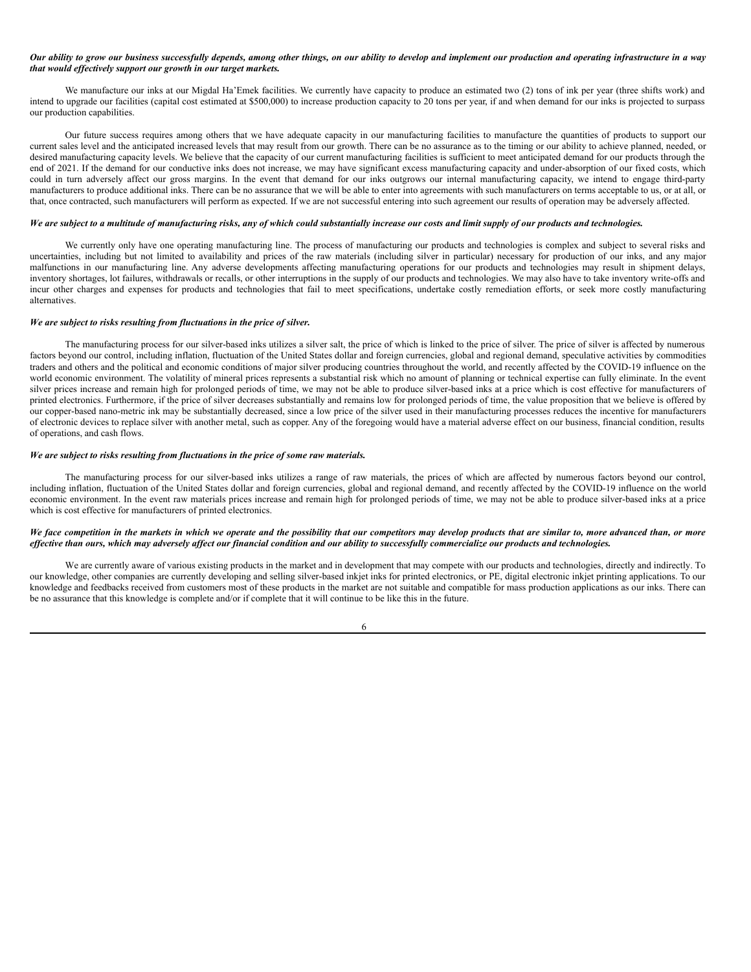### Our ability to grow our business successfully depends, among other things, on our ability to develop and implement our production and operating infrastructure in a way *that would ef ectively support our growth in our target markets.*

We manufacture our inks at our Migdal Ha'Emek facilities. We currently have capacity to produce an estimated two (2) tons of ink per year (three shifts work) and intend to upgrade our facilities (capital cost estimated at \$500,000) to increase production capacity to 20 tons per year, if and when demand for our inks is projected to surpass our production capabilities.

Our future success requires among others that we have adequate capacity in our manufacturing facilities to manufacture the quantities of products to support our current sales level and the anticipated increased levels that may result from our growth. There can be no assurance as to the timing or our ability to achieve planned, needed, or desired manufacturing capacity levels. We believe that the capacity of our current manufacturing facilities is sufficient to meet anticipated demand for our products through the end of 2021. If the demand for our conductive inks does not increase, we may have significant excess manufacturing capacity and under-absorption of our fixed costs, which could in turn adversely affect our gross margins. In the event that demand for our inks outgrows our internal manufacturing capacity, we intend to engage third-party manufacturers to produce additional inks. There can be no assurance that we will be able to enter into agreements with such manufacturers on terms acceptable to us, or at all, or that, once contracted, such manufacturers will perform as expected. If we are not successful entering into such agreement our results of operation may be adversely affected.

## We are subject to a multitude of manufacturing risks, any of which could substantially increase our costs and limit supply of our products and technologies.

We currently only have one operating manufacturing line. The process of manufacturing our products and technologies is complex and subject to several risks and uncertainties, including but not limited to availability and prices of the raw materials (including silver in particular) necessary for production of our inks, and any major malfunctions in our manufacturing line. Any adverse developments affecting manufacturing operations for our products and technologies may result in shipment delays, inventory shortages, lot failures, withdrawals or recalls, or other interruptions in the supply of our products and technologies. We may also have to take inventory write-offs and incur other charges and expenses for products and technologies that fail to meet specifications, undertake costly remediation efforts, or seek more costly manufacturing alternatives.

## *We are subject to risks resulting from fluctuations in the price of silver.*

The manufacturing process for our silver-based inks utilizes a silver salt, the price of which is linked to the price of silver. The price of silver is affected by numerous factors beyond our control, including inflation, fluctuation of the United States dollar and foreign currencies, global and regional demand, speculative activities by commodities traders and others and the political and economic conditions of major silver producing countries throughout the world, and recently affected by the COVID-19 influence on the world economic environment. The volatility of mineral prices represents a substantial risk which no amount of planning or technical expertise can fully eliminate. In the event silver prices increase and remain high for prolonged periods of time, we may not be able to produce silver-based inks at a price which is cost effective for manufacturers of printed electronics. Furthermore, if the price of silver decreases substantially and remains low for prolonged periods of time, the value proposition that we believe is offered by our copper-based nano-metric ink may be substantially decreased, since a low price of the silver used in their manufacturing processes reduces the incentive for manufacturers of electronic devices to replace silver with another metal, such as copper. Any of the foregoing would have a material adverse effect on our business, financial condition, results of operations, and cash flows.

#### *We are subject to risks resulting from fluctuations in the price of some raw materials.*

The manufacturing process for our silver-based inks utilizes a range of raw materials, the prices of which are affected by numerous factors beyond our control, including inflation, fluctuation of the United States dollar and foreign currencies, global and regional demand, and recently affected by the COVID-19 influence on the world economic environment. In the event raw materials prices increase and remain high for prolonged periods of time, we may not be able to produce silver-based inks at a price which is cost effective for manufacturers of printed electronics.

## We face competition in the markets in which we operate and the possibility that our competitors may develop products that are similar to, more advanced than, or more effective than ours, which may adversely affect our financial condition and our ability to successfully commercialize our products and technologies.

We are currently aware of various existing products in the market and in development that may compete with our products and technologies, directly and indirectly. To our knowledge, other companies are currently developing and selling silver-based inkjet inks for printed electronics, or PE, digital electronic inkjet printing applications. To our knowledge and feedbacks received from customers most of these products in the market are not suitable and compatible for mass production applications as our inks. There can be no assurance that this knowledge is complete and/or if complete that it will continue to be like this in the future.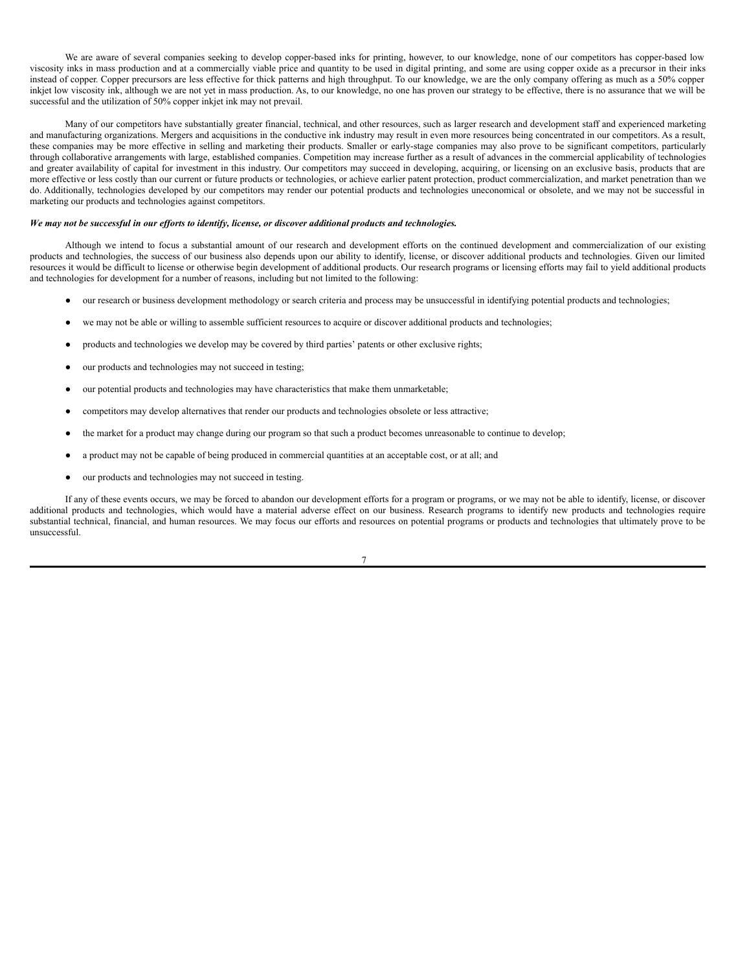We are aware of several companies seeking to develop copper-based inks for printing, however, to our knowledge, none of our competitors has copper-based low viscosity inks in mass production and at a commercially viable price and quantity to be used in digital printing, and some are using copper oxide as a precursor in their inks instead of copper. Copper precursors are less effective for thick patterns and high throughput. To our knowledge, we are the only company offering as much as a 50% copper inkjet low viscosity ink, although we are not yet in mass production. As, to our knowledge, no one has proven our strategy to be effective, there is no assurance that we will be successful and the utilization of 50% copper inkjet ink may not prevail.

Many of our competitors have substantially greater financial, technical, and other resources, such as larger research and development staff and experienced marketing and manufacturing organizations. Mergers and acquisitions in the conductive ink industry may result in even more resources being concentrated in our competitors. As a result, these companies may be more effective in selling and marketing their products. Smaller or early-stage companies may also prove to be significant competitors, particularly through collaborative arrangements with large, established companies. Competition may increase further as a result of advances in the commercial applicability of technologies and greater availability of capital for investment in this industry. Our competitors may succeed in developing, acquiring, or licensing on an exclusive basis, products that are more effective or less costly than our current or future products or technologies, or achieve earlier patent protection, product commercialization, and market penetration than we do. Additionally, technologies developed by our competitors may render our potential products and technologies uneconomical or obsolete, and we may not be successful in marketing our products and technologies against competitors.

## We may not be successful in our efforts to identify, license, or discover additional products and technologies.

Although we intend to focus a substantial amount of our research and development efforts on the continued development and commercialization of our existing products and technologies, the success of our business also depends upon our ability to identify, license, or discover additional products and technologies. Given our limited resources it would be difficult to license or otherwise begin development of additional products. Our research programs or licensing efforts may fail to yield additional products and technologies for development for a number of reasons, including but not limited to the following:

- our research or business development methodology or search criteria and process may be unsuccessful in identifying potential products and technologies;
- we may not be able or willing to assemble sufficient resources to acquire or discover additional products and technologies;
- products and technologies we develop may be covered by third parties' patents or other exclusive rights;
- our products and technologies may not succeed in testing;
- our potential products and technologies may have characteristics that make them unmarketable;
- competitors may develop alternatives that render our products and technologies obsolete or less attractive;
- the market for a product may change during our program so that such a product becomes unreasonable to continue to develop;
- a product may not be capable of being produced in commercial quantities at an acceptable cost, or at all; and
- our products and technologies may not succeed in testing.

If any of these events occurs, we may be forced to abandon our development efforts for a program or programs, or we may not be able to identify, license, or discover additional products and technologies, which would have a material adverse effect on our business. Research programs to identify new products and technologies require substantial technical, financial, and human resources. We may focus our efforts and resources on potential programs or products and technologies that ultimately prove to be unsuccessful.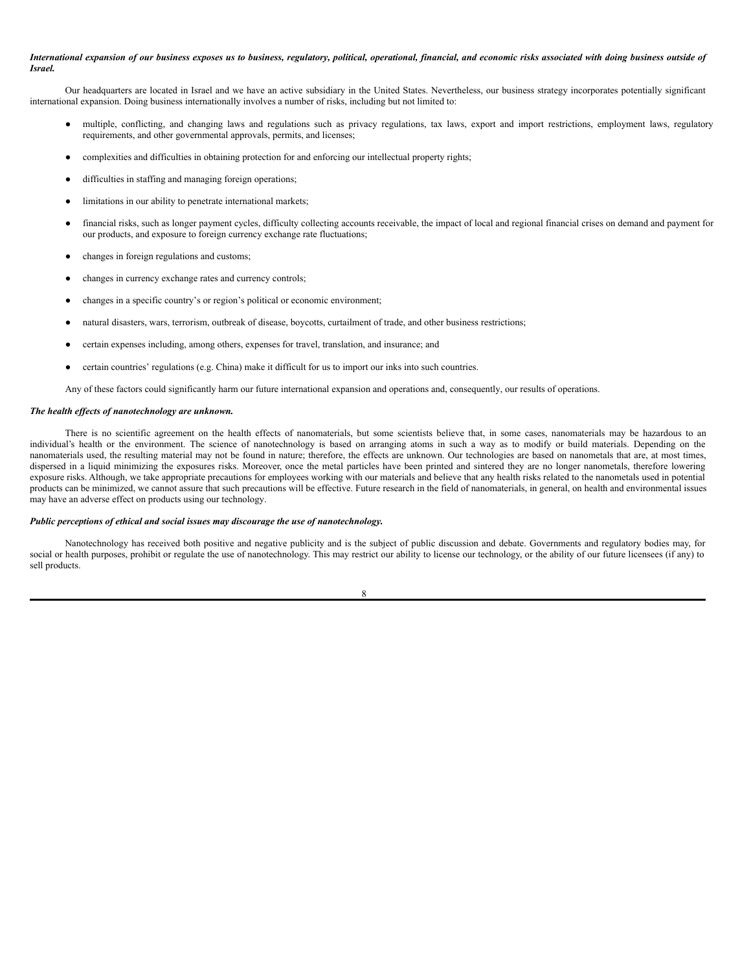## International expansion of our business exposes us to business, regulatory, political, operational, financial, and economic risks associated with doing business outside of *Israel.*

Our headquarters are located in Israel and we have an active subsidiary in the United States. Nevertheless, our business strategy incorporates potentially significant international expansion. Doing business internationally involves a number of risks, including but not limited to:

- multiple, conflicting, and changing laws and regulations such as privacy regulations, tax laws, export and import restrictions, employment laws, regulatory requirements, and other governmental approvals, permits, and licenses;
- complexities and difficulties in obtaining protection for and enforcing our intellectual property rights;
- difficulties in staffing and managing foreign operations;
- limitations in our ability to penetrate international markets;
- financial risks, such as longer payment cycles, difficulty collecting accounts receivable, the impact of local and regional financial crises on demand and payment for our products, and exposure to foreign currency exchange rate fluctuations;
- changes in foreign regulations and customs;
- changes in currency exchange rates and currency controls;
- changes in a specific country's or region's political or economic environment;
- natural disasters, wars, terrorism, outbreak of disease, boycotts, curtailment of trade, and other business restrictions;
- certain expenses including, among others, expenses for travel, translation, and insurance; and
- certain countries' regulations (e.g. China) make it difficult for us to import our inks into such countries.

Any of these factors could significantly harm our future international expansion and operations and, consequently, our results of operations.

## *The health ef ects of nanotechnology are unknown.*

There is no scientific agreement on the health effects of nanomaterials, but some scientists believe that, in some cases, nanomaterials may be hazardous to an individual's health or the environment. The science of nanotechnology is based on arranging atoms in such a way as to modify or build materials. Depending on the nanomaterials used, the resulting material may not be found in nature; therefore, the effects are unknown. Our technologies are based on nanometals that are, at most times, dispersed in a liquid minimizing the exposures risks. Moreover, once the metal particles have been printed and sintered they are no longer nanometals, therefore lowering exposure risks. Although, we take appropriate precautions for employees working with our materials and believe that any health risks related to the nanometals used in potential products can be minimized, we cannot assure that such precautions will be effective. Future research in the field of nanomaterials, in general, on health and environmental issues may have an adverse effect on products using our technology.

## *Public perceptions of ethical and social issues may discourage the use of nanotechnology.*

Nanotechnology has received both positive and negative publicity and is the subject of public discussion and debate. Governments and regulatory bodies may, for social or health purposes, prohibit or regulate the use of nanotechnology. This may restrict our ability to license our technology, or the ability of our future licensees (if any) to sell products.

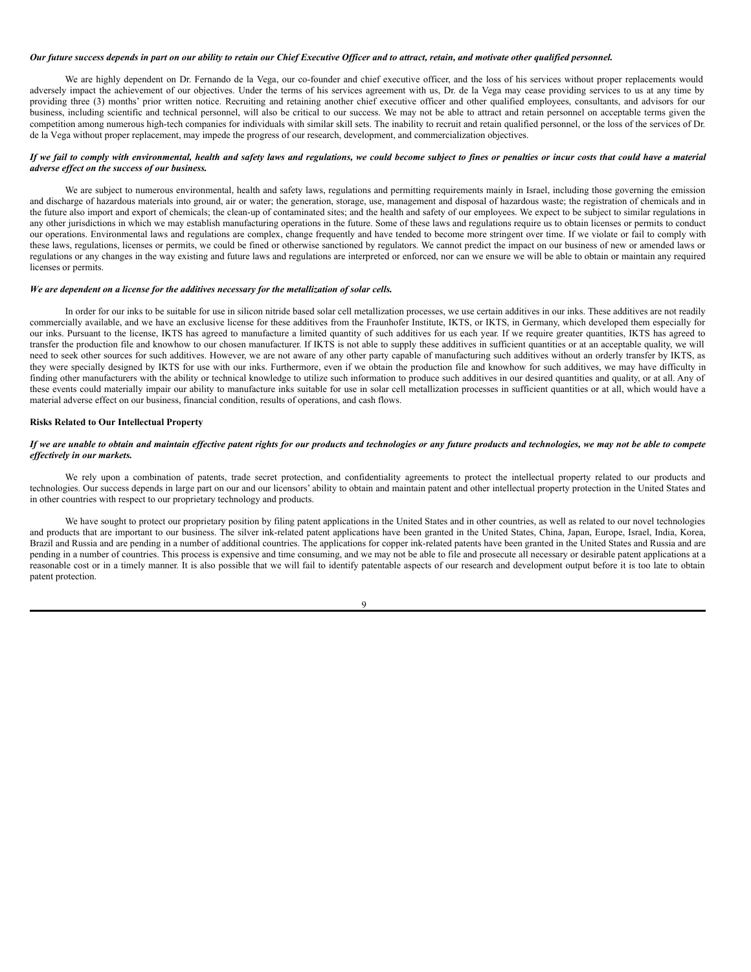#### Our future success depends in part on our ability to retain our Chief Executive Officer and to attract, retain, and motivate other qualified personnel.

We are highly dependent on Dr. Fernando de la Vega, our co-founder and chief executive officer, and the loss of his services without proper replacements would adversely impact the achievement of our objectives. Under the terms of his services agreement with us, Dr. de la Vega may cease providing services to us at any time by providing three (3) months' prior written notice. Recruiting and retaining another chief executive officer and other qualified employees, consultants, and advisors for our business, including scientific and technical personnel, will also be critical to our success. We may not be able to attract and retain personnel on acceptable terms given the competition among numerous high-tech companies for individuals with similar skill sets. The inability to recruit and retain qualified personnel, or the loss of the services of Dr. de la Vega without proper replacement, may impede the progress of our research, development, and commercialization objectives.

### If we fail to comply with environmental, health and safety laws and regulations, we could become subject to fines or penalties or incur costs that could have a material *adverse ef ect on the success of our business.*

We are subject to numerous environmental, health and safety laws, regulations and permitting requirements mainly in Israel, including those governing the emission and discharge of hazardous materials into ground, air or water; the generation, storage, use, management and disposal of hazardous waste; the registration of chemicals and in the future also import and export of chemicals; the clean-up of contaminated sites; and the health and safety of our employees. We expect to be subject to similar regulations in any other jurisdictions in which we may establish manufacturing operations in the future. Some of these laws and regulations require us to obtain licenses or permits to conduct our operations. Environmental laws and regulations are complex, change frequently and have tended to become more stringent over time. If we violate or fail to comply with these laws, regulations, licenses or permits, we could be fined or otherwise sanctioned by regulators. We cannot predict the impact on our business of new or amended laws or regulations or any changes in the way existing and future laws and regulations are interpreted or enforced, nor can we ensure we will be able to obtain or maintain any required licenses or permits.

## *We are dependent on a license for the additives necessary for the metallization of solar cells.*

In order for our inks to be suitable for use in silicon nitride based solar cell metallization processes, we use certain additives in our inks. These additives are not readily commercially available, and we have an exclusive license for these additives from the Fraunhofer Institute, IKTS, or IKTS, in Germany, which developed them especially for our inks. Pursuant to the license, IKTS has agreed to manufacture a limited quantity of such additives for us each year. If we require greater quantities, IKTS has agreed to transfer the production file and knowhow to our chosen manufacturer. If IKTS is not able to supply these additives in sufficient quantities or at an acceptable quality, we will need to seek other sources for such additives. However, we are not aware of any other party capable of manufacturing such additives without an orderly transfer by IKTS, as they were specially designed by IKTS for use with our inks. Furthermore, even if we obtain the production file and knowhow for such additives, we may have difficulty in finding other manufacturers with the ability or technical knowledge to utilize such information to produce such additives in our desired quantities and quality, or at all. Any of these events could materially impair our ability to manufacture inks suitable for use in solar cell metallization processes in sufficient quantities or at all, which would have a material adverse effect on our business, financial condition, results of operations, and cash flows.

#### **Risks Related to Our Intellectual Property**

## If we are unable to obtain and maintain effective patent rights for our products and technologies or any future products and technologies, we may not be able to compete *ef ectively in our markets.*

We rely upon a combination of patents, trade secret protection, and confidentiality agreements to protect the intellectual property related to our products and technologies. Our success depends in large part on our and our licensors' ability to obtain and maintain patent and other intellectual property protection in the United States and in other countries with respect to our proprietary technology and products.

We have sought to protect our proprietary position by filing patent applications in the United States and in other countries, as well as related to our novel technologies and products that are important to our business. The silver ink-related patent applications have been granted in the United States, China, Japan, Europe, Israel, India, Korea, Brazil and Russia and are pending in a number of additional countries. The applications for copper ink-related patents have been granted in the United States and Russia and are pending in a number of countries. This process is expensive and time consuming, and we may not be able to file and prosecute all necessary or desirable patent applications at a reasonable cost or in a timely manner. It is also possible that we will fail to identify patentable aspects of our research and development output before it is too late to obtain patent protection.

### $\overline{Q}$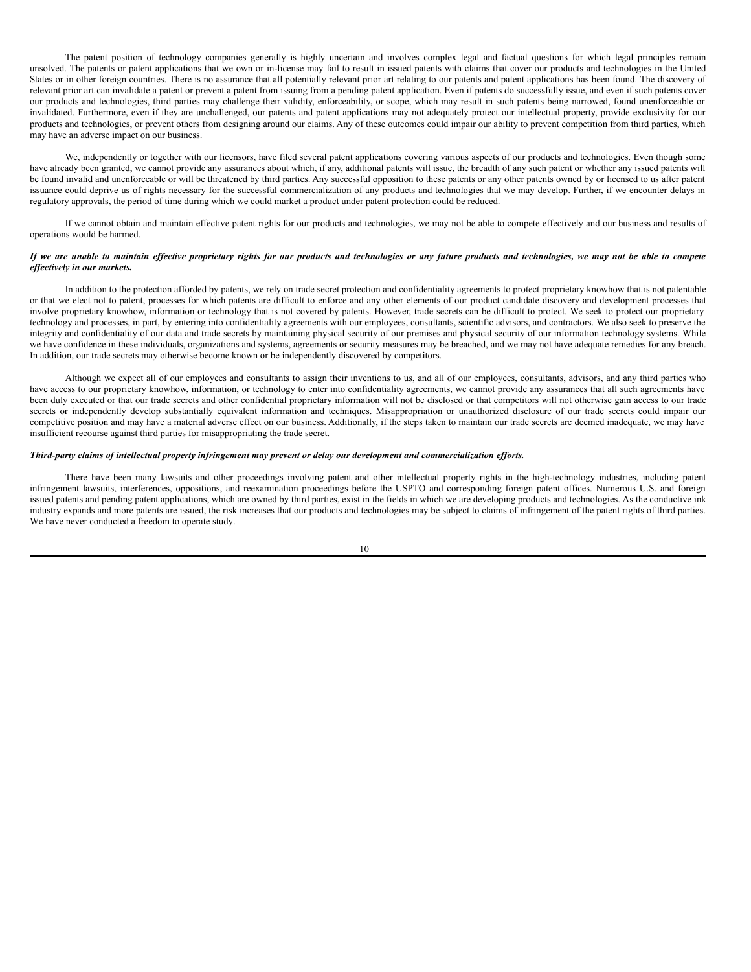The patent position of technology companies generally is highly uncertain and involves complex legal and factual questions for which legal principles remain unsolved. The patents or patent applications that we own or in-license may fail to result in issued patents with claims that cover our products and technologies in the United States or in other foreign countries. There is no assurance that all potentially relevant prior art relating to our patents and patent applications has been found. The discovery of relevant prior art can invalidate a patent or prevent a patent from issuing from a pending patent application. Even if patents do successfully issue, and even if such patents cover our products and technologies, third parties may challenge their validity, enforceability, or scope, which may result in such patents being narrowed, found unenforceable or invalidated. Furthermore, even if they are unchallenged, our patents and patent applications may not adequately protect our intellectual property, provide exclusivity for our products and technologies, or prevent others from designing around our claims. Any of these outcomes could impair our ability to prevent competition from third parties, which may have an adverse impact on our business.

We, independently or together with our licensors, have filed several patent applications covering various aspects of our products and technologies. Even though some have already been granted, we cannot provide any assurances about which, if any, additional patents will issue, the breadth of any such patent or whether any issued patents will be found invalid and unenforceable or will be threatened by third parties. Any successful opposition to these patents or any other patents owned by or licensed to us after patent issuance could deprive us of rights necessary for the successful commercialization of any products and technologies that we may develop. Further, if we encounter delays in regulatory approvals, the period of time during which we could market a product under patent protection could be reduced.

If we cannot obtain and maintain effective patent rights for our products and technologies, we may not be able to compete effectively and our business and results of operations would be harmed.

## If we are unable to maintain effective proprietary rights for our products and technologies or any future products and technologies, we may not be able to compete *ef ectively in our markets.*

In addition to the protection afforded by patents, we rely on trade secret protection and confidentiality agreements to protect proprietary knowhow that is not patentable or that we elect not to patent, processes for which patents are difficult to enforce and any other elements of our product candidate discovery and development processes that involve proprietary knowhow, information or technology that is not covered by patents. However, trade secrets can be difficult to protect. We seek to protect our proprietary technology and processes, in part, by entering into confidentiality agreements with our employees, consultants, scientific advisors, and contractors. We also seek to preserve the integrity and confidentiality of our data and trade secrets by maintaining physical security of our premises and physical security of our information technology systems. While we have confidence in these individuals, organizations and systems, agreements or security measures may be breached, and we may not have adequate remedies for any breach. In addition, our trade secrets may otherwise become known or be independently discovered by competitors.

Although we expect all of our employees and consultants to assign their inventions to us, and all of our employees, consultants, advisors, and any third parties who have access to our proprietary knowhow, information, or technology to enter into confidentiality agreements, we cannot provide any assurances that all such agreements have been duly executed or that our trade secrets and other confidential proprietary information will not be disclosed or that competitors will not otherwise gain access to our trade secrets or independently develop substantially equivalent information and techniques. Misappropriation or unauthorized disclosure of our trade secrets could impair our competitive position and may have a material adverse effect on our business. Additionally, if the steps taken to maintain our trade secrets are deemed inadequate, we may have insufficient recourse against third parties for misappropriating the trade secret.

### Third-party claims of intellectual property infringement may prevent or delay our development and commercialization efforts.

There have been many lawsuits and other proceedings involving patent and other intellectual property rights in the high-technology industries, including patent infringement lawsuits, interferences, oppositions, and reexamination proceedings before the USPTO and corresponding foreign patent offices. Numerous U.S. and foreign issued patents and pending patent applications, which are owned by third parties, exist in the fields in which we are developing products and technologies. As the conductive ink industry expands and more patents are issued, the risk increases that our products and technologies may be subject to claims of infringement of the patent rights of third parties. We have never conducted a freedom to operate study.

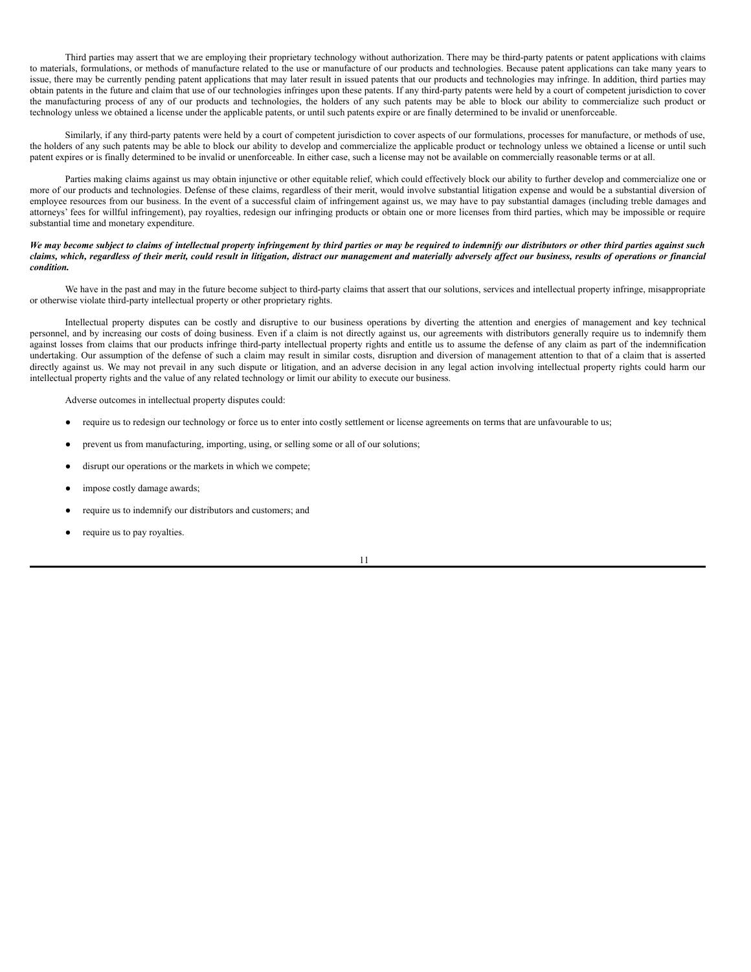Third parties may assert that we are employing their proprietary technology without authorization. There may be third-party patents or patent applications with claims to materials, formulations, or methods of manufacture related to the use or manufacture of our products and technologies. Because patent applications can take many years to issue, there may be currently pending patent applications that may later result in issued patents that our products and technologies may infringe. In addition, third parties may obtain patents in the future and claim that use of our technologies infringes upon these patents. If any third-party patents were held by a court of competent jurisdiction to cover the manufacturing process of any of our products and technologies, the holders of any such patents may be able to block our ability to commercialize such product or technology unless we obtained a license under the applicable patents, or until such patents expire or are finally determined to be invalid or unenforceable.

Similarly, if any third-party patents were held by a court of competent jurisdiction to cover aspects of our formulations, processes for manufacture, or methods of use, the holders of any such patents may be able to block our ability to develop and commercialize the applicable product or technology unless we obtained a license or until such patent expires or is finally determined to be invalid or unenforceable. In either case, such a license may not be available on commercially reasonable terms or at all.

Parties making claims against us may obtain injunctive or other equitable relief, which could effectively block our ability to further develop and commercialize one or more of our products and technologies. Defense of these claims, regardless of their merit, would involve substantial litigation expense and would be a substantial diversion of employee resources from our business. In the event of a successful claim of infringement against us, we may have to pay substantial damages (including treble damages and attorneys' fees for willful infringement), pay royalties, redesign our infringing products or obtain one or more licenses from third parties, which may be impossible or require substantial time and monetary expenditure.

## We may become subject to claims of intellectual property infringement by third parties or may be required to indemnify our distributors or other third parties against such claims, which, regardless of their merit, could result in litigation, distract our management and materially adversely affect our business, results of operations or financial *condition.*

We have in the past and may in the future become subject to third-party claims that assert that our solutions, services and intellectual property infringe, misappropriate or otherwise violate third-party intellectual property or other proprietary rights.

Intellectual property disputes can be costly and disruptive to our business operations by diverting the attention and energies of management and key technical personnel, and by increasing our costs of doing business. Even if a claim is not directly against us, our agreements with distributors generally require us to indemnify them against losses from claims that our products infringe third-party intellectual property rights and entitle us to assume the defense of any claim as part of the indemnification undertaking. Our assumption of the defense of such a claim may result in similar costs, disruption and diversion of management attention to that of a claim that is asserted directly against us. We may not prevail in any such dispute or litigation, and an adverse decision in any legal action involving intellectual property rights could harm our intellectual property rights and the value of any related technology or limit our ability to execute our business.

Adverse outcomes in intellectual property disputes could:

- require us to redesign our technology or force us to enter into costly settlement or license agreements on terms that are unfavourable to us;
- prevent us from manufacturing, importing, using, or selling some or all of our solutions;
- disrupt our operations or the markets in which we compete;
- impose costly damage awards;
- require us to indemnify our distributors and customers; and
- require us to pay royalties.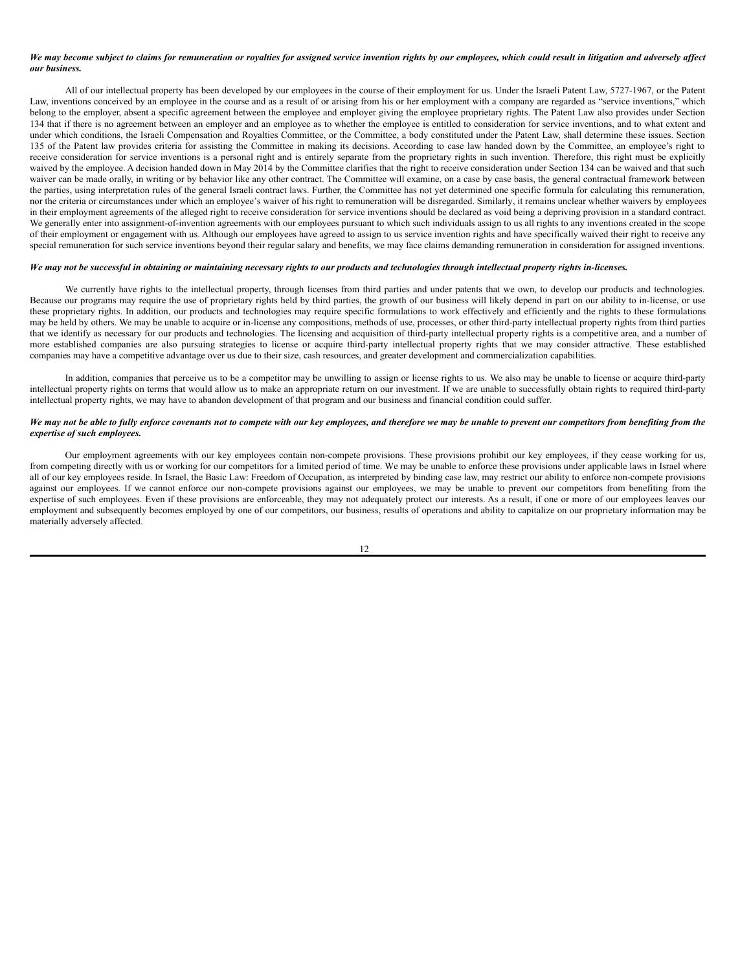## We may become subject to claims for remuneration or royalties for assigned service invention rights by our employees, which could result in litigation and adversely affect *our business.*

All of our intellectual property has been developed by our employees in the course of their employment for us. Under the Israeli Patent Law, 5727-1967, or the Patent Law, inventions conceived by an employee in the course and as a result of or arising from his or her employment with a company are regarded as "service inventions," which belong to the employer, absent a specific agreement between the employee and employer giving the employee proprietary rights. The Patent Law also provides under Section 134 that if there is no agreement between an employer and an employee as to whether the employee is entitled to consideration for service inventions, and to what extent and under which conditions, the Israeli Compensation and Royalties Committee, or the Committee, a body constituted under the Patent Law, shall determine these issues. Section 135 of the Patent law provides criteria for assisting the Committee in making its decisions. According to case law handed down by the Committee, an employee's right to receive consideration for service inventions is a personal right and is entirely separate from the proprietary rights in such invention. Therefore, this right must be explicitly waived by the employee. A decision handed down in May 2014 by the Committee clarifies that the right to receive consideration under Section 134 can be waived and that such waiver can be made orally, in writing or by behavior like any other contract. The Committee will examine, on a case by case basis, the general contractual framework between the parties, using interpretation rules of the general Israeli contract laws. Further, the Committee has not yet determined one specific formula for calculating this remuneration, nor the criteria or circumstances under which an employee's waiver of his right to remuneration will be disregarded. Similarly, it remains unclear whether waivers by employees in their employment agreements of the alleged right to receive consideration for service inventions should be declared as void being a depriving provision in a standard contract. We generally enter into assignment-of-invention agreements with our employees pursuant to which such individuals assign to us all rights to any inventions created in the scope of their employment or engagement with us. Although our employees have agreed to assign to us service invention rights and have specifically waived their right to receive any special remuneration for such service inventions beyond their regular salary and benefits, we may face claims demanding remuneration in consideration for assigned inventions.

## We may not be successful in obtaining or maintaining necessary rights to our products and technologies through intellectual property rights in-licenses.

We currently have rights to the intellectual property, through licenses from third parties and under patents that we own, to develop our products and technologies. Because our programs may require the use of proprietary rights held by third parties, the growth of our business will likely depend in part on our ability to in-license, or use these proprietary rights. In addition, our products and technologies may require specific formulations to work effectively and efficiently and the rights to these formulations may be held by others. We may be unable to acquire or in-license any compositions, methods of use, processes, or other third-party intellectual property rights from third parties that we identify as necessary for our products and technologies. The licensing and acquisition of third-party intellectual property rights is a competitive area, and a number of more established companies are also pursuing strategies to license or acquire third-party intellectual property rights that we may consider attractive. These established companies may have a competitive advantage over us due to their size, cash resources, and greater development and commercialization capabilities.

In addition, companies that perceive us to be a competitor may be unwilling to assign or license rights to us. We also may be unable to license or acquire third-party intellectual property rights on terms that would allow us to make an appropriate return on our investment. If we are unable to successfully obtain rights to required third-party intellectual property rights, we may have to abandon development of that program and our business and financial condition could suffer.

### We may not be able to fully enforce covenants not to compete with our key employees, and therefore we may be unable to prevent our competitors from benefiting from the *expertise of such employees.*

Our employment agreements with our key employees contain non-compete provisions. These provisions prohibit our key employees, if they cease working for us, from competing directly with us or working for our competitors for a limited period of time. We may be unable to enforce these provisions under applicable laws in Israel where all of our key employees reside. In Israel, the Basic Law: Freedom of Occupation, as interpreted by binding case law, may restrict our ability to enforce non-compete provisions against our employees. If we cannot enforce our non-compete provisions against our employees, we may be unable to prevent our competitors from benefiting from the expertise of such employees. Even if these provisions are enforceable, they may not adequately protect our interests. As a result, if one or more of our employees leaves our employment and subsequently becomes employed by one of our competitors, our business, results of operations and ability to capitalize on our proprietary information may be materially adversely affected.

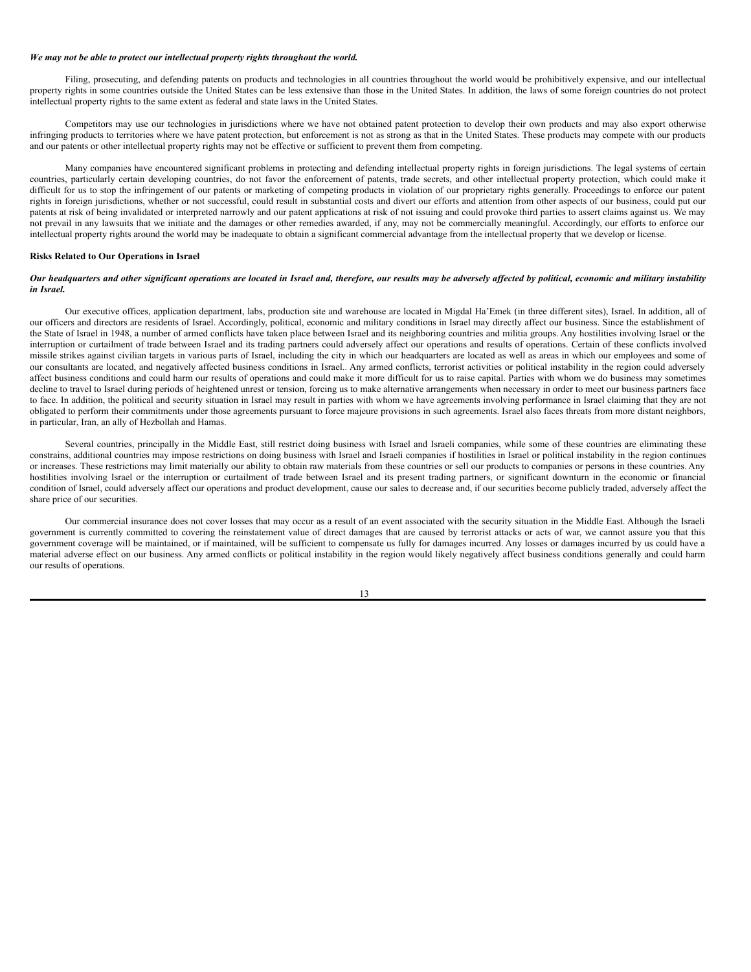#### *We may not be able to protect our intellectual property rights throughout the world.*

Filing, prosecuting, and defending patents on products and technologies in all countries throughout the world would be prohibitively expensive, and our intellectual property rights in some countries outside the United States can be less extensive than those in the United States. In addition, the laws of some foreign countries do not protect intellectual property rights to the same extent as federal and state laws in the United States.

Competitors may use our technologies in jurisdictions where we have not obtained patent protection to develop their own products and may also export otherwise infringing products to territories where we have patent protection, but enforcement is not as strong as that in the United States. These products may compete with our products and our patents or other intellectual property rights may not be effective or sufficient to prevent them from competing.

Many companies have encountered significant problems in protecting and defending intellectual property rights in foreign jurisdictions. The legal systems of certain countries, particularly certain developing countries, do not favor the enforcement of patents, trade secrets, and other intellectual property protection, which could make it difficult for us to stop the infringement of our patents or marketing of competing products in violation of our proprietary rights generally. Proceedings to enforce our patent rights in foreign jurisdictions, whether or not successful, could result in substantial costs and divert our efforts and attention from other aspects of our business, could put our patents at risk of being invalidated or interpreted narrowly and our patent applications at risk of not issuing and could provoke third parties to assert claims against us. We may not prevail in any lawsuits that we initiate and the damages or other remedies awarded, if any, may not be commercially meaningful. Accordingly, our efforts to enforce our intellectual property rights around the world may be inadequate to obtain a significant commercial advantage from the intellectual property that we develop or license.

### **Risks Related to Our Operations in Israel**

## Our headquarters and other significant operations are located in Israel and, therefore, our results may be adversely affected by political, economic and military instability *in Israel.*

Our executive offices, application department, labs, production site and warehouse are located in Migdal Ha'Emek (in three different sites), Israel. In addition, all of our officers and directors are residents of Israel. Accordingly, political, economic and military conditions in Israel may directly affect our business. Since the establishment of the State of Israel in 1948, a number of armed conflicts have taken place between Israel and its neighboring countries and militia groups. Any hostilities involving Israel or the interruption or curtailment of trade between Israel and its trading partners could adversely affect our operations and results of operations. Certain of these conflicts involved missile strikes against civilian targets in various parts of Israel, including the city in which our headquarters are located as well as areas in which our employees and some of our consultants are located, and negatively affected business conditions in Israel.. Any armed conflicts, terrorist activities or political instability in the region could adversely affect business conditions and could harm our results of operations and could make it more difficult for us to raise capital. Parties with whom we do business may sometimes decline to travel to Israel during periods of heightened unrest or tension, forcing us to make alternative arrangements when necessary in order to meet our business partners face to face. In addition, the political and security situation in Israel may result in parties with whom we have agreements involving performance in Israel claiming that they are not obligated to perform their commitments under those agreements pursuant to force majeure provisions in such agreements. Israel also faces threats from more distant neighbors, in particular, Iran, an ally of Hezbollah and Hamas.

Several countries, principally in the Middle East, still restrict doing business with Israel and Israeli companies, while some of these countries are eliminating these constrains, additional countries may impose restrictions on doing business with Israel and Israeli companies if hostilities in Israel or political instability in the region continues or increases. These restrictions may limit materially our ability to obtain raw materials from these countries or sell our products to companies or persons in these countries. Any hostilities involving Israel or the interruption or curtailment of trade between Israel and its present trading partners, or significant downturn in the economic or financial condition of Israel, could adversely affect our operations and product development, cause our sales to decrease and, if our securities become publicly traded, adversely affect the share price of our securities.

Our commercial insurance does not cover losses that may occur as a result of an event associated with the security situation in the Middle East. Although the Israeli government is currently committed to covering the reinstatement value of direct damages that are caused by terrorist attacks or acts of war, we cannot assure you that this government coverage will be maintained, or if maintained, will be sufficient to compensate us fully for damages incurred. Any losses or damages incurred by us could have a material adverse effect on our business. Any armed conflicts or political instability in the region would likely negatively affect business conditions generally and could harm our results of operations.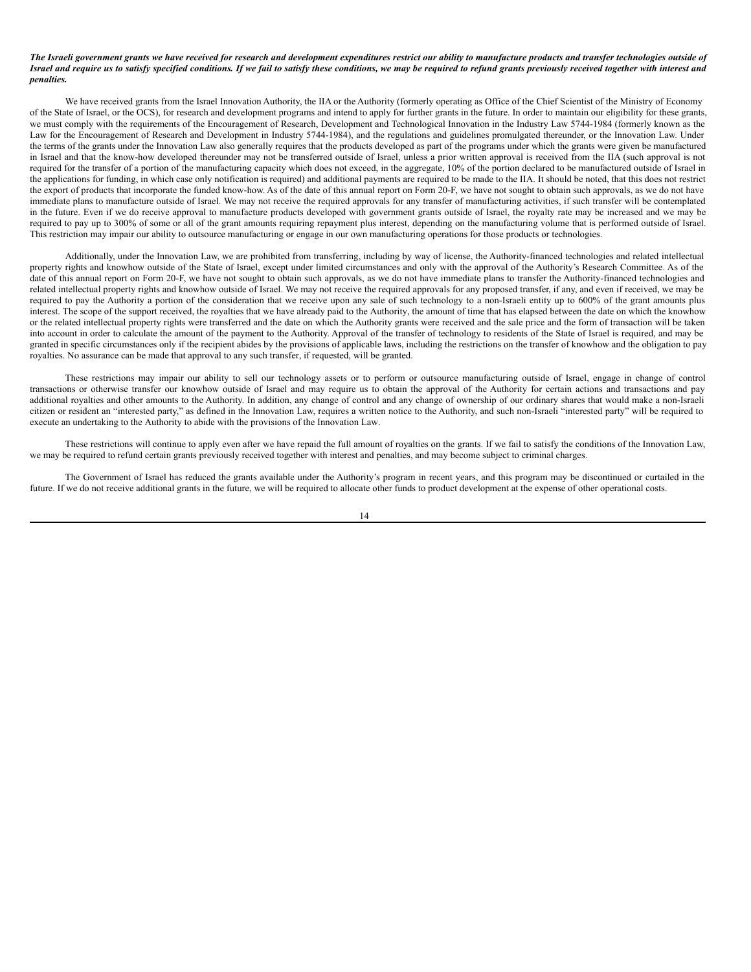### The Israeli government grants we have received for research and development expenditures restrict our ability to manufacture products and transfer technologies outside of Israel and require us to satisfy specified conditions. If we fail to satisfy these conditions, we may be required to refund grants previously received together with interest and *penalties.*

We have received grants from the Israel Innovation Authority, the IIA or the Authority (formerly operating as Office of the Chief Scientist of the Ministry of Economy of the State of Israel, or the OCS), for research and development programs and intend to apply for further grants in the future. In order to maintain our eligibility for these grants, we must comply with the requirements of the Encouragement of Research, Development and Technological Innovation in the Industry Law 5744-1984 (formerly known as the Law for the Encouragement of Research and Development in Industry 5744-1984), and the regulations and guidelines promulgated thereunder, or the Innovation Law. Under the terms of the grants under the Innovation Law also generally requires that the products developed as part of the programs under which the grants were given be manufactured in Israel and that the know-how developed thereunder may not be transferred outside of Israel, unless a prior written approval is received from the IIA (such approval is not required for the transfer of a portion of the manufacturing capacity which does not exceed, in the aggregate, 10% of the portion declared to be manufactured outside of Israel in the applications for funding, in which case only notification is required) and additional payments are required to be made to the IIA. It should be noted, that this does not restrict the export of products that incorporate the funded know-how. As of the date of this annual report on Form 20-F, we have not sought to obtain such approvals, as we do not have immediate plans to manufacture outside of Israel. We may not receive the required approvals for any transfer of manufacturing activities, if such transfer will be contemplated in the future. Even if we do receive approval to manufacture products developed with government grants outside of Israel, the royalty rate may be increased and we may be required to pay up to 300% of some or all of the grant amounts requiring repayment plus interest, depending on the manufacturing volume that is performed outside of Israel. This restriction may impair our ability to outsource manufacturing or engage in our own manufacturing operations for those products or technologies.

Additionally, under the Innovation Law, we are prohibited from transferring, including by way of license, the Authority-financed technologies and related intellectual property rights and knowhow outside of the State of Israel, except under limited circumstances and only with the approval of the Authority's Research Committee. As of the date of this annual report on Form 20-F, we have not sought to obtain such approvals, as we do not have immediate plans to transfer the Authority-financed technologies and related intellectual property rights and knowhow outside of Israel. We may not receive the required approvals for any proposed transfer, if any, and even if received, we may be required to pay the Authority a portion of the consideration that we receive upon any sale of such technology to a non-Israeli entity up to 600% of the grant amounts plus interest. The scope of the support received, the royalties that we have already paid to the Authority, the amount of time that has elapsed between the date on which the knowhow or the related intellectual property rights were transferred and the date on which the Authority grants were received and the sale price and the form of transaction will be taken into account in order to calculate the amount of the payment to the Authority. Approval of the transfer of technology to residents of the State of Israel is required, and may be granted in specific circumstances only if the recipient abides by the provisions of applicable laws, including the restrictions on the transfer of knowhow and the obligation to pay royalties. No assurance can be made that approval to any such transfer, if requested, will be granted.

These restrictions may impair our ability to sell our technology assets or to perform or outsource manufacturing outside of Israel, engage in change of control transactions or otherwise transfer our knowhow outside of Israel and may require us to obtain the approval of the Authority for certain actions and transactions and pay additional royalties and other amounts to the Authority. In addition, any change of control and any change of ownership of our ordinary shares that would make a non-Israeli citizen or resident an "interested party," as defined in the Innovation Law, requires a written notice to the Authority, and such non-Israeli "interested party" will be required to execute an undertaking to the Authority to abide with the provisions of the Innovation Law.

These restrictions will continue to apply even after we have repaid the full amount of royalties on the grants. If we fail to satisfy the conditions of the Innovation Law, we may be required to refund certain grants previously received together with interest and penalties, and may become subject to criminal charges.

The Government of Israel has reduced the grants available under the Authority's program in recent years, and this program may be discontinued or curtailed in the future. If we do not receive additional grants in the future, we will be required to allocate other funds to product development at the expense of other operational costs.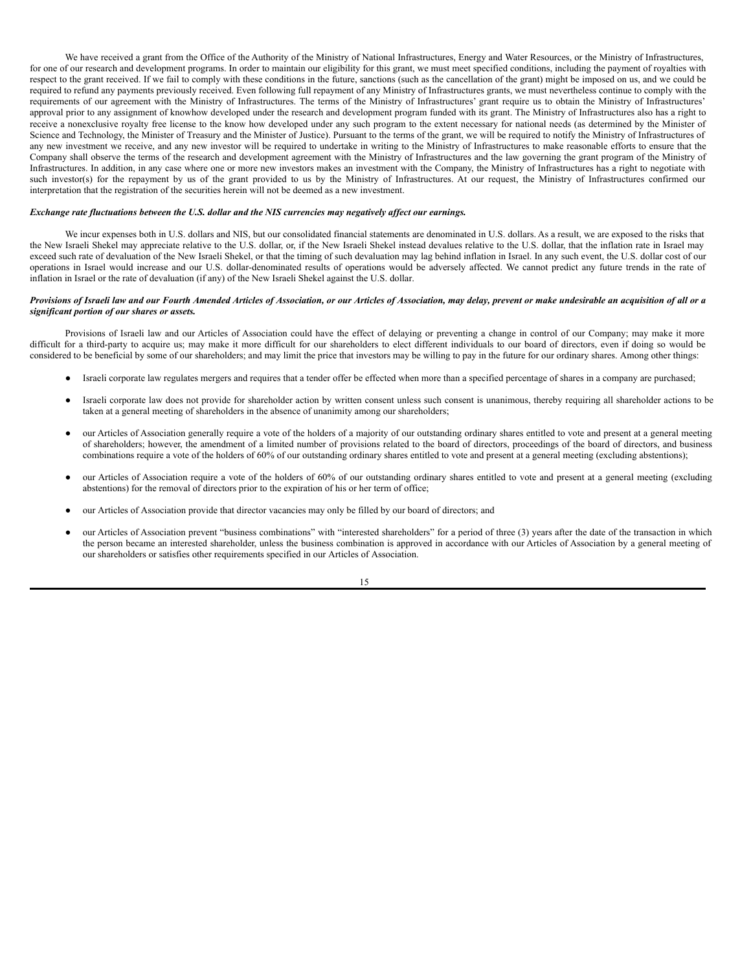We have received a grant from the Office of the Authority of the Ministry of National Infrastructures, Energy and Water Resources, or the Ministry of Infrastructures, for one of our research and development programs. In order to maintain our eligibility for this grant, we must meet specified conditions, including the payment of royalties with respect to the grant received. If we fail to comply with these conditions in the future, sanctions (such as the cancellation of the grant) might be imposed on us, and we could be required to refund any payments previously received. Even following full repayment of any Ministry of Infrastructures grants, we must nevertheless continue to comply with the requirements of our agreement with the Ministry of Infrastructures. The terms of the Ministry of Infrastructures' grant require us to obtain the Ministry of Infrastructures' approval prior to any assignment of knowhow developed under the research and development program funded with its grant. The Ministry of Infrastructures also has a right to receive a nonexclusive royalty free license to the know how developed under any such program to the extent necessary for national needs (as determined by the Minister of Science and Technology, the Minister of Treasury and the Minister of Justice). Pursuant to the terms of the grant, we will be required to notify the Ministry of Infrastructures of any new investment we receive, and any new investor will be required to undertake in writing to the Ministry of Infrastructures to make reasonable efforts to ensure that the Company shall observe the terms of the research and development agreement with the Ministry of Infrastructures and the law governing the grant program of the Ministry of Infrastructures. In addition, in any case where one or more new investors makes an investment with the Company, the Ministry of Infrastructures has a right to negotiate with such investor(s) for the repayment by us of the grant provided to us by the Ministry of Infrastructures. At our request, the Ministry of Infrastructures confirmed our interpretation that the registration of the securities herein will not be deemed as a new investment.

#### Exchange rate fluctuations between the U.S. dollar and the NIS currencies may negatively affect our earnings.

We incur expenses both in U.S. dollars and NIS, but our consolidated financial statements are denominated in U.S. dollars. As a result, we are exposed to the risks that the New Israeli Shekel may appreciate relative to the U.S. dollar, or, if the New Israeli Shekel instead devalues relative to the U.S. dollar, that the inflation rate in Israel may exceed such rate of devaluation of the New Israeli Shekel, or that the timing of such devaluation may lag behind inflation in Israel. In any such event, the U.S. dollar cost of our operations in Israel would increase and our U.S. dollar-denominated results of operations would be adversely affected. We cannot predict any future trends in the rate of inflation in Israel or the rate of devaluation (if any) of the New Israeli Shekel against the U.S. dollar.

### Provisions of Israeli law and our Fourth Amended Articles of Association, or our Articles of Association, may delay, prevent or make undesirable an acquisition of all or a *significant portion of our shares or assets.*

Provisions of Israeli law and our Articles of Association could have the effect of delaying or preventing a change in control of our Company; may make it more difficult for a third-party to acquire us; may make it more difficult for our shareholders to elect different individuals to our board of directors, even if doing so would be considered to be beneficial by some of our shareholders; and may limit the price that investors may be willing to pay in the future for our ordinary shares. Among other things:

- Israeli corporate law regulates mergers and requires that a tender offer be effected when more than a specified percentage of shares in a company are purchased;
- Israeli corporate law does not provide for shareholder action by written consent unless such consent is unanimous, thereby requiring all shareholder actions to be taken at a general meeting of shareholders in the absence of unanimity among our shareholders;
- our Articles of Association generally require a vote of the holders of a majority of our outstanding ordinary shares entitled to vote and present at a general meeting of shareholders; however, the amendment of a limited number of provisions related to the board of directors, proceedings of the board of directors, and business combinations require a vote of the holders of 60% of our outstanding ordinary shares entitled to vote and present at a general meeting (excluding abstentions);
- our Articles of Association require a vote of the holders of 60% of our outstanding ordinary shares entitled to vote and present at a general meeting (excluding abstentions) for the removal of directors prior to the expiration of his or her term of office;
- our Articles of Association provide that director vacancies may only be filled by our board of directors; and
- our Articles of Association prevent "business combinations" with "interested shareholders" for a period of three (3) years after the date of the transaction in which the person became an interested shareholder, unless the business combination is approved in accordance with our Articles of Association by a general meeting of our shareholders or satisfies other requirements specified in our Articles of Association.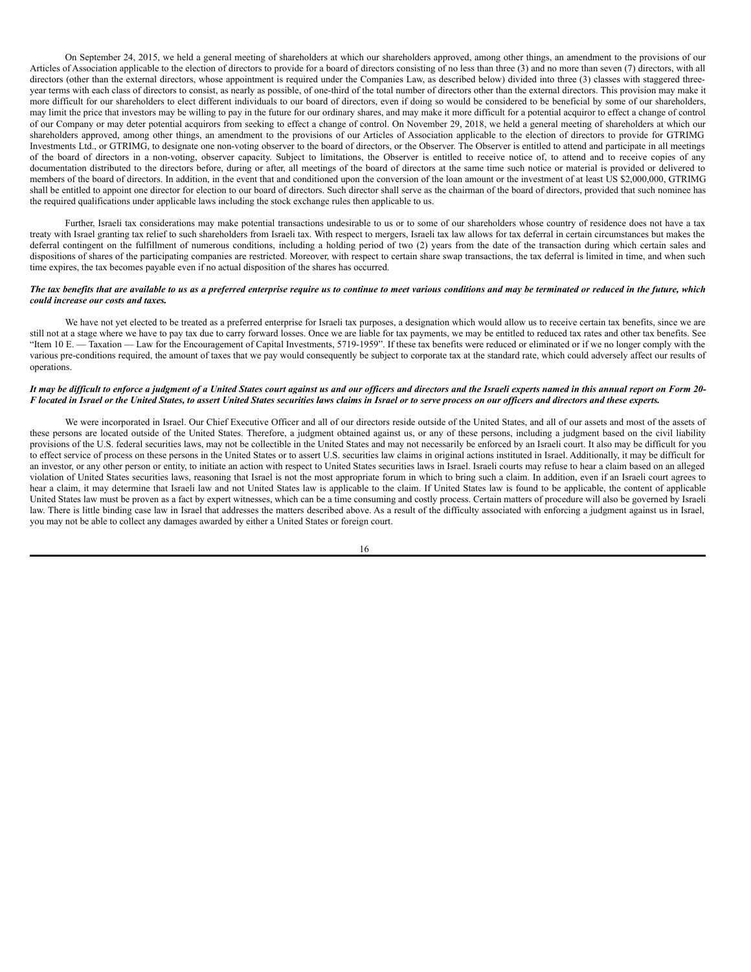On September 24, 2015, we held a general meeting of shareholders at which our shareholders approved, among other things, an amendment to the provisions of our Articles of Association applicable to the election of directors to provide for a board of directors consisting of no less than three (3) and no more than seven (7) directors, with all directors (other than the external directors, whose appointment is required under the Companies Law, as described below) divided into three (3) classes with staggered threeyear terms with each class of directors to consist, as nearly as possible, of one-third of the total number of directors other than the external directors. This provision may make it more difficult for our shareholders to elect different individuals to our board of directors, even if doing so would be considered to be beneficial by some of our shareholders, may limit the price that investors may be willing to pay in the future for our ordinary shares, and may make it more difficult for a potential acquiror to effect a change of control of our Company or may deter potential acquirors from seeking to effect a change of control. On November 29, 2018, we held a general meeting of shareholders at which our shareholders approved, among other things, an amendment to the provisions of our Articles of Association applicable to the election of directors to provide for GTRIMG Investments Ltd., or GTRIMG, to designate one non-voting observer to the board of directors, or the Observer. The Observer is entitled to attend and participate in all meetings of the board of directors in a non-voting, observer capacity. Subject to limitations, the Observer is entitled to receive notice of, to attend and to receive copies of any documentation distributed to the directors before, during or after, all meetings of the board of directors at the same time such notice or material is provided or delivered to members of the board of directors. In addition, in the event that and conditioned upon the conversion of the loan amount or the investment of at least US \$2,000,000, GTRIMG shall be entitled to appoint one director for election to our board of directors. Such director shall serve as the chairman of the board of directors, provided that such nominee has the required qualifications under applicable laws including the stock exchange rules then applicable to us.

Further, Israeli tax considerations may make potential transactions undesirable to us or to some of our shareholders whose country of residence does not have a tax treaty with Israel granting tax relief to such shareholders from Israeli tax. With respect to mergers, Israeli tax law allows for tax deferral in certain circumstances but makes the deferral contingent on the fulfillment of numerous conditions, including a holding period of two (2) years from the date of the transaction during which certain sales and dispositions of shares of the participating companies are restricted. Moreover, with respect to certain share swap transactions, the tax deferral is limited in time, and when such time expires, the tax becomes payable even if no actual disposition of the shares has occurred.

## The tax benefits that are available to us as a preferred enterprise require us to continue to meet various conditions and may be terminated or reduced in the future, which *could increase our costs and taxes.*

We have not yet elected to be treated as a preferred enterprise for Israeli tax purposes, a designation which would allow us to receive certain tax benefits, since we are still not at a stage where we have to pay tax due to carry forward losses. Once we are liable for tax payments, we may be entitled to reduced tax rates and other tax benefits. See "Item 10 E. — Taxation — Law for the Encouragement of Capital Investments, 5719-1959". If these tax benefits were reduced or eliminated or if we no longer comply with the various pre-conditions required, the amount of taxes that we pay would consequently be subject to corporate tax at the standard rate, which could adversely affect our results of operations.

## It may be difficult to enforce a judgment of a United States court against us and our officers and directors and the Israeli experts named in this annual report on Form 20-F located in Israel or the United States, to assert United States securities laws claims in Israel or to serve process on our officers and directors and these experts.

We were incorporated in Israel. Our Chief Executive Officer and all of our directors reside outside of the United States, and all of our assets and most of the assets of these persons are located outside of the United States. Therefore, a judgment obtained against us, or any of these persons, including a judgment based on the civil liability provisions of the U.S. federal securities laws, may not be collectible in the United States and may not necessarily be enforced by an Israeli court. It also may be difficult for you to effect service of process on these persons in the United States or to assert U.S. securities law claims in original actions instituted in Israel. Additionally, it may be difficult for an investor, or any other person or entity, to initiate an action with respect to United States securities laws in Israel. Israeli courts may refuse to hear a claim based on an alleged violation of United States securities laws, reasoning that Israel is not the most appropriate forum in which to bring such a claim. In addition, even if an Israeli court agrees to hear a claim, it may determine that Israeli law and not United States law is applicable to the claim. If United States law is found to be applicable, the content of applicable United States law must be proven as a fact by expert witnesses, which can be a time consuming and costly process. Certain matters of procedure will also be governed by Israeli law. There is little binding case law in Israel that addresses the matters described above. As a result of the difficulty associated with enforcing a judgment against us in Israel, you may not be able to collect any damages awarded by either a United States or foreign court.

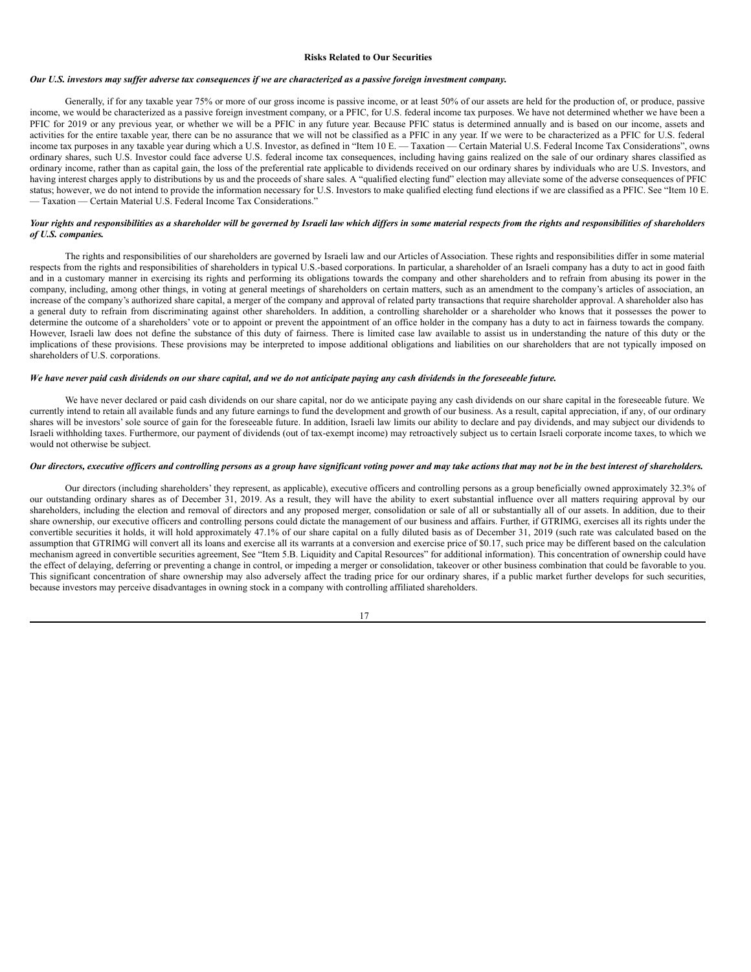#### **Risks Related to Our Securities**

## Our U.S. investors may suffer adverse tax consequences if we are characterized as a passive foreign investment company.

Generally, if for any taxable year 75% or more of our gross income is passive income, or at least 50% of our assets are held for the production of, or produce, passive income, we would be characterized as a passive foreign investment company, or a PFIC, for U.S. federal income tax purposes. We have not determined whether we have been a PFIC for 2019 or any previous year, or whether we will be a PFIC in any future year. Because PFIC status is determined annually and is based on our income, assets and activities for the entire taxable year, there can be no assurance that we will not be classified as a PFIC in any year. If we were to be characterized as a PFIC for U.S. federal income tax purposes in any taxable year during which a U.S. Investor, as defined in "Item 10 E. — Taxation — Certain Material U.S. Federal Income Tax Considerations", owns ordinary shares, such U.S. Investor could face adverse U.S. federal income tax consequences, including having gains realized on the sale of our ordinary shares classified as ordinary income, rather than as capital gain, the loss of the preferential rate applicable to dividends received on our ordinary shares by individuals who are U.S. Investors, and having interest charges apply to distributions by us and the proceeds of share sales. A "qualified electing fund" election may alleviate some of the adverse consequences of PFIC status; however, we do not intend to provide the information necessary for U.S. Investors to make qualified electing fund elections if we are classified as a PFIC. See "Item 10 E. — Taxation — Certain Material U.S. Federal Income Tax Considerations."

### Your rights and responsibilities as a shareholder will be governed by Israeli law which differs in some material respects from the rights and responsibilities of shareholders *of U.S. companies.*

The rights and responsibilities of our shareholders are governed by Israeli law and our Articles of Association. These rights and responsibilities differ in some material respects from the rights and responsibilities of shareholders in typical U.S.-based corporations. In particular, a shareholder of an Israeli company has a duty to act in good faith and in a customary manner in exercising its rights and performing its obligations towards the company and other shareholders and to refrain from abusing its power in the company, including, among other things, in voting at general meetings of shareholders on certain matters, such as an amendment to the company's articles of association, an increase of the company's authorized share capital, a merger of the company and approval of related party transactions that require shareholder approval. A shareholder also has a general duty to refrain from discriminating against other shareholders. In addition, a controlling shareholder or a shareholder who knows that it possesses the power to determine the outcome of a shareholders' vote or to appoint or prevent the appointment of an office holder in the company has a duty to act in fairness towards the company. However, Israeli law does not define the substance of this duty of fairness. There is limited case law available to assist us in understanding the nature of this duty or the implications of these provisions. These provisions may be interpreted to impose additional obligations and liabilities on our shareholders that are not typically imposed on shareholders of U.S. corporations.

## We have never paid cash dividends on our share capital, and we do not anticipate paying any cash dividends in the foreseeable future.

We have never declared or paid cash dividends on our share capital, nor do we anticipate paying any cash dividends on our share capital in the foreseeable future. We currently intend to retain all available funds and any future earnings to fund the development and growth of our business. As a result, capital appreciation, if any, of our ordinary shares will be investors' sole source of gain for the foreseeable future. In addition, Israeli law limits our ability to declare and pay dividends, and may subject our dividends to Israeli withholding taxes. Furthermore, our payment of dividends (out of tax-exempt income) may retroactively subject us to certain Israeli corporate income taxes, to which we would not otherwise be subject.

## Our directors, executive officers and controlling persons as a group have significant voting power and may take actions that may not be in the best interest of shareholders.

Our directors (including shareholders' they represent, as applicable), executive officers and controlling persons as a group beneficially owned approximately 32.3% of our outstanding ordinary shares as of December 31, 2019. As a result, they will have the ability to exert substantial influence over all matters requiring approval by our shareholders, including the election and removal of directors and any proposed merger, consolidation or sale of all or substantially all of our assets. In addition, due to their share ownership, our executive officers and controlling persons could dictate the management of our business and affairs. Further, if GTRIMG, exercises all its rights under the convertible securities it holds, it will hold approximately 47.1% of our share capital on a fully diluted basis as of December 31, 2019 (such rate was calculated based on the assumption that GTRIMG will convert all its loans and exercise all its warrants at a conversion and exercise price of \$0.17, such price may be different based on the calculation mechanism agreed in convertible securities agreement, See "Item 5.B. Liquidity and Capital Resources" for additional information). This concentration of ownership could have the effect of delaying, deferring or preventing a change in control, or impeding a merger or consolidation, takeover or other business combination that could be favorable to you. This significant concentration of share ownership may also adversely affect the trading price for our ordinary shares, if a public market further develops for such securities, because investors may perceive disadvantages in owning stock in a company with controlling affiliated shareholders.

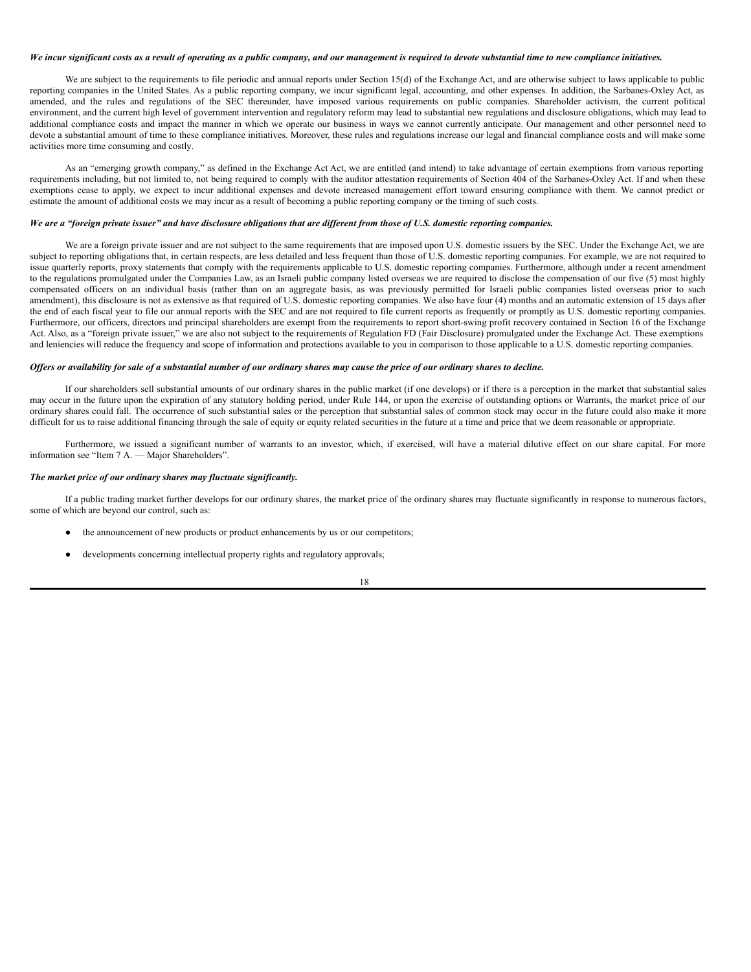#### We incur significant costs as a result of operating as a public company, and our management is required to devote substantial time to new compliance initiatives.

We are subject to the requirements to file periodic and annual reports under Section 15(d) of the Exchange Act, and are otherwise subject to laws applicable to public reporting companies in the United States. As a public reporting company, we incur significant legal, accounting, and other expenses. In addition, the Sarbanes-Oxley Act, as amended, and the rules and regulations of the SEC thereunder, have imposed various requirements on public companies. Shareholder activism, the current political environment, and the current high level of government intervention and regulatory reform may lead to substantial new regulations and disclosure obligations, which may lead to additional compliance costs and impact the manner in which we operate our business in ways we cannot currently anticipate. Our management and other personnel need to devote a substantial amount of time to these compliance initiatives. Moreover, these rules and regulations increase our legal and financial compliance costs and will make some activities more time consuming and costly.

As an "emerging growth company," as defined in the Exchange Act Act, we are entitled (and intend) to take advantage of certain exemptions from various reporting requirements including, but not limited to, not being required to comply with the auditor attestation requirements of Section 404 of the Sarbanes-Oxley Act. If and when these exemptions cease to apply, we expect to incur additional expenses and devote increased management effort toward ensuring compliance with them. We cannot predict or estimate the amount of additional costs we may incur as a result of becoming a public reporting company or the timing of such costs.

## We are a "foreign private issuer" and have disclosure obligations that are different from those of U.S. domestic reporting companies.

We are a foreign private issuer and are not subject to the same requirements that are imposed upon U.S. domestic issuers by the SEC. Under the Exchange Act, we are subject to reporting obligations that, in certain respects, are less detailed and less frequent than those of U.S. domestic reporting companies. For example, we are not required to issue quarterly reports, proxy statements that comply with the requirements applicable to U.S. domestic reporting companies. Furthermore, although under a recent amendment to the regulations promulgated under the Companies Law, as an Israeli public company listed overseas we are required to disclose the compensation of our five (5) most highly compensated officers on an individual basis (rather than on an aggregate basis, as was previously permitted for Israeli public companies listed overseas prior to such amendment), this disclosure is not as extensive as that required of U.S. domestic reporting companies. We also have four (4) months and an automatic extension of 15 days after the end of each fiscal year to file our annual reports with the SEC and are not required to file current reports as frequently or promptly as U.S. domestic reporting companies. Furthermore, our officers, directors and principal shareholders are exempt from the requirements to report short-swing profit recovery contained in Section 16 of the Exchange Act. Also, as a "foreign private issuer," we are also not subject to the requirements of Regulation FD (Fair Disclosure) promulgated under the Exchange Act. These exemptions and leniencies will reduce the frequency and scope of information and protections available to you in comparison to those applicable to a U.S. domestic reporting companies.

## Offers or availability for sale of a substantial number of our ordinary shares may cause the price of our ordinary shares to decline.

If our shareholders sell substantial amounts of our ordinary shares in the public market (if one develops) or if there is a perception in the market that substantial sales may occur in the future upon the expiration of any statutory holding period, under Rule 144, or upon the exercise of outstanding options or Warrants, the market price of our ordinary shares could fall. The occurrence of such substantial sales or the perception that substantial sales of common stock may occur in the future could also make it more difficult for us to raise additional financing through the sale of equity or equity related securities in the future at a time and price that we deem reasonable or appropriate.

Furthermore, we issued a significant number of warrants to an investor, which, if exercised, will have a material dilutive effect on our share capital. For more information see "Item 7 A. — Major Shareholders".

## *The market price of our ordinary shares may fluctuate significantly.*

If a public trading market further develops for our ordinary shares, the market price of the ordinary shares may fluctuate significantly in response to numerous factors, some of which are beyond our control, such as:

- the announcement of new products or product enhancements by us or our competitors;
- developments concerning intellectual property rights and regulatory approvals;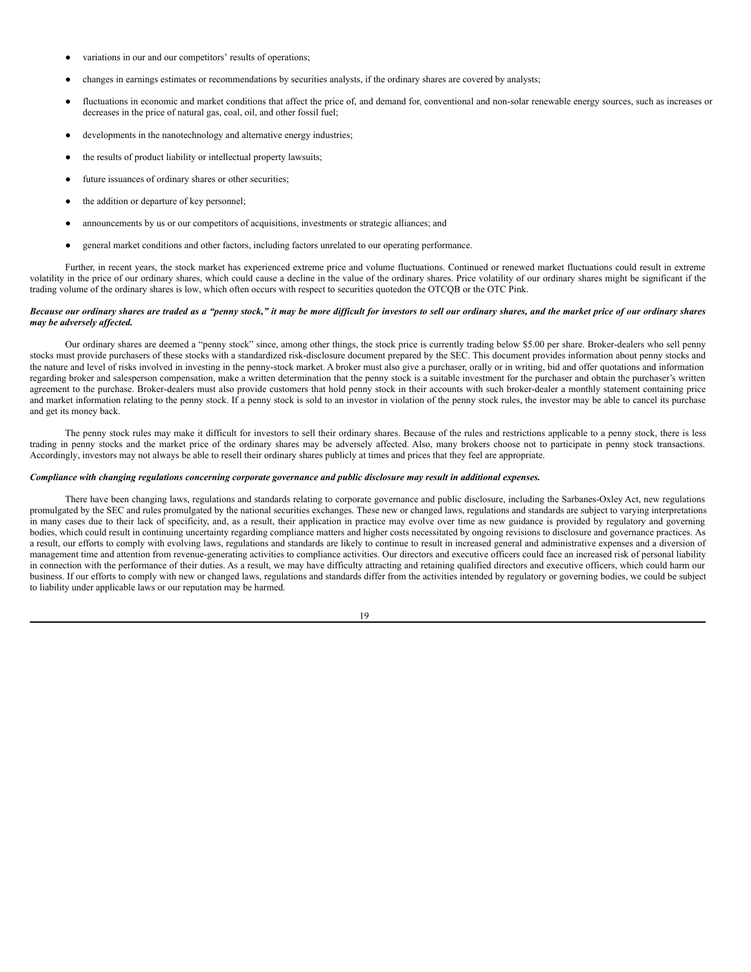- variations in our and our competitors' results of operations;
- changes in earnings estimates or recommendations by securities analysts, if the ordinary shares are covered by analysts;
- fluctuations in economic and market conditions that affect the price of, and demand for, conventional and non-solar renewable energy sources, such as increases or decreases in the price of natural gas, coal, oil, and other fossil fuel;
- developments in the nanotechnology and alternative energy industries;
- the results of product liability or intellectual property lawsuits;
- future issuances of ordinary shares or other securities;
- the addition or departure of key personnel;
- announcements by us or our competitors of acquisitions, investments or strategic alliances; and
- general market conditions and other factors, including factors unrelated to our operating performance.

Further, in recent years, the stock market has experienced extreme price and volume fluctuations. Continued or renewed market fluctuations could result in extreme volatility in the price of our ordinary shares, which could cause a decline in the value of the ordinary shares. Price volatility of our ordinary shares might be significant if the trading volume of the ordinary shares is low, which often occurs with respect to securities quotedon the OTCQB or the OTC Pink.

## Because our ordinary shares are traded as a "penny stock," it may be more difficult for investors to sell our ordinary shares, and the market price of our ordinary shares *may be adversely af ected.*

Our ordinary shares are deemed a "penny stock" since, among other things, the stock price is currently trading below \$5.00 per share. Broker-dealers who sell penny stocks must provide purchasers of these stocks with a standardized risk-disclosure document prepared by the SEC. This document provides information about penny stocks and the nature and level of risks involved in investing in the penny-stock market. A broker must also give a purchaser, orally or in writing, bid and offer quotations and information regarding broker and salesperson compensation, make a written determination that the penny stock is a suitable investment for the purchaser and obtain the purchaser's written agreement to the purchase. Broker-dealers must also provide customers that hold penny stock in their accounts with such broker-dealer a monthly statement containing price and market information relating to the penny stock. If a penny stock is sold to an investor in violation of the penny stock rules, the investor may be able to cancel its purchase and get its money back.

The penny stock rules may make it difficult for investors to sell their ordinary shares. Because of the rules and restrictions applicable to a penny stock, there is less trading in penny stocks and the market price of the ordinary shares may be adversely affected. Also, many brokers choose not to participate in penny stock transactions. Accordingly, investors may not always be able to resell their ordinary shares publicly at times and prices that they feel are appropriate.

# Compliance with changing regulations concerning corporate governance and public disclosure may result in additional expenses.

There have been changing laws, regulations and standards relating to corporate governance and public disclosure, including the Sarbanes-Oxley Act, new regulations promulgated by the SEC and rules promulgated by the national securities exchanges. These new or changed laws, regulations and standards are subject to varying interpretations in many cases due to their lack of specificity, and, as a result, their application in practice may evolve over time as new guidance is provided by regulatory and governing bodies, which could result in continuing uncertainty regarding compliance matters and higher costs necessitated by ongoing revisions to disclosure and governance practices. As a result, our efforts to comply with evolving laws, regulations and standards are likely to continue to result in increased general and administrative expenses and a diversion of management time and attention from revenue-generating activities to compliance activities. Our directors and executive officers could face an increased risk of personal liability in connection with the performance of their duties. As a result, we may have difficulty attracting and retaining qualified directors and executive officers, which could harm our business. If our efforts to comply with new or changed laws, regulations and standards differ from the activities intended by regulatory or governing bodies, we could be subject to liability under applicable laws or our reputation may be harmed.

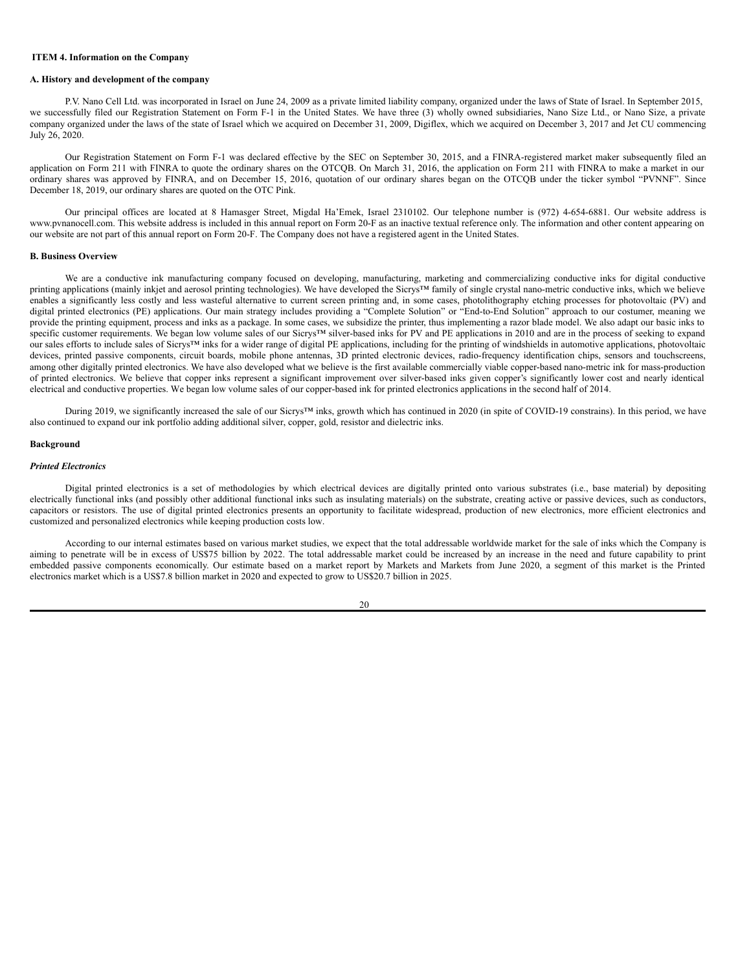#### <span id="page-24-0"></span>**ITEM 4. Information on the Company**

## **A. History and development of the company**

P.V. Nano Cell Ltd. was incorporated in Israel on June 24, 2009 as a private limited liability company, organized under the laws of State of Israel. In September 2015, we successfully filed our Registration Statement on Form F-1 in the United States. We have three (3) wholly owned subsidiaries, Nano Size Ltd., or Nano Size, a private company organized under the laws of the state of Israel which we acquired on December 31, 2009, Digiflex, which we acquired on December 3, 2017 and Jet CU commencing July 26, 2020.

Our Registration Statement on Form F-1 was declared effective by the SEC on September 30, 2015, and a FINRA-registered market maker subsequently filed an application on Form 211 with FINRA to quote the ordinary shares on the OTCQB. On March 31, 2016, the application on Form 211 with FINRA to make a market in our ordinary shares was approved by FINRA, and on December 15, 2016, quotation of our ordinary shares began on the OTCQB under the ticker symbol "PVNNF". Since December 18, 2019, our ordinary shares are quoted on the OTC Pink.

Our principal offices are located at 8 Hamasger Street, Migdal Ha'Emek, Israel 2310102. Our telephone number is (972) 4-654-6881. Our website address is www.pvnanocell.com. This website address is included in this annual report on Form 20-F as an inactive textual reference only. The information and other content appearing on our website are not part of this annual report on Form 20-F. The Company does not have a registered agent in the United States.

### **B. Business Overview**

We are a conductive ink manufacturing company focused on developing, manufacturing, marketing and commercializing conductive inks for digital conductive printing applications (mainly inkjet and aerosol printing technologies). We have developed the Sicrys™ family of single crystal nano-metric conductive inks, which we believe enables a significantly less costly and less wasteful alternative to current screen printing and, in some cases, photolithography etching processes for photovoltaic (PV) and digital printed electronics (PE) applications. Our main strategy includes providing a "Complete Solution" or "End-to-End Solution" approach to our costumer, meaning we provide the printing equipment, process and inks as a package. In some cases, we subsidize the printer, thus implementing a razor blade model. We also adapt our basic inks to specific customer requirements. We began low volume sales of our Sicrys™ silver-based inks for PV and PE applications in 2010 and are in the process of seeking to expand our sales efforts to include sales of Sicrys™ inks for a wider range of digital PE applications, including for the printing of windshields in automotive applications, photovoltaic devices, printed passive components, circuit boards, mobile phone antennas, 3D printed electronic devices, radio-frequency identification chips, sensors and touchscreens, among other digitally printed electronics. We have also developed what we believe is the first available commercially viable copper-based nano-metric ink for mass-production of printed electronics. We believe that copper inks represent a significant improvement over silver-based inks given copper's significantly lower cost and nearly identical electrical and conductive properties. We began low volume sales of our copper-based ink for printed electronics applications in the second half of 2014.

During 2019, we significantly increased the sale of our Sicrys™ inks, growth which has continued in 2020 (in spite of COVID-19 constrains). In this period, we have also continued to expand our ink portfolio adding additional silver, copper, gold, resistor and dielectric inks.

### **Background**

## *Printed Electronics*

Digital printed electronics is a set of methodologies by which electrical devices are digitally printed onto various substrates (i.e., base material) by depositing electrically functional inks (and possibly other additional functional inks such as insulating materials) on the substrate, creating active or passive devices, such as conductors, capacitors or resistors. The use of digital printed electronics presents an opportunity to facilitate widespread, production of new electronics, more efficient electronics and customized and personalized electronics while keeping production costs low.

According to our internal estimates based on various market studies, we expect that the total addressable worldwide market for the sale of inks which the Company is aiming to penetrate will be in excess of US\$75 billion by 2022. The total addressable market could be increased by an increase in the need and future capability to print embedded passive components economically. Our estimate based on a market report by Markets and Markets from June 2020, a segment of this market is the Printed electronics market which is a US\$7.8 billion market in 2020 and expected to grow to US\$20.7 billion in 2025.

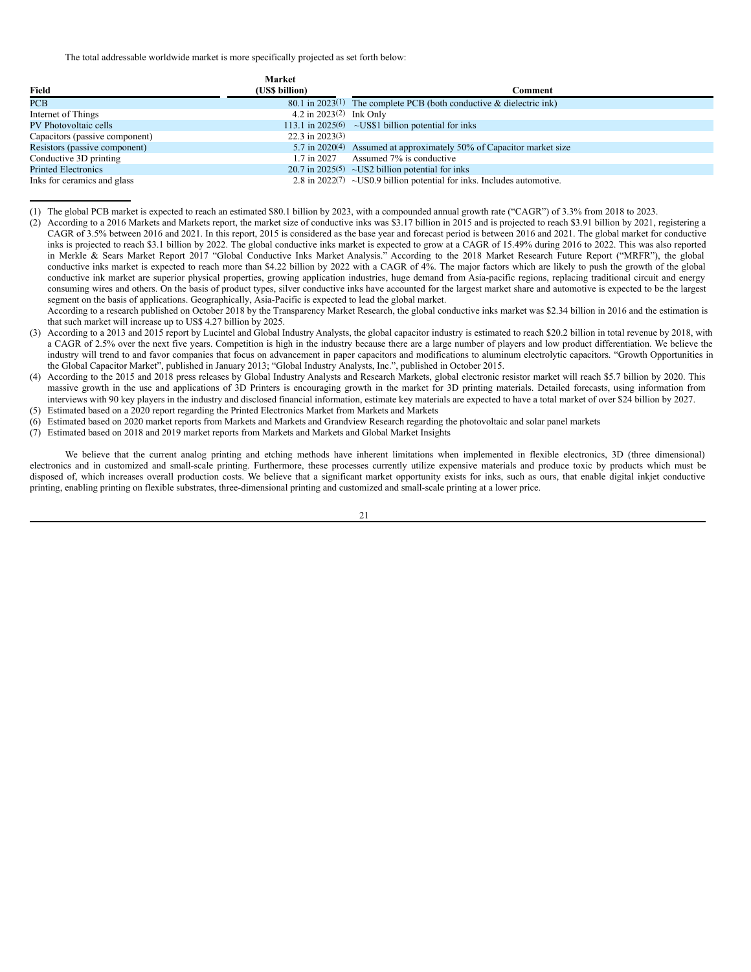The total addressable worldwide market is more specifically projected as set forth below:

|                                | Market                    |                                                                          |  |
|--------------------------------|---------------------------|--------------------------------------------------------------------------|--|
| Field                          | (US\$ billion)            | Comment                                                                  |  |
| PCB                            |                           | 80.1 in 2023(1) The complete PCB (both conductive $\&$ dielectric ink)   |  |
| Internet of Things             | 4.2 in $2023(2)$ Ink Only |                                                                          |  |
| PV Photovoltaic cells          |                           | 113.1 in 2025(6) ~US\$1 billion potential for inks                       |  |
| Capacitors (passive component) | 22.3 in $2023(3)$         |                                                                          |  |
| Resistors (passive component)  |                           | 5.7 in 2020(4) Assumed at approximately 50% of Capacitor market size     |  |
| Conductive 3D printing         |                           | 1.7 in 2027 Assumed 7% is conductive                                     |  |
| <b>Printed Electronics</b>     |                           | 20.7 in 2025(5) ~US2 billion potential for inks                          |  |
| Inks for ceramics and glass    |                           | 2.8 in $2022(7)$ ~US0.9 billion potential for inks. Includes automotive. |  |

<sup>(1)</sup> The global PCB market is expected to reach an estimated \$80.1 billion by 2023, with a compounded annual growth rate ("CAGR") of 3.3% from 2018 to 2023.

(2) According to a 2016 Markets and Markets report, the market size of conductive inks was \$3.17 billion in 2015 and is projected to reach \$3.91 billion by 2021, registering a CAGR of 3.5% between 2016 and 2021. In this report, 2015 is considered as the base year and forecast period is between 2016 and 2021. The global market for conductive inks is projected to reach \$3.1 billion by 2022. The global conductive inks market is expected to grow at a CAGR of 15.49% during 2016 to 2022. This was also reported in Merkle & Sears Market Report 2017 "Global Conductive Inks Market Analysis." According to the 2018 Market Research Future Report ("MRFR"), the global conductive inks market is expected to reach more than \$4.22 billion by 2022 with a CAGR of 4%. The major factors which are likely to push the growth of the global conductive ink market are superior physical properties, growing application industries, huge demand from Asia-pacific regions, replacing traditional circuit and energy consuming wires and others. On the basis of product types, silver conductive inks have accounted for the largest market share and automotive is expected to be the largest segment on the basis of applications. Geographically, Asia-Pacific is expected to lead the global market.

According to a research published on October 2018 by the Transparency Market Research, the global conductive inks market was \$2.34 billion in 2016 and the estimation is that such market will increase up to US\$ 4.27 billion by 2025.

- (3) According to a 2013 and 2015 report by Lucintel and Global Industry Analysts, the global capacitor industry is estimated to reach \$20.2 billion in total revenue by 2018, with a CAGR of 2.5% over the next five years. Competition is high in the industry because there are a large number of players and low product differentiation. We believe the industry will trend to and favor companies that focus on advancement in paper capacitors and modifications to aluminum electrolytic capacitors. "Growth Opportunities in the Global Capacitor Market", published in January 2013; "Global Industry Analysts, Inc.", published in October 2015.
- (4) According to the 2015 and 2018 press releases by Global Industry Analysts and Research Markets, global electronic resistor market will reach \$5.7 billion by 2020. This massive growth in the use and applications of 3D Printers is encouraging growth in the market for 3D printing materials. Detailed forecasts, using information from interviews with 90 key players in the industry and disclosed financial information, estimate key materials are expected to have a total market of over \$24 billion by 2027.
- (5) Estimated based on a 2020 report regarding the Printed Electronics Market from Markets and Markets
- (6) Estimated based on 2020 market reports from Markets and Markets and Grandview Research regarding the photovoltaic and solar panel markets
- (7) Estimated based on 2018 and 2019 market reports from Markets and Markets and Global Market Insights

We believe that the current analog printing and etching methods have inherent limitations when implemented in flexible electronics, 3D (three dimensional) electronics and in customized and small-scale printing. Furthermore, these processes currently utilize expensive materials and produce toxic by products which must be disposed of, which increases overall production costs. We believe that a significant market opportunity exists for inks, such as ours, that enable digital inkjet conductive printing, enabling printing on flexible substrates, three-dimensional printing and customized and small-scale printing at a lower price.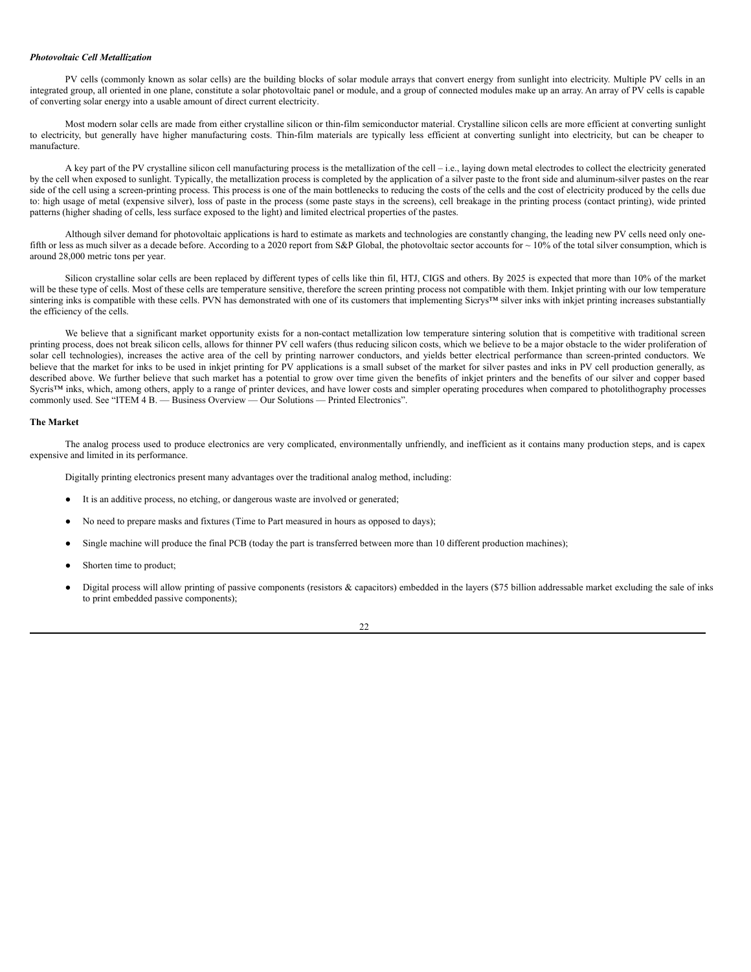#### *Photovoltaic Cell Metallization*

PV cells (commonly known as solar cells) are the building blocks of solar module arrays that convert energy from sunlight into electricity. Multiple PV cells in an integrated group, all oriented in one plane, constitute a solar photovoltaic panel or module, and a group of connected modules make up an array. An array of PV cells is capable of converting solar energy into a usable amount of direct current electricity.

Most modern solar cells are made from either crystalline silicon or thin-film semiconductor material. Crystalline silicon cells are more efficient at converting sunlight to electricity, but generally have higher manufacturing costs. Thin-film materials are typically less efficient at converting sunlight into electricity, but can be cheaper to manufacture.

A key part of the PV crystalline silicon cell manufacturing process is the metallization of the cell – i.e., laying down metal electrodes to collect the electricity generated by the cell when exposed to sunlight. Typically, the metallization process is completed by the application of a silver paste to the front side and aluminum-silver pastes on the rear side of the cell using a screen-printing process. This process is one of the main bottlenecks to reducing the costs of the cells and the cost of electricity produced by the cells due to: high usage of metal (expensive silver), loss of paste in the process (some paste stays in the screens), cell breakage in the printing process (contact printing), wide printed patterns (higher shading of cells, less surface exposed to the light) and limited electrical properties of the pastes.

Although silver demand for photovoltaic applications is hard to estimate as markets and technologies are constantly changing, the leading new PV cells need only onefifth or less as much silver as a decade before. According to a 2020 report from S&P Global, the photovoltaic sector accounts for  $\sim 10\%$  of the total silver consumption, which is around 28,000 metric tons per year.

Silicon crystalline solar cells are been replaced by different types of cells like thin fil, HTJ, CIGS and others. By 2025 is expected that more than 10% of the market will be these type of cells. Most of these cells are temperature sensitive, therefore the screen printing process not compatible with them. Inkjet printing with our low temperature sintering inks is compatible with these cells. PVN has demonstrated with one of its customers that implementing Sicrys™ silver inks with inkjet printing increases substantially the efficiency of the cells.

We believe that a significant market opportunity exists for a non-contact metallization low temperature sintering solution that is competitive with traditional screen printing process, does not break silicon cells, allows for thinner PV cell wafers (thus reducing silicon costs, which we believe to be a major obstacle to the wider proliferation of solar cell technologies), increases the active area of the cell by printing narrower conductors, and yields better electrical performance than screen-printed conductors. We believe that the market for inks to be used in inkjet printing for PV applications is a small subset of the market for silver pastes and inks in PV cell production generally, as described above. We further believe that such market has a potential to grow over time given the benefits of inkjet printers and the benefits of our silver and copper based Sycris™ inks, which, among others, apply to a range of printer devices, and have lower costs and simpler operating procedures when compared to photolithography processes commonly used. See "ITEM 4 B. — Business Overview — Our Solutions — Printed Electronics".

## **The Market**

The analog process used to produce electronics are very complicated, environmentally unfriendly, and inefficient as it contains many production steps, and is capex expensive and limited in its performance.

Digitally printing electronics present many advantages over the traditional analog method, including:

- It is an additive process, no etching, or dangerous waste are involved or generated;
- No need to prepare masks and fixtures (Time to Part measured in hours as opposed to days);
- Single machine will produce the final PCB (today the part is transferred between more than 10 different production machines);
- Shorten time to product;
- Digital process will allow printing of passive components (resistors & capacitors) embedded in the layers (\$75 billion addressable market excluding the sale of inks to print embedded passive components);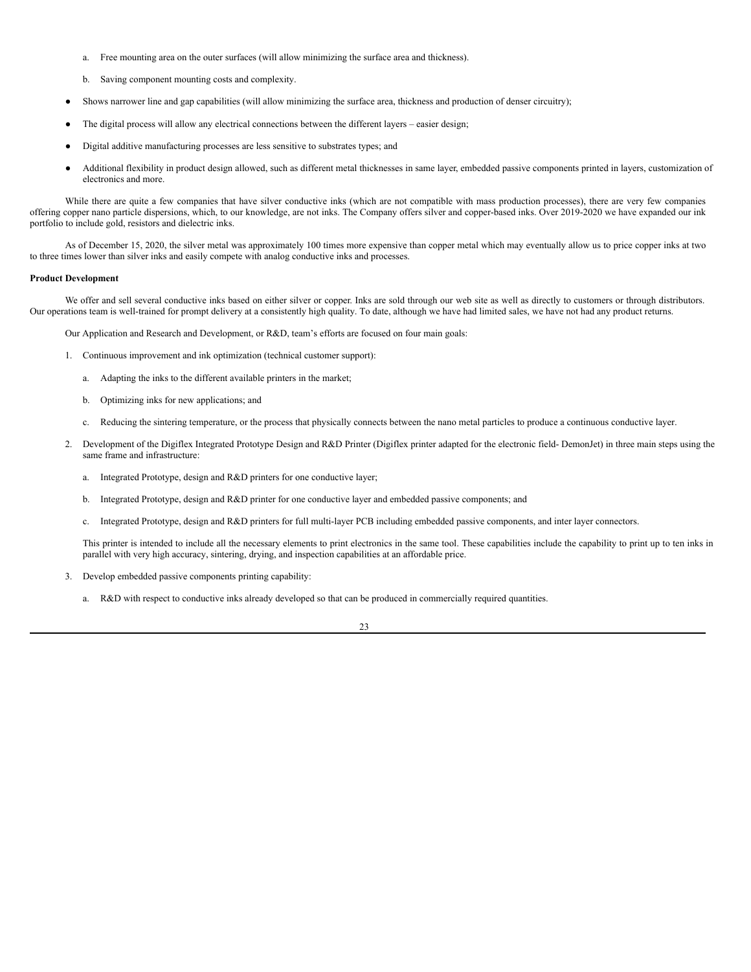- a. Free mounting area on the outer surfaces (will allow minimizing the surface area and thickness).
- b. Saving component mounting costs and complexity.
- Shows narrower line and gap capabilities (will allow minimizing the surface area, thickness and production of denser circuitry);
- The digital process will allow any electrical connections between the different layers easier design;
- Digital additive manufacturing processes are less sensitive to substrates types; and
- Additional flexibility in product design allowed, such as different metal thicknesses in same layer, embedded passive components printed in layers, customization of electronics and more.

While there are quite a few companies that have silver conductive inks (which are not compatible with mass production processes), there are very few companies offering copper nano particle dispersions, which, to our knowledge, are not inks. The Company offers silver and copper-based inks. Over 2019-2020 we have expanded our ink portfolio to include gold, resistors and dielectric inks.

As of December 15, 2020, the silver metal was approximately 100 times more expensive than copper metal which may eventually allow us to price copper inks at two to three times lower than silver inks and easily compete with analog conductive inks and processes.

### **Product Development**

We offer and sell several conductive inks based on either silver or copper. Inks are sold through our web site as well as directly to customers or through distributors. Our operations team is well-trained for prompt delivery at a consistently high quality. To date, although we have had limited sales, we have not had any product returns.

Our Application and Research and Development, or R&D, team's efforts are focused on four main goals:

- 1. Continuous improvement and ink optimization (technical customer support):
	- a. Adapting the inks to the different available printers in the market;
	- b. Optimizing inks for new applications; and
	- c. Reducing the sintering temperature, or the process that physically connects between the nano metal particles to produce a continuous conductive layer.
- 2. Development of the Digiflex Integrated Prototype Design and R&D Printer (Digiflex printer adapted for the electronic field- DemonJet) in three main steps using the same frame and infrastructure:
	- a. Integrated Prototype, design and R&D printers for one conductive layer;
	- b. Integrated Prototype, design and R&D printer for one conductive layer and embedded passive components; and
	- c. Integrated Prototype, design and R&D printers for full multi-layer PCB including embedded passive components, and inter layer connectors.

This printer is intended to include all the necessary elements to print electronics in the same tool. These capabilities include the capability to print up to ten inks in parallel with very high accuracy, sintering, drying, and inspection capabilities at an affordable price.

- 3. Develop embedded passive components printing capability:
	- a. R&D with respect to conductive inks already developed so that can be produced in commercially required quantities.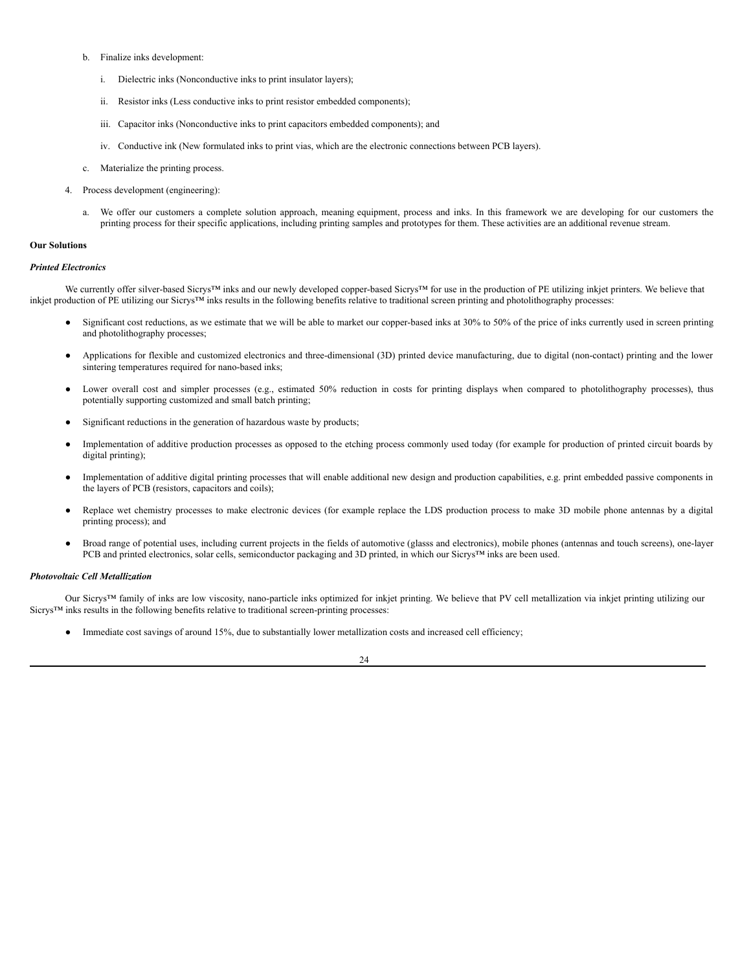### b. Finalize inks development:

- i. Dielectric inks (Nonconductive inks to print insulator layers);
- ii. Resistor inks (Less conductive inks to print resistor embedded components);
- iii. Capacitor inks (Nonconductive inks to print capacitors embedded components); and
- iv. Conductive ink (New formulated inks to print vias, which are the electronic connections between PCB layers).
- c. Materialize the printing process.
- 4. Process development (engineering):
	- a. We offer our customers a complete solution approach, meaning equipment, process and inks. In this framework we are developing for our customers the printing process for their specific applications, including printing samples and prototypes for them. These activities are an additional revenue stream.

### **Our Solutions**

## *Printed Electronics*

We currently offer silver-based Sicrys™ inks and our newly developed copper-based Sicrys™ for use in the production of PE utilizing inkjet printers. We believe that inkjet production of PE utilizing our Sicrys™ inks results in the following benefits relative to traditional screen printing and photolithography processes:

- Significant cost reductions, as we estimate that we will be able to market our copper-based inks at 30% to 50% of the price of inks currently used in screen printing and photolithography processes;
- Applications for flexible and customized electronics and three-dimensional (3D) printed device manufacturing, due to digital (non-contact) printing and the lower sintering temperatures required for nano-based inks;
- Lower overall cost and simpler processes (e.g., estimated 50% reduction in costs for printing displays when compared to photolithography processes), thus potentially supporting customized and small batch printing;
- Significant reductions in the generation of hazardous waste by products;
- Implementation of additive production processes as opposed to the etching process commonly used today (for example for production of printed circuit boards by digital printing);
- Implementation of additive digital printing processes that will enable additional new design and production capabilities, e.g. print embedded passive components in the layers of PCB (resistors, capacitors and coils);
- Replace wet chemistry processes to make electronic devices (for example replace the LDS production process to make 3D mobile phone antennas by a digital printing process); and
- Broad range of potential uses, including current projects in the fields of automotive (glasss and electronics), mobile phones (antennas and touch screens), one-layer PCB and printed electronics, solar cells, semiconductor packaging and 3D printed, in which our Sicrys™ inks are been used.

## *Photovoltaic Cell Metallization*

Our Sicrys™ family of inks are low viscosity, nano-particle inks optimized for inkjet printing. We believe that PV cell metallization via inkjet printing utilizing our Sicrys™ inks results in the following benefits relative to traditional screen-printing processes:

• Immediate cost savings of around 15%, due to substantially lower metallization costs and increased cell efficiency;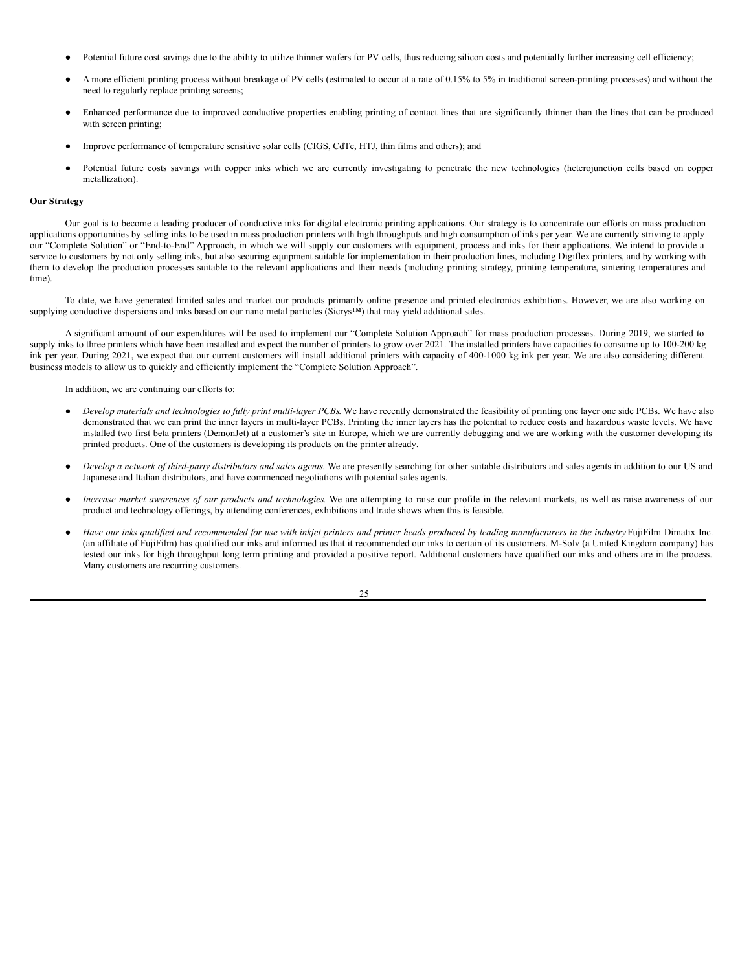- Potential future cost savings due to the ability to utilize thinner wafers for PV cells, thus reducing silicon costs and potentially further increasing cell efficiency;
- A more efficient printing process without breakage of PV cells (estimated to occur at a rate of 0.15% to 5% in traditional screen-printing processes) and without the need to regularly replace printing screens;
- Enhanced performance due to improved conductive properties enabling printing of contact lines that are significantly thinner than the lines that can be produced with screen printing;
- Improve performance of temperature sensitive solar cells (CIGS, CdTe, HTJ, thin films and others); and
- Potential future costs savings with copper inks which we are currently investigating to penetrate the new technologies (heterojunction cells based on copper metallization).

## **Our Strategy**

Our goal is to become a leading producer of conductive inks for digital electronic printing applications. Our strategy is to concentrate our efforts on mass production applications opportunities by selling inks to be used in mass production printers with high throughputs and high consumption of inks per year. We are currently striving to apply our "Complete Solution" or "End-to-End" Approach, in which we will supply our customers with equipment, process and inks for their applications. We intend to provide a service to customers by not only selling inks, but also securing equipment suitable for implementation in their production lines, including Digiflex printers, and by working with them to develop the production processes suitable to the relevant applications and their needs (including printing strategy, printing temperature, sintering temperatures and time).

To date, we have generated limited sales and market our products primarily online presence and printed electronics exhibitions. However, we are also working on supplying conductive dispersions and inks based on our nano metal particles (Sicrys™) that may yield additional sales.

A significant amount of our expenditures will be used to implement our "Complete Solution Approach" for mass production processes. During 2019, we started to supply inks to three printers which have been installed and expect the number of printers to grow over 2021. The installed printers have capacities to consume up to 100-200 kg ink per year. During 2021, we expect that our current customers will install additional printers with capacity of 400-1000 kg ink per year. We are also considering different business models to allow us to quickly and efficiently implement the "Complete Solution Approach".

In addition, we are continuing our efforts to:

- Develop materials and technologies to fully print multi-layer PCBs. We have recently demonstrated the feasibility of printing one layer one side PCBs. We have also demonstrated that we can print the inner layers in multi-layer PCBs. Printing the inner layers has the potential to reduce costs and hazardous waste levels. We have installed two first beta printers (DemonJet) at a customer's site in Europe, which we are currently debugging and we are working with the customer developing its printed products. One of the customers is developing its products on the printer already.
- Develop a network of third-party distributors and sales agents. We are presently searching for other suitable distributors and sales agents in addition to our US and Japanese and Italian distributors, and have commenced negotiations with potential sales agents.
- *Increase market awareness of our products and technologies*. We are attempting to raise our profile in the relevant markets, as well as raise awareness of our product and technology offerings, by attending conferences, exhibitions and trade shows when this is feasible.
- Have our inks qualified and recommended for use with inkjet printers and printer heads produced by leading manufacturers in the industry FujiFilm Dimatix Inc. (an affiliate of FujiFilm) has qualified our inks and informed us that it recommended our inks to certain of its customers. M-Solv (a United Kingdom company) has tested our inks for high throughput long term printing and provided a positive report. Additional customers have qualified our inks and others are in the process. Many customers are recurring customers.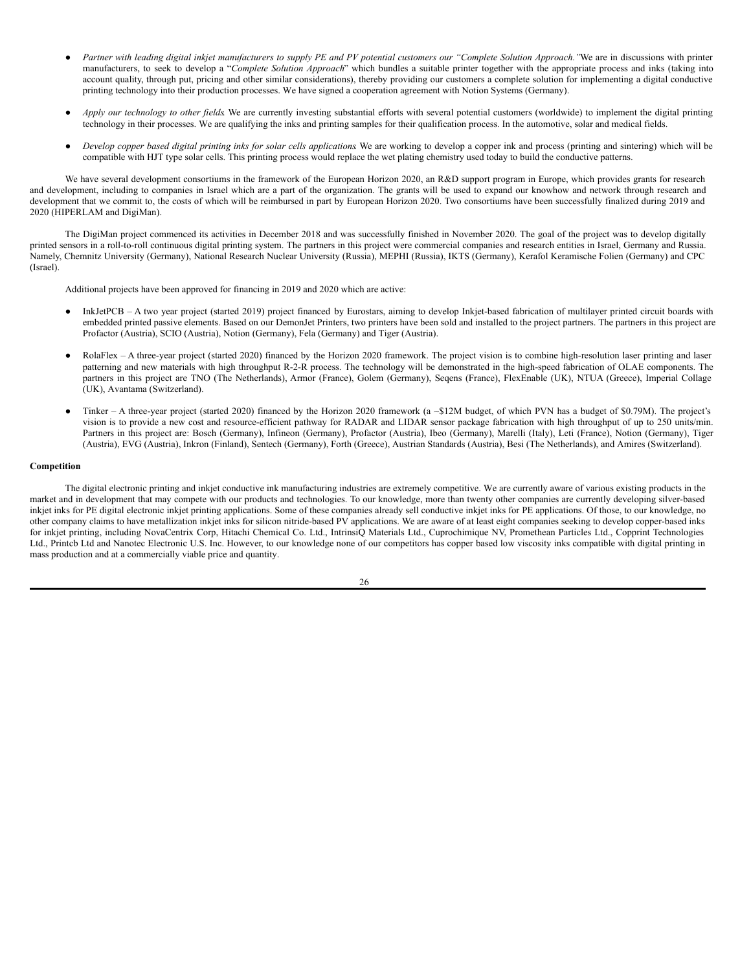- Partner with leading digital inkjet manufacturers to supply PE and PV potential customers our "Complete Solution Approach."We are in discussions with printer manufacturers, to seek to develop a "*Complete Solution Approach*" which bundles a suitable printer together with the appropriate process and inks (taking into account quality, through put, pricing and other similar considerations), thereby providing our customers a complete solution for implementing a digital conductive printing technology into their production processes. We have signed a cooperation agreement with Notion Systems (Germany).
- *Apply our technology to other fields*. We are currently investing substantial efforts with several potential customers (worldwide) to implement the digital printing technology in their processes. We are qualifying the inks and printing samples for their qualification process. In the automotive, solar and medical fields.
- Develop copper based digital printing inks for solar cells applications. We are working to develop a copper ink and process (printing and sintering) which will be compatible with HJT type solar cells. This printing process would replace the wet plating chemistry used today to build the conductive patterns.

We have several development consortiums in the framework of the European Horizon 2020, an R&D support program in Europe, which provides grants for research and development, including to companies in Israel which are a part of the organization. The grants will be used to expand our knowhow and network through research and development that we commit to, the costs of which will be reimbursed in part by European Horizon 2020. Two consortiums have been successfully finalized during 2019 and 2020 (HIPERLAM and DigiMan).

The DigiMan project commenced its activities in December 2018 and was successfully finished in November 2020. The goal of the project was to develop digitally printed sensors in a roll-to-roll continuous digital printing system. The partners in this project were commercial companies and research entities in Israel, Germany and Russia. Namely, Chemnitz University (Germany), National Research Nuclear University (Russia), MEPHI (Russia), IKTS (Germany), Kerafol Keramische Folien (Germany) and CPC (Israel).

Additional projects have been approved for financing in 2019 and 2020 which are active:

- InkJetPCB A two year project (started 2019) project financed by Eurostars, aiming to develop Inkjet-based fabrication of multilayer printed circuit boards with embedded printed passive elements. Based on our DemonJet Printers, two printers have been sold and installed to the project partners. The partners in this project are Profactor (Austria), SCIO (Austria), Notion (Germany), Fela (Germany) and Tiger (Austria).
- RolaFlex A three-year project (started 2020) financed by the Horizon 2020 framework. The project vision is to combine high-resolution laser printing and laser patterning and new materials with high throughput R-2-R process. The technology will be demonstrated in the high-speed fabrication of OLAE components. The partners in this project are TNO (The Netherlands), Armor (France), Golem (Germany), Seqens (France), FlexEnable (UK), NTUA (Greece), Imperial Collage (UK), Avantama (Switzerland).
- Tinker A three-year project (started 2020) financed by the Horizon 2020 framework (a ~\$12M budget, of which PVN has a budget of \$0.79M). The project's vision is to provide a new cost and resource-efficient pathway for RADAR and LIDAR sensor package fabrication with high throughput of up to 250 units/min. Partners in this project are: Bosch (Germany), Infineon (Germany), Profactor (Austria), Ibeo (Germany), Marelli (Italy), Leti (France), Notion (Germany), Tiger (Austria), EVG (Austria), Inkron (Finland), Sentech (Germany), Forth (Greece), Austrian Standards (Austria), Besi (The Netherlands), and Amires (Switzerland).

## **Competition**

The digital electronic printing and inkjet conductive ink manufacturing industries are extremely competitive. We are currently aware of various existing products in the market and in development that may compete with our products and technologies. To our knowledge, more than twenty other companies are currently developing silver-based inkjet inks for PE digital electronic inkjet printing applications. Some of these companies already sell conductive inkjet inks for PE applications. Of those, to our knowledge, no other company claims to have metallization inkjet inks for silicon nitride-based PV applications. We are aware of at least eight companies seeking to develop copper-based inks for inkjet printing, including NovaCentrix Corp, Hitachi Chemical Co. Ltd., IntrinsiQ Materials Ltd., Cuprochimique NV, Promethean Particles Ltd., Copprint Technologies Ltd., Printcb Ltd and Nanotec Electronic U.S. Inc. However, to our knowledge none of our competitors has copper based low viscosity inks compatible with digital printing in mass production and at a commercially viable price and quantity.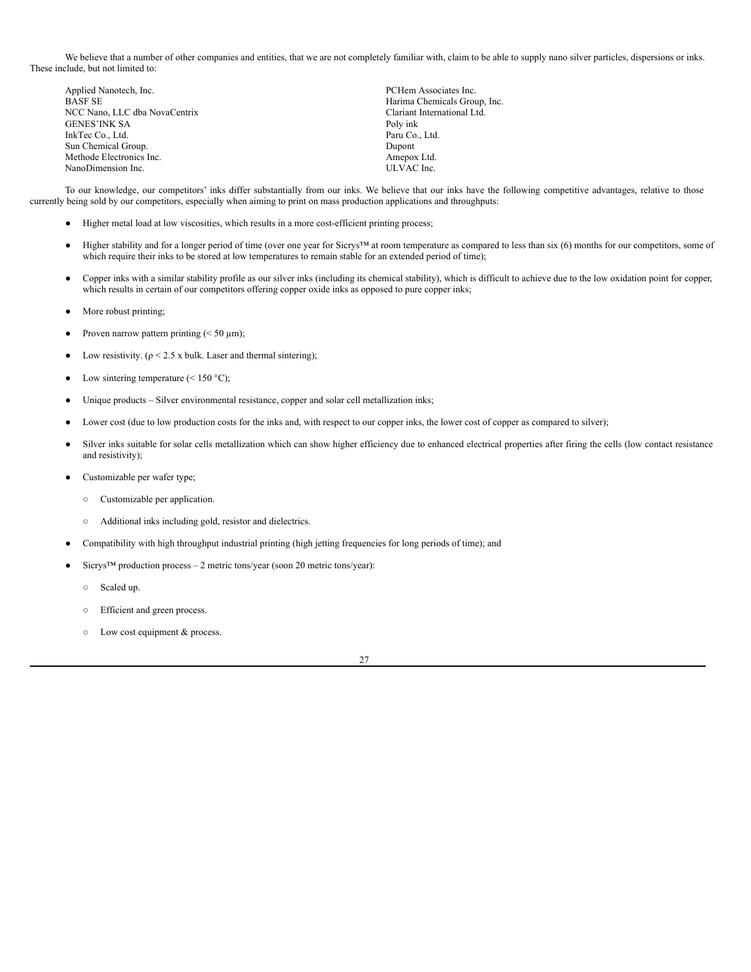We believe that a number of other companies and entities, that we are not completely familiar with, claim to be able to supply nano silver particles, dispersions or inks. These include, but not limited to:

| Applied Nanotech, Inc.        | PCHem Associates Inc.        |
|-------------------------------|------------------------------|
| <b>BASF SE</b>                | Harima Chemicals Group, Inc. |
| NCC Nano, LLC dba NovaCentrix | Clariant International Ltd.  |
| <b>GENES'INK SA</b>           | Poly ink                     |
| InkTec Co., Ltd.              | Paru Co., Ltd.               |
| Sun Chemical Group.           | Dupont                       |
| Methode Electronics Inc.      | Amepox Ltd.                  |
| NanoDimension Inc.            | ULVAC Inc.                   |

To our knowledge, our competitors' inks differ substantially from our inks. We believe that our inks have the following competitive advantages, relative to those currently being sold by our competitors, especially when aiming to print on mass production applications and throughputs:

- Higher metal load at low viscosities, which results in a more cost-efficient printing process;
- Higher stability and for a longer period of time (over one year for Sicrys™ at room temperature as compared to less than six (6) months for our competitors, some of which require their inks to be stored at low temperatures to remain stable for an extended period of time);
- Copper inks with a similar stability profile as our silver inks (including its chemical stability), which is difficult to achieve due to the low oxidation point for copper, which results in certain of our competitors offering copper oxide inks as opposed to pure copper inks;
- More robust printing;
- Proven narrow pattern printing ( $\leq 50 \text{ }\mu\text{m}$ );
- Low resistivity. ( $\rho$  < 2.5 x bulk. Laser and thermal sintering);
- Low sintering temperature ( $\leq 150$  °C);
- Unique products Silver environmental resistance, copper and solar cell metallization inks;
- Lower cost (due to low production costs for the inks and, with respect to our copper inks, the lower cost of copper as compared to silver);
- Silver inks suitable for solar cells metallization which can show higher efficiency due to enhanced electrical properties after firing the cells (low contact resistance and resistivity);
- Customizable per wafer type;
	- Customizable per application.
	- Additional inks including gold, resistor and dielectrics.
- Compatibility with high throughput industrial printing (high jetting frequencies for long periods of time); and
- Sicrys™ production process 2 metric tons/year (soon 20 metric tons/year):
	- Scaled up.
	- Efficient and green process.
	- Low cost equipment & process.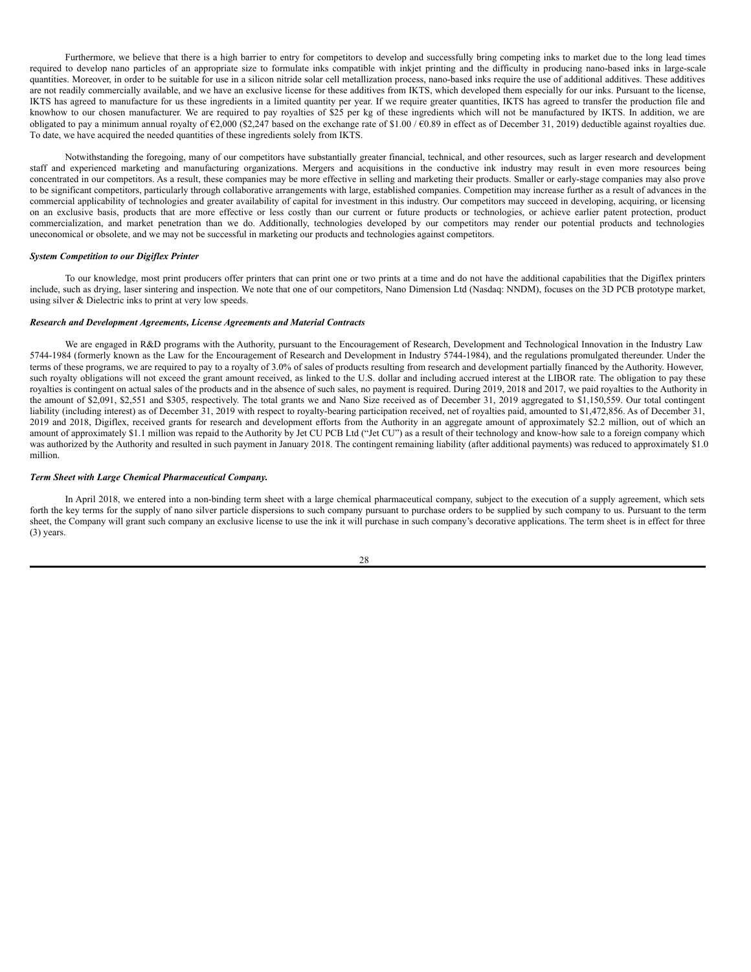Furthermore, we believe that there is a high barrier to entry for competitors to develop and successfully bring competing inks to market due to the long lead times required to develop nano particles of an appropriate size to formulate inks compatible with inkjet printing and the difficulty in producing nano-based inks in large-scale quantities. Moreover, in order to be suitable for use in a silicon nitride solar cell metallization process, nano-based inks require the use of additional additives. These additives are not readily commercially available, and we have an exclusive license for these additives from IKTS, which developed them especially for our inks. Pursuant to the license, IKTS has agreed to manufacture for us these ingredients in a limited quantity per year. If we require greater quantities, IKTS has agreed to transfer the production file and knowhow to our chosen manufacturer. We are required to pay royalties of \$25 per kg of these ingredients which will not be manufactured by IKTS. In addition, we are obligated to pay a minimum annual royalty of  $\epsilon$ 2,000 (\$2,247 based on the exchange rate of \$1.00 /  $\epsilon$ 0.89 in effect as of December 31, 2019) deductible against royalties due. To date, we have acquired the needed quantities of these ingredients solely from IKTS.

Notwithstanding the foregoing, many of our competitors have substantially greater financial, technical, and other resources, such as larger research and development staff and experienced marketing and manufacturing organizations. Mergers and acquisitions in the conductive ink industry may result in even more resources being concentrated in our competitors. As a result, these companies may be more effective in selling and marketing their products. Smaller or early-stage companies may also prove to be significant competitors, particularly through collaborative arrangements with large, established companies. Competition may increase further as a result of advances in the commercial applicability of technologies and greater availability of capital for investment in this industry. Our competitors may succeed in developing, acquiring, or licensing on an exclusive basis, products that are more effective or less costly than our current or future products or technologies, or achieve earlier patent protection, product commercialization, and market penetration than we do. Additionally, technologies developed by our competitors may render our potential products and technologies uneconomical or obsolete, and we may not be successful in marketing our products and technologies against competitors.

## *System Competition to our Digiflex Printer*

To our knowledge, most print producers offer printers that can print one or two prints at a time and do not have the additional capabilities that the Digiflex printers include, such as drying, laser sintering and inspection. We note that one of our competitors, Nano Dimension Ltd (Nasdaq: NNDM), focuses on the 3D PCB prototype market, using silver & Dielectric inks to print at very low speeds.

## *Research and Development Agreements, License Agreements and Material Contracts*

We are engaged in R&D programs with the Authority, pursuant to the Encouragement of Research, Development and Technological Innovation in the Industry Law 5744-1984 (formerly known as the Law for the Encouragement of Research and Development in Industry 5744-1984), and the regulations promulgated thereunder. Under the terms of these programs, we are required to pay to a royalty of 3.0% of sales of products resulting from research and development partially financed by the Authority. However, such royalty obligations will not exceed the grant amount received, as linked to the U.S. dollar and including accrued interest at the LIBOR rate. The obligation to pay these royalties is contingent on actual sales of the products and in the absence of such sales, no payment is required. During 2019, 2018 and 2017, we paid royalties to the Authority in the amount of \$2,091, \$2,551 and \$305, respectively. The total grants we and Nano Size received as of December 31, 2019 aggregated to \$1,150,559. Our total contingent liability (including interest) as of December 31, 2019 with respect to royalty-bearing participation received, net of royalties paid, amounted to \$1,472,856. As of December 31, 2019 and 2018, Digiflex, received grants for research and development efforts from the Authority in an aggregate amount of approximately \$2.2 million, out of which an amount of approximately \$1.1 million was repaid to the Authority by Jet CU PCB Ltd ("Jet CU") as a result of their technology and know-how sale to a foreign company which was authorized by the Authority and resulted in such payment in January 2018. The contingent remaining liability (after additional payments) was reduced to approximately \$1.0 million.

## *Term Sheet with Large Chemical Pharmaceutical Company.*

In April 2018, we entered into a non-binding term sheet with a large chemical pharmaceutical company, subject to the execution of a supply agreement, which sets forth the key terms for the supply of nano silver particle dispersions to such company pursuant to purchase orders to be supplied by such company to us. Pursuant to the term sheet, the Company will grant such company an exclusive license to use the ink it will purchase in such company's decorative applications. The term sheet is in effect for three (3) years.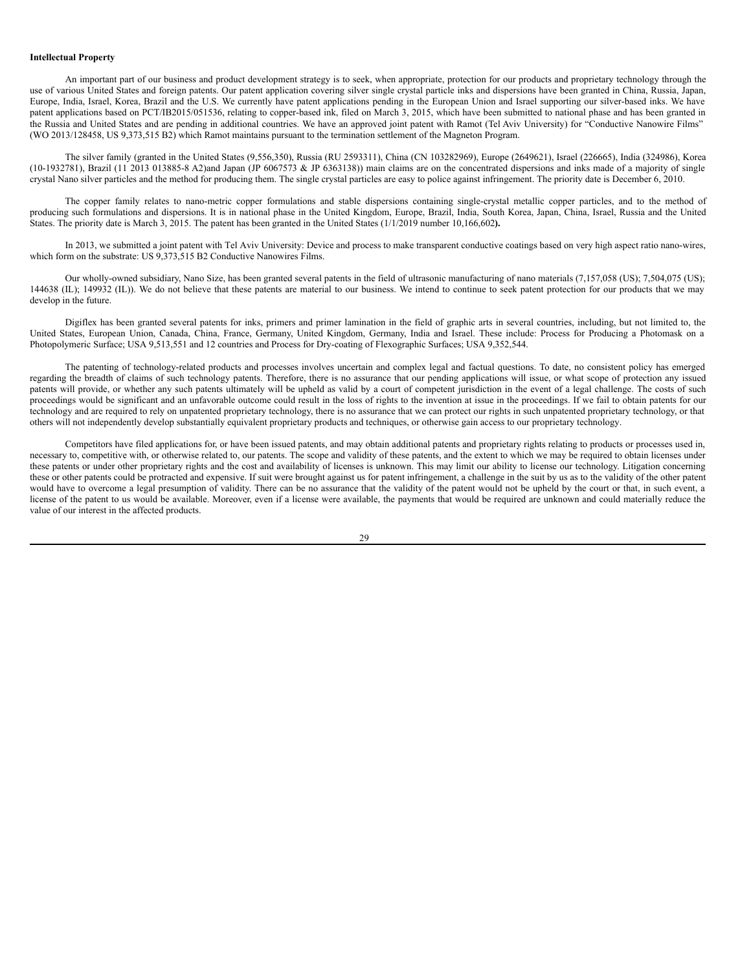#### **Intellectual Property**

An important part of our business and product development strategy is to seek, when appropriate, protection for our products and proprietary technology through the use of various United States and foreign patents. Our patent application covering silver single crystal particle inks and dispersions have been granted in China, Russia, Japan, Europe, India, Israel, Korea, Brazil and the U.S. We currently have patent applications pending in the European Union and Israel supporting our silver-based inks. We have patent applications based on PCT/IB2015/051536, relating to copper-based ink, filed on March 3, 2015, which have been submitted to national phase and has been granted in the Russia and United States and are pending in additional countries. We have an approved joint patent with Ramot (Tel Aviv University) for "Conductive Nanowire Films" (WO 2013/128458, US 9,373,515 B2) which Ramot maintains pursuant to the termination settlement of the Magneton Program.

The silver family (granted in the United States (9,556,350), Russia (RU 2593311), China (CN 103282969), Europe (2649621), Israel (226665), India (324986), Korea (10-1932781), Brazil (11 2013 013885-8 A2)and Japan (JP 6067573 & JP 6363138)) main claims are on the concentrated dispersions and inks made of a majority of single crystal Nano silver particles and the method for producing them. The single crystal particles are easy to police against infringement. The priority date is December 6, 2010.

The copper family relates to nano-metric copper formulations and stable dispersions containing single-crystal metallic copper particles, and to the method of producing such formulations and dispersions. It is in national phase in the United Kingdom, Europe, Brazil, India, South Korea, Japan, China, Israel, Russia and the United States. The priority date is March 3, 2015. The patent has been granted in the United States (1/1/2019 number 10,166,602**).**

In 2013, we submitted a joint patent with Tel Aviv University: Device and process to make transparent conductive coatings based on very high aspect ratio nano-wires, which form on the substrate: US 9,373,515 B2 Conductive Nanowires Films.

Our wholly-owned subsidiary, Nano Size, has been granted several patents in the field of ultrasonic manufacturing of nano materials (7,157,058 (US); 7,504,075 (US); 144638 (IL); 149932 (IL)). We do not believe that these patents are material to our business. We intend to continue to seek patent protection for our products that we may develop in the future.

Digiflex has been granted several patents for inks, primers and primer lamination in the field of graphic arts in several countries, including, but not limited to, the United States, European Union, Canada, China, France, Germany, United Kingdom, Germany, India and Israel. These include: Process for Producing a Photomask on a Photopolymeric Surface; USA 9,513,551 and 12 countries and Process for Dry-coating of Flexographic Surfaces; USA 9,352,544.

The patenting of technology-related products and processes involves uncertain and complex legal and factual questions. To date, no consistent policy has emerged regarding the breadth of claims of such technology patents. Therefore, there is no assurance that our pending applications will issue, or what scope of protection any issued patents will provide, or whether any such patents ultimately will be upheld as valid by a court of competent jurisdiction in the event of a legal challenge. The costs of such proceedings would be significant and an unfavorable outcome could result in the loss of rights to the invention at issue in the proceedings. If we fail to obtain patents for our technology and are required to rely on unpatented proprietary technology, there is no assurance that we can protect our rights in such unpatented proprietary technology, or that others will not independently develop substantially equivalent proprietary products and techniques, or otherwise gain access to our proprietary technology.

Competitors have filed applications for, or have been issued patents, and may obtain additional patents and proprietary rights relating to products or processes used in, necessary to, competitive with, or otherwise related to, our patents. The scope and validity of these patents, and the extent to which we may be required to obtain licenses under these patents or under other proprietary rights and the cost and availability of licenses is unknown. This may limit our ability to license our technology. Litigation concerning these or other patents could be protracted and expensive. If suit were brought against us for patent infringement, a challenge in the suit by us as to the validity of the other patent would have to overcome a legal presumption of validity. There can be no assurance that the validity of the patent would not be upheld by the court or that, in such event, a license of the patent to us would be available. Moreover, even if a license were available, the payments that would be required are unknown and could materially reduce the value of our interest in the affected products.

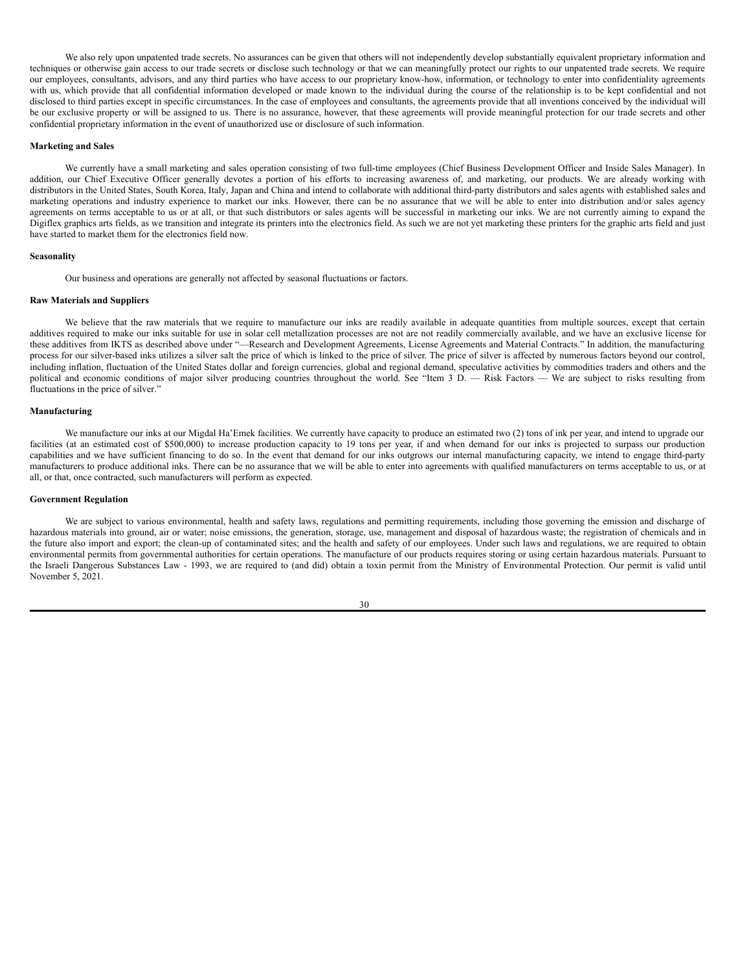We also rely upon unpatented trade secrets. No assurances can be given that others will not independently develop substantially equivalent proprietary information and techniques or otherwise gain access to our trade secrets or disclose such technology or that we can meaningfully protect our rights to our unpatented trade secrets. We require our employees, consultants, advisors, and any third parties who have access to our proprietary know-how, information, or technology to enter into confidentiality agreements with us, which provide that all confidential information developed or made known to the individual during the course of the relationship is to be kept confidential and not disclosed to third parties except in specific circumstances. In the case of employees and consultants, the agreements provide that all inventions conceived by the individual will be our exclusive property or will be assigned to us. There is no assurance, however, that these agreements will provide meaningful protection for our trade secrets and other confidential proprietary information in the event of unauthorized use or disclosure of such information.

## **Marketing and Sales**

We currently have a small marketing and sales operation consisting of two full-time employees (Chief Business Development Officer and Inside Sales Manager). In addition, our Chief Executive Officer generally devotes a portion of his efforts to increasing awareness of, and marketing, our products. We are already working with distributors in the United States, South Korea, Italy, Japan and China and intend to collaborate with additional third-party distributors and sales agents with established sales and marketing operations and industry experience to market our inks. However, there can be no assurance that we will be able to enter into distribution and/or sales agency agreements on terms acceptable to us or at all, or that such distributors or sales agents will be successful in marketing our inks. We are not currently aiming to expand the Digiflex graphics arts fields, as we transition and integrate its printers into the electronics field. As such we are not yet marketing these printers for the graphic arts field and just have started to market them for the electronics field now.

## **Seasonality**

Our business and operations are generally not affected by seasonal fluctuations or factors.

#### **Raw Materials and Suppliers**

We believe that the raw materials that we require to manufacture our inks are readily available in adequate quantities from multiple sources, except that certain additives required to make our inks suitable for use in solar cell metallization processes are not are not readily commercially available, and we have an exclusive license for these additives from IKTS as described above under "—Research and Development Agreements, License Agreements and Material Contracts." In addition, the manufacturing process for our silver-based inks utilizes a silver salt the price of which is linked to the price of silver. The price of silver is affected by numerous factors beyond our control, including inflation, fluctuation of the United States dollar and foreign currencies, global and regional demand, speculative activities by commodities traders and others and the political and economic conditions of major silver producing countries throughout the world. See "Item 3 D. — Risk Factors — We are subject to risks resulting from fluctuations in the price of silver."

## **Manufacturing**

We manufacture our inks at our Migdal Ha'Emek facilities. We currently have capacity to produce an estimated two (2) tons of ink per year, and intend to upgrade our facilities (at an estimated cost of \$500,000) to increase production capacity to 19 tons per year, if and when demand for our inks is projected to surpass our production capabilities and we have sufficient financing to do so. In the event that demand for our inks outgrows our internal manufacturing capacity, we intend to engage third-party manufacturers to produce additional inks. There can be no assurance that we will be able to enter into agreements with qualified manufacturers on terms acceptable to us, or at all, or that, once contracted, such manufacturers will perform as expected.

### **Government Regulation**

We are subject to various environmental, health and safety laws, regulations and permitting requirements, including those governing the emission and discharge of hazardous materials into ground, air or water; noise emissions, the generation, storage, use, management and disposal of hazardous waste; the registration of chemicals and in the future also import and export; the clean-up of contaminated sites; and the health and safety of our employees. Under such laws and regulations, we are required to obtain environmental permits from governmental authorities for certain operations. The manufacture of our products requires storing or using certain hazardous materials. Pursuant to the Israeli Dangerous Substances Law - 1993, we are required to (and did) obtain a toxin permit from the Ministry of Environmental Protection. Our permit is valid until November 5, 2021.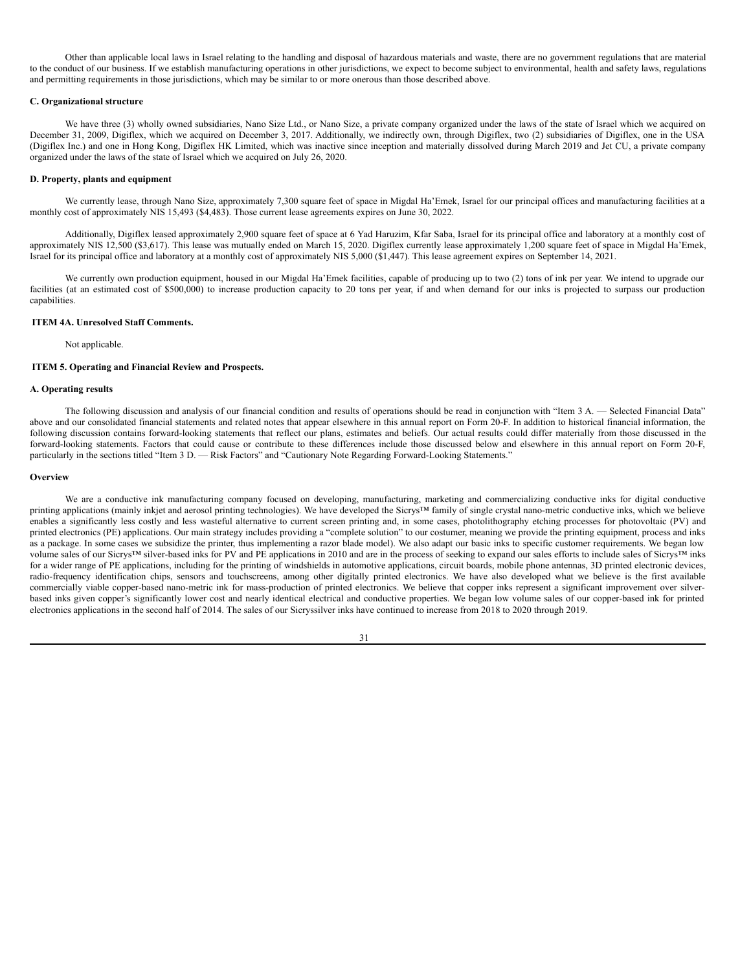Other than applicable local laws in Israel relating to the handling and disposal of hazardous materials and waste, there are no government regulations that are material to the conduct of our business. If we establish manufacturing operations in other jurisdictions, we expect to become subject to environmental, health and safety laws, regulations and permitting requirements in those jurisdictions, which may be similar to or more onerous than those described above.

## **C. Organizational structure**

We have three (3) wholly owned subsidiaries, Nano Size Ltd., or Nano Size, a private company organized under the laws of the state of Israel which we acquired on December 31, 2009, Digiflex, which we acquired on December 3, 2017. Additionally, we indirectly own, through Digiflex, two (2) subsidiaries of Digiflex, one in the USA (Digiflex Inc.) and one in Hong Kong, Digiflex HK Limited, which was inactive since inception and materially dissolved during March 2019 and Jet CU, a private company organized under the laws of the state of Israel which we acquired on July 26, 2020.

### **D. Property, plants and equipment**

We currently lease, through Nano Size, approximately 7,300 square feet of space in Migdal Ha'Emek, Israel for our principal offices and manufacturing facilities at a monthly cost of approximately NIS 15,493 (\$4,483). Those current lease agreements expires on June 30, 2022.

Additionally, Digiflex leased approximately 2,900 square feet of space at 6 Yad Haruzim, Kfar Saba, Israel for its principal office and laboratory at a monthly cost of approximately NIS 12,500 (\$3,617). This lease was mutually ended on March 15, 2020. Digiflex currently lease approximately 1,200 square feet of space in Migdal Ha'Emek, Israel for its principal office and laboratory at a monthly cost of approximately NIS 5,000 (\$1,447). This lease agreement expires on September 14, 2021.

We currently own production equipment, housed in our Migdal Ha'Emek facilities, capable of producing up to two (2) tons of ink per year. We intend to upgrade our facilities (at an estimated cost of \$500,000) to increase production capacity to 20 tons per year, if and when demand for our inks is projected to surpass our production capabilities.

## <span id="page-35-0"></span>**ITEM 4A. Unresolved Staff Comments.**

Not applicable.

## <span id="page-35-1"></span>**ITEM 5. Operating and Financial Review and Prospects.**

### **A. Operating results**

The following discussion and analysis of our financial condition and results of operations should be read in conjunction with "Item 3 A. — Selected Financial Data" above and our consolidated financial statements and related notes that appear elsewhere in this annual report on Form 20-F. In addition to historical financial information, the following discussion contains forward-looking statements that reflect our plans, estimates and beliefs. Our actual results could differ materially from those discussed in the forward-looking statements. Factors that could cause or contribute to these differences include those discussed below and elsewhere in this annual report on Form 20-F, particularly in the sections titled "Item 3 D. — Risk Factors" and "Cautionary Note Regarding Forward-Looking Statements."

### **Overview**

We are a conductive ink manufacturing company focused on developing, manufacturing, marketing and commercializing conductive inks for digital conductive printing applications (mainly inkjet and aerosol printing technologies). We have developed the Sicrys™ family of single crystal nano-metric conductive inks, which we believe enables a significantly less costly and less wasteful alternative to current screen printing and, in some cases, photolithography etching processes for photovoltaic (PV) and printed electronics (PE) applications. Our main strategy includes providing a "complete solution" to our costumer, meaning we provide the printing equipment, process and inks as a package. In some cases we subsidize the printer, thus implementing a razor blade model). We also adapt our basic inks to specific customer requirements. We began low volume sales of our Sicrys™ silver-based inks for PV and PE applications in 2010 and are in the process of seeking to expand our sales efforts to include sales of Sicrys™ inks for a wider range of PE applications, including for the printing of windshields in automotive applications, circuit boards, mobile phone antennas, 3D printed electronic devices, radio-frequency identification chips, sensors and touchscreens, among other digitally printed electronics. We have also developed what we believe is the first available commercially viable copper-based nano-metric ink for mass-production of printed electronics. We believe that copper inks represent a significant improvement over silverbased inks given copper's significantly lower cost and nearly identical electrical and conductive properties. We began low volume sales of our copper-based ink for printed electronics applications in the second half of 2014. The sales of our Sicryssilver inks have continued to increase from 2018 to 2020 through 2019.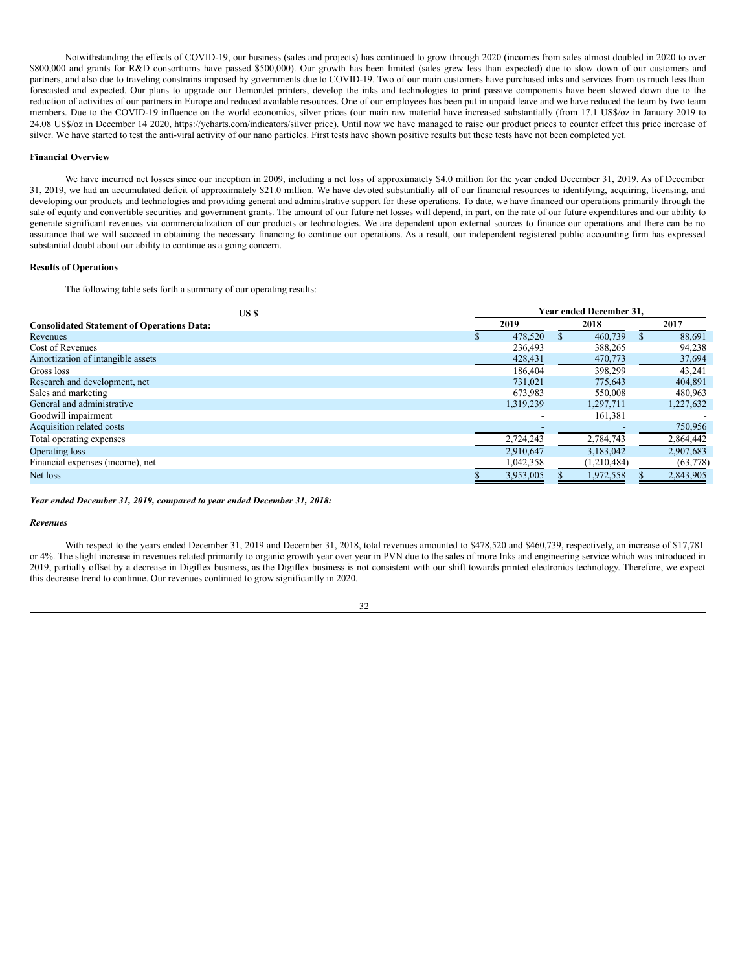Notwithstanding the effects of COVID-19, our business (sales and projects) has continued to grow through 2020 (incomes from sales almost doubled in 2020 to over \$800,000 and grants for R&D consortiums have passed \$500,000). Our growth has been limited (sales grew less than expected) due to slow down of our customers and partners, and also due to traveling constrains imposed by governments due to COVID-19. Two of our main customers have purchased inks and services from us much less than forecasted and expected. Our plans to upgrade our DemonJet printers, develop the inks and technologies to print passive components have been slowed down due to the reduction of activities of our partners in Europe and reduced available resources. One of our employees has been put in unpaid leave and we have reduced the team by two team members. Due to the COVID-19 influence on the world economics, silver prices (our main raw material have increased substantially (from 17.1 US\$/oz in January 2019 to 24.08 US\$/oz in December 14 2020, https://ycharts.com/indicators/silver price). Until now we have managed to raise our product prices to counter effect this price increase of silver. We have started to test the anti-viral activity of our nano particles. First tests have shown positive results but these tests have not been completed yet.

### **Financial Overview**

We have incurred net losses since our inception in 2009, including a net loss of approximately \$4.0 million for the year ended December 31, 2019. As of December 31, 2019, we had an accumulated deficit of approximately \$21.0 million. We have devoted substantially all of our financial resources to identifying, acquiring, licensing, and developing our products and technologies and providing general and administrative support for these operations. To date, we have financed our operations primarily through the sale of equity and convertible securities and government grants. The amount of our future net losses will depend, in part, on the rate of our future expenditures and our ability to generate significant revenues via commercialization of our products or technologies. We are dependent upon external sources to finance our operations and there can be no assurance that we will succeed in obtaining the necessary financing to continue our operations. As a result, our independent registered public accounting firm has expressed substantial doubt about our ability to continue as a going concern.

## **Results of Operations**

The following table sets forth a summary of our operating results:

| US \$                                             |           | Year ended December 31. |           |  |  |  |  |  |
|---------------------------------------------------|-----------|-------------------------|-----------|--|--|--|--|--|
| <b>Consolidated Statement of Operations Data:</b> | 2019      | 2018                    | 2017      |  |  |  |  |  |
| Revenues                                          | 478,520   | 460,739                 | 88.691    |  |  |  |  |  |
| Cost of Revenues                                  | 236,493   | 388,265                 | 94,238    |  |  |  |  |  |
| Amortization of intangible assets                 | 428,431   | 470,773                 | 37,694    |  |  |  |  |  |
| Gross loss                                        | 186,404   | 398,299                 | 43,241    |  |  |  |  |  |
| Research and development, net                     | 731.021   | 775.643                 | 404,891   |  |  |  |  |  |
| Sales and marketing                               | 673.983   | 550,008                 | 480,963   |  |  |  |  |  |
| General and administrative                        | 1,319,239 | 1.297.711               | 1,227,632 |  |  |  |  |  |
| Goodwill impairment                               |           | 161,381                 |           |  |  |  |  |  |
| Acquisition related costs                         |           |                         | 750,956   |  |  |  |  |  |
| Total operating expenses                          | 2,724,243 | 2,784,743               | 2,864,442 |  |  |  |  |  |
| Operating loss                                    | 2.910.647 | 3,183,042               | 2,907,683 |  |  |  |  |  |
| Financial expenses (income), net                  | 1,042,358 | (1,210,484)             | (63, 778) |  |  |  |  |  |
| Net loss                                          | 3,953,005 | 1,972,558               | 2,843,905 |  |  |  |  |  |

### *Year ended December 31, 2019, compared to year ended December 31, 2018:*

#### *Revenues*

With respect to the years ended December 31, 2019 and December 31, 2018, total revenues amounted to \$478,520 and \$460,739, respectively, an increase of \$17,781 or 4%. The slight increase in revenues related primarily to organic growth year over year in PVN due to the sales of more Inks and engineering service which was introduced in 2019, partially offset by a decrease in Digiflex business, as the Digiflex business is not consistent with our shift towards printed electronics technology. Therefore, we expect this decrease trend to continue. Our revenues continued to grow significantly in 2020.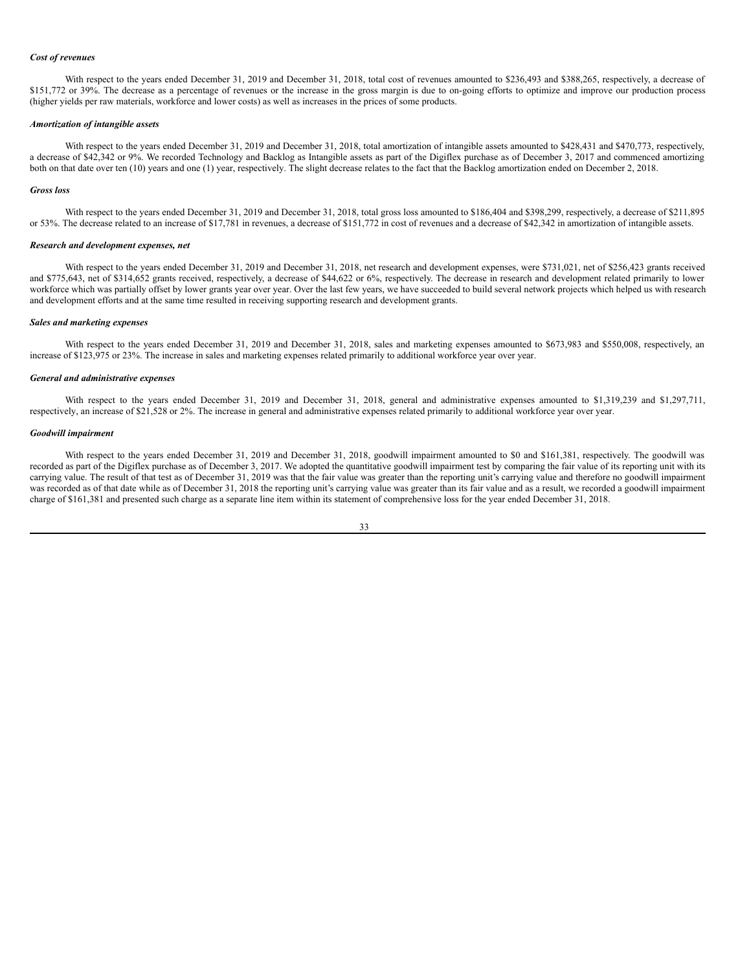#### *Cost of revenues*

With respect to the years ended December 31, 2019 and December 31, 2018, total cost of revenues amounted to \$236,493 and \$388,265, respectively, a decrease of \$151,772 or 39%. The decrease as a percentage of revenues or the increase in the gross margin is due to on-going efforts to optimize and improve our production process (higher yields per raw materials, workforce and lower costs) as well as increases in the prices of some products.

## *Amortization of intangible assets*

With respect to the years ended December 31, 2019 and December 31, 2018, total amortization of intangible assets amounted to \$428,431 and \$470,773, respectively, a decrease of \$42,342 or 9%. We recorded Technology and Backlog as Intangible assets as part of the Digiflex purchase as of December 3, 2017 and commenced amortizing both on that date over ten (10) years and one (1) year, respectively. The slight decrease relates to the fact that the Backlog amortization ended on December 2, 2018.

#### *Gross loss*

With respect to the years ended December 31, 2019 and December 31, 2018, total gross loss amounted to \$186,404 and \$398,299, respectively, a decrease of \$211,895 or 53%. The decrease related to an increase of \$17,781 in revenues, a decrease of \$151,772 in cost of revenues and a decrease of \$42,342 in amortization of intangible assets.

#### *Research and development expenses, net*

With respect to the years ended December 31, 2019 and December 31, 2018, net research and development expenses, were \$731,021, net of \$256,423 grants received and \$775,643, net of \$314,652 grants received, respectively, a decrease of \$44,622 or 6%, respectively. The decrease in research and development related primarily to lower workforce which was partially offset by lower grants year over year. Over the last few years, we have succeeded to build several network projects which helped us with research and development efforts and at the same time resulted in receiving supporting research and development grants.

## *Sales and marketing expenses*

With respect to the years ended December 31, 2019 and December 31, 2018, sales and marketing expenses amounted to \$673,983 and \$550,008, respectively, an increase of \$123,975 or 23%. The increase in sales and marketing expenses related primarily to additional workforce year over year.

## *General and administrative expenses*

With respect to the years ended December 31, 2019 and December 31, 2018, general and administrative expenses amounted to \$1,319,239 and \$1,297,711, respectively, an increase of \$21,528 or 2%. The increase in general and administrative expenses related primarily to additional workforce year over year.

#### *Goodwill impairment*

With respect to the years ended December 31, 2019 and December 31, 2018, goodwill impairment amounted to \$0 and \$161,381, respectively. The goodwill was recorded as part of the Digiflex purchase as of December 3, 2017. We adopted the quantitative goodwill impairment test by comparing the fair value of its reporting unit with its carrying value. The result of that test as of December 31, 2019 was that the fair value was greater than the reporting unit's carrying value and therefore no goodwill impairment was recorded as of that date while as of December 31, 2018 the reporting unit's carrying value was greater than its fair value and as a result, we recorded a goodwill impairment charge of \$161,381 and presented such charge as a separate line item within its statement of comprehensive loss for the year ended December 31, 2018.

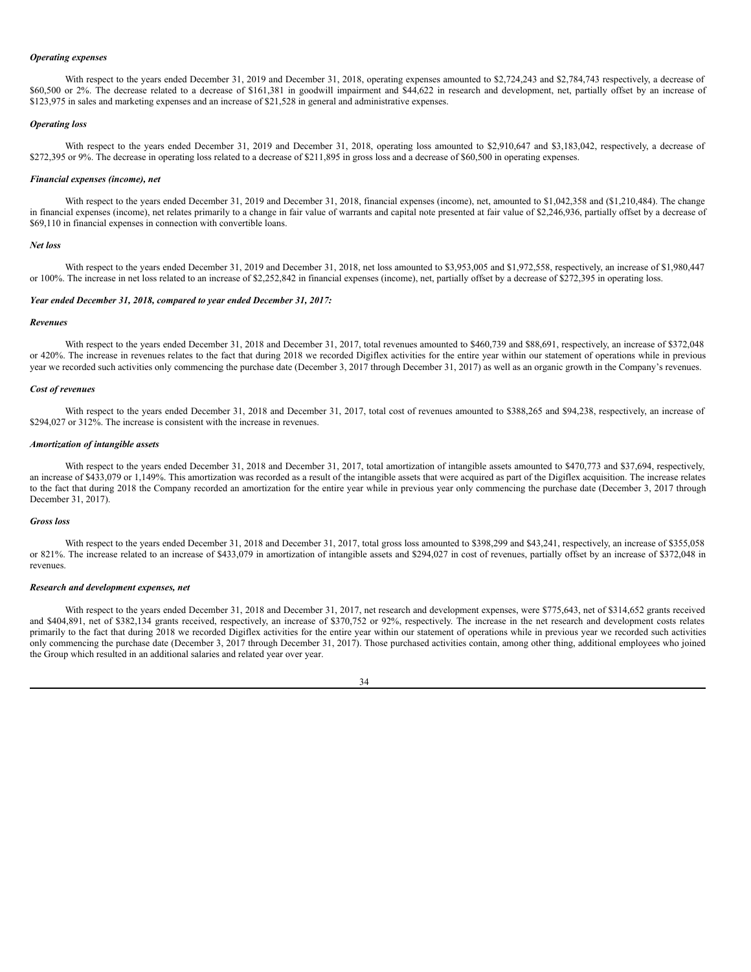## *Operating expenses*

With respect to the years ended December 31, 2019 and December 31, 2018, operating expenses amounted to \$2,724,243 and \$2,784,743 respectively, a decrease of \$60,500 or 2%. The decrease related to a decrease of \$161,381 in goodwill impairment and \$44,622 in research and development, net, partially offset by an increase of \$123,975 in sales and marketing expenses and an increase of \$21,528 in general and administrative expenses.

## *Operating loss*

With respect to the years ended December 31, 2019 and December 31, 2018, operating loss amounted to \$2,910,647 and \$3,183,042, respectively, a decrease of \$272,395 or 9%. The decrease in operating loss related to a decrease of \$211,895 in gross loss and a decrease of \$60,500 in operating expenses.

#### *Financial expenses (income), net*

With respect to the years ended December 31, 2019 and December 31, 2018, financial expenses (income), net, amounted to \$1,042,358 and (\$1,210,484). The change in financial expenses (income), net relates primarily to a change in fair value of warrants and capital note presented at fair value of \$2,246,936, partially offset by a decrease of \$69,110 in financial expenses in connection with convertible loans.

## *Net loss*

With respect to the years ended December 31, 2019 and December 31, 2018, net loss amounted to \$3,953,005 and \$1,972,558, respectively, an increase of \$1,980,447 or 100%. The increase in net loss related to an increase of \$2,252,842 in financial expenses (income), net, partially offset by a decrease of \$272,395 in operating loss.

### *Year ended December 31, 2018, compared to year ended December 31, 2017:*

## *Revenues*

With respect to the years ended December 31, 2018 and December 31, 2017, total revenues amounted to \$460,739 and \$88,691, respectively, an increase of \$372,048 or 420%. The increase in revenues relates to the fact that during 2018 we recorded Digiflex activities for the entire year within our statement of operations while in previous year we recorded such activities only commencing the purchase date (December 3, 2017 through December 31, 2017) as well as an organic growth in the Company's revenues.

## *Cost of revenues*

With respect to the years ended December 31, 2018 and December 31, 2017, total cost of revenues amounted to \$388,265 and \$94,238, respectively, an increase of \$294,027 or 312%. The increase is consistent with the increase in revenues.

## *Amortization of intangible assets*

With respect to the years ended December 31, 2018 and December 31, 2017, total amortization of intangible assets amounted to \$470,773 and \$37,694, respectively, an increase of \$433,079 or 1,149%. This amortization was recorded as a result of the intangible assets that were acquired as part of the Digiflex acquisition. The increase relates to the fact that during 2018 the Company recorded an amortization for the entire year while in previous year only commencing the purchase date (December 3, 2017 through December 31, 2017).

### *Gross loss*

With respect to the years ended December 31, 2018 and December 31, 2017, total gross loss amounted to \$398,299 and \$43,241, respectively, an increase of \$355,058 or 821%. The increase related to an increase of \$433,079 in amortization of intangible assets and \$294,027 in cost of revenues, partially offset by an increase of \$372,048 in revenues.

#### *Research and development expenses, net*

With respect to the years ended December 31, 2018 and December 31, 2017, net research and development expenses, were \$775,643, net of \$314,652 grants received and \$404,891, net of \$382,134 grants received, respectively, an increase of \$370,752 or 92%, respectively. The increase in the net research and development costs relates primarily to the fact that during 2018 we recorded Digiflex activities for the entire year within our statement of operations while in previous year we recorded such activities only commencing the purchase date (December 3, 2017 through December 31, 2017). Those purchased activities contain, among other thing, additional employees who joined the Group which resulted in an additional salaries and related year over year.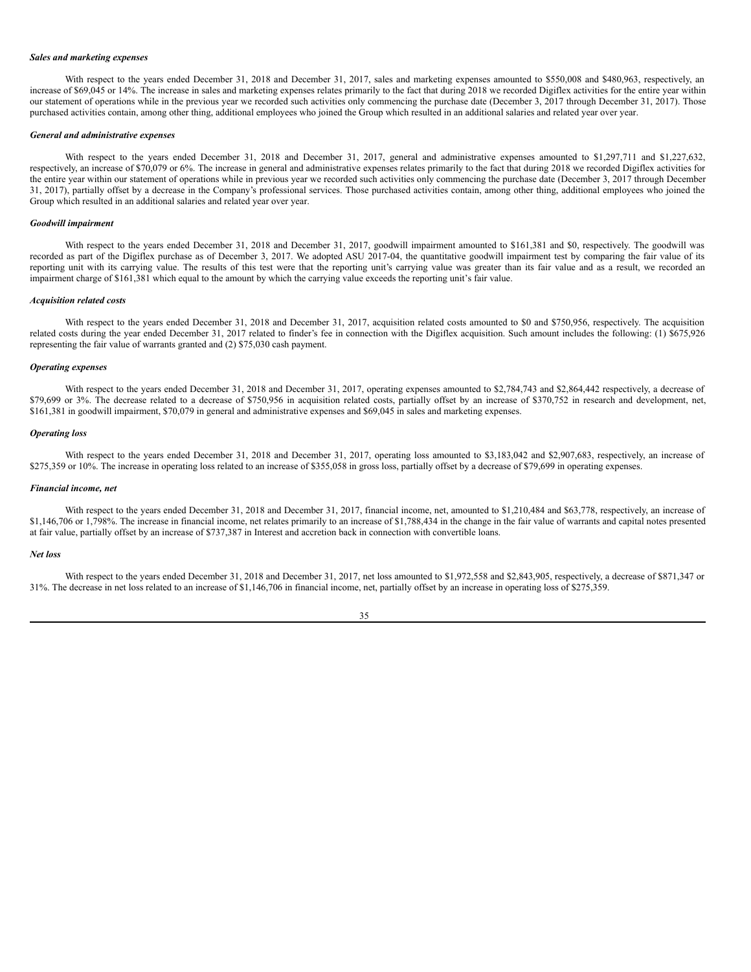#### *Sales and marketing expenses*

With respect to the years ended December 31, 2018 and December 31, 2017, sales and marketing expenses amounted to \$550,008 and \$480,963, respectively, an increase of \$69,045 or 14%. The increase in sales and marketing expenses relates primarily to the fact that during 2018 we recorded Digiflex activities for the entire year within our statement of operations while in the previous year we recorded such activities only commencing the purchase date (December 3, 2017 through December 31, 2017). Those purchased activities contain, among other thing, additional employees who joined the Group which resulted in an additional salaries and related year over year.

#### *General and administrative expenses*

With respect to the years ended December 31, 2018 and December 31, 2017, general and administrative expenses amounted to \$1,297,711 and \$1,227,632, respectively, an increase of \$70,079 or 6%. The increase in general and administrative expenses relates primarily to the fact that during 2018 we recorded Digiflex activities for the entire year within our statement of operations while in previous year we recorded such activities only commencing the purchase date (December 3, 2017 through December 31, 2017), partially offset by a decrease in the Company's professional services. Those purchased activities contain, among other thing, additional employees who joined the Group which resulted in an additional salaries and related year over year.

# *Goodwill impairment*

With respect to the years ended December 31, 2018 and December 31, 2017, goodwill impairment amounted to \$161,381 and \$0, respectively. The goodwill was recorded as part of the Digiflex purchase as of December 3, 2017. We adopted ASU 2017-04, the quantitative goodwill impairment test by comparing the fair value of its reporting unit with its carrying value. The results of this test were that the reporting unit's carrying value was greater than its fair value and as a result, we recorded an impairment charge of \$161,381 which equal to the amount by which the carrying value exceeds the reporting unit's fair value.

#### *Acquisition related costs*

With respect to the years ended December 31, 2018 and December 31, 2017, acquisition related costs amounted to \$0 and \$750,956, respectively. The acquisition related costs during the year ended December 31, 2017 related to finder's fee in connection with the Digiflex acquisition. Such amount includes the following: (1) \$675,926 representing the fair value of warrants granted and (2) \$75,030 cash payment.

## *Operating expenses*

With respect to the years ended December 31, 2018 and December 31, 2017, operating expenses amounted to \$2,784,743 and \$2,864,442 respectively, a decrease of \$79,699 or 3%. The decrease related to a decrease of \$750,956 in acquisition related costs, partially offset by an increase of \$370,752 in research and development, net, \$161,381 in goodwill impairment, \$70,079 in general and administrative expenses and \$69,045 in sales and marketing expenses.

## *Operating loss*

With respect to the years ended December 31, 2018 and December 31, 2017, operating loss amounted to \$3,183,042 and \$2,907,683, respectively, an increase of \$275,359 or 10%. The increase in operating loss related to an increase of \$355,058 in gross loss, partially offset by a decrease of \$79,699 in operating expenses.

## *Financial income, net*

With respect to the years ended December 31, 2018 and December 31, 2017, financial income, net, amounted to \$1,210,484 and \$63,778, respectively, an increase of \$1,146,706 or 1,798%. The increase in financial income, net relates primarily to an increase of \$1,788,434 in the change in the fair value of warrants and capital notes presented at fair value, partially offset by an increase of \$737,387 in Interest and accretion back in connection with convertible loans.

## *Net loss*

With respect to the years ended December 31, 2018 and December 31, 2017, net loss amounted to \$1,972,558 and \$2,843,905, respectively, a decrease of \$871,347 or 31%. The decrease in net loss related to an increase of \$1,146,706 in financial income, net, partially offset by an increase in operating loss of \$275,359.

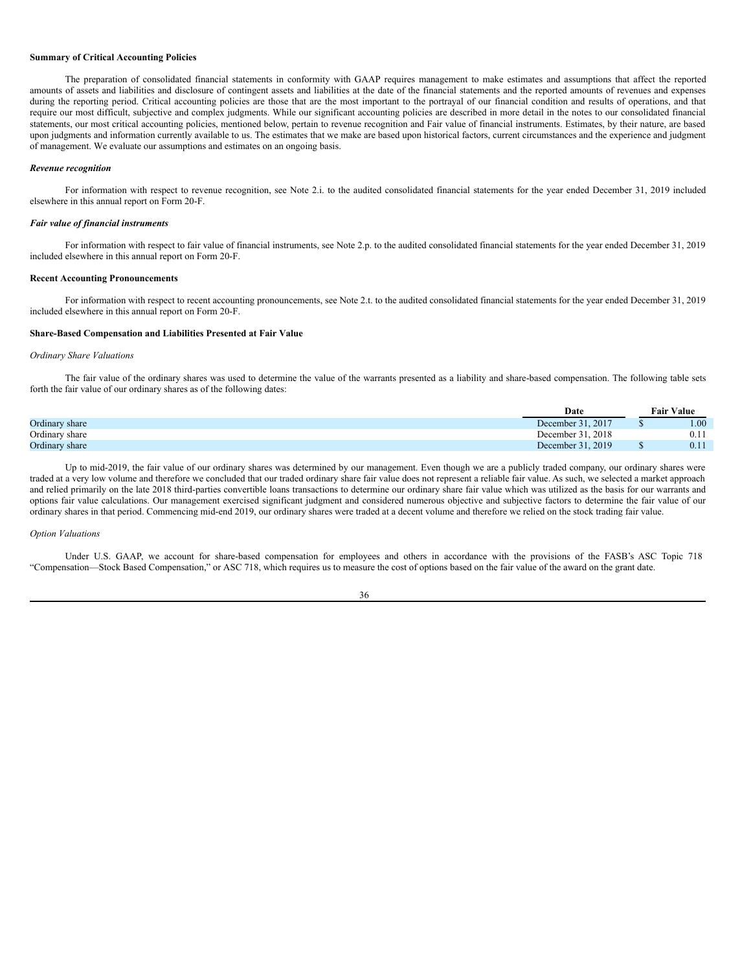#### **Summary of Critical Accounting Policies**

The preparation of consolidated financial statements in conformity with GAAP requires management to make estimates and assumptions that affect the reported amounts of assets and liabilities and disclosure of contingent assets and liabilities at the date of the financial statements and the reported amounts of revenues and expenses during the reporting period. Critical accounting policies are those that are the most important to the portrayal of our financial condition and results of operations, and that require our most difficult, subjective and complex judgments. While our significant accounting policies are described in more detail in the notes to our consolidated financial statements, our most critical accounting policies, mentioned below, pertain to revenue recognition and Fair value of financial instruments. Estimates, by their nature, are based upon judgments and information currently available to us. The estimates that we make are based upon historical factors, current circumstances and the experience and judgment of management. We evaluate our assumptions and estimates on an ongoing basis.

## *Revenue recognition*

For information with respect to revenue recognition, see Note 2.i. to the audited consolidated financial statements for the year ended December 31, 2019 included elsewhere in this annual report on Form 20-F.

# *Fair value of financial instruments*

For information with respect to fair value of financial instruments, see Note 2.p. to the audited consolidated financial statements for the year ended December 31, 2019 included elsewhere in this annual report on Form 20-F.

## **Recent Accounting Pronouncements**

For information with respect to recent accounting pronouncements, see Note 2.t. to the audited consolidated financial statements for the year ended December 31, 2019 included elsewhere in this annual report on Form 20-F.

## **Share-Based Compensation and Liabilities Presented at Fair Value**

### *Ordinary Share Valuations*

The fair value of the ordinary shares was used to determine the value of the warrants presented as a liability and share-based compensation. The following table sets forth the fair value of our ordinary shares as of the following dates:

|                | Date              | <b>Fair Value</b> |
|----------------|-------------------|-------------------|
| Ordinary share | December 31, 2017 | 00.1              |
| Ordinary share | December 31, 2018 | 0.11              |
| Ordinary share | December 31, 2019 | $0.11\,$          |

Up to mid-2019, the fair value of our ordinary shares was determined by our management. Even though we are a publicly traded company, our ordinary shares were traded at a very low volume and therefore we concluded that our traded ordinary share fair value does not represent a reliable fair value. As such, we selected a market approach and relied primarily on the late 2018 third-parties convertible loans transactions to determine our ordinary share fair value which was utilized as the basis for our warrants and options fair value calculations. Our management exercised significant judgment and considered numerous objective and subjective factors to determine the fair value of our ordinary shares in that period. Commencing mid-end 2019, our ordinary shares were traded at a decent volume and therefore we relied on the stock trading fair value.

## *Option Valuations*

Under U.S. GAAP, we account for share-based compensation for employees and others in accordance with the provisions of the FASB's ASC Topic 718 "Compensation—Stock Based Compensation," or ASC 718, which requires us to measure the cost of options based on the fair value of the award on the grant date.

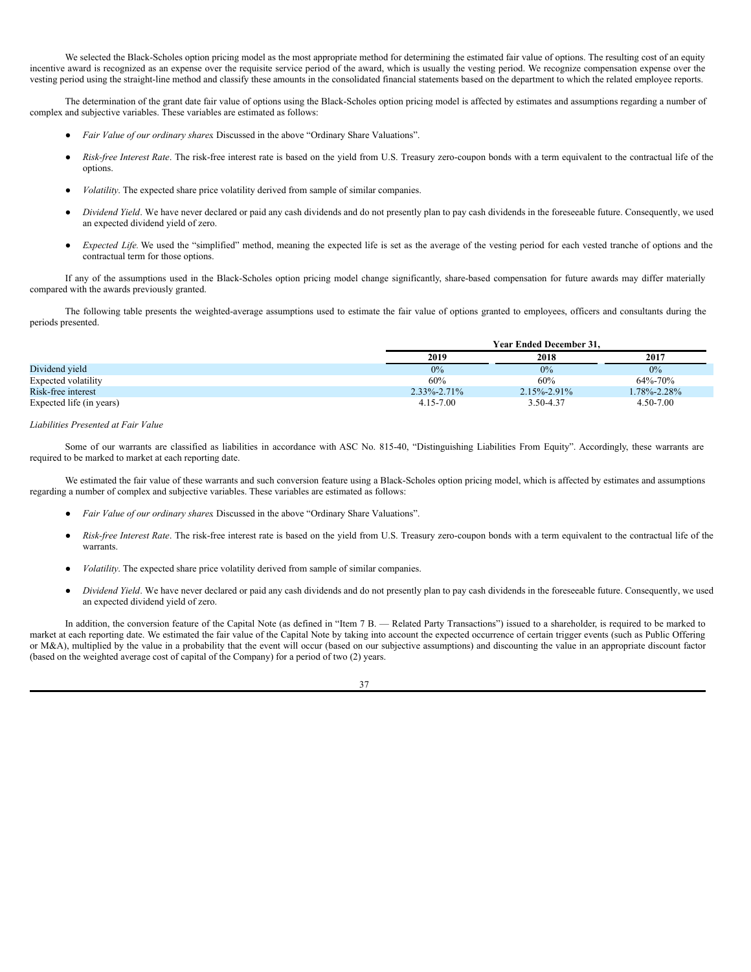We selected the Black-Scholes option pricing model as the most appropriate method for determining the estimated fair value of options. The resulting cost of an equity incentive award is recognized as an expense over the requisite service period of the award, which is usually the vesting period. We recognize compensation expense over the vesting period using the straight-line method and classify these amounts in the consolidated financial statements based on the department to which the related employee reports.

The determination of the grant date fair value of options using the Black-Scholes option pricing model is affected by estimates and assumptions regarding a number of complex and subjective variables. These variables are estimated as follows:

- *Fair Value of our ordinary shares*. Discussed in the above "Ordinary Share Valuations".
- *Risk-free Interest Rate*. The risk-free interest rate is based on the yield from U.S. Treasury zero-coupon bonds with a term equivalent to the contractual life of the options.
- *Volatility*. The expected share price volatility derived from sample of similar companies.
- *Dividend Yield*. We have never declared or paid any cash dividends and do not presently plan to pay cash dividends in the foreseeable future. Consequently, we used an expected dividend yield of zero.
- *Expected Life.* We used the "simplified" method, meaning the expected life is set as the average of the vesting period for each vested tranche of options and the contractual term for those options.

If any of the assumptions used in the Black-Scholes option pricing model change significantly, share-based compensation for future awards may differ materially compared with the awards previously granted.

The following table presents the weighted-average assumptions used to estimate the fair value of options granted to employees, officers and consultants during the periods presented.

|                          |                   | <b>Year Ended December 31.</b> |               |
|--------------------------|-------------------|--------------------------------|---------------|
|                          | 2019              | 2018                           | 2017          |
| Dividend yield           | 0%                | $0\%$                          | 0%            |
| Expected volatility      | 60%               | 60%                            | $64\% - 70\%$ |
| Risk-free interest       | $2.33\% - 2.71\%$ | $2.15\% - 2.91\%$              | 1.78%-2.28%   |
| Expected life (in years) | $4.15 - 7.00$     | 3.50-4.37                      | 4.50-7.00     |

## *Liabilities Presented at Fair Value*

Some of our warrants are classified as liabilities in accordance with ASC No. 815-40, "Distinguishing Liabilities From Equity". Accordingly, these warrants are required to be marked to market at each reporting date.

We estimated the fair value of these warrants and such conversion feature using a Black-Scholes option pricing model, which is affected by estimates and assumptions regarding a number of complex and subjective variables. These variables are estimated as follows:

- *Fair Value of our ordinary shares*. Discussed in the above "Ordinary Share Valuations".
- Risk-free Interest Rate. The risk-free interest rate is based on the yield from U.S. Treasury zero-coupon bonds with a term equivalent to the contractual life of the warrants.
- Volatility. The expected share price volatility derived from sample of similar companies.
- *Dividend Yield*. We have never declared or paid any cash dividends and do not presently plan to pay cash dividends in the foreseeable future. Consequently, we used an expected dividend yield of zero.

In addition, the conversion feature of the Capital Note (as defined in "Item 7 B. — Related Party Transactions") issued to a shareholder, is required to be marked to market at each reporting date. We estimated the fair value of the Capital Note by taking into account the expected occurrence of certain trigger events (such as Public Offering or M&A), multiplied by the value in a probability that the event will occur (based on our subjective assumptions) and discounting the value in an appropriate discount factor (based on the weighted average cost of capital of the Company) for a period of two (2) years.

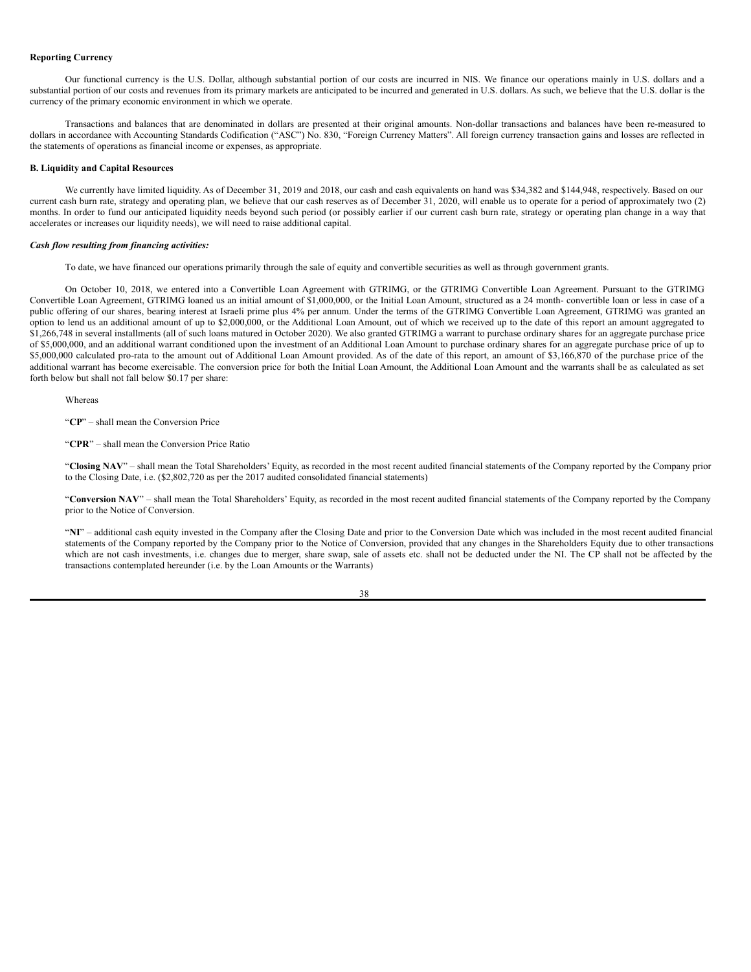#### **Reporting Currency**

Our functional currency is the U.S. Dollar, although substantial portion of our costs are incurred in NIS. We finance our operations mainly in U.S. dollars and a substantial portion of our costs and revenues from its primary markets are anticipated to be incurred and generated in U.S. dollars. As such, we believe that the U.S. dollar is the currency of the primary economic environment in which we operate.

Transactions and balances that are denominated in dollars are presented at their original amounts. Non-dollar transactions and balances have been re-measured to dollars in accordance with Accounting Standards Codification ("ASC") No. 830, "Foreign Currency Matters". All foreign currency transaction gains and losses are reflected in the statements of operations as financial income or expenses, as appropriate.

## **B. Liquidity and Capital Resources**

We currently have limited liquidity. As of December 31, 2019 and 2018, our cash and cash equivalents on hand was \$34,382 and \$144,948, respectively. Based on our current cash burn rate, strategy and operating plan, we believe that our cash reserves as of December 31, 2020, will enable us to operate for a period of approximately two (2) months. In order to fund our anticipated liquidity needs beyond such period (or possibly earlier if our current cash burn rate, strategy or operating plan change in a way that accelerates or increases our liquidity needs), we will need to raise additional capital.

#### *Cash flow resulting from financing activities:*

To date, we have financed our operations primarily through the sale of equity and convertible securities as well as through government grants.

On October 10, 2018, we entered into a Convertible Loan Agreement with GTRIMG, or the GTRIMG Convertible Loan Agreement. Pursuant to the GTRIMG Convertible Loan Agreement, GTRIMG loaned us an initial amount of \$1,000,000, or the Initial Loan Amount, structured as a 24 month- convertible loan or less in case of a public offering of our shares, bearing interest at Israeli prime plus 4% per annum. Under the terms of the GTRIMG Convertible Loan Agreement, GTRIMG was granted an option to lend us an additional amount of up to \$2,000,000, or the Additional Loan Amount, out of which we received up to the date of this report an amount aggregated to \$1,266,748 in several installments (all of such loans matured in October 2020). We also granted GTRIMG a warrant to purchase ordinary shares for an aggregate purchase price of \$5,000,000, and an additional warrant conditioned upon the investment of an Additional Loan Amount to purchase ordinary shares for an aggregate purchase price of up to \$5,000,000 calculated pro-rata to the amount out of Additional Loan Amount provided. As of the date of this report, an amount of \$3,166,870 of the purchase price of the additional warrant has become exercisable. The conversion price for both the Initial Loan Amount, the Additional Loan Amount and the warrants shall be as calculated as set forth below but shall not fall below \$0.17 per share:

#### Whereas

"**CP**" – shall mean the Conversion Price

"**CPR**" – shall mean the Conversion Price Ratio

"**Closing NAV**" – shall mean the Total Shareholders' Equity, as recorded in the most recent audited financial statements of the Company reported by the Company prior to the Closing Date, i.e. (\$2,802,720 as per the 2017 audited consolidated financial statements)

"**Conversion NAV**" – shall mean the Total Shareholders' Equity, as recorded in the most recent audited financial statements of the Company reported by the Company prior to the Notice of Conversion.

"**NI**" – additional cash equity invested in the Company after the Closing Date and prior to the Conversion Date which was included in the most recent audited financial statements of the Company reported by the Company prior to the Notice of Conversion, provided that any changes in the Shareholders Equity due to other transactions which are not cash investments, i.e. changes due to merger, share swap, sale of assets etc. shall not be deducted under the NI. The CP shall not be affected by the transactions contemplated hereunder (i.e. by the Loan Amounts or the Warrants)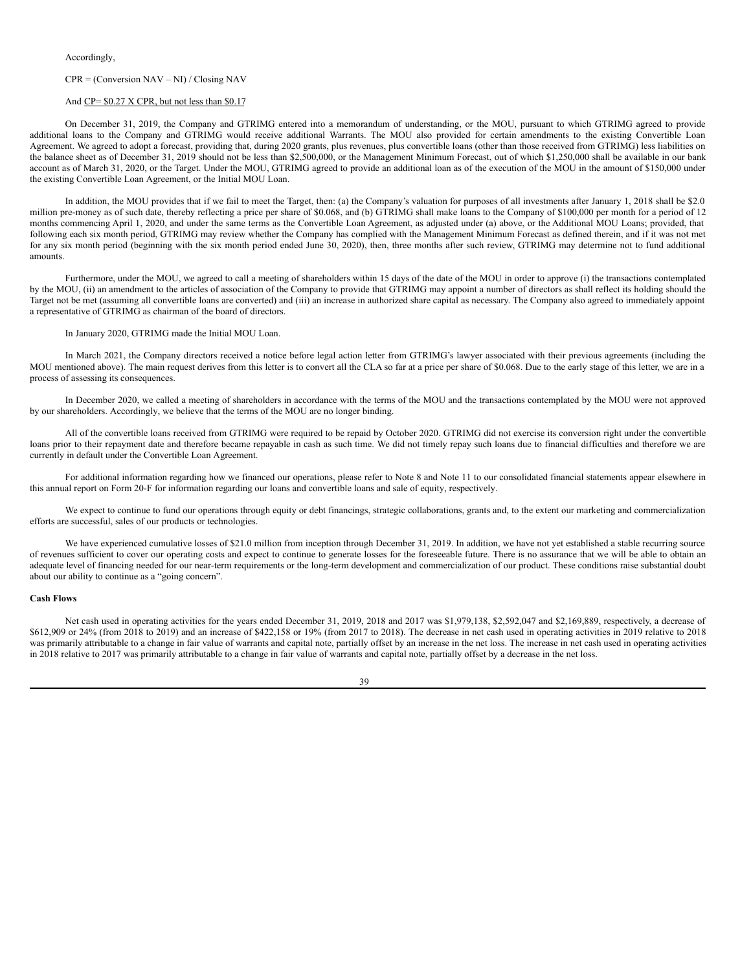## Accordingly,

## CPR = (Conversion NAV – NI) / Closing NAV

# And CP=  $$0.27$  X CPR, but not less than \$0.17

On December 31, 2019, the Company and GTRIMG entered into a memorandum of understanding, or the MOU, pursuant to which GTRIMG agreed to provide additional loans to the Company and GTRIMG would receive additional Warrants. The MOU also provided for certain amendments to the existing Convertible Loan Agreement. We agreed to adopt a forecast, providing that, during 2020 grants, plus revenues, plus convertible loans (other than those received from GTRIMG) less liabilities on the balance sheet as of December 31, 2019 should not be less than \$2,500,000, or the Management Minimum Forecast, out of which \$1,250,000 shall be available in our bank account as of March 31, 2020, or the Target. Under the MOU, GTRIMG agreed to provide an additional loan as of the execution of the MOU in the amount of \$150,000 under the existing Convertible Loan Agreement, or the Initial MOU Loan.

In addition, the MOU provides that if we fail to meet the Target, then: (a) the Company's valuation for purposes of all investments after January 1, 2018 shall be \$2.0 million pre-money as of such date, thereby reflecting a price per share of \$0.068, and (b) GTRIMG shall make loans to the Company of \$100,000 per month for a period of 12 months commencing April 1, 2020, and under the same terms as the Convertible Loan Agreement, as adjusted under (a) above, or the Additional MOU Loans; provided, that following each six month period, GTRIMG may review whether the Company has complied with the Management Minimum Forecast as defined therein, and if it was not met for any six month period (beginning with the six month period ended June 30, 2020), then, three months after such review, GTRIMG may determine not to fund additional amounts.

Furthermore, under the MOU, we agreed to call a meeting of shareholders within 15 days of the date of the MOU in order to approve (i) the transactions contemplated by the MOU, (ii) an amendment to the articles of association of the Company to provide that GTRIMG may appoint a number of directors as shall reflect its holding should the Target not be met (assuming all convertible loans are converted) and (iii) an increase in authorized share capital as necessary. The Company also agreed to immediately appoint a representative of GTRIMG as chairman of the board of directors.

## In January 2020, GTRIMG made the Initial MOU Loan.

In March 2021, the Company directors received a notice before legal action letter from GTRIMG's lawyer associated with their previous agreements (including the MOU mentioned above). The main request derives from this letter is to convert all the CLA so far at a price per share of \$0.068. Due to the early stage of this letter, we are in a process of assessing its consequences.

In December 2020, we called a meeting of shareholders in accordance with the terms of the MOU and the transactions contemplated by the MOU were not approved by our shareholders. Accordingly, we believe that the terms of the MOU are no longer binding.

All of the convertible loans received from GTRIMG were required to be repaid by October 2020. GTRIMG did not exercise its conversion right under the convertible loans prior to their repayment date and therefore became repayable in cash as such time. We did not timely repay such loans due to financial difficulties and therefore we are currently in default under the Convertible Loan Agreement.

For additional information regarding how we financed our operations, please refer to Note 8 and Note 11 to our consolidated financial statements appear elsewhere in this annual report on Form 20-F for information regarding our loans and convertible loans and sale of equity, respectively.

We expect to continue to fund our operations through equity or debt financings, strategic collaborations, grants and, to the extent our marketing and commercialization efforts are successful, sales of our products or technologies.

We have experienced cumulative losses of \$21.0 million from inception through December 31, 2019. In addition, we have not yet established a stable recurring source of revenues sufficient to cover our operating costs and expect to continue to generate losses for the foreseeable future. There is no assurance that we will be able to obtain an adequate level of financing needed for our near-term requirements or the long-term development and commercialization of our product. These conditions raise substantial doubt about our ability to continue as a "going concern".

## **Cash Flows**

Net cash used in operating activities for the years ended December 31, 2019, 2018 and 2017 was \$1,979,138, \$2,592,047 and \$2,169,889, respectively, a decrease of \$612,909 or 24% (from 2018 to 2019) and an increase of \$422,158 or 19% (from 2017 to 2018). The decrease in net cash used in operating activities in 2019 relative to 2018 was primarily attributable to a change in fair value of warrants and capital note, partially offset by an increase in the net loss. The increase in net cash used in operating activities in 2018 relative to 2017 was primarily attributable to a change in fair value of warrants and capital note, partially offset by a decrease in the net loss.

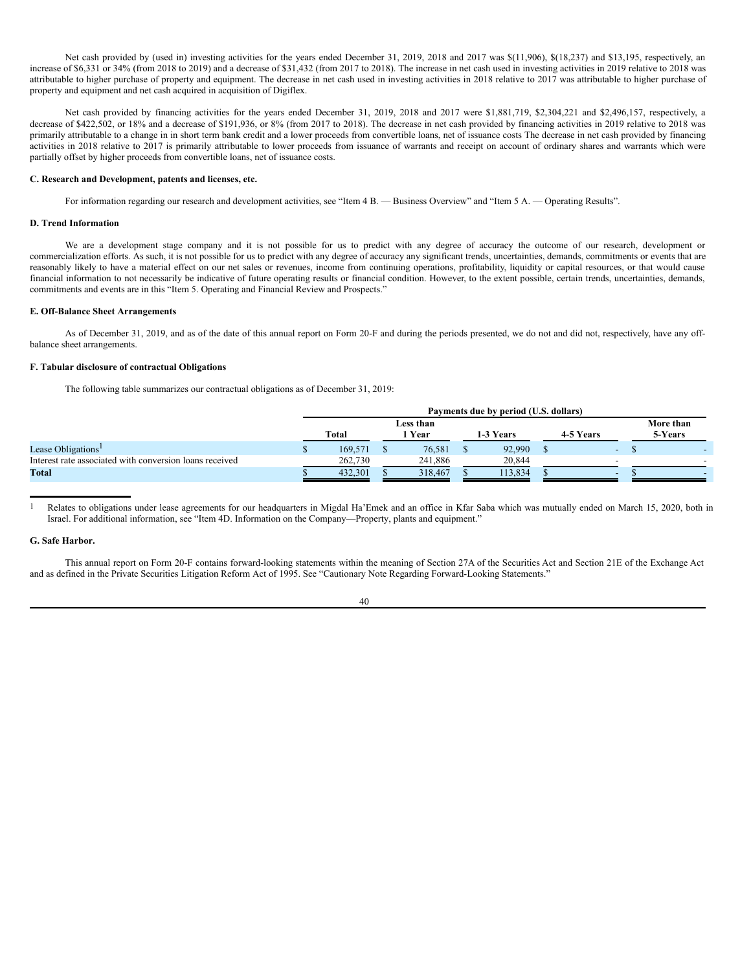Net cash provided by (used in) investing activities for the years ended December 31, 2019, 2018 and 2017 was \$(11,906), \$(18,237) and \$13,195, respectively, an increase of \$6,331 or 34% (from 2018 to 2019) and a decrease of \$31,432 (from 2017 to 2018). The increase in net cash used in investing activities in 2019 relative to 2018 was attributable to higher purchase of property and equipment. The decrease in net cash used in investing activities in 2018 relative to 2017 was attributable to higher purchase of property and equipment and net cash acquired in acquisition of Digiflex.

Net cash provided by financing activities for the years ended December 31, 2019, 2018 and 2017 were \$1,881,719, \$2,304,221 and \$2,496,157, respectively, a decrease of \$422,502, or 18% and a decrease of \$191,936, or 8% (from 2017 to 2018). The decrease in net cash provided by financing activities in 2019 relative to 2018 was primarily attributable to a change in in short term bank credit and a lower proceeds from convertible loans, net of issuance costs The decrease in net cash provided by financing activities in 2018 relative to 2017 is primarily attributable to lower proceeds from issuance of warrants and receipt on account of ordinary shares and warrants which were partially offset by higher proceeds from convertible loans, net of issuance costs.

#### **C. Research and Development, patents and licenses, etc.**

For information regarding our research and development activities, see "Item 4 B. — Business Overview" and "Item 5 A. — Operating Results".

## **D. Trend Information**

We are a development stage company and it is not possible for us to predict with any degree of accuracy the outcome of our research, development or commercialization efforts. As such, it is not possible for us to predict with any degree of accuracy any significant trends, uncertainties, demands, commitments or events that are reasonably likely to have a material effect on our net sales or revenues, income from continuing operations, profitability, liquidity or capital resources, or that would cause financial information to not necessarily be indicative of future operating results or financial condition. However, to the extent possible, certain trends, uncertainties, demands, commitments and events are in this "Item 5. Operating and Financial Review and Prospects."

#### **E. Off-Balance Sheet Arrangements**

As of December 31, 2019, and as of the date of this annual report on Form 20-F and during the periods presented, we do not and did not, respectively, have any offbalance sheet arrangements.

## **F. Tabular disclosure of contractual Obligations**

The following table summarizes our contractual obligations as of December 31, 2019:

|                                                         |           | Payments due by period (U.S. dollars) |  |         |  |           |  |                          |         |
|---------------------------------------------------------|-----------|---------------------------------------|--|---------|--|-----------|--|--------------------------|---------|
|                                                         | Less than |                                       |  |         |  | More than |  |                          |         |
|                                                         |           | <b>Total</b>                          |  | l Year  |  | 1-3 Years |  | 4-5 Years                | 5-Years |
| Lease Obligations <sup>1</sup>                          |           | 169.571                               |  | 76.581  |  | 92,990    |  | $\overline{\phantom{0}}$ |         |
| Interest rate associated with conversion loans received |           | 262,730                               |  | 241,886 |  | 20.844    |  |                          |         |
| <b>Total</b>                                            |           | 432.301                               |  | 318,467 |  | 113.834   |  | $\overline{\phantom{0}}$ |         |

<sup>1</sup> Relates to obligations under lease agreements for our headquarters in Migdal Ha'Emek and an office in Kfar Saba which was mutually ended on March 15, 2020, both in Israel. For additional information, see "Item 4D. Information on the Company—Property, plants and equipment."

## **G. Safe Harbor.**

This annual report on Form 20-F contains forward-looking statements within the meaning of Section 27A of the Securities Act and Section 21E of the Exchange Act and as defined in the Private Securities Litigation Reform Act of 1995. See "Cautionary Note Regarding Forward-Looking Statements."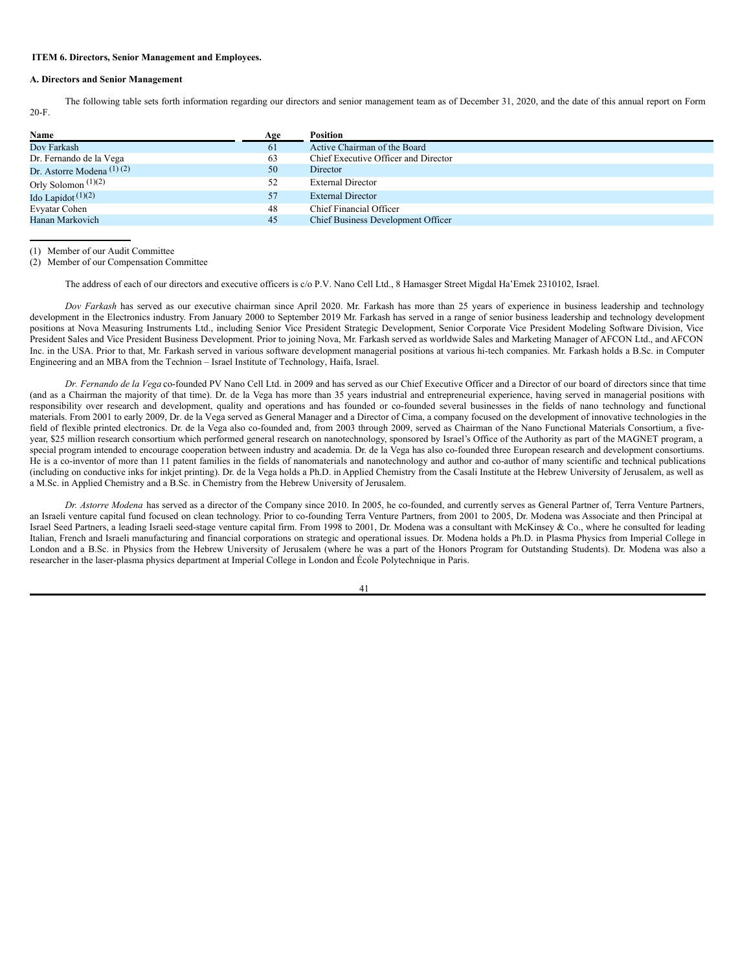## **ITEM 6. Directors, Senior Management and Employees.**

## **A. Directors and Senior Management**

The following table sets forth information regarding our directors and senior management team as of December 31, 2020, and the date of this annual report on Form 20-F.

| Name                           | Age | <b>Position</b>                      |
|--------------------------------|-----|--------------------------------------|
| Dov Farkash                    | 61  | Active Chairman of the Board         |
| Dr. Fernando de la Vega        | 63  | Chief Executive Officer and Director |
| Dr. Astorre Modena $(1)$ $(2)$ | 50  | Director                             |
| Orly Solomon $(1)(2)$          | 52  | <b>External Director</b>             |
| Ido Lapidot <sup>(1)(2)</sup>  | 57  | <b>External Director</b>             |
| Evyatar Cohen                  | 48  | Chief Financial Officer              |
| Hanan Markovich                | 45  | Chief Business Development Officer   |
|                                |     |                                      |

(1) Member of our Audit Committee

(2) Member of our Compensation Committee

The address of each of our directors and executive officers is c/o P.V. Nano Cell Ltd., 8 Hamasger Street Migdal Ha'Emek 2310102, Israel.

*Dov Farkash* has served as our executive chairman since April 2020. Mr. Farkash has more than 25 years of experience in business leadership and technology development in the Electronics industry. From January 2000 to September 2019 Mr. Farkash has served in a range of senior business leadership and technology development positions at Nova Measuring Instruments Ltd., including Senior Vice President Strategic Development, Senior Corporate Vice President Modeling Software Division, Vice President Sales and Vice President Business Development. Prior to joining Nova, Mr. Farkash served as worldwide Sales and Marketing Manager of AFCON Ltd., and AFCON Inc. in the USA. Prior to that, Mr. Farkash served in various software development managerial positions at various hi-tech companies. Mr. Farkash holds a B.Sc. in Computer Engineering and an MBA from the Technion – Israel Institute of Technology, Haifa, Israel.

*Dr. Fernando de la Vega* co-founded PV Nano Cell Ltd. in 2009 and has served as our Chief Executive Officer and a Director of our board of directors since that time (and as a Chairman the majority of that time). Dr. de la Vega has more than 35 years industrial and entrepreneurial experience, having served in managerial positions with responsibility over research and development, quality and operations and has founded or co-founded several businesses in the fields of nano technology and functional materials. From 2001 to early 2009, Dr. de la Vega served as General Manager and a Director of Cima, a company focused on the development of innovative technologies in the field of flexible printed electronics. Dr. de la Vega also co-founded and, from 2003 through 2009, served as Chairman of the Nano Functional Materials Consortium, a fiveyear, \$25 million research consortium which performed general research on nanotechnology, sponsored by Israel's Office of the Authority as part of the MAGNET program, a special program intended to encourage cooperation between industry and academia. Dr. de la Vega has also co-founded three European research and development consortiums. He is a co-inventor of more than 11 patent families in the fields of nanomaterials and nanotechnology and author and co-author of many scientific and technical publications (including on conductive inks for inkjet printing). Dr. de la Vega holds a Ph.D. in Applied Chemistry from the Casali Institute at the Hebrew University of Jerusalem, as well as a M.Sc. in Applied Chemistry and a B.Sc. in Chemistry from the Hebrew University of Jerusalem.

*Dr. Astorre Modena* has served as a director of the Company since 2010. In 2005, he co-founded, and currently serves as General Partner of, Terra Venture Partners, an Israeli venture capital fund focused on clean technology. Prior to co-founding Terra Venture Partners, from 2001 to 2005, Dr. Modena was Associate and then Principal at Israel Seed Partners, a leading Israeli seed-stage venture capital firm. From 1998 to 2001, Dr. Modena was a consultant with McKinsey & Co., where he consulted for leading Italian, French and Israeli manufacturing and financial corporations on strategic and operational issues. Dr. Modena holds a Ph.D. in Plasma Physics from Imperial College in London and a B.Sc. in Physics from the Hebrew University of Jerusalem (where he was a part of the Honors Program for Outstanding Students). Dr. Modena was also a researcher in the laser-plasma physics department at Imperial College in London and École Polytechnique in Paris.

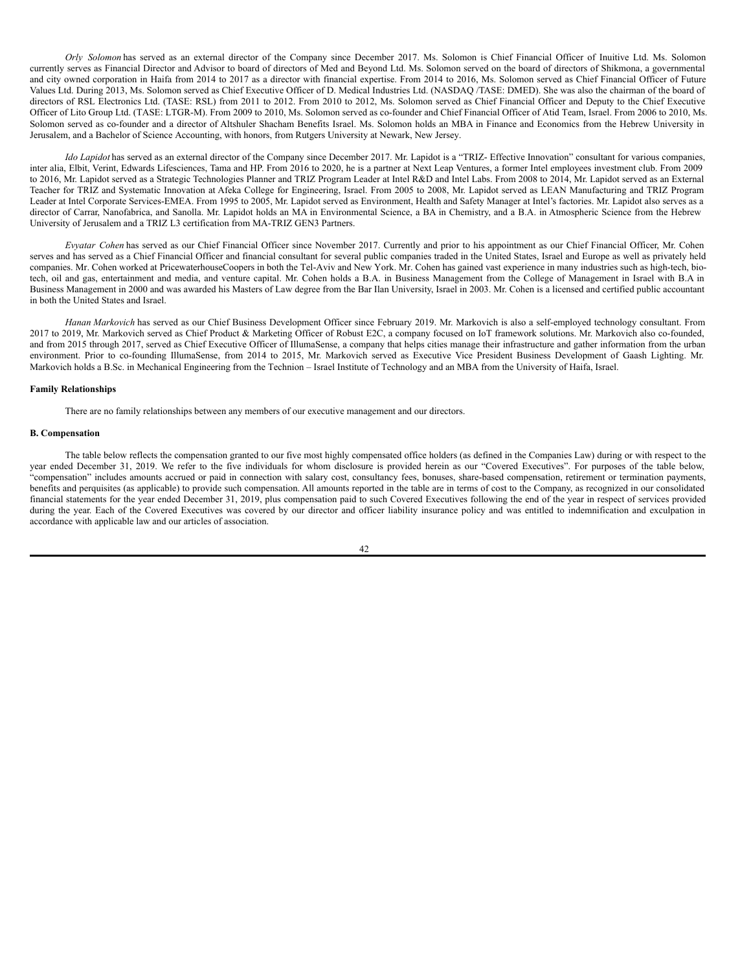*Orly Solomon* has served as an external director of the Company since December 2017. Ms. Solomon is Chief Financial Officer of Inuitive Ltd. Ms. Solomon currently serves as Financial Director and Advisor to board of directors of Med and Beyond Ltd. Ms. Solomon served on the board of directors of Shikmona, a governmental and city owned corporation in Haifa from 2014 to 2017 as a director with financial expertise. From 2014 to 2016, Ms. Solomon served as Chief Financial Officer of Future Values Ltd. During 2013, Ms. Solomon served as Chief Executive Officer of D. Medical Industries Ltd. (NASDAQ /TASE: DMED). She was also the chairman of the board of directors of RSL Electronics Ltd. (TASE: RSL) from 2011 to 2012. From 2010 to 2012, Ms. Solomon served as Chief Financial Officer and Deputy to the Chief Executive Officer of Lito Group Ltd. (TASE: LTGR-M). From 2009 to 2010, Ms. Solomon served as co-founder and Chief Financial Officer of Atid Team, Israel. From 2006 to 2010, Ms. Solomon served as co-founder and a director of Altshuler Shacham Benefits Israel. Ms. Solomon holds an MBA in Finance and Economics from the Hebrew University in Jerusalem, and a Bachelor of Science Accounting, with honors, from Rutgers University at Newark, New Jersey.

*Ido Lapidot* has served as an external director of the Company since December 2017. Mr. Lapidot is a "TRIZ- Effective Innovation" consultant for various companies, inter alia, Elbit, Verint, Edwards Lifesciences, Tama and HP. From 2016 to 2020, he is a partner at Next Leap Ventures, a former Intel employees investment club. From 2009 to 2016, Mr. Lapidot served as a Strategic Technologies Planner and TRIZ Program Leader at Intel R&D and Intel Labs. From 2008 to 2014, Mr. Lapidot served as an External Teacher for TRIZ and Systematic Innovation at Afeka College for Engineering, Israel. From 2005 to 2008, Mr. Lapidot served as LEAN Manufacturing and TRIZ Program Leader at Intel Corporate Services-EMEA. From 1995 to 2005, Mr. Lapidot served as Environment, Health and Safety Manager at Intel's factories. Mr. Lapidot also serves as a director of Carrar, Nanofabrica, and Sanolla. Mr. Lapidot holds an MA in Environmental Science, a BA in Chemistry, and a B.A. in Atmospheric Science from the Hebrew University of Jerusalem and a TRIZ L3 certification from MA-TRIZ GEN3 Partners.

*Evyatar Cohen* has served as our Chief Financial Officer since November 2017. Currently and prior to his appointment as our Chief Financial Officer, Mr. Cohen serves and has served as a Chief Financial Officer and financial consultant for several public companies traded in the United States, Israel and Europe as well as privately held companies. Mr. Cohen worked at PricewaterhouseCoopers in both the Tel-Aviv and New York. Mr. Cohen has gained vast experience in many industries such as high-tech, biotech, oil and gas, entertainment and media, and venture capital. Mr. Cohen holds a B.A. in Business Management from the College of Management in Israel with B.A in Business Management in 2000 and was awarded his Masters of Law degree from the Bar Ilan University, Israel in 2003. Mr. Cohen is a licensed and certified public accountant in both the United States and Israel.

*Hanan Markovich* has served as our Chief Business Development Officer since February 2019. Mr. Markovich is also a self-employed technology consultant. From 2017 to 2019, Mr. Markovich served as Chief Product & Marketing Officer of Robust E2C, a company focused on IoT framework solutions. Mr. Markovich also co-founded, and from 2015 through 2017, served as Chief Executive Officer of IllumaSense, a company that helps cities manage their infrastructure and gather information from the urban environment. Prior to co-founding IllumaSense, from 2014 to 2015, Mr. Markovich served as Executive Vice President Business Development of Gaash Lighting. Mr. Markovich holds a B.Sc. in Mechanical Engineering from the Technion – Israel Institute of Technology and an MBA from the University of Haifa, Israel.

## **Family Relationships**

There are no family relationships between any members of our executive management and our directors.

## **B. Compensation**

The table below reflects the compensation granted to our five most highly compensated office holders (as defined in the Companies Law) during or with respect to the year ended December 31, 2019. We refer to the five individuals for whom disclosure is provided herein as our "Covered Executives". For purposes of the table below, "compensation" includes amounts accrued or paid in connection with salary cost, consultancy fees, bonuses, share-based compensation, retirement or termination payments, benefits and perquisites (as applicable) to provide such compensation. All amounts reported in the table are in terms of cost to the Company, as recognized in our consolidated financial statements for the year ended December 31, 2019, plus compensation paid to such Covered Executives following the end of the year in respect of services provided during the year. Each of the Covered Executives was covered by our director and officer liability insurance policy and was entitled to indemnification and exculpation in accordance with applicable law and our articles of association.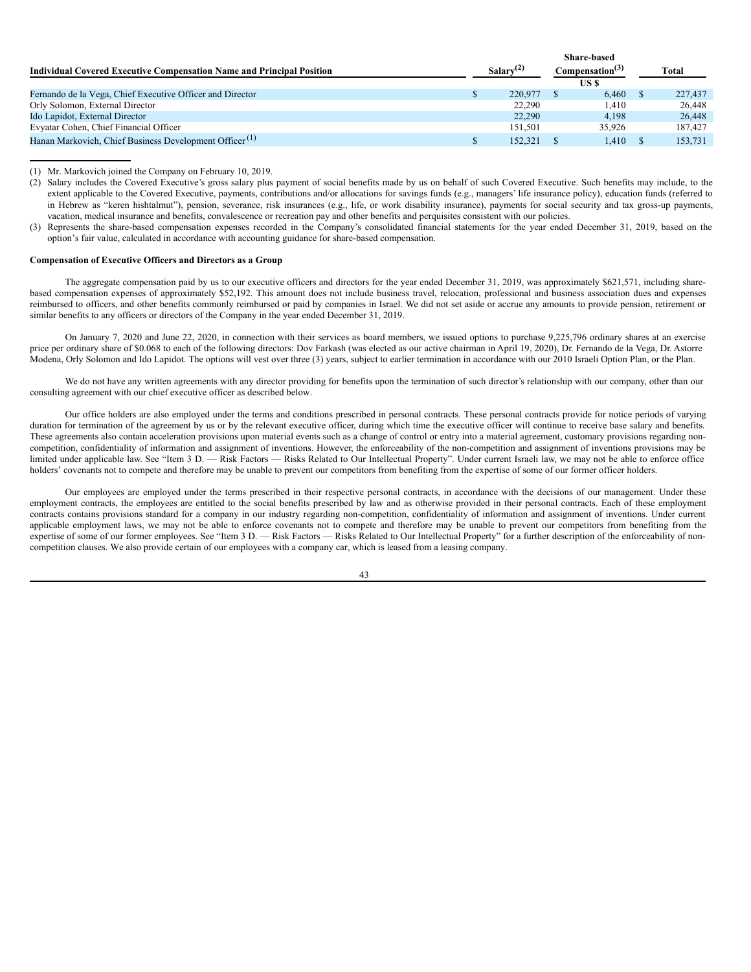|                                                                              |                       | Share-based                 |         |
|------------------------------------------------------------------------------|-----------------------|-----------------------------|---------|
| <b>Individual Covered Executive Compensation Name and Principal Position</b> | Salarv <sup>(2)</sup> | Compensation <sup>(3)</sup> | Total   |
|                                                                              |                       | US \$                       |         |
| Fernando de la Vega, Chief Executive Officer and Director                    | 220,977               | 6.460                       | 227,437 |
| Orly Solomon, External Director                                              | 22.290                | 1.410                       | 26,448  |
| Ido Lapidot, External Director                                               | 22,290                | 4.198                       | 26,448  |
| Evyatar Cohen, Chief Financial Officer                                       | 151.501               | 35,926                      | 187,427 |
| Hanan Markovich, Chief Business Development Officer <sup>(1)</sup>           | 152.321               | 1.410                       | 153.731 |

(1) Mr. Markovich joined the Company on February 10, 2019.

- (2) Salary includes the Covered Executive's gross salary plus payment of social benefits made by us on behalf of such Covered Executive. Such benefits may include, to the extent applicable to the Covered Executive, payments, contributions and/or allocations for savings funds (e.g., managers' life insurance policy), education funds (referred to in Hebrew as "keren hishtalmut"), pension, severance, risk insurances (e.g., life, or work disability insurance), payments for social security and tax gross-up payments, vacation, medical insurance and benefits, convalescence or recreation pay and other benefits and perquisites consistent with our policies.
- (3) Represents the share-based compensation expenses recorded in the Company's consolidated financial statements for the year ended December 31, 2019, based on the option's fair value, calculated in accordance with accounting guidance for share-based compensation.

## **Compensation of Executive Officers and Directors as a Group**

The aggregate compensation paid by us to our executive officers and directors for the year ended December 31, 2019, was approximately \$621,571, including sharebased compensation expenses of approximately \$52,192. This amount does not include business travel, relocation, professional and business association dues and expenses reimbursed to officers, and other benefits commonly reimbursed or paid by companies in Israel. We did not set aside or accrue any amounts to provide pension, retirement or similar benefits to any officers or directors of the Company in the year ended December 31, 2019.

On January 7, 2020 and June 22, 2020, in connection with their services as board members, we issued options to purchase 9,225,796 ordinary shares at an exercise price per ordinary share of \$0.068 to each of the following directors: Dov Farkash (was elected as our active chairman in April 19, 2020), Dr. Fernando de la Vega, Dr. Astorre Modena, Orly Solomon and Ido Lapidot. The options will vest over three (3) years, subject to earlier termination in accordance with our 2010 Israeli Option Plan, or the Plan.

We do not have any written agreements with any director providing for benefits upon the termination of such director's relationship with our company, other than our consulting agreement with our chief executive officer as described below.

Our office holders are also employed under the terms and conditions prescribed in personal contracts. These personal contracts provide for notice periods of varying duration for termination of the agreement by us or by the relevant executive officer, during which time the executive officer will continue to receive base salary and benefits. These agreements also contain acceleration provisions upon material events such as a change of control or entry into a material agreement, customary provisions regarding noncompetition, confidentiality of information and assignment of inventions. However, the enforceability of the non-competition and assignment of inventions provisions may be limited under applicable law. See "Item 3 D. — Risk Factors — Risks Related to Our Intellectual Property". Under current Israeli law, we may not be able to enforce office holders' covenants not to compete and therefore may be unable to prevent our competitors from benefiting from the expertise of some of our former officer holders.

Our employees are employed under the terms prescribed in their respective personal contracts, in accordance with the decisions of our management. Under these employment contracts, the employees are entitled to the social benefits prescribed by law and as otherwise provided in their personal contracts. Each of these employment contracts contains provisions standard for a company in our industry regarding non-competition, confidentiality of information and assignment of inventions. Under current applicable employment laws, we may not be able to enforce covenants not to compete and therefore may be unable to prevent our competitors from benefiting from the expertise of some of our former employees. See "Item 3 D. — Risk Factors — Risks Related to Our Intellectual Property" for a further description of the enforceability of noncompetition clauses. We also provide certain of our employees with a company car, which is leased from a leasing company.

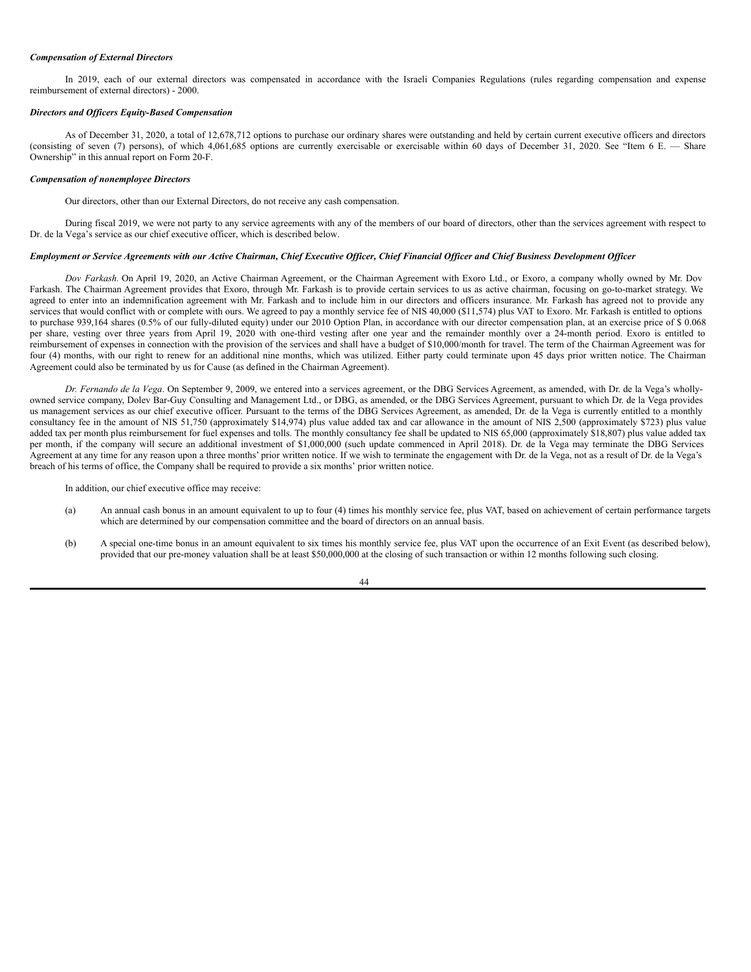### *Compensation of External Directors*

In 2019, each of our external directors was compensated in accordance with the Israeli Companies Regulations (rules regarding compensation and expense reimbursement of external directors) - 2000.

## *Directors and Of icers Equity-Based Compensation*

As of December 31, 2020, a total of 12,678,712 options to purchase our ordinary shares were outstanding and held by certain current executive officers and directors (consisting of seven (7) persons), of which 4,061,685 options are currently exercisable or exercisable within 60 days of December 31, 2020. See "Item 6 E. — Share Ownership" in this annual report on Form 20-F.

#### *Compensation of nonemployee Directors*

Our directors, other than our External Directors, do not receive any cash compensation.

During fiscal 2019, we were not party to any service agreements with any of the members of our board of directors, other than the services agreement with respect to Dr. de la Vega's service as our chief executive officer, which is described below.

# Employment or Service Agreements with our Active Chairman, Chief Executive Officer, Chief Financial Officer and Chief Business Development Officer

*Dov Farkash.* On April 19, 2020, an Active Chairman Agreement, or the Chairman Agreement with Exoro Ltd., or Exoro, a company wholly owned by Mr. Dov Farkash. The Chairman Agreement provides that Exoro, through Mr. Farkash is to provide certain services to us as active chairman, focusing on go-to-market strategy. We agreed to enter into an indemnification agreement with Mr. Farkash and to include him in our directors and officers insurance. Mr. Farkash has agreed not to provide any services that would conflict with or complete with ours. We agreed to pay a monthly service fee of NIS 40,000 (\$11,574) plus VAT to Exoro. Mr. Farkash is entitled to options to purchase 939,164 shares (0.5% of our fully-diluted equity) under our 2010 Option Plan, in accordance with our director compensation plan, at an exercise price of \$ 0.068 per share, vesting over three years from April 19, 2020 with one-third vesting after one year and the remainder monthly over a 24-month period. Exoro is entitled to reimbursement of expenses in connection with the provision of the services and shall have a budget of \$10,000/month for travel. The term of the Chairman Agreement was for four (4) months, with our right to renew for an additional nine months, which was utilized. Either party could terminate upon 45 days prior written notice. The Chairman Agreement could also be terminated by us for Cause (as defined in the Chairman Agreement).

*Dr. Fernando de la Vega*. On September 9, 2009, we entered into a services agreement, or the DBG Services Agreement, as amended, with Dr. de la Vega's whollyowned service company, Dolev Bar-Guy Consulting and Management Ltd., or DBG, as amended, or the DBG Services Agreement, pursuant to which Dr. de la Vega provides us management services as our chief executive officer. Pursuant to the terms of the DBG Services Agreement, as amended, Dr. de la Vega is currently entitled to a monthly consultancy fee in the amount of NIS 51,750 (approximately \$14,974) plus value added tax and car allowance in the amount of NIS 2,500 (approximately \$723) plus value added tax per month plus reimbursement for fuel expenses and tolls. The monthly consultancy fee shall be updated to NIS 65,000 (approximately \$18,807) plus value added tax per month, if the company will secure an additional investment of \$1,000,000 (such update commenced in April 2018). Dr. de la Vega may terminate the DBG Services Agreement at any time for any reason upon a three months' prior written notice. If we wish to terminate the engagement with Dr. de la Vega, not as a result of Dr. de la Vega's breach of his terms of office, the Company shall be required to provide a six months' prior written notice.

In addition, our chief executive office may receive:

- (a) An annual cash bonus in an amount equivalent to up to four (4) times his monthly service fee, plus VAT, based on achievement of certain performance targets which are determined by our compensation committee and the board of directors on an annual basis.
- (b) A special one-time bonus in an amount equivalent to six times his monthly service fee, plus VAT upon the occurrence of an Exit Event (as described below), provided that our pre-money valuation shall be at least \$50,000,000 at the closing of such transaction or within 12 months following such closing.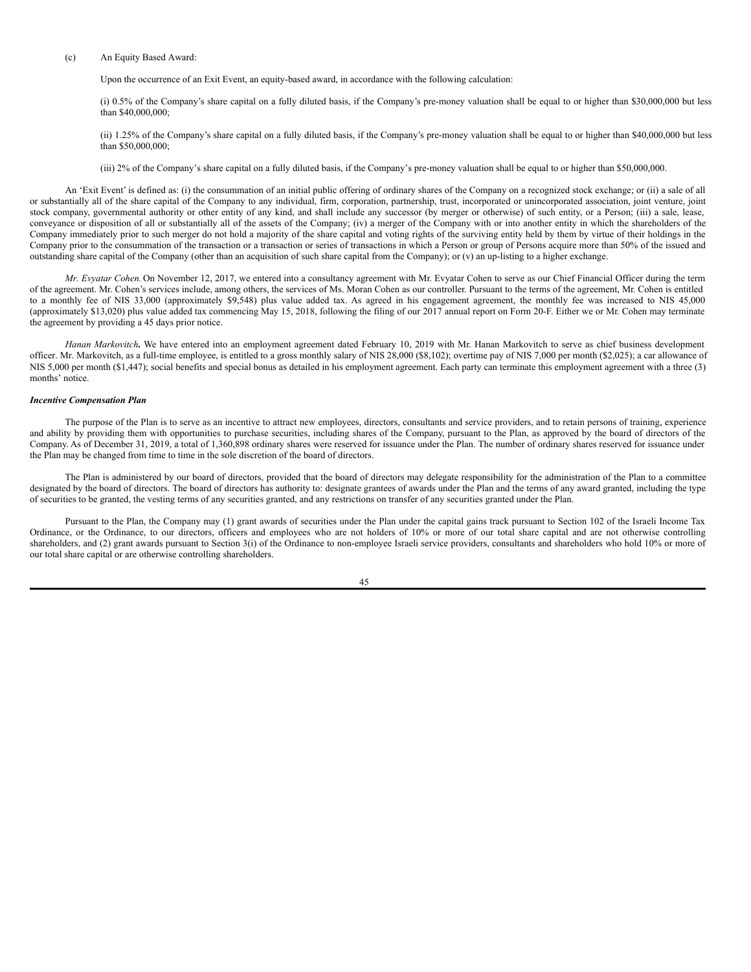#### (c) An Equity Based Award:

Upon the occurrence of an Exit Event, an equity-based award, in accordance with the following calculation:

(i) 0.5% of the Company's share capital on a fully diluted basis, if the Company's pre-money valuation shall be equal to or higher than \$30,000,000 but less than \$40,000,000;

(ii) 1.25% of the Company's share capital on a fully diluted basis, if the Company's pre-money valuation shall be equal to or higher than \$40,000,000 but less than  $$50,000,000$ ;

(iii) 2% of the Company's share capital on a fully diluted basis, if the Company's pre-money valuation shall be equal to or higher than \$50,000,000.

An 'Exit Event' is defined as: (i) the consummation of an initial public offering of ordinary shares of the Company on a recognized stock exchange; or (ii) a sale of all or substantially all of the share capital of the Company to any individual, firm, corporation, partnership, trust, incorporated or unincorporated association, joint venture, joint stock company, governmental authority or other entity of any kind, and shall include any successor (by merger or otherwise) of such entity, or a Person; (iii) a sale, lease, conveyance or disposition of all or substantially all of the assets of the Company; (iv) a merger of the Company with or into another entity in which the shareholders of the Company immediately prior to such merger do not hold a majority of the share capital and voting rights of the surviving entity held by them by virtue of their holdings in the Company prior to the consummation of the transaction or a transaction or series of transactions in which a Person or group of Persons acquire more than 50% of the issued and outstanding share capital of the Company (other than an acquisition of such share capital from the Company); or (v) an up-listing to a higher exchange.

*Mr. Evyatar Cohen.* On November 12, 2017, we entered into a consultancy agreement with Mr. Evyatar Cohen to serve as our Chief Financial Officer during the term of the agreement. Mr. Cohen's services include, among others, the services of Ms. Moran Cohen as our controller. Pursuant to the terms of the agreement, Mr. Cohen is entitled to a monthly fee of NIS 33,000 (approximately \$9,548) plus value added tax. As agreed in his engagement agreement, the monthly fee was increased to NIS 45,000 (approximately \$13,020) plus value added tax commencing May 15, 2018, following the filing of our 2017 annual report on Form 20-F. Either we or Mr. Cohen may terminate the agreement by providing a 45 days prior notice.

*Hanan Markovitch***.** We have entered into an employment agreement dated February 10, 2019 with Mr. Hanan Markovitch to serve as chief business development officer. Mr. Markovitch, as a full-time employee, is entitled to a gross monthly salary of NIS 28,000 (\$8,102); overtime pay of NIS 7,000 per month (\$2,025); a car allowance of NIS 5,000 per month (\$1,447); social benefits and special bonus as detailed in his employment agreement. Each party can terminate this employment agreement with a three (3) months' notice.

### *Incentive Compensation Plan*

The purpose of the Plan is to serve as an incentive to attract new employees, directors, consultants and service providers, and to retain persons of training, experience and ability by providing them with opportunities to purchase securities, including shares of the Company, pursuant to the Plan, as approved by the board of directors of the Company. As of December 31, 2019, a total of 1,360,898 ordinary shares were reserved for issuance under the Plan. The number of ordinary shares reserved for issuance under the Plan may be changed from time to time in the sole discretion of the board of directors.

The Plan is administered by our board of directors, provided that the board of directors may delegate responsibility for the administration of the Plan to a committee designated by the board of directors. The board of directors has authority to: designate grantees of awards under the Plan and the terms of any award granted, including the type of securities to be granted, the vesting terms of any securities granted, and any restrictions on transfer of any securities granted under the Plan.

Pursuant to the Plan, the Company may (1) grant awards of securities under the Plan under the capital gains track pursuant to Section 102 of the Israeli Income Tax Ordinance, or the Ordinance, to our directors, officers and employees who are not holders of 10% or more of our total share capital and are not otherwise controlling shareholders, and (2) grant awards pursuant to Section 3(i) of the Ordinance to non-employee Israeli service providers, consultants and shareholders who hold 10% or more of our total share capital or are otherwise controlling shareholders.

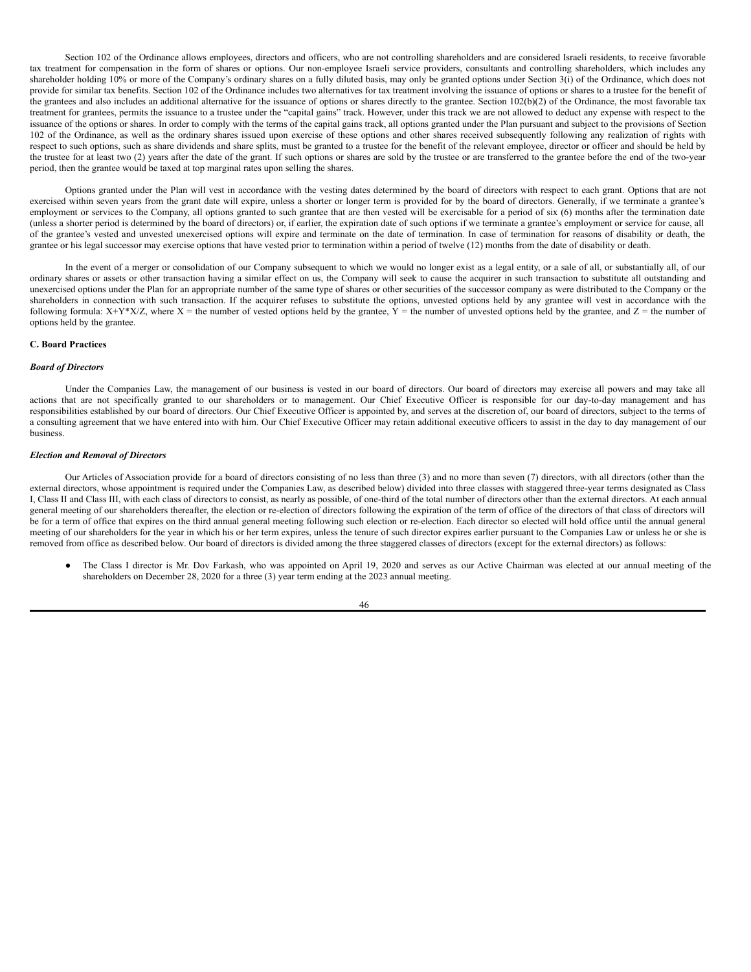Section 102 of the Ordinance allows employees, directors and officers, who are not controlling shareholders and are considered Israeli residents, to receive favorable tax treatment for compensation in the form of shares or options. Our non-employee Israeli service providers, consultants and controlling shareholders, which includes any shareholder holding 10% or more of the Company's ordinary shares on a fully diluted basis, may only be granted options under Section 3(i) of the Ordinance, which does not provide for similar tax benefits. Section 102 of the Ordinance includes two alternatives for tax treatment involving the issuance of options or shares to a trustee for the benefit of the grantees and also includes an additional alternative for the issuance of options or shares directly to the grantee. Section 102(b)(2) of the Ordinance, the most favorable tax treatment for grantees, permits the issuance to a trustee under the "capital gains" track. However, under this track we are not allowed to deduct any expense with respect to the issuance of the options or shares. In order to comply with the terms of the capital gains track, all options granted under the Plan pursuant and subject to the provisions of Section 102 of the Ordinance, as well as the ordinary shares issued upon exercise of these options and other shares received subsequently following any realization of rights with respect to such options, such as share dividends and share splits, must be granted to a trustee for the benefit of the relevant employee, director or officer and should be held by the trustee for at least two (2) years after the date of the grant. If such options or shares are sold by the trustee or are transferred to the grantee before the end of the two-year period, then the grantee would be taxed at top marginal rates upon selling the shares.

Options granted under the Plan will vest in accordance with the vesting dates determined by the board of directors with respect to each grant. Options that are not exercised within seven years from the grant date will expire, unless a shorter or longer term is provided for by the board of directors. Generally, if we terminate a grantee's employment or services to the Company, all options granted to such grantee that are then vested will be exercisable for a period of six (6) months after the termination date (unless a shorter period is determined by the board of directors) or, if earlier, the expiration date of such options if we terminate a grantee's employment or service for cause, all of the grantee's vested and unvested unexercised options will expire and terminate on the date of termination. In case of termination for reasons of disability or death, the grantee or his legal successor may exercise options that have vested prior to termination within a period of twelve (12) months from the date of disability or death.

In the event of a merger or consolidation of our Company subsequent to which we would no longer exist as a legal entity, or a sale of all, or substantially all, of our ordinary shares or assets or other transaction having a similar effect on us, the Company will seek to cause the acquirer in such transaction to substitute all outstanding and unexercised options under the Plan for an appropriate number of the same type of shares or other securities of the successor company as were distributed to the Company or the shareholders in connection with such transaction. If the acquirer refuses to substitute the options, unvested options held by any grantee will vest in accordance with the following formula:  $X+Y^*X/Z$ , where  $X =$  the number of vested options held by the grantee,  $\overline{Y} =$  the number of unvested options held by the grantee, and  $Z =$  the number of options held by the grantee.

## **C. Board Practices**

# *Board of Directors*

Under the Companies Law, the management of our business is vested in our board of directors. Our board of directors may exercise all powers and may take all actions that are not specifically granted to our shareholders or to management. Our Chief Executive Officer is responsible for our day-to-day management and has responsibilities established by our board of directors. Our Chief Executive Officer is appointed by, and serves at the discretion of, our board of directors, subject to the terms of a consulting agreement that we have entered into with him. Our Chief Executive Officer may retain additional executive officers to assist in the day to day management of our business.

# *Election and Removal of Directors*

Our Articles of Association provide for a board of directors consisting of no less than three (3) and no more than seven (7) directors, with all directors (other than the external directors, whose appointment is required under the Companies Law, as described below) divided into three classes with staggered three-year terms designated as Class I, Class II and Class III, with each class of directors to consist, as nearly as possible, of one-third of the total number of directors other than the external directors. At each annual general meeting of our shareholders thereafter, the election or re-election of directors following the expiration of the term of office of the directors of that class of directors will be for a term of office that expires on the third annual general meeting following such election or re-election. Each director so elected will hold office until the annual general meeting of our shareholders for the year in which his or her term expires, unless the tenure of such director expires earlier pursuant to the Companies Law or unless he or she is removed from office as described below. Our board of directors is divided among the three staggered classes of directors (except for the external directors) as follows:

● The Class I director is Mr. Dov Farkash, who was appointed on April 19, 2020 and serves as our Active Chairman was elected at our annual meeting of the shareholders on December 28, 2020 for a three (3) year term ending at the 2023 annual meeting.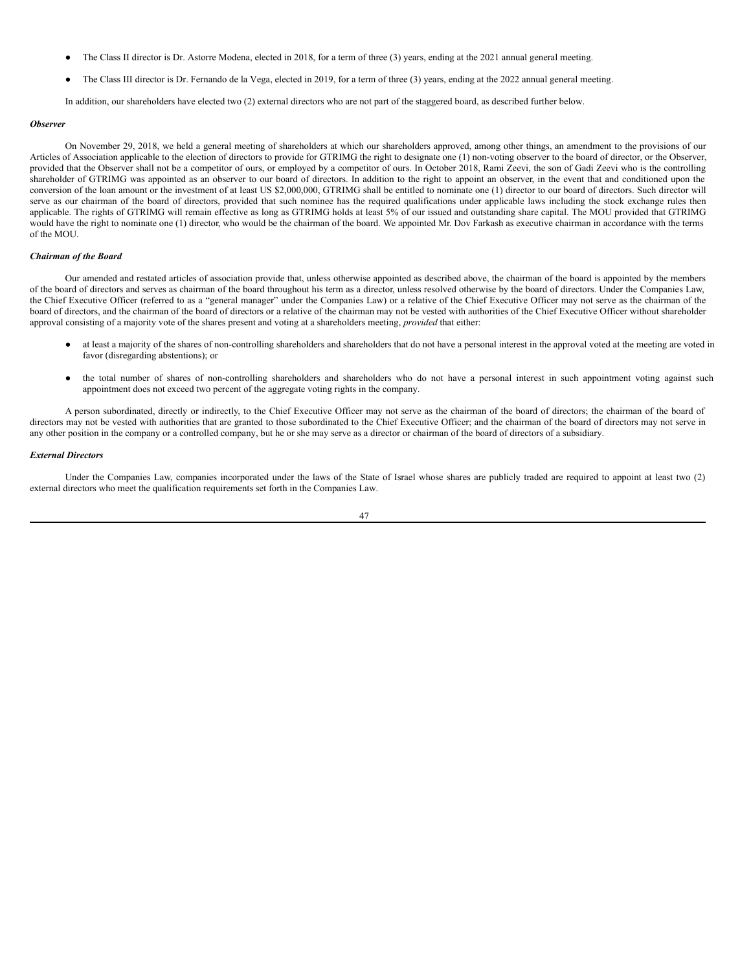- The Class II director is Dr. Astorre Modena, elected in 2018, for a term of three (3) years, ending at the 2021 annual general meeting.
- The Class III director is Dr. Fernando de la Vega, elected in 2019, for a term of three (3) years, ending at the 2022 annual general meeting.

In addition, our shareholders have elected two (2) external directors who are not part of the staggered board, as described further below.

## *Observer*

On November 29, 2018, we held a general meeting of shareholders at which our shareholders approved, among other things, an amendment to the provisions of our Articles of Association applicable to the election of directors to provide for GTRIMG the right to designate one (1) non-voting observer to the board of director, or the Observer, provided that the Observer shall not be a competitor of ours, or employed by a competitor of ours. In October 2018, Rami Zeevi, the son of Gadi Zeevi who is the controlling shareholder of GTRIMG was appointed as an observer to our board of directors. In addition to the right to appoint an observer, in the event that and conditioned upon the conversion of the loan amount or the investment of at least US \$2,000,000, GTRIMG shall be entitled to nominate one (1) director to our board of directors. Such director will serve as our chairman of the board of directors, provided that such nominee has the required qualifications under applicable laws including the stock exchange rules then applicable. The rights of GTRIMG will remain effective as long as GTRIMG holds at least 5% of our issued and outstanding share capital. The MOU provided that GTRIMG would have the right to nominate one (1) director, who would be the chairman of the board. We appointed Mr. Dov Farkash as executive chairman in accordance with the terms of the MOU.

## *Chairman of the Board*

Our amended and restated articles of association provide that, unless otherwise appointed as described above, the chairman of the board is appointed by the members of the board of directors and serves as chairman of the board throughout his term as a director, unless resolved otherwise by the board of directors. Under the Companies Law, the Chief Executive Officer (referred to as a "general manager" under the Companies Law) or a relative of the Chief Executive Officer may not serve as the chairman of the board of directors, and the chairman of the board of directors or a relative of the chairman may not be vested with authorities of the Chief Executive Officer without shareholder approval consisting of a majority vote of the shares present and voting at a shareholders meeting, *provided* that either:

- at least a majority of the shares of non-controlling shareholders and shareholders that do not have a personal interest in the approval voted at the meeting are voted in favor (disregarding abstentions); or
- the total number of shares of non-controlling shareholders and shareholders who do not have a personal interest in such appointment voting against such appointment does not exceed two percent of the aggregate voting rights in the company.

A person subordinated, directly or indirectly, to the Chief Executive Officer may not serve as the chairman of the board of directors; the chairman of the board of directors may not be vested with authorities that are granted to those subordinated to the Chief Executive Officer; and the chairman of the board of directors may not serve in any other position in the company or a controlled company, but he or she may serve as a director or chairman of the board of directors of a subsidiary.

## *External Directors*

Under the Companies Law, companies incorporated under the laws of the State of Israel whose shares are publicly traded are required to appoint at least two (2) external directors who meet the qualification requirements set forth in the Companies Law.

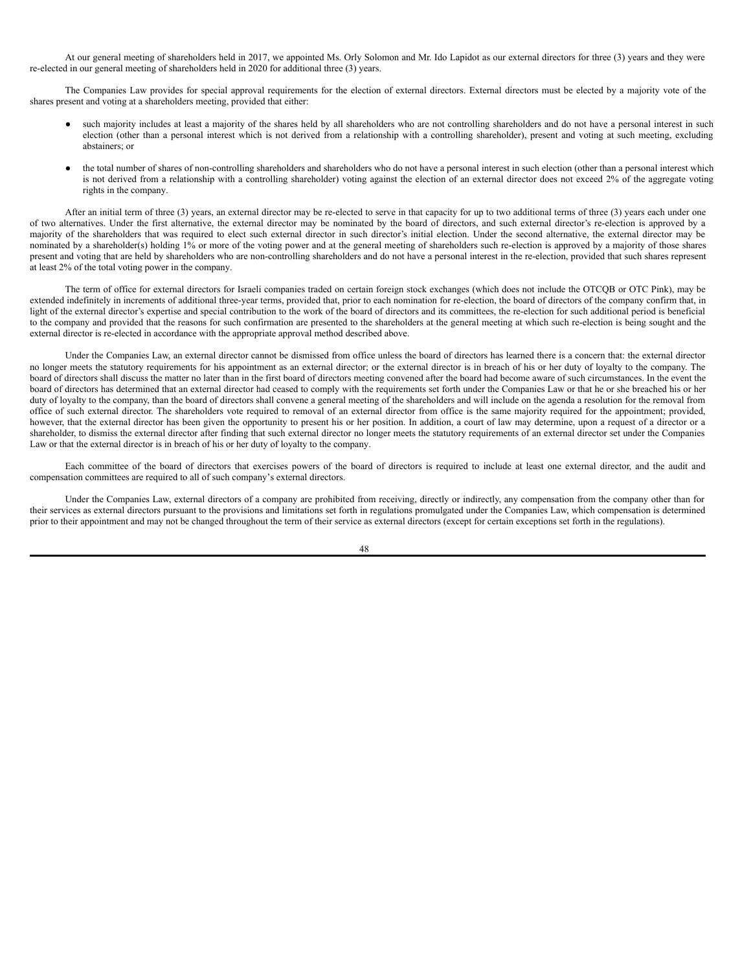At our general meeting of shareholders held in 2017, we appointed Ms. Orly Solomon and Mr. Ido Lapidot as our external directors for three (3) years and they were re-elected in our general meeting of shareholders held in 2020 for additional three (3) years.

The Companies Law provides for special approval requirements for the election of external directors. External directors must be elected by a majority vote of the shares present and voting at a shareholders meeting, provided that either:

- such majority includes at least a majority of the shares held by all shareholders who are not controlling shareholders and do not have a personal interest in such election (other than a personal interest which is not derived from a relationship with a controlling shareholder), present and voting at such meeting, excluding abstainers; or
- the total number of shares of non-controlling shareholders and shareholders who do not have a personal interest in such election (other than a personal interest which is not derived from a relationship with a controlling shareholder) voting against the election of an external director does not exceed 2% of the aggregate voting rights in the company.

After an initial term of three (3) years, an external director may be re-elected to serve in that capacity for up to two additional terms of three (3) years each under one of two alternatives. Under the first alternative, the external director may be nominated by the board of directors, and such external director's re-election is approved by a majority of the shareholders that was required to elect such external director in such director's initial election. Under the second alternative, the external director may be nominated by a shareholder(s) holding 1% or more of the voting power and at the general meeting of shareholders such re-election is approved by a majority of those shares present and voting that are held by shareholders who are non-controlling shareholders and do not have a personal interest in the re-election, provided that such shares represent at least 2% of the total voting power in the company.

The term of office for external directors for Israeli companies traded on certain foreign stock exchanges (which does not include the OTCQB or OTC Pink), may be extended indefinitely in increments of additional three-year terms, provided that, prior to each nomination for re-election, the board of directors of the company confirm that, in light of the external director's expertise and special contribution to the work of the board of directors and its committees, the re-election for such additional period is beneficial to the company and provided that the reasons for such confirmation are presented to the shareholders at the general meeting at which such re-election is being sought and the external director is re-elected in accordance with the appropriate approval method described above.

Under the Companies Law, an external director cannot be dismissed from office unless the board of directors has learned there is a concern that: the external director no longer meets the statutory requirements for his appointment as an external director; or the external director is in breach of his or her duty of loyalty to the company. The board of directors shall discuss the matter no later than in the first board of directors meeting convened after the board had become aware of such circumstances. In the event the board of directors has determined that an external director had ceased to comply with the requirements set forth under the Companies Law or that he or she breached his or her duty of loyalty to the company, than the board of directors shall convene a general meeting of the shareholders and will include on the agenda a resolution for the removal from office of such external director. The shareholders vote required to removal of an external director from office is the same majority required for the appointment; provided, however, that the external director has been given the opportunity to present his or her position. In addition, a court of law may determine, upon a request of a director or a shareholder, to dismiss the external director after finding that such external director no longer meets the statutory requirements of an external director set under the Companies Law or that the external director is in breach of his or her duty of loyalty to the company.

Each committee of the board of directors that exercises powers of the board of directors is required to include at least one external director, and the audit and compensation committees are required to all of such company's external directors.

Under the Companies Law, external directors of a company are prohibited from receiving, directly or indirectly, any compensation from the company other than for their services as external directors pursuant to the provisions and limitations set forth in regulations promulgated under the Companies Law, which compensation is determined prior to their appointment and may not be changed throughout the term of their service as external directors (except for certain exceptions set forth in the regulations).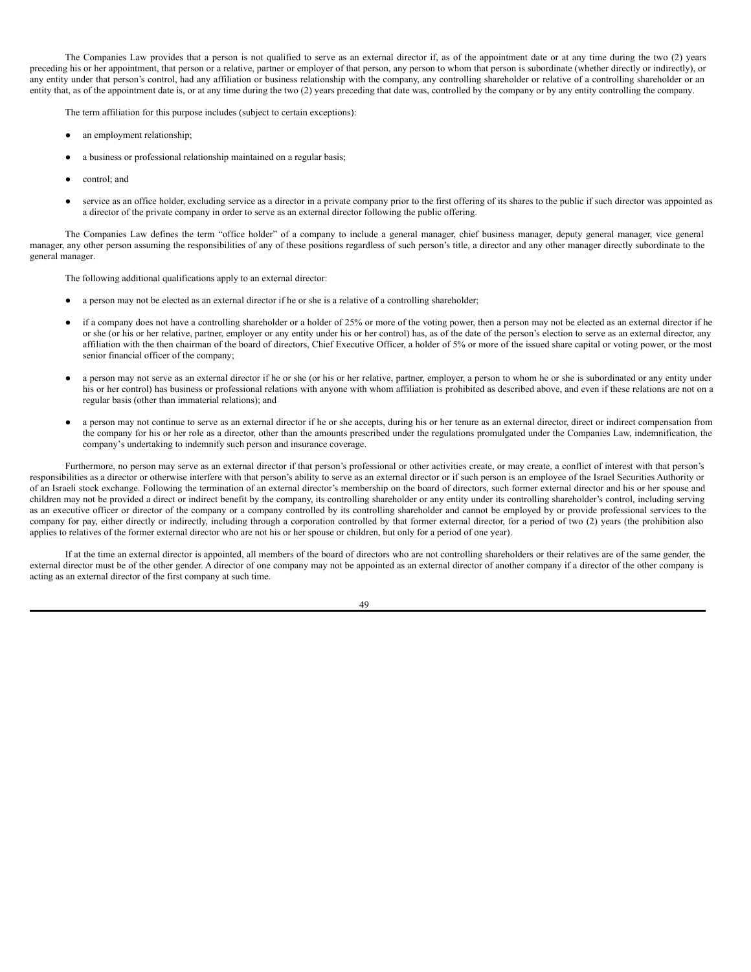The Companies Law provides that a person is not qualified to serve as an external director if, as of the appointment date or at any time during the two (2) years preceding his or her appointment, that person or a relative, partner or employer of that person, any person to whom that person is subordinate (whether directly or indirectly), or any entity under that person's control, had any affiliation or business relationship with the company, any controlling shareholder or relative of a controlling shareholder or an entity that, as of the appointment date is, or at any time during the two (2) years preceding that date was, controlled by the company or by any entity controlling the company.

The term affiliation for this purpose includes (subject to certain exceptions):

- an employment relationship;
- a business or professional relationship maintained on a regular basis;
- control; and
- service as an office holder, excluding service as a director in a private company prior to the first offering of its shares to the public if such director was appointed as a director of the private company in order to serve as an external director following the public offering.

The Companies Law defines the term "office holder" of a company to include a general manager, chief business manager, deputy general manager, vice general manager, any other person assuming the responsibilities of any of these positions regardless of such person's title, a director and any other manager directly subordinate to the general manager.

The following additional qualifications apply to an external director:

- a person may not be elected as an external director if he or she is a relative of a controlling shareholder;
- if a company does not have a controlling shareholder or a holder of 25% or more of the voting power, then a person may not be elected as an external director if he or she (or his or her relative, partner, employer or any entity under his or her control) has, as of the date of the person's election to serve as an external director, any affiliation with the then chairman of the board of directors, Chief Executive Officer, a holder of 5% or more of the issued share capital or voting power, or the most senior financial officer of the company;
- a person may not serve as an external director if he or she (or his or her relative, partner, employer, a person to whom he or she is subordinated or any entity under his or her control) has business or professional relations with anyone with whom affiliation is prohibited as described above, and even if these relations are not on a regular basis (other than immaterial relations); and
- a person may not continue to serve as an external director if he or she accepts, during his or her tenure as an external director, direct or indirect compensation from the company for his or her role as a director, other than the amounts prescribed under the regulations promulgated under the Companies Law, indemnification, the company's undertaking to indemnify such person and insurance coverage.

Furthermore, no person may serve as an external director if that person's professional or other activities create, or may create, a conflict of interest with that person's responsibilities as a director or otherwise interfere with that person's ability to serve as an external director or if such person is an employee of the Israel Securities Authority or of an Israeli stock exchange. Following the termination of an external director's membership on the board of directors, such former external director and his or her spouse and children may not be provided a direct or indirect benefit by the company, its controlling shareholder or any entity under its controlling shareholder's control, including serving as an executive officer or director of the company or a company controlled by its controlling shareholder and cannot be employed by or provide professional services to the company for pay, either directly or indirectly, including through a corporation controlled by that former external director, for a period of two (2) years (the prohibition also applies to relatives of the former external director who are not his or her spouse or children, but only for a period of one year).

If at the time an external director is appointed, all members of the board of directors who are not controlling shareholders or their relatives are of the same gender, the external director must be of the other gender. A director of one company may not be appointed as an external director of another company if a director of the other company is acting as an external director of the first company at such time.

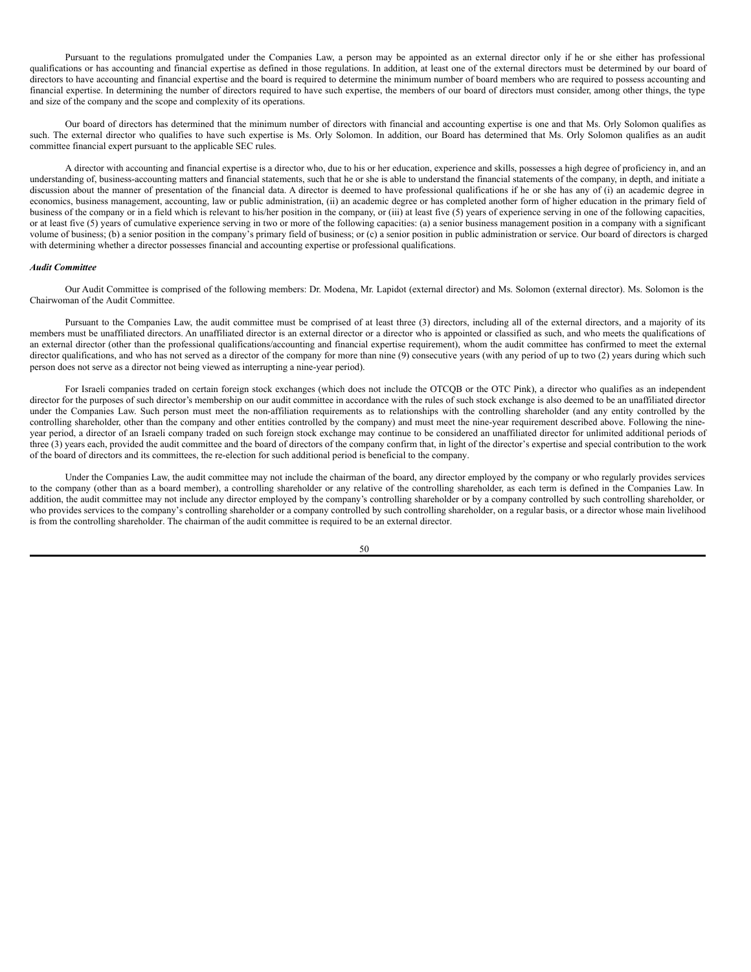Pursuant to the regulations promulgated under the Companies Law, a person may be appointed as an external director only if he or she either has professional qualifications or has accounting and financial expertise as defined in those regulations. In addition, at least one of the external directors must be determined by our board of directors to have accounting and financial expertise and the board is required to determine the minimum number of board members who are required to possess accounting and financial expertise. In determining the number of directors required to have such expertise, the members of our board of directors must consider, among other things, the type and size of the company and the scope and complexity of its operations.

Our board of directors has determined that the minimum number of directors with financial and accounting expertise is one and that Ms. Orly Solomon qualifies as such. The external director who qualifies to have such expertise is Ms. Orly Solomon. In addition, our Board has determined that Ms. Orly Solomon qualifies as an audit committee financial expert pursuant to the applicable SEC rules.

A director with accounting and financial expertise is a director who, due to his or her education, experience and skills, possesses a high degree of proficiency in, and an understanding of, business-accounting matters and financial statements, such that he or she is able to understand the financial statements of the company, in depth, and initiate a discussion about the manner of presentation of the financial data. A director is deemed to have professional qualifications if he or she has any of (i) an academic degree in economics, business management, accounting, law or public administration, (ii) an academic degree or has completed another form of higher education in the primary field of business of the company or in a field which is relevant to his/her position in the company, or (iii) at least five (5) years of experience serving in one of the following capacities, or at least five (5) years of cumulative experience serving in two or more of the following capacities: (a) a senior business management position in a company with a significant volume of business; (b) a senior position in the company's primary field of business; or (c) a senior position in public administration or service. Our board of directors is charged with determining whether a director possesses financial and accounting expertise or professional qualifications.

## *Audit Committee*

Our Audit Committee is comprised of the following members: Dr. Modena, Mr. Lapidot (external director) and Ms. Solomon (external director). Ms. Solomon is the Chairwoman of the Audit Committee.

Pursuant to the Companies Law, the audit committee must be comprised of at least three (3) directors, including all of the external directors, and a majority of its members must be unaffiliated directors. An unaffiliated director is an external director or a director who is appointed or classified as such, and who meets the qualifications of an external director (other than the professional qualifications/accounting and financial expertise requirement), whom the audit committee has confirmed to meet the external director qualifications, and who has not served as a director of the company for more than nine (9) consecutive years (with any period of up to two (2) years during which such person does not serve as a director not being viewed as interrupting a nine-year period).

For Israeli companies traded on certain foreign stock exchanges (which does not include the OTCQB or the OTC Pink), a director who qualifies as an independent director for the purposes of such director's membership on our audit committee in accordance with the rules of such stock exchange is also deemed to be an unaffiliated director under the Companies Law. Such person must meet the non-affiliation requirements as to relationships with the controlling shareholder (and any entity controlled by the controlling shareholder, other than the company and other entities controlled by the company) and must meet the nine-year requirement described above. Following the nineyear period, a director of an Israeli company traded on such foreign stock exchange may continue to be considered an unaffiliated director for unlimited additional periods of three (3) years each, provided the audit committee and the board of directors of the company confirm that, in light of the director's expertise and special contribution to the work of the board of directors and its committees, the re-election for such additional period is beneficial to the company.

Under the Companies Law, the audit committee may not include the chairman of the board, any director employed by the company or who regularly provides services to the company (other than as a board member), a controlling shareholder or any relative of the controlling shareholder, as each term is defined in the Companies Law. In addition, the audit committee may not include any director employed by the company's controlling shareholder or by a company controlled by such controlling shareholder, or who provides services to the company's controlling shareholder or a company controlled by such controlling shareholder, on a regular basis, or a director whose main livelihood is from the controlling shareholder. The chairman of the audit committee is required to be an external director.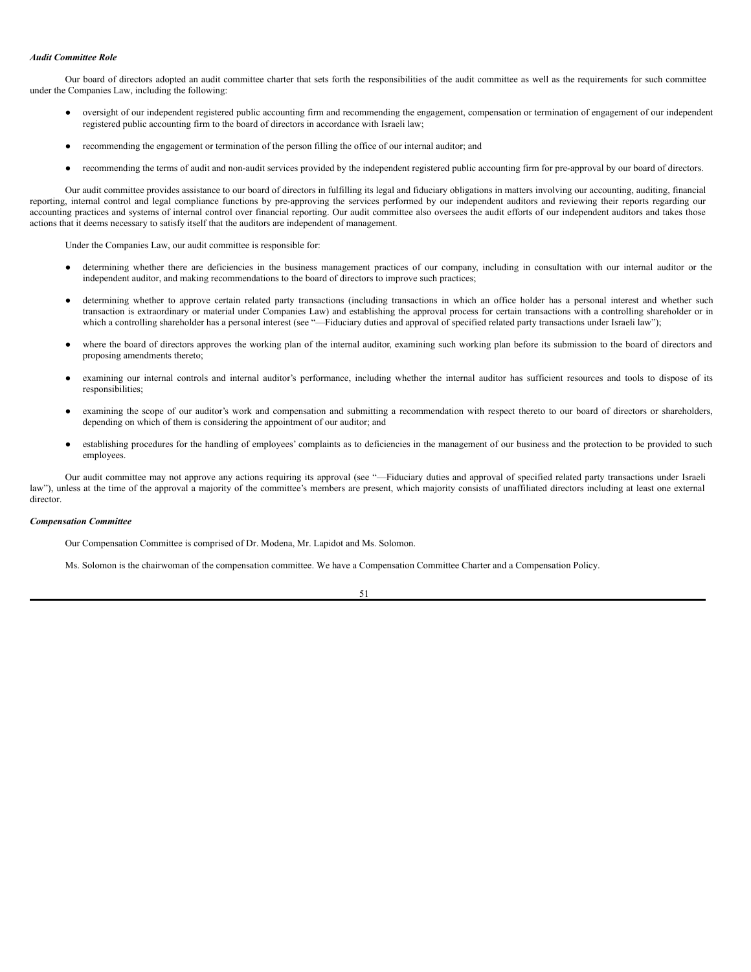#### *Audit Committee Role*

Our board of directors adopted an audit committee charter that sets forth the responsibilities of the audit committee as well as the requirements for such committee under the Companies Law, including the following:

- oversight of our independent registered public accounting firm and recommending the engagement, compensation or termination of engagement of our independent registered public accounting firm to the board of directors in accordance with Israeli law;
- recommending the engagement or termination of the person filling the office of our internal auditor; and
- recommending the terms of audit and non-audit services provided by the independent registered public accounting firm for pre-approval by our board of directors.

Our audit committee provides assistance to our board of directors in fulfilling its legal and fiduciary obligations in matters involving our accounting, auditing, financial reporting, internal control and legal compliance functions by pre-approving the services performed by our independent auditors and reviewing their reports regarding our accounting practices and systems of internal control over financial reporting. Our audit committee also oversees the audit efforts of our independent auditors and takes those actions that it deems necessary to satisfy itself that the auditors are independent of management.

Under the Companies Law, our audit committee is responsible for:

- determining whether there are deficiencies in the business management practices of our company, including in consultation with our internal auditor or the independent auditor, and making recommendations to the board of directors to improve such practices;
- determining whether to approve certain related party transactions (including transactions in which an office holder has a personal interest and whether such transaction is extraordinary or material under Companies Law) and establishing the approval process for certain transactions with a controlling shareholder or in which a controlling shareholder has a personal interest (see "--Fiduciary duties and approval of specified related party transactions under Israeli law");
- where the board of directors approves the working plan of the internal auditor, examining such working plan before its submission to the board of directors and proposing amendments thereto;
- examining our internal controls and internal auditor's performance, including whether the internal auditor has sufficient resources and tools to dispose of its responsibilities;
- examining the scope of our auditor's work and compensation and submitting a recommendation with respect thereto to our board of directors or shareholders, depending on which of them is considering the appointment of our auditor; and
- establishing procedures for the handling of employees' complaints as to deficiencies in the management of our business and the protection to be provided to such employees.

Our audit committee may not approve any actions requiring its approval (see "—Fiduciary duties and approval of specified related party transactions under Israeli law"), unless at the time of the approval a majority of the committee's members are present, which majority consists of unaffiliated directors including at least one external director.

### *Compensation Committee*

Our Compensation Committee is comprised of Dr. Modena, Mr. Lapidot and Ms. Solomon.

Ms. Solomon is the chairwoman of the compensation committee. We have a Compensation Committee Charter and a Compensation Policy.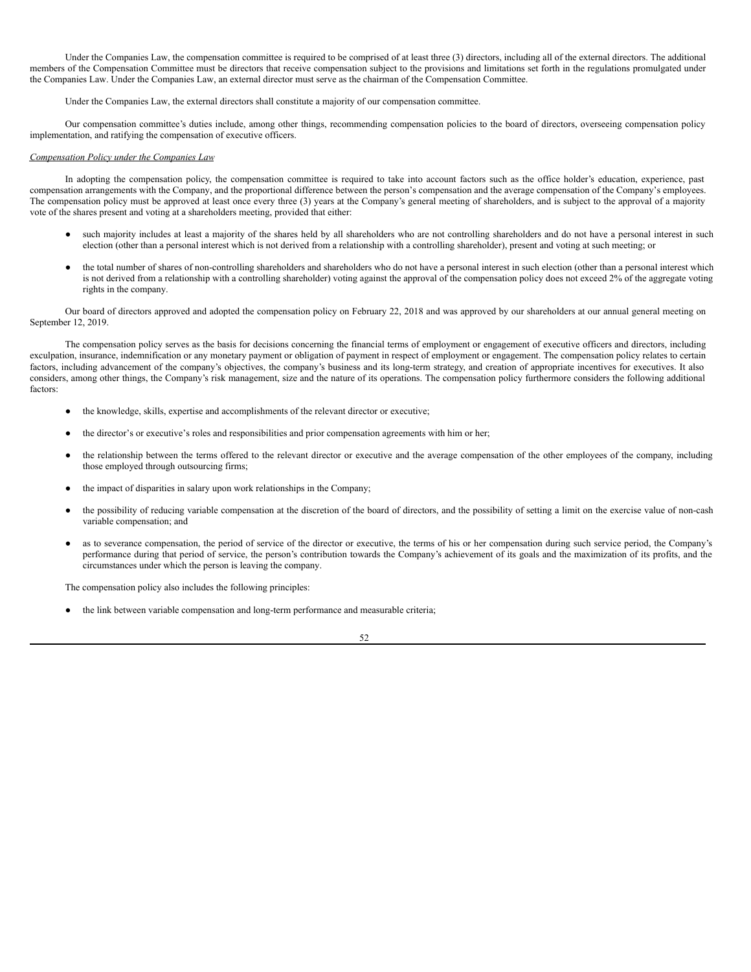Under the Companies Law, the compensation committee is required to be comprised of at least three (3) directors, including all of the external directors. The additional members of the Compensation Committee must be directors that receive compensation subject to the provisions and limitations set forth in the regulations promulgated under the Companies Law. Under the Companies Law, an external director must serve as the chairman of the Compensation Committee.

Under the Companies Law, the external directors shall constitute a majority of our compensation committee.

Our compensation committee's duties include, among other things, recommending compensation policies to the board of directors, overseeing compensation policy implementation, and ratifying the compensation of executive officers.

# *Compensation Policy under the Companies Law*

In adopting the compensation policy, the compensation committee is required to take into account factors such as the office holder's education, experience, past compensation arrangements with the Company, and the proportional difference between the person's compensation and the average compensation of the Company's employees. The compensation policy must be approved at least once every three (3) years at the Company's general meeting of shareholders, and is subject to the approval of a majority vote of the shares present and voting at a shareholders meeting, provided that either:

- such majority includes at least a majority of the shares held by all shareholders who are not controlling shareholders and do not have a personal interest in such election (other than a personal interest which is not derived from a relationship with a controlling shareholder), present and voting at such meeting; or
- the total number of shares of non-controlling shareholders and shareholders who do not have a personal interest in such election (other than a personal interest which is not derived from a relationship with a controlling shareholder) voting against the approval of the compensation policy does not exceed 2% of the aggregate voting rights in the company.

Our board of directors approved and adopted the compensation policy on February 22, 2018 and was approved by our shareholders at our annual general meeting on September 12, 2019.

The compensation policy serves as the basis for decisions concerning the financial terms of employment or engagement of executive officers and directors, including exculpation, insurance, indemnification or any monetary payment or obligation of payment in respect of employment or engagement. The compensation policy relates to certain factors, including advancement of the company's objectives, the company's business and its long-term strategy, and creation of appropriate incentives for executives. It also considers, among other things, the Company's risk management, size and the nature of its operations. The compensation policy furthermore considers the following additional factors:

- the knowledge, skills, expertise and accomplishments of the relevant director or executive;
- the director's or executive's roles and responsibilities and prior compensation agreements with him or her;
- the relationship between the terms offered to the relevant director or executive and the average compensation of the other employees of the company, including those employed through outsourcing firms;
- the impact of disparities in salary upon work relationships in the Company;
- the possibility of reducing variable compensation at the discretion of the board of directors, and the possibility of setting a limit on the exercise value of non-cash variable compensation; and
- as to severance compensation, the period of service of the director or executive, the terms of his or her compensation during such service period, the Company's performance during that period of service, the person's contribution towards the Company's achievement of its goals and the maximization of its profits, and the circumstances under which the person is leaving the company.

The compensation policy also includes the following principles:

the link between variable compensation and long-term performance and measurable criteria;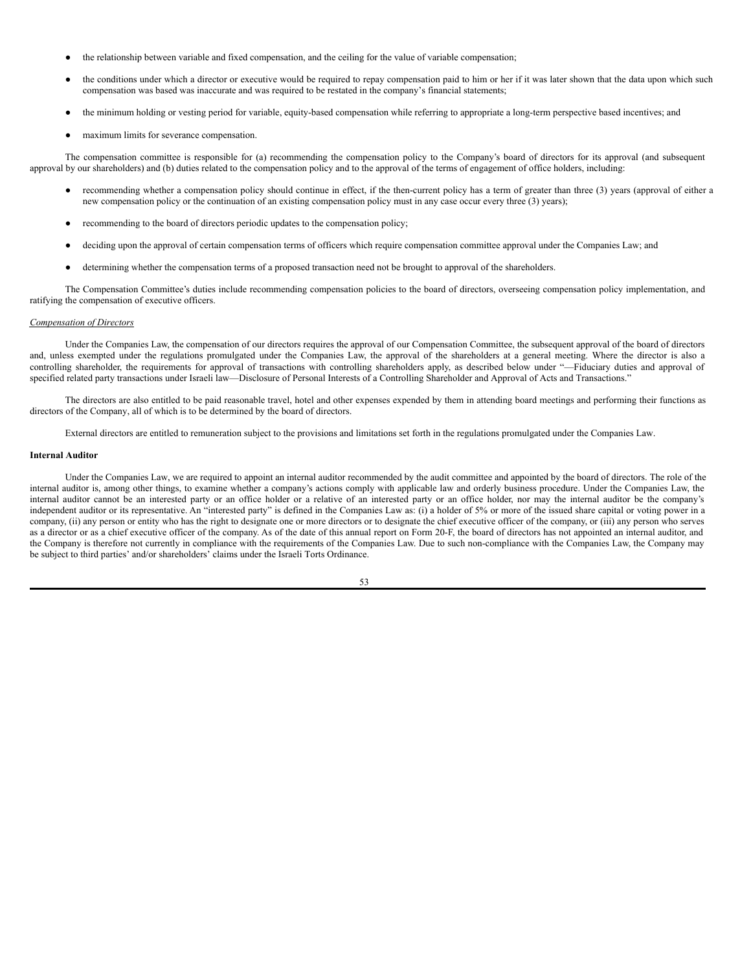- the relationship between variable and fixed compensation, and the ceiling for the value of variable compensation;
- the conditions under which a director or executive would be required to repay compensation paid to him or her if it was later shown that the data upon which such compensation was based was inaccurate and was required to be restated in the company's financial statements;
- the minimum holding or vesting period for variable, equity-based compensation while referring to appropriate a long-term perspective based incentives; and
- maximum limits for severance compensation.

The compensation committee is responsible for (a) recommending the compensation policy to the Company's board of directors for its approval (and subsequent approval by our shareholders) and (b) duties related to the compensation policy and to the approval of the terms of engagement of office holders, including:

- recommending whether a compensation policy should continue in effect, if the then-current policy has a term of greater than three (3) years (approval of either a new compensation policy or the continuation of an existing compensation policy must in any case occur every three (3) years);
- recommending to the board of directors periodic updates to the compensation policy;
- deciding upon the approval of certain compensation terms of officers which require compensation committee approval under the Companies Law; and
- determining whether the compensation terms of a proposed transaction need not be brought to approval of the shareholders.

The Compensation Committee's duties include recommending compensation policies to the board of directors, overseeing compensation policy implementation, and ratifying the compensation of executive officers.

# *Compensation of Directors*

Under the Companies Law, the compensation of our directors requires the approval of our Compensation Committee, the subsequent approval of the board of directors and, unless exempted under the regulations promulgated under the Companies Law, the approval of the shareholders at a general meeting. Where the director is also a controlling shareholder, the requirements for approval of transactions with controlling shareholders apply, as described below under "—Fiduciary duties and approval of specified related party transactions under Israeli law—Disclosure of Personal Interests of a Controlling Shareholder and Approval of Acts and Transactions."

The directors are also entitled to be paid reasonable travel, hotel and other expenses expended by them in attending board meetings and performing their functions as directors of the Company, all of which is to be determined by the board of directors.

External directors are entitled to remuneration subject to the provisions and limitations set forth in the regulations promulgated under the Companies Law.

#### **Internal Auditor**

Under the Companies Law, we are required to appoint an internal auditor recommended by the audit committee and appointed by the board of directors. The role of the internal auditor is, among other things, to examine whether a company's actions comply with applicable law and orderly business procedure. Under the Companies Law, the internal auditor cannot be an interested party or an office holder or a relative of an interested party or an office holder, nor may the internal auditor be the company's independent auditor or its representative. An "interested party" is defined in the Companies Law as: (i) a holder of 5% or more of the issued share capital or voting power in a company, (ii) any person or entity who has the right to designate one or more directors or to designate the chief executive officer of the company, or (iii) any person who serves as a director or as a chief executive officer of the company. As of the date of this annual report on Form 20-F, the board of directors has not appointed an internal auditor, and the Company is therefore not currently in compliance with the requirements of the Companies Law. Due to such non-compliance with the Companies Law, the Company may be subject to third parties' and/or shareholders' claims under the Israeli Torts Ordinance.

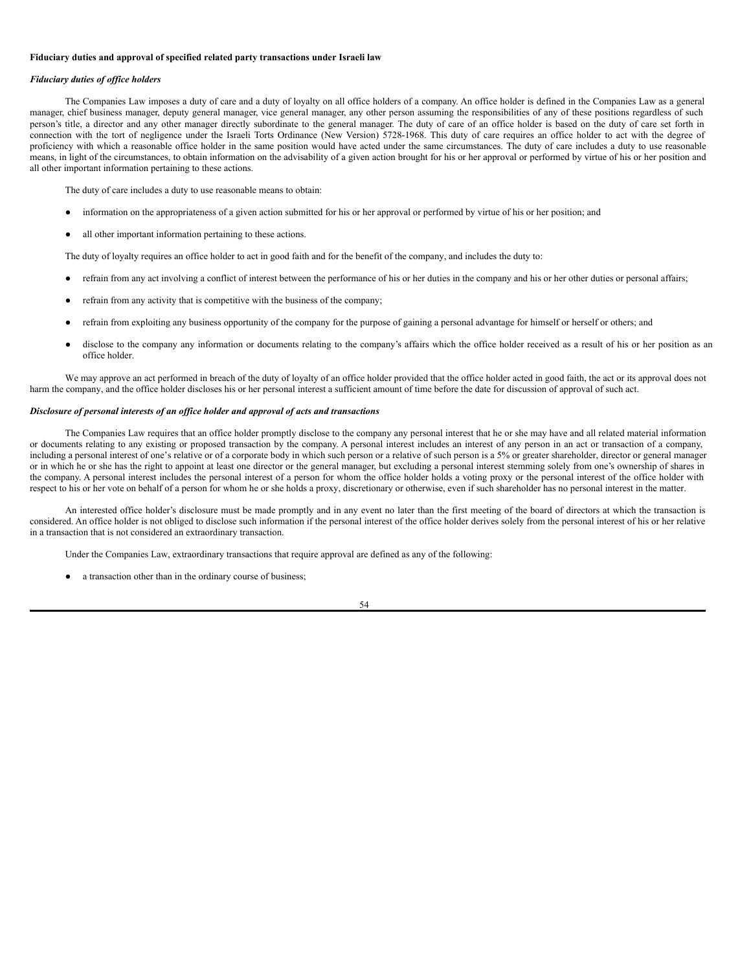## **Fiduciary duties and approval of specified related party transactions under Israeli law**

## *Fiduciary duties of of ice holders*

The Companies Law imposes a duty of care and a duty of loyalty on all office holders of a company. An office holder is defined in the Companies Law as a general manager, chief business manager, deputy general manager, vice general manager, any other person assuming the responsibilities of any of these positions regardless of such person's title, a director and any other manager directly subordinate to the general manager. The duty of care of an office holder is based on the duty of care set forth in connection with the tort of negligence under the Israeli Torts Ordinance (New Version) 5728-1968. This duty of care requires an office holder to act with the degree of proficiency with which a reasonable office holder in the same position would have acted under the same circumstances. The duty of care includes a duty to use reasonable means, in light of the circumstances, to obtain information on the advisability of a given action brought for his or her approval or performed by virtue of his or her position and all other important information pertaining to these actions.

The duty of care includes a duty to use reasonable means to obtain:

- information on the appropriateness of a given action submitted for his or her approval or performed by virtue of his or her position; and
- all other important information pertaining to these actions.

The duty of loyalty requires an office holder to act in good faith and for the benefit of the company, and includes the duty to:

- refrain from any act involving a conflict of interest between the performance of his or her duties in the company and his or her other duties or personal affairs;
- refrain from any activity that is competitive with the business of the company;
- refrain from exploiting any business opportunity of the company for the purpose of gaining a personal advantage for himself or herself or others; and
- disclose to the company any information or documents relating to the company's affairs which the office holder received as a result of his or her position as an office holder.

We may approve an act performed in breach of the duty of loyalty of an office holder provided that the office holder acted in good faith, the act or its approval does not harm the company, and the office holder discloses his or her personal interest a sufficient amount of time before the date for discussion of approval of such act.

# *Disclosure of personal interests of an of ice holder and approval of acts and transactions*

The Companies Law requires that an office holder promptly disclose to the company any personal interest that he or she may have and all related material information or documents relating to any existing or proposed transaction by the company. A personal interest includes an interest of any person in an act or transaction of a company, including a personal interest of one's relative or of a corporate body in which such person or a relative of such person is a 5% or greater shareholder, director or general manager or in which he or she has the right to appoint at least one director or the general manager, but excluding a personal interest stemming solely from one's ownership of shares in the company. A personal interest includes the personal interest of a person for whom the office holder holds a voting proxy or the personal interest of the office holder with respect to his or her vote on behalf of a person for whom he or she holds a proxy, discretionary or otherwise, even if such shareholder has no personal interest in the matter.

An interested office holder's disclosure must be made promptly and in any event no later than the first meeting of the board of directors at which the transaction is considered. An office holder is not obliged to disclose such information if the personal interest of the office holder derives solely from the personal interest of his or her relative in a transaction that is not considered an extraordinary transaction.

Under the Companies Law, extraordinary transactions that require approval are defined as any of the following:

a transaction other than in the ordinary course of business;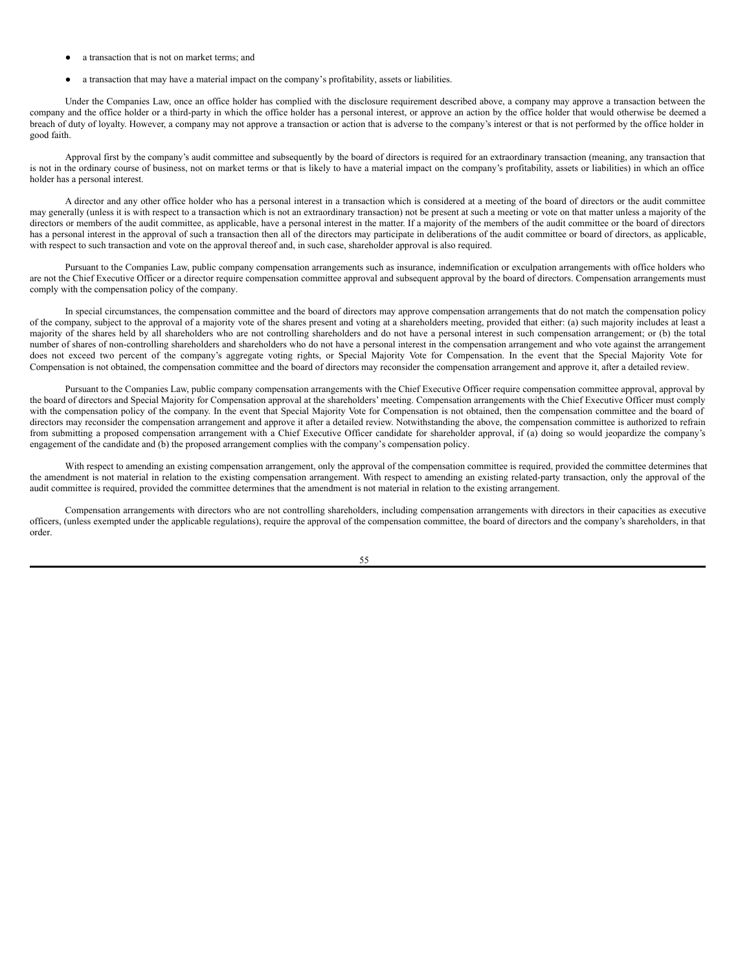- a transaction that is not on market terms; and
- a transaction that may have a material impact on the company's profitability, assets or liabilities.

Under the Companies Law, once an office holder has complied with the disclosure requirement described above, a company may approve a transaction between the company and the office holder or a third-party in which the office holder has a personal interest, or approve an action by the office holder that would otherwise be deemed a breach of duty of loyalty. However, a company may not approve a transaction or action that is adverse to the company's interest or that is not performed by the office holder in good faith.

Approval first by the company's audit committee and subsequently by the board of directors is required for an extraordinary transaction (meaning, any transaction that is not in the ordinary course of business, not on market terms or that is likely to have a material impact on the company's profitability, assets or liabilities) in which an office holder has a personal interest.

A director and any other office holder who has a personal interest in a transaction which is considered at a meeting of the board of directors or the audit committee may generally (unless it is with respect to a transaction which is not an extraordinary transaction) not be present at such a meeting or vote on that matter unless a majority of the directors or members of the audit committee, as applicable, have a personal interest in the matter. If a majority of the members of the audit committee or the board of directors has a personal interest in the approval of such a transaction then all of the directors may participate in deliberations of the audit committee or board of directors, as applicable, with respect to such transaction and vote on the approval thereof and, in such case, shareholder approval is also required.

Pursuant to the Companies Law, public company compensation arrangements such as insurance, indemnification or exculpation arrangements with office holders who are not the Chief Executive Officer or a director require compensation committee approval and subsequent approval by the board of directors. Compensation arrangements must comply with the compensation policy of the company.

In special circumstances, the compensation committee and the board of directors may approve compensation arrangements that do not match the compensation policy of the company, subject to the approval of a majority vote of the shares present and voting at a shareholders meeting, provided that either: (a) such majority includes at least a majority of the shares held by all shareholders who are not controlling shareholders and do not have a personal interest in such compensation arrangement; or (b) the total number of shares of non-controlling shareholders and shareholders who do not have a personal interest in the compensation arrangement and who vote against the arrangement does not exceed two percent of the company's aggregate voting rights, or Special Majority Vote for Compensation. In the event that the Special Majority Vote for Compensation is not obtained, the compensation committee and the board of directors may reconsider the compensation arrangement and approve it, after a detailed review.

Pursuant to the Companies Law, public company compensation arrangements with the Chief Executive Officer require compensation committee approval, approval by the board of directors and Special Majority for Compensation approval at the shareholders' meeting. Compensation arrangements with the Chief Executive Officer must comply with the compensation policy of the company. In the event that Special Majority Vote for Compensation is not obtained, then the compensation committee and the board of directors may reconsider the compensation arrangement and approve it after a detailed review. Notwithstanding the above, the compensation committee is authorized to refrain from submitting a proposed compensation arrangement with a Chief Executive Officer candidate for shareholder approval, if (a) doing so would jeopardize the company's engagement of the candidate and (b) the proposed arrangement complies with the company's compensation policy.

With respect to amending an existing compensation arrangement, only the approval of the compensation committee is required, provided the committee determines that the amendment is not material in relation to the existing compensation arrangement. With respect to amending an existing related-party transaction, only the approval of the audit committee is required, provided the committee determines that the amendment is not material in relation to the existing arrangement.

Compensation arrangements with directors who are not controlling shareholders, including compensation arrangements with directors in their capacities as executive officers, (unless exempted under the applicable regulations), require the approval of the compensation committee, the board of directors and the company's shareholders, in that order.

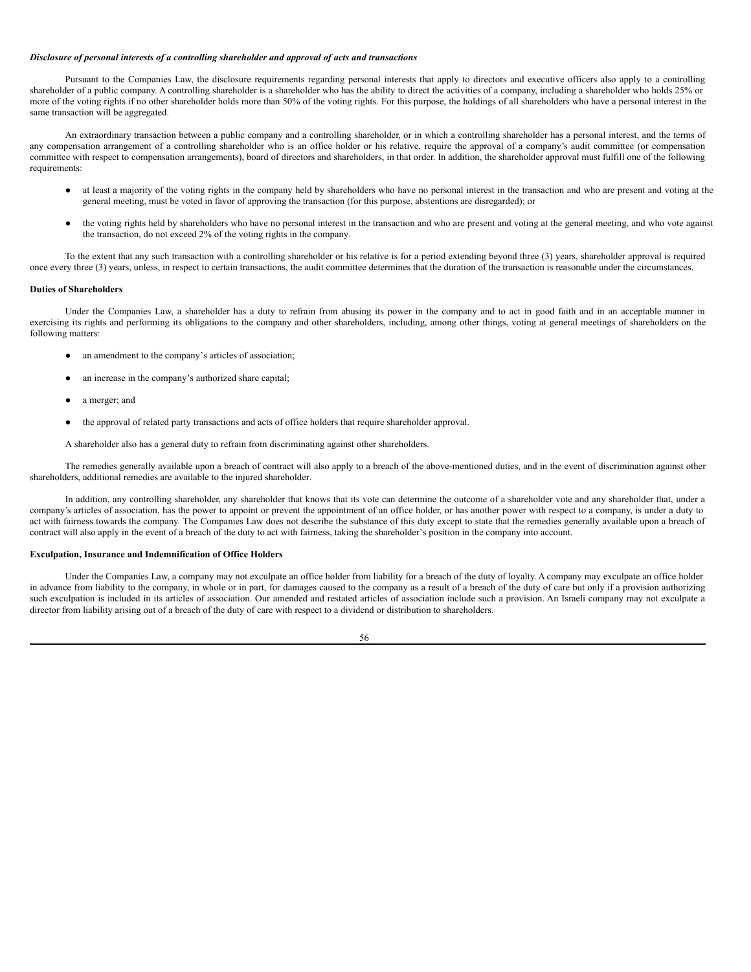## *Disclosure of personal interests of a controlling shareholder and approval of acts and transactions*

Pursuant to the Companies Law, the disclosure requirements regarding personal interests that apply to directors and executive officers also apply to a controlling shareholder of a public company. A controlling shareholder is a shareholder who has the ability to direct the activities of a company, including a shareholder who holds 25% or more of the voting rights if no other shareholder holds more than 50% of the voting rights. For this purpose, the holdings of all shareholders who have a personal interest in the same transaction will be aggregated.

An extraordinary transaction between a public company and a controlling shareholder, or in which a controlling shareholder has a personal interest, and the terms of any compensation arrangement of a controlling shareholder who is an office holder or his relative, require the approval of a company's audit committee (or compensation committee with respect to compensation arrangements), board of directors and shareholders, in that order. In addition, the shareholder approval must fulfill one of the following requirements:

- at least a majority of the voting rights in the company held by shareholders who have no personal interest in the transaction and who are present and voting at the general meeting, must be voted in favor of approving the transaction (for this purpose, abstentions are disregarded); or
- the voting rights held by shareholders who have no personal interest in the transaction and who are present and voting at the general meeting, and who vote against the transaction, do not exceed 2% of the voting rights in the company.

To the extent that any such transaction with a controlling shareholder or his relative is for a period extending beyond three (3) years, shareholder approval is required once every three (3) years, unless, in respect to certain transactions, the audit committee determines that the duration of the transaction is reasonable under the circumstances.

# **Duties of Shareholders**

Under the Companies Law, a shareholder has a duty to refrain from abusing its power in the company and to act in good faith and in an acceptable manner in exercising its rights and performing its obligations to the company and other shareholders, including, among other things, voting at general meetings of shareholders on the following matters:

- an amendment to the company's articles of association;
- an increase in the company's authorized share capital;
- a merger; and
- the approval of related party transactions and acts of office holders that require shareholder approval.
- A shareholder also has a general duty to refrain from discriminating against other shareholders.

The remedies generally available upon a breach of contract will also apply to a breach of the above-mentioned duties, and in the event of discrimination against other shareholders, additional remedies are available to the injured shareholder.

In addition, any controlling shareholder, any shareholder that knows that its vote can determine the outcome of a shareholder vote and any shareholder that, under a company's articles of association, has the power to appoint or prevent the appointment of an office holder, or has another power with respect to a company, is under a duty to act with fairness towards the company. The Companies Law does not describe the substance of this duty except to state that the remedies generally available upon a breach of contract will also apply in the event of a breach of the duty to act with fairness, taking the shareholder's position in the company into account.

# **Exculpation, Insurance and Indemnification of Office Holders**

Under the Companies Law, a company may not exculpate an office holder from liability for a breach of the duty of loyalty. A company may exculpate an office holder in advance from liability to the company, in whole or in part, for damages caused to the company as a result of a breach of the duty of care but only if a provision authorizing such exculpation is included in its articles of association. Our amended and restated articles of association include such a provision. An Israeli company may not exculpate a director from liability arising out of a breach of the duty of care with respect to a dividend or distribution to shareholders.

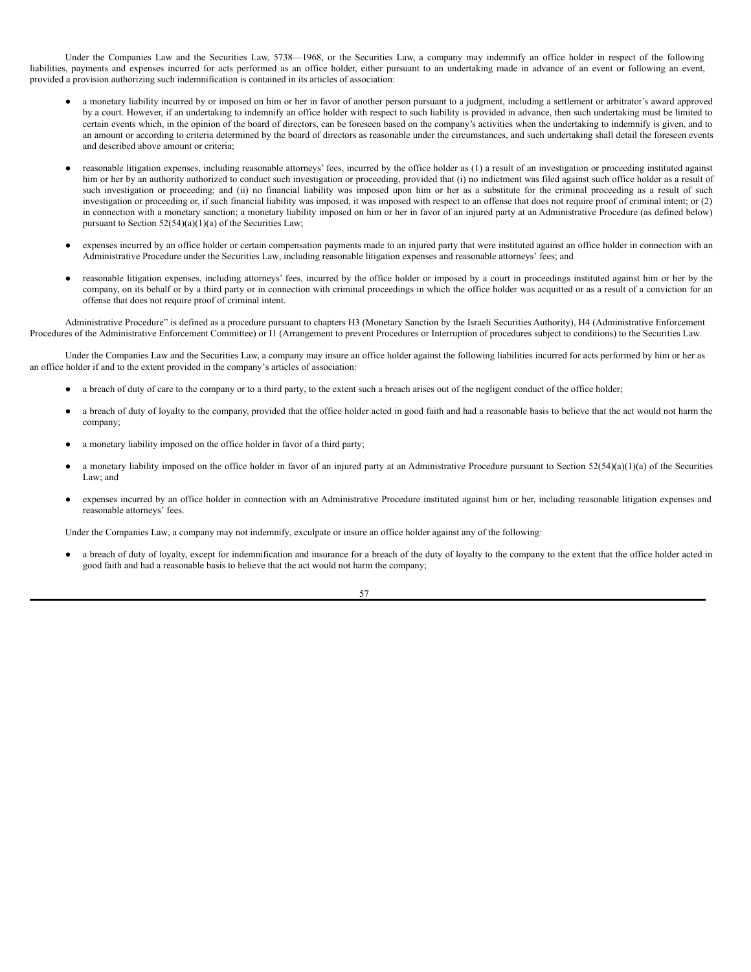Under the Companies Law and the Securities Law, 5738—1968, or the Securities Law, a company may indemnify an office holder in respect of the following liabilities, payments and expenses incurred for acts performed as an office holder, either pursuant to an undertaking made in advance of an event or following an event, provided a provision authorizing such indemnification is contained in its articles of association:

- a monetary liability incurred by or imposed on him or her in favor of another person pursuant to a judgment, including a settlement or arbitrator's award approved by a court. However, if an undertaking to indemnify an office holder with respect to such liability is provided in advance, then such undertaking must be limited to certain events which, in the opinion of the board of directors, can be foreseen based on the company's activities when the undertaking to indemnify is given, and to an amount or according to criteria determined by the board of directors as reasonable under the circumstances, and such undertaking shall detail the foreseen events and described above amount or criteria;
- reasonable litigation expenses, including reasonable attorneys' fees, incurred by the office holder as (1) a result of an investigation or proceeding instituted against him or her by an authority authorized to conduct such investigation or proceeding, provided that (i) no indictment was filed against such office holder as a result of such investigation or proceeding; and (ii) no financial liability was imposed upon him or her as a substitute for the criminal proceeding as a result of such investigation or proceeding or, if such financial liability was imposed, it was imposed with respect to an offense that does not require proof of criminal intent; or (2) in connection with a monetary sanction; a monetary liability imposed on him or her in favor of an injured party at an Administrative Procedure (as defined below) pursuant to Section  $52(54)(a)(1)(a)$  of the Securities Law;
- expenses incurred by an office holder or certain compensation payments made to an injured party that were instituted against an office holder in connection with an Administrative Procedure under the Securities Law, including reasonable litigation expenses and reasonable attorneys' fees; and
- reasonable litigation expenses, including attorneys' fees, incurred by the office holder or imposed by a court in proceedings instituted against him or her by the company, on its behalf or by a third party or in connection with criminal proceedings in which the office holder was acquitted or as a result of a conviction for an offense that does not require proof of criminal intent.

Administrative Procedure" is defined as a procedure pursuant to chapters H3 (Monetary Sanction by the Israeli Securities Authority), H4 (Administrative Enforcement Procedures of the Administrative Enforcement Committee) or I1 (Arrangement to prevent Procedures or Interruption of procedures subject to conditions) to the Securities Law.

Under the Companies Law and the Securities Law, a company may insure an office holder against the following liabilities incurred for acts performed by him or her as an office holder if and to the extent provided in the company's articles of association:

- a breach of duty of care to the company or to a third party, to the extent such a breach arises out of the negligent conduct of the office holder;
- a breach of duty of loyalty to the company, provided that the office holder acted in good faith and had a reasonable basis to believe that the act would not harm the company;
- a monetary liability imposed on the office holder in favor of a third party;
- a monetary liability imposed on the office holder in favor of an injured party at an Administrative Procedure pursuant to Section  $52(54)(a)(1)(a)$  of the Securities Law; and
- expenses incurred by an office holder in connection with an Administrative Procedure instituted against him or her, including reasonable litigation expenses and reasonable attorneys' fees.

Under the Companies Law, a company may not indemnify, exculpate or insure an office holder against any of the following:

a breach of duty of loyalty, except for indemnification and insurance for a breach of the duty of loyalty to the company to the extent that the office holder acted in good faith and had a reasonable basis to believe that the act would not harm the company;

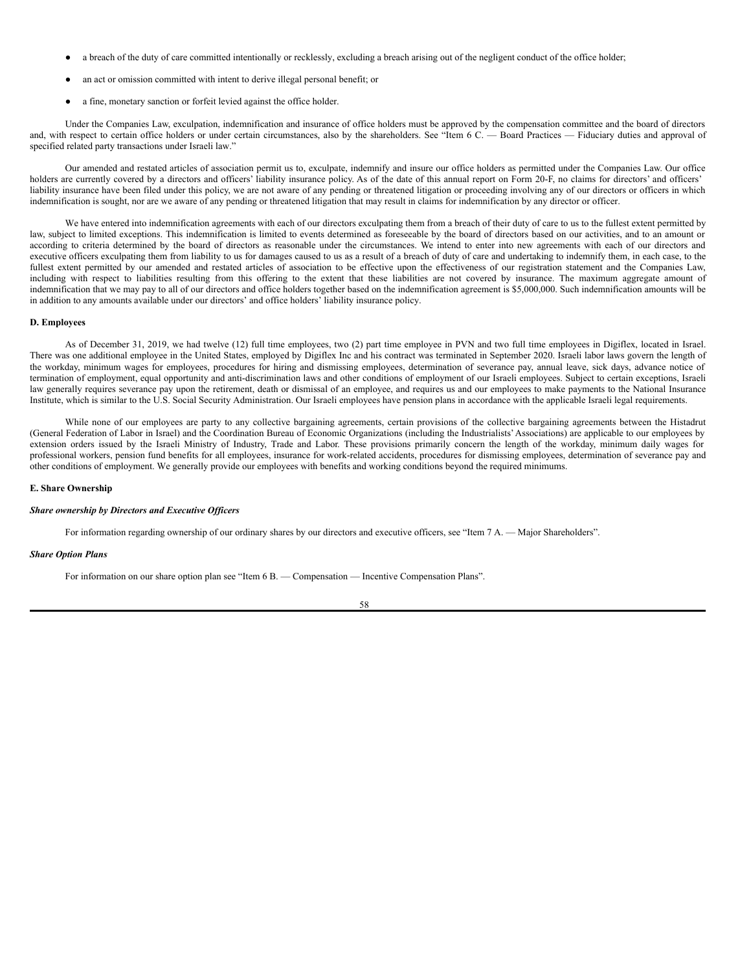- a breach of the duty of care committed intentionally or recklessly, excluding a breach arising out of the negligent conduct of the office holder;
- an act or omission committed with intent to derive illegal personal benefit; or
- a fine, monetary sanction or forfeit levied against the office holder.

Under the Companies Law, exculpation, indemnification and insurance of office holders must be approved by the compensation committee and the board of directors and, with respect to certain office holders or under certain circumstances, also by the shareholders. See "Item 6 C. — Board Practices — Fiduciary duties and approval of specified related party transactions under Israeli law."

Our amended and restated articles of association permit us to, exculpate, indemnify and insure our office holders as permitted under the Companies Law. Our office holders are currently covered by a directors and officers' liability insurance policy. As of the date of this annual report on Form 20-F, no claims for directors' and officers' liability insurance have been filed under this policy, we are not aware of any pending or threatened litigation or proceeding involving any of our directors or officers in which indemnification is sought, nor are we aware of any pending or threatened litigation that may result in claims for indemnification by any director or officer.

We have entered into indemnification agreements with each of our directors exculpating them from a breach of their duty of care to us to the fullest extent permitted by law, subject to limited exceptions. This indemnification is limited to events determined as foreseeable by the board of directors based on our activities, and to an amount or according to criteria determined by the board of directors as reasonable under the circumstances. We intend to enter into new agreements with each of our directors and executive officers exculpating them from liability to us for damages caused to us as a result of a breach of duty of care and undertaking to indemnify them, in each case, to the fullest extent permitted by our amended and restated articles of association to be effective upon the effectiveness of our registration statement and the Companies Law, including with respect to liabilities resulting from this offering to the extent that these liabilities are not covered by insurance. The maximum aggregate amount of indemnification that we may pay to all of our directors and office holders together based on the indemnification agreement is \$5,000,000. Such indemnification amounts will be in addition to any amounts available under our directors' and office holders' liability insurance policy.

### **D. Employees**

As of December 31, 2019, we had twelve (12) full time employees, two (2) part time employee in PVN and two full time employees in Digiflex, located in Israel. There was one additional employee in the United States, employed by Digiflex Inc and his contract was terminated in September 2020. Israeli labor laws govern the length of the workday, minimum wages for employees, procedures for hiring and dismissing employees, determination of severance pay, annual leave, sick days, advance notice of termination of employment, equal opportunity and anti-discrimination laws and other conditions of employment of our Israeli employees. Subject to certain exceptions, Israeli law generally requires severance pay upon the retirement, death or dismissal of an employee, and requires us and our employees to make payments to the National Insurance Institute, which is similar to the U.S. Social Security Administration. Our Israeli employees have pension plans in accordance with the applicable Israeli legal requirements.

While none of our employees are party to any collective bargaining agreements, certain provisions of the collective bargaining agreements between the Histadrut (General Federation of Labor in Israel) and the Coordination Bureau of Economic Organizations (including the Industrialists'Associations) are applicable to our employees by extension orders issued by the Israeli Ministry of Industry, Trade and Labor. These provisions primarily concern the length of the workday, minimum daily wages for professional workers, pension fund benefits for all employees, insurance for work-related accidents, procedures for dismissing employees, determination of severance pay and other conditions of employment. We generally provide our employees with benefits and working conditions beyond the required minimums.

## **E. Share Ownership**

## *Share ownership by Directors and Executive Of icers*

For information regarding ownership of our ordinary shares by our directors and executive officers, see "Item 7 A. — Major Shareholders".

# *Share Option Plans*

For information on our share option plan see "Item 6 B. — Compensation — Incentive Compensation Plans".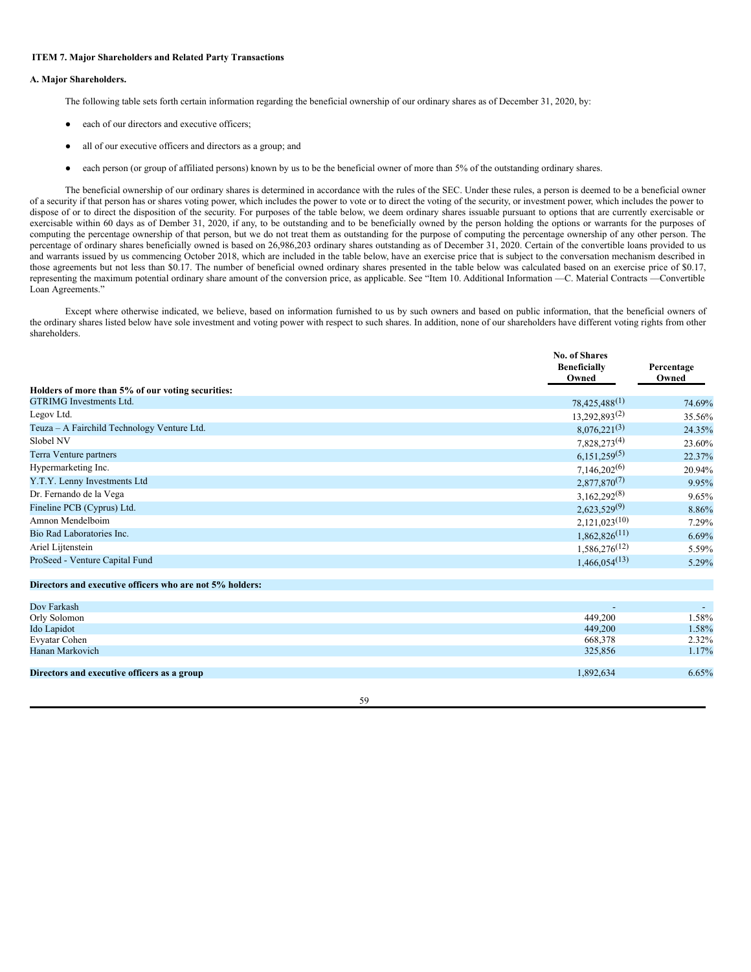## **ITEM 7. Major Shareholders and Related Party Transactions**

## **A. Major Shareholders.**

The following table sets forth certain information regarding the beneficial ownership of our ordinary shares as of December 31, 2020, by:

- each of our directors and executive officers;
- all of our executive officers and directors as a group; and
- each person (or group of affiliated persons) known by us to be the beneficial owner of more than 5% of the outstanding ordinary shares.

The beneficial ownership of our ordinary shares is determined in accordance with the rules of the SEC. Under these rules, a person is deemed to be a beneficial owner of a security if that person has or shares voting power, which includes the power to vote or to direct the voting of the security, or investment power, which includes the power to dispose of or to direct the disposition of the security. For purposes of the table below, we deem ordinary shares issuable pursuant to options that are currently exercisable or exercisable within 60 days as of Dember 31, 2020, if any, to be outstanding and to be beneficially owned by the person holding the options or warrants for the purposes of computing the percentage ownership of that person, but we do not treat them as outstanding for the purpose of computing the percentage ownership of any other person. The percentage of ordinary shares beneficially owned is based on 26,986,203 ordinary shares outstanding as of December 31, 2020. Certain of the convertible loans provided to us and warrants issued by us commencing October 2018, which are included in the table below, have an exercise price that is subject to the conversation mechanism described in those agreements but not less than \$0.17. The number of beneficial owned ordinary shares presented in the table below was calculated based on an exercise price of \$0.17, representing the maximum potential ordinary share amount of the conversion price, as applicable. See "Item 10. Additional Information —C. Material Contracts —Convertible Loan Agreements."

Except where otherwise indicated, we believe, based on information furnished to us by such owners and based on public information, that the beneficial owners of the ordinary shares listed below have sole investment and voting power with respect to such shares. In addition, none of our shareholders have different voting rights from other shareholders.

|                                                          | <b>No. of Shares</b><br><b>Beneficially</b><br>Owned | Percentage<br>Owned |
|----------------------------------------------------------|------------------------------------------------------|---------------------|
| Holders of more than 5% of our voting securities:        |                                                      |                     |
| <b>GTRIMG</b> Investments Ltd.                           | $78,425,488^{(1)}$                                   | 74.69%              |
| Legov Ltd.                                               | $13,292,893^{(2)}$                                   | 35.56%              |
| Teuza – A Fairchild Technology Venture Ltd.              | $8.076.221^{(3)}$                                    | 24.35%              |
| Slobel NV                                                | $7,828,273^{(4)}$                                    | 23.60%              |
| Terra Venture partners                                   | $6,151,259^{(5)}$                                    | 22.37%              |
| Hypermarketing Inc.                                      | $7,146,202^{(6)}$                                    | 20.94%              |
| Y.T.Y. Lenny Investments Ltd                             | $2,877,870^{(7)}$                                    | 9.95%               |
| Dr. Fernando de la Vega                                  | $3,162,292^{(8)}$                                    | $9.65\%$            |
| Fineline PCB (Cyprus) Ltd.                               | $2,623,529^{(9)}$                                    | 8.86%               |
| Amnon Mendelboim                                         | $2,121,023^{(10)}$                                   | 7.29%               |
| Bio Rad Laboratories Inc.                                | $1,862,826^{(11)}$                                   | 6.69%               |
| Ariel Lijtenstein                                        | $1,586,276^{(12)}$                                   | 5.59%               |
| ProSeed - Venture Capital Fund                           | $1,466,054^{(13)}$                                   | 5.29%               |
| Directors and executive officers who are not 5% holders: |                                                      |                     |

| Dov Farkash                                 | -         |          |
|---------------------------------------------|-----------|----------|
| Orly Solomon                                | 449,200   | 1.58%    |
| Ido Lapidot                                 | 449,200   | 1.58%    |
| Evyatar Cohen                               | 668,378   | $2.32\%$ |
| Hanan Markovich                             | 325,856   | 1.17%    |
|                                             |           |          |
| Directors and executive officers as a group | 1,892,634 | 6.65%    |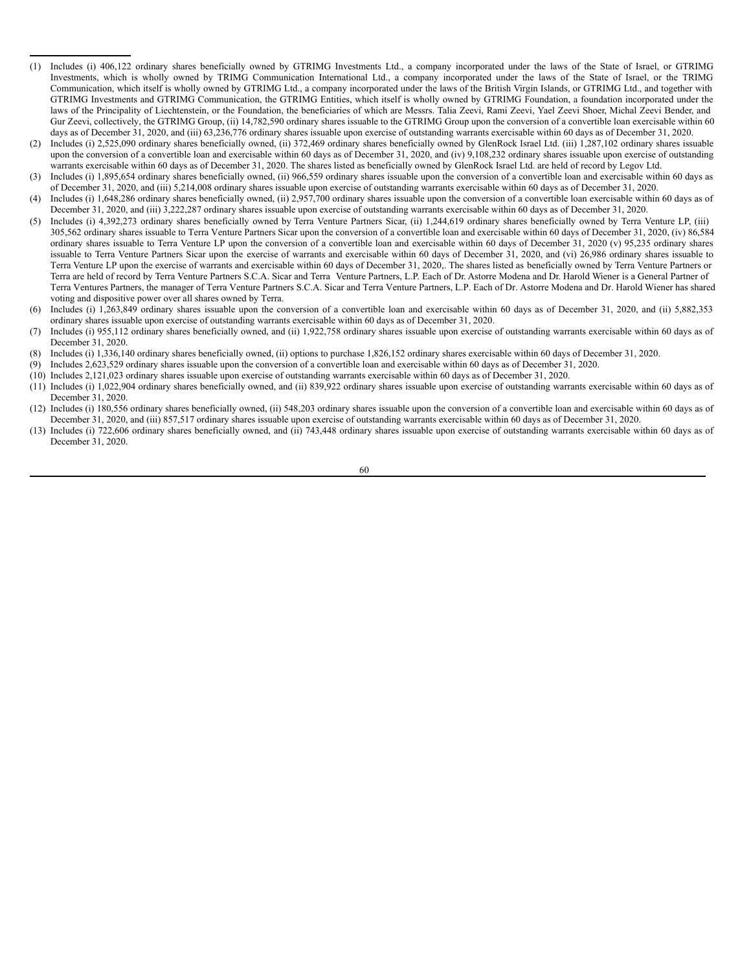- (1) Includes (i) 406,122 ordinary shares beneficially owned by GTRIMG Investments Ltd., a company incorporated under the laws of the State of Israel, or GTRIMG Investments, which is wholly owned by TRIMG Communication International Ltd., a company incorporated under the laws of the State of Israel, or the TRIMG Communication, which itself is wholly owned by GTRIMG Ltd., a company incorporated under the laws of the British Virgin Islands, or GTRIMG Ltd., and together with GTRIMG Investments and GTRIMG Communication, the GTRIMG Entities, which itself is wholly owned by GTRIMG Foundation, a foundation incorporated under the laws of the Principality of Liechtenstein, or the Foundation, the beneficiaries of which are Messrs. Talia Zeevi, Rami Zeevi, Yael Zeevi Shoer, Michal Zeevi Bender, and Gur Zeevi, collectively, the GTRIMG Group, (ii) 14,782,590 ordinary shares issuable to the GTRIMG Group upon the conversion of a convertible loan exercisable within 60 days as of December 31, 2020, and (iii) 63,236,776 ordinary shares issuable upon exercise of outstanding warrants exercisable within 60 days as of December 31, 2020.
- (2) Includes (i) 2,525,090 ordinary shares beneficially owned, (ii) 372,469 ordinary shares beneficially owned by GlenRock Israel Ltd. (iii) 1,287,102 ordinary shares issuable upon the conversion of a convertible loan and exercisable within 60 days as of December 31, 2020, and (iv) 9,108,232 ordinary shares issuable upon exercise of outstanding warrants exercisable within 60 days as of December 31, 2020. The shares listed as beneficially owned by GlenRock Israel Ltd. are held of record by Legov Ltd.
- (3) Includes (i) 1,895,654 ordinary shares beneficially owned, (ii) 966,559 ordinary shares issuable upon the conversion of a convertible loan and exercisable within 60 days as of December 31, 2020, and (iii) 5,214,008 ordinary shares issuable upon exercise of outstanding warrants exercisable within 60 days as of December 31, 2020.
- (4) Includes (i) 1,648,286 ordinary shares beneficially owned, (ii) 2,957,700 ordinary shares issuable upon the conversion of a convertible loan exercisable within 60 days as of December 31, 2020, and (iii) 3,222,287 ordinary shares issuable upon exercise of outstanding warrants exercisable within 60 days as of December 31, 2020.
- (5) Includes (i) 4,392,273 ordinary shares beneficially owned by Terra Venture Partners Sicar, (ii) 1,244,619 ordinary shares beneficially owned by Terra Venture LP, (iii) 305,562 ordinary shares issuable to Terra Venture Partners Sicar upon the conversion of a convertible loan and exercisable within 60 days of December 31, 2020, (iv) 86,584 ordinary shares issuable to Terra Venture LP upon the conversion of a convertible loan and exercisable within 60 days of December 31, 2020 (v) 95,235 ordinary shares issuable to Terra Venture Partners Sicar upon the exercise of warrants and exercisable within 60 days of December 31, 2020, and (vi) 26,986 ordinary shares issuable to Terra Venture LP upon the exercise of warrants and exercisable within 60 days of December 31, 2020,. The shares listed as beneficially owned by Terra Venture Partners or Terra are held of record by Terra Venture Partners S.C.A. Sicar and Terra Venture Partners, L.P. Each of Dr. Astorre Modena and Dr. Harold Wiener is a General Partner of Terra Ventures Partners, the manager of Terra Venture Partners S.C.A. Sicar and Terra Venture Partners, L.P. Each of Dr. Astorre Modena and Dr. Harold Wiener has shared voting and dispositive power over all shares owned by Terra.
- (6) Includes (i) 1,263,849 ordinary shares issuable upon the conversion of a convertible loan and exercisable within 60 days as of December 31, 2020, and (ii) 5,882,353 ordinary shares issuable upon exercise of outstanding warrants exercisable within 60 days as of December 31, 2020.
- (7) Includes (i) 955,112 ordinary shares beneficially owned, and (ii) 1,922,758 ordinary shares issuable upon exercise of outstanding warrants exercisable within 60 days as of December 31, 2020.
- (8) Includes (i) 1,336,140 ordinary shares beneficially owned, (ii) options to purchase 1,826,152 ordinary shares exercisable within 60 days of December 31, 2020.
- (9) Includes 2,623,529 ordinary shares issuable upon the conversion of a convertible loan and exercisable within 60 days as of December 31, 2020.
- (10) Includes 2,121,023 ordinary shares issuable upon exercise of outstanding warrants exercisable within 60 days as of December 31, 2020.
- (11) Includes (i) 1,022,904 ordinary shares beneficially owned, and (ii) 839,922 ordinary shares issuable upon exercise of outstanding warrants exercisable within 60 days as of December 31, 2020.
- (12) Includes (i) 180,556 ordinary shares beneficially owned, (ii) 548,203 ordinary shares issuable upon the conversion of a convertible loan and exercisable within 60 days as of December 31, 2020, and (iii) 857,517 ordinary shares issuable upon exercise of outstanding warrants exercisable within 60 days as of December 31, 2020.
- (13) Includes (i) 722,606 ordinary shares beneficially owned, and (ii) 743,448 ordinary shares issuable upon exercise of outstanding warrants exercisable within 60 days as of December 31, 2020.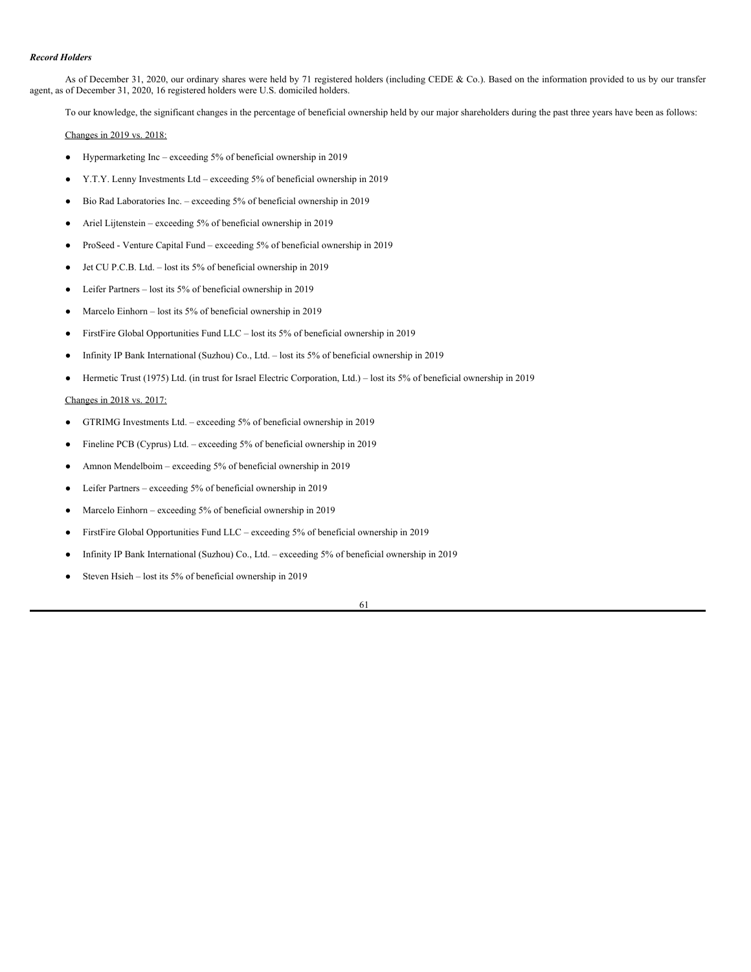## *Record Holders*

As of December 31, 2020, our ordinary shares were held by 71 registered holders (including CEDE & Co.). Based on the information provided to us by our transfer agent, as of December 31, 2020, 16 registered holders were U.S. domiciled holders.

To our knowledge, the significant changes in the percentage of beneficial ownership held by our major shareholders during the past three years have been as follows:

Changes in 2019 vs. 2018:

- Hypermarketing Inc exceeding 5% of beneficial ownership in 2019
- Y.T.Y. Lenny Investments Ltd exceeding 5% of beneficial ownership in 2019
- Bio Rad Laboratories Inc. exceeding 5% of beneficial ownership in 2019
- Ariel Lijtenstein exceeding 5% of beneficial ownership in 2019
- ProSeed Venture Capital Fund exceeding 5% of beneficial ownership in 2019
- Jet CU P.C.B. Ltd. lost its 5% of beneficial ownership in 2019
- Leifer Partners lost its 5% of beneficial ownership in 2019
- Marcelo Einhorn lost its 5% of beneficial ownership in 2019
- FirstFire Global Opportunities Fund LLC lost its 5% of beneficial ownership in 2019
- Infinity IP Bank International (Suzhou) Co., Ltd. lost its 5% of beneficial ownership in 2019
- Hermetic Trust (1975) Ltd. (in trust for Israel Electric Corporation, Ltd.) lost its 5% of beneficial ownership in 2019

# Changes in 2018 vs. 2017:

- GTRIMG Investments Ltd. exceeding 5% of beneficial ownership in 2019
- Fineline PCB (Cyprus) Ltd. exceeding 5% of beneficial ownership in 2019
- Amnon Mendelboim exceeding 5% of beneficial ownership in 2019
- Leifer Partners exceeding 5% of beneficial ownership in 2019
- Marcelo Einhorn exceeding 5% of beneficial ownership in 2019
- FirstFire Global Opportunities Fund LLC exceeding 5% of beneficial ownership in 2019
- Infinity IP Bank International (Suzhou) Co., Ltd. exceeding 5% of beneficial ownership in 2019
- Steven Hsieh lost its 5% of beneficial ownership in 2019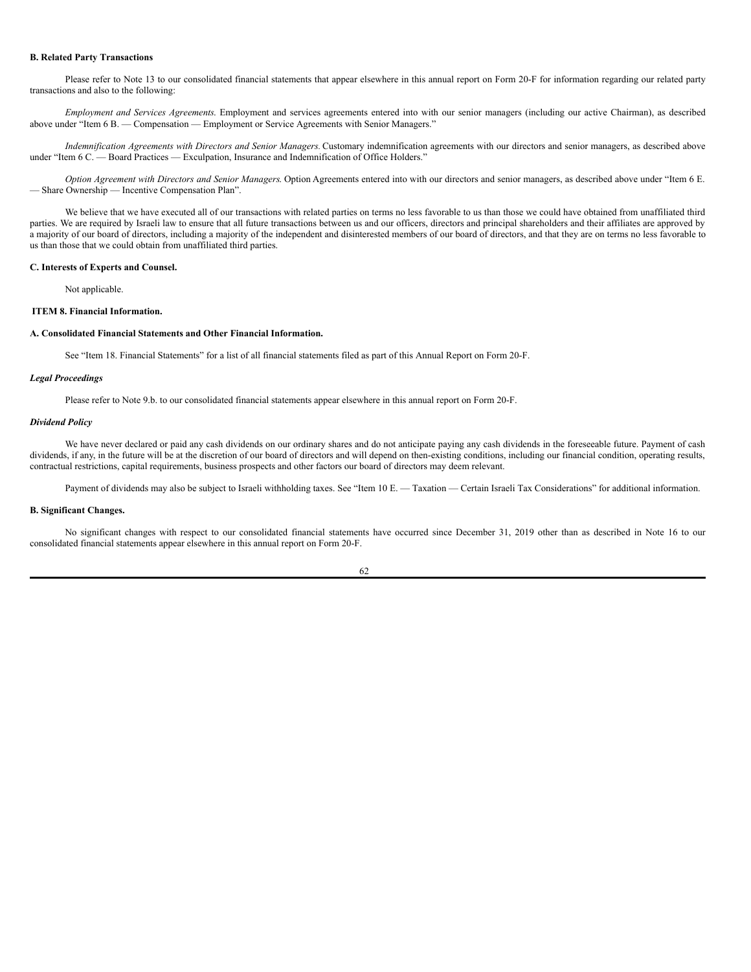#### **B. Related Party Transactions**

Please refer to Note 13 to our consolidated financial statements that appear elsewhere in this annual report on Form 20-F for information regarding our related party transactions and also to the following:

*Employment and Services Agreements*. Employment and services agreements entered into with our senior managers (including our active Chairman), as described above under "Item 6 B. — Compensation — Employment or Service Agreements with Senior Managers."

*Indemnification Agreements with Directors and Senior Managers.* Customary indemnification agreements with our directors and senior managers, as described above under "Item 6 C. — Board Practices — Exculpation, Insurance and Indemnification of Office Holders."

*Option Agreement with Directors and Senior Managers*. Option Agreements entered into with our directors and senior managers, as described above under "Item 6 E. — Share Ownership — Incentive Compensation Plan".

We believe that we have executed all of our transactions with related parties on terms no less favorable to us than those we could have obtained from unaffiliated third parties. We are required by Israeli law to ensure that all future transactions between us and our officers, directors and principal shareholders and their affiliates are approved by a majority of our board of directors, including a majority of the independent and disinterested members of our board of directors, and that they are on terms no less favorable to us than those that we could obtain from unaffiliated third parties.

## **C. Interests of Experts and Counsel.**

Not applicable.

# **ITEM 8. Financial Information.**

## **A. Consolidated Financial Statements and Other Financial Information.**

See "Item 18. Financial Statements" for a list of all financial statements filed as part of this Annual Report on Form 20-F.

## *Legal Proceedings*

Please refer to Note 9.b. to our consolidated financial statements appear elsewhere in this annual report on Form 20-F.

## *Dividend Policy*

We have never declared or paid any cash dividends on our ordinary shares and do not anticipate paying any cash dividends in the foreseeable future. Payment of cash dividends, if any, in the future will be at the discretion of our board of directors and will depend on then-existing conditions, including our financial condition, operating results, contractual restrictions, capital requirements, business prospects and other factors our board of directors may deem relevant.

Payment of dividends may also be subject to Israeli withholding taxes. See "Item 10 E. — Taxation — Certain Israeli Tax Considerations" for additional information.

# **B. Significant Changes.**

No significant changes with respect to our consolidated financial statements have occurred since December 31, 2019 other than as described in Note 16 to our consolidated financial statements appear elsewhere in this annual report on Form 20-F.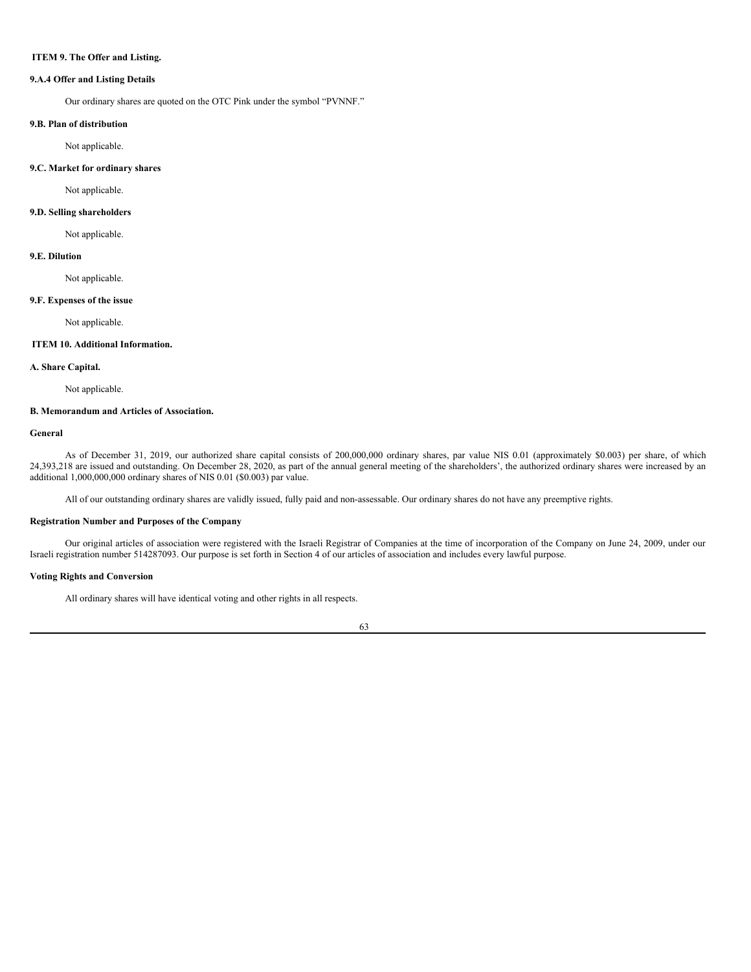## **ITEM 9. The Offer and Listing.**

## **9.A.4 Offer and Listing Details**

Our ordinary shares are quoted on the OTC Pink under the symbol "PVNNF."

## **9.B. Plan of distribution**

Not applicable.

# **9.C. Market for ordinary shares**

Not applicable.

## **9.D. Selling shareholders**

Not applicable.

# **9.E. Dilution**

Not applicable.

## **9.F. Expenses of the issue**

Not applicable.

# **ITEM 10. Additional Information.**

## **A. Share Capital.**

Not applicable.

# **B. Memorandum and Articles of Association.**

# **General**

As of December 31, 2019, our authorized share capital consists of 200,000,000 ordinary shares, par value NIS 0.01 (approximately \$0.003) per share, of which 24,393,218 are issued and outstanding. On December 28, 2020, as part of the annual general meeting of the shareholders', the authorized ordinary shares were increased by an additional 1,000,000,000 ordinary shares of NIS 0.01 (\$0.003) par value.

All of our outstanding ordinary shares are validly issued, fully paid and non-assessable. Our ordinary shares do not have any preemptive rights.

# **Registration Number and Purposes of the Company**

Our original articles of association were registered with the Israeli Registrar of Companies at the time of incorporation of the Company on June 24, 2009, under our Israeli registration number 514287093. Our purpose is set forth in Section 4 of our articles of association and includes every lawful purpose.

# **Voting Rights and Conversion**

All ordinary shares will have identical voting and other rights in all respects.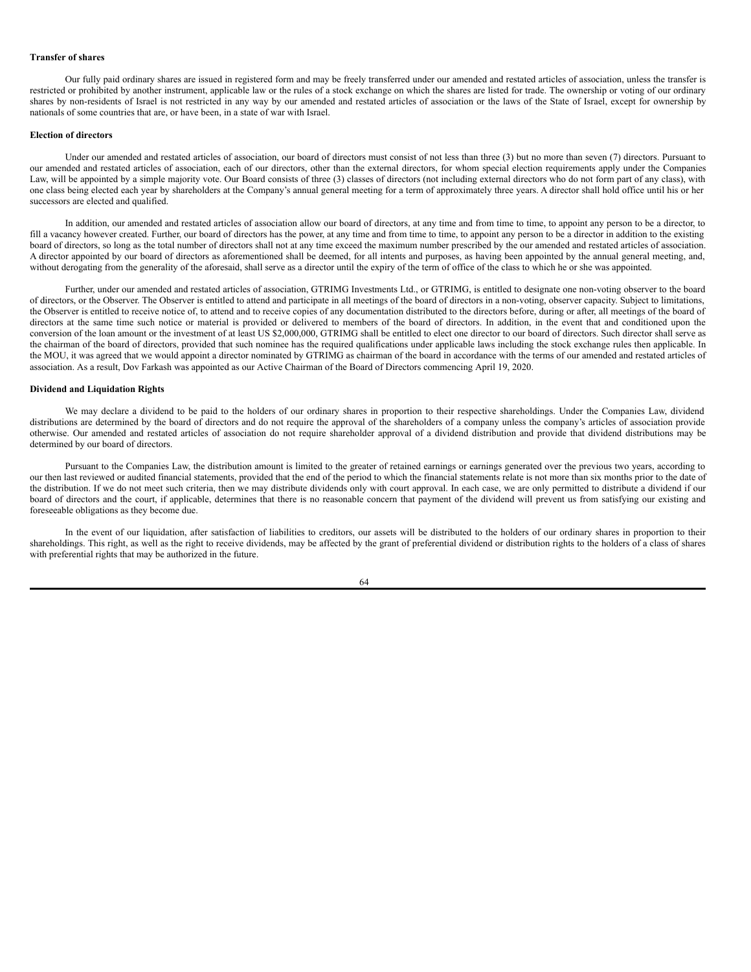#### **Transfer of shares**

Our fully paid ordinary shares are issued in registered form and may be freely transferred under our amended and restated articles of association, unless the transfer is restricted or prohibited by another instrument, applicable law or the rules of a stock exchange on which the shares are listed for trade. The ownership or voting of our ordinary shares by non-residents of Israel is not restricted in any way by our amended and restated articles of association or the laws of the State of Israel, except for ownership by nationals of some countries that are, or have been, in a state of war with Israel.

## **Election of directors**

Under our amended and restated articles of association, our board of directors must consist of not less than three (3) but no more than seven (7) directors. Pursuant to our amended and restated articles of association, each of our directors, other than the external directors, for whom special election requirements apply under the Companies Law, will be appointed by a simple majority vote. Our Board consists of three (3) classes of directors (not including external directors who do not form part of any class), with one class being elected each year by shareholders at the Company's annual general meeting for a term of approximately three years. A director shall hold office until his or her successors are elected and qualified.

In addition, our amended and restated articles of association allow our board of directors, at any time and from time to time, to appoint any person to be a director, to fill a vacancy however created. Further, our board of directors has the power, at any time and from time to time, to appoint any person to be a director in addition to the existing board of directors, so long as the total number of directors shall not at any time exceed the maximum number prescribed by the our amended and restated articles of association. A director appointed by our board of directors as aforementioned shall be deemed, for all intents and purposes, as having been appointed by the annual general meeting, and, without derogating from the generality of the aforesaid, shall serve as a director until the expiry of the term of office of the class to which he or she was appointed.

Further, under our amended and restated articles of association, GTRIMG Investments Ltd., or GTRIMG, is entitled to designate one non-voting observer to the board of directors, or the Observer. The Observer is entitled to attend and participate in all meetings of the board of directors in a non-voting, observer capacity. Subject to limitations, the Observer is entitled to receive notice of, to attend and to receive copies of any documentation distributed to the directors before, during or after, all meetings of the board of directors at the same time such notice or material is provided or delivered to members of the board of directors. In addition, in the event that and conditioned upon the conversion of the loan amount or the investment of at least US \$2,000,000, GTRIMG shall be entitled to elect one director to our board of directors. Such director shall serve as the chairman of the board of directors, provided that such nominee has the required qualifications under applicable laws including the stock exchange rules then applicable. In the MOU, it was agreed that we would appoint a director nominated by GTRIMG as chairman of the board in accordance with the terms of our amended and restated articles of association. As a result, Dov Farkash was appointed as our Active Chairman of the Board of Directors commencing April 19, 2020.

## **Dividend and Liquidation Rights**

We may declare a dividend to be paid to the holders of our ordinary shares in proportion to their respective shareholdings. Under the Companies Law, dividend distributions are determined by the board of directors and do not require the approval of the shareholders of a company unless the company's articles of association provide otherwise. Our amended and restated articles of association do not require shareholder approval of a dividend distribution and provide that dividend distributions may be determined by our board of directors.

Pursuant to the Companies Law, the distribution amount is limited to the greater of retained earnings or earnings generated over the previous two years, according to our then last reviewed or audited financial statements, provided that the end of the period to which the financial statements relate is not more than six months prior to the date of the distribution. If we do not meet such criteria, then we may distribute dividends only with court approval. In each case, we are only permitted to distribute a dividend if our board of directors and the court, if applicable, determines that there is no reasonable concern that payment of the dividend will prevent us from satisfying our existing and foreseeable obligations as they become due.

In the event of our liquidation, after satisfaction of liabilities to creditors, our assets will be distributed to the holders of our ordinary shares in proportion to their shareholdings. This right, as well as the right to receive dividends, may be affected by the grant of preferential dividend or distribution rights to the holders of a class of shares with preferential rights that may be authorized in the future.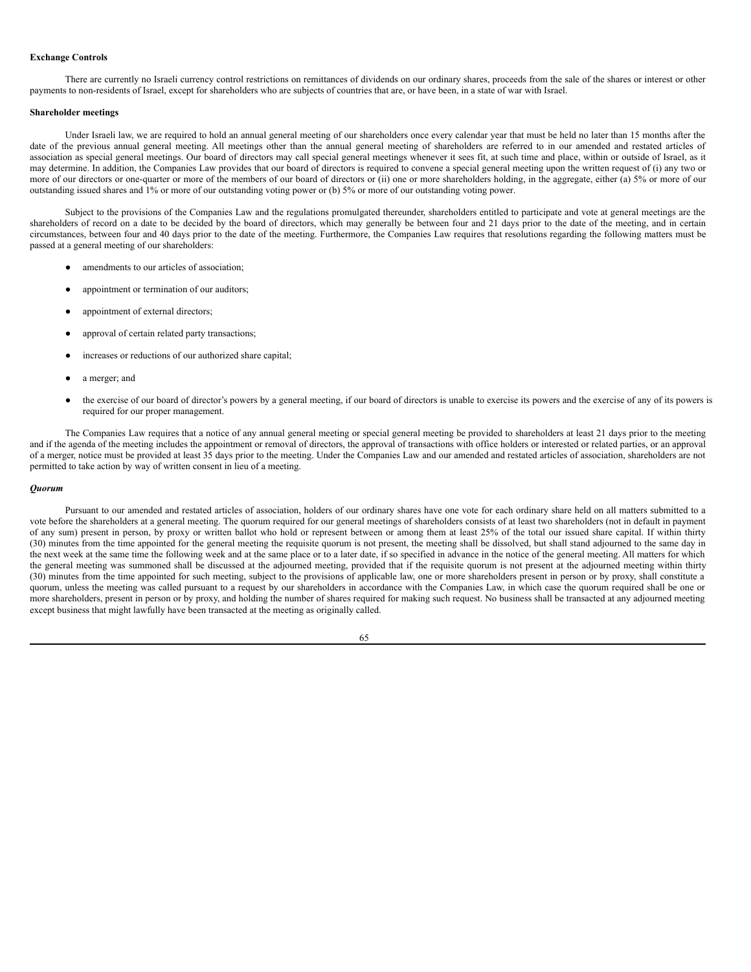#### **Exchange Controls**

There are currently no Israeli currency control restrictions on remittances of dividends on our ordinary shares, proceeds from the sale of the shares or interest or other payments to non-residents of Israel, except for shareholders who are subjects of countries that are, or have been, in a state of war with Israel.

## **Shareholder meetings**

Under Israeli law, we are required to hold an annual general meeting of our shareholders once every calendar year that must be held no later than 15 months after the date of the previous annual general meeting. All meetings other than the annual general meeting of shareholders are referred to in our amended and restated articles of association as special general meetings. Our board of directors may call special general meetings whenever it sees fit, at such time and place, within or outside of Israel, as it may determine. In addition, the Companies Law provides that our board of directors is required to convene a special general meeting upon the written request of (i) any two or more of our directors or one-quarter or more of the members of our board of directors or (ii) one or more shareholders holding, in the aggregate, either (a) 5% or more of our outstanding issued shares and 1% or more of our outstanding voting power or (b) 5% or more of our outstanding voting power.

Subject to the provisions of the Companies Law and the regulations promulgated thereunder, shareholders entitled to participate and vote at general meetings are the shareholders of record on a date to be decided by the board of directors, which may generally be between four and 21 days prior to the date of the meeting, and in certain circumstances, between four and 40 days prior to the date of the meeting. Furthermore, the Companies Law requires that resolutions regarding the following matters must be passed at a general meeting of our shareholders:

- amendments to our articles of association;
- appointment or termination of our auditors;
- appointment of external directors;
- approval of certain related party transactions;
- increases or reductions of our authorized share capital;
- a merger; and
- the exercise of our board of director's powers by a general meeting, if our board of directors is unable to exercise its powers and the exercise of any of its powers is required for our proper management.

The Companies Law requires that a notice of any annual general meeting or special general meeting be provided to shareholders at least 21 days prior to the meeting and if the agenda of the meeting includes the appointment or removal of directors, the approval of transactions with office holders or interested or related parties, or an approval of a merger, notice must be provided at least 35 days prior to the meeting. Under the Companies Law and our amended and restated articles of association, shareholders are not permitted to take action by way of written consent in lieu of a meeting.

#### *Quorum*

Pursuant to our amended and restated articles of association, holders of our ordinary shares have one vote for each ordinary share held on all matters submitted to a vote before the shareholders at a general meeting. The quorum required for our general meetings of shareholders consists of at least two shareholders (not in default in payment of any sum) present in person, by proxy or written ballot who hold or represent between or among them at least 25% of the total our issued share capital. If within thirty (30) minutes from the time appointed for the general meeting the requisite quorum is not present, the meeting shall be dissolved, but shall stand adjourned to the same day in the next week at the same time the following week and at the same place or to a later date, if so specified in advance in the notice of the general meeting. All matters for which the general meeting was summoned shall be discussed at the adjourned meeting, provided that if the requisite quorum is not present at the adjourned meeting within thirty (30) minutes from the time appointed for such meeting, subject to the provisions of applicable law, one or more shareholders present in person or by proxy, shall constitute a quorum, unless the meeting was called pursuant to a request by our shareholders in accordance with the Companies Law, in which case the quorum required shall be one or more shareholders, present in person or by proxy, and holding the number of shares required for making such request. No business shall be transacted at any adjourned meeting except business that might lawfully have been transacted at the meeting as originally called.

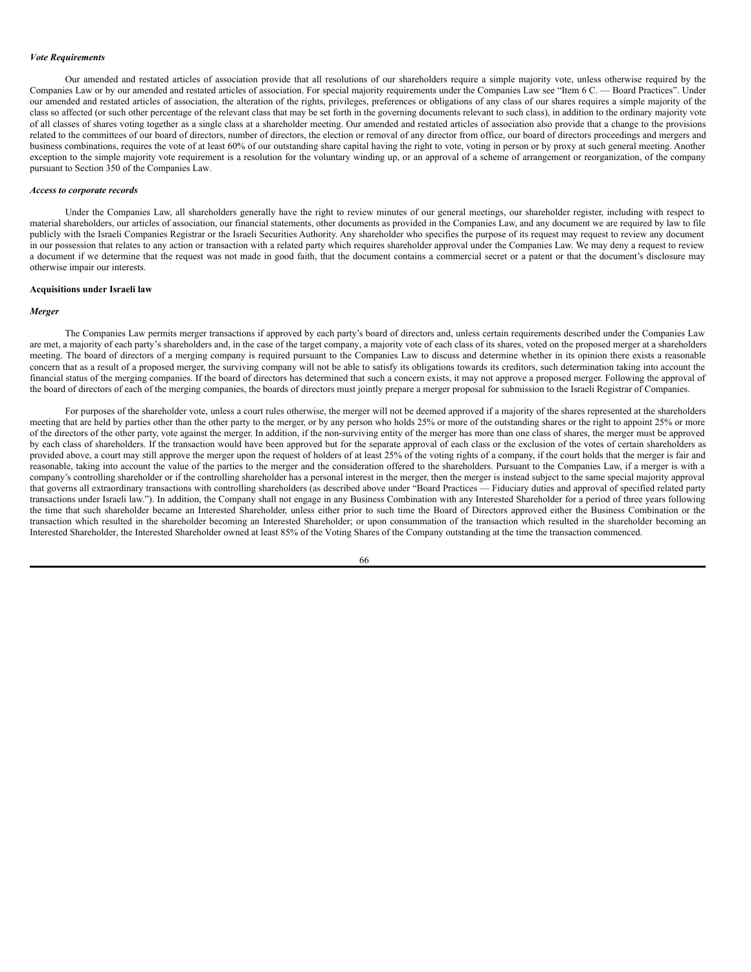#### *Vote Requirements*

Our amended and restated articles of association provide that all resolutions of our shareholders require a simple majority vote, unless otherwise required by the Companies Law or by our amended and restated articles of association. For special majority requirements under the Companies Law see "Item 6 C. — Board Practices". Under our amended and restated articles of association, the alteration of the rights, privileges, preferences or obligations of any class of our shares requires a simple majority of the class so affected (or such other percentage of the relevant class that may be set forth in the governing documents relevant to such class), in addition to the ordinary majority vote of all classes of shares voting together as a single class at a shareholder meeting. Our amended and restated articles of association also provide that a change to the provisions related to the committees of our board of directors, number of directors, the election or removal of any director from office, our board of directors proceedings and mergers and business combinations, requires the vote of at least 60% of our outstanding share capital having the right to vote, voting in person or by proxy at such general meeting. Another exception to the simple majority vote requirement is a resolution for the voluntary winding up, or an approval of a scheme of arrangement or reorganization, of the company pursuant to Section 350 of the Companies Law.

#### *Access to corporate records*

Under the Companies Law, all shareholders generally have the right to review minutes of our general meetings, our shareholder register, including with respect to material shareholders, our articles of association, our financial statements, other documents as provided in the Companies Law, and any document we are required by law to file publicly with the Israeli Companies Registrar or the Israeli Securities Authority. Any shareholder who specifies the purpose of its request may request to review any document in our possession that relates to any action or transaction with a related party which requires shareholder approval under the Companies Law. We may deny a request to review a document if we determine that the request was not made in good faith, that the document contains a commercial secret or a patent or that the document's disclosure may otherwise impair our interests.

## **Acquisitions under Israeli law**

#### *Merger*

The Companies Law permits merger transactions if approved by each party's board of directors and, unless certain requirements described under the Companies Law are met, a majority of each party's shareholders and, in the case of the target company, a majority vote of each class of its shares, voted on the proposed merger at a shareholders meeting. The board of directors of a merging company is required pursuant to the Companies Law to discuss and determine whether in its opinion there exists a reasonable concern that as a result of a proposed merger, the surviving company will not be able to satisfy its obligations towards its creditors, such determination taking into account the financial status of the merging companies. If the board of directors has determined that such a concern exists, it may not approve a proposed merger. Following the approval of the board of directors of each of the merging companies, the boards of directors must jointly prepare a merger proposal for submission to the Israeli Registrar of Companies.

For purposes of the shareholder vote, unless a court rules otherwise, the merger will not be deemed approved if a majority of the shares represented at the shareholders meeting that are held by parties other than the other party to the merger, or by any person who holds 25% or more of the outstanding shares or the right to appoint 25% or more of the directors of the other party, vote against the merger. In addition, if the non-surviving entity of the merger has more than one class of shares, the merger must be approved by each class of shareholders. If the transaction would have been approved but for the separate approval of each class or the exclusion of the votes of certain shareholders as provided above, a court may still approve the merger upon the request of holders of at least 25% of the voting rights of a company, if the court holds that the merger is fair and reasonable, taking into account the value of the parties to the merger and the consideration offered to the shareholders. Pursuant to the Companies Law, if a merger is with a company's controlling shareholder or if the controlling shareholder has a personal interest in the merger, then the merger is instead subject to the same special majority approval that governs all extraordinary transactions with controlling shareholders (as described above under "Board Practices — Fiduciary duties and approval of specified related party transactions under Israeli law."). In addition, the Company shall not engage in any Business Combination with any Interested Shareholder for a period of three years following the time that such shareholder became an Interested Shareholder, unless either prior to such time the Board of Directors approved either the Business Combination or the transaction which resulted in the shareholder becoming an Interested Shareholder; or upon consummation of the transaction which resulted in the shareholder becoming an Interested Shareholder, the Interested Shareholder owned at least 85% of the Voting Shares of the Company outstanding at the time the transaction commenced.

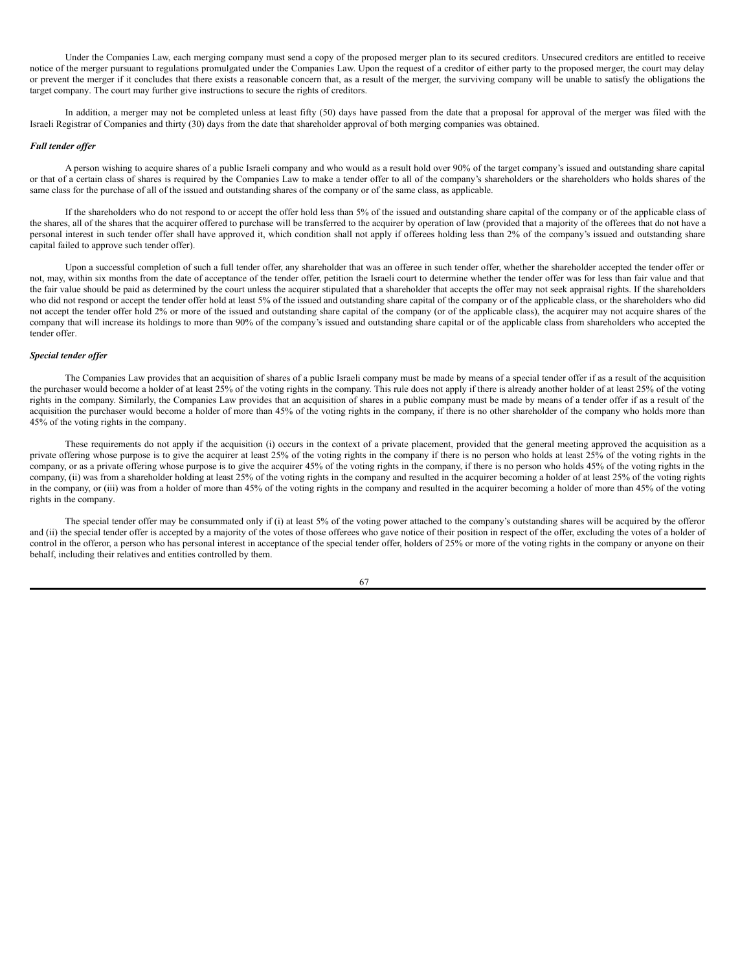Under the Companies Law, each merging company must send a copy of the proposed merger plan to its secured creditors. Unsecured creditors are entitled to receive notice of the merger pursuant to regulations promulgated under the Companies Law. Upon the request of a creditor of either party to the proposed merger, the court may delay or prevent the merger if it concludes that there exists a reasonable concern that, as a result of the merger, the surviving company will be unable to satisfy the obligations the target company. The court may further give instructions to secure the rights of creditors.

In addition, a merger may not be completed unless at least fifty (50) days have passed from the date that a proposal for approval of the merger was filed with the Israeli Registrar of Companies and thirty (30) days from the date that shareholder approval of both merging companies was obtained.

### *Full tender of er*

A person wishing to acquire shares of a public Israeli company and who would as a result hold over 90% of the target company's issued and outstanding share capital or that of a certain class of shares is required by the Companies Law to make a tender offer to all of the company's shareholders or the shareholders who holds shares of the same class for the purchase of all of the issued and outstanding shares of the company or of the same class, as applicable.

If the shareholders who do not respond to or accept the offer hold less than 5% of the issued and outstanding share capital of the company or of the applicable class of the shares, all of the shares that the acquirer offered to purchase will be transferred to the acquirer by operation of law (provided that a majority of the offerees that do not have a personal interest in such tender offer shall have approved it, which condition shall not apply if offerees holding less than 2% of the company's issued and outstanding share capital failed to approve such tender offer).

Upon a successful completion of such a full tender offer, any shareholder that was an offeree in such tender offer, whether the shareholder accepted the tender offer or not, may, within six months from the date of acceptance of the tender offer, petition the Israeli court to determine whether the tender offer was for less than fair value and that the fair value should be paid as determined by the court unless the acquirer stipulated that a shareholder that accepts the offer may not seek appraisal rights. If the shareholders who did not respond or accept the tender offer hold at least 5% of the issued and outstanding share capital of the company or of the applicable class, or the shareholders who did not accept the tender offer hold 2% or more of the issued and outstanding share capital of the company (or of the applicable class), the acquirer may not acquire shares of the company that will increase its holdings to more than 90% of the company's issued and outstanding share capital or of the applicable class from shareholders who accepted the tender offer.

# *Special tender of er*

The Companies Law provides that an acquisition of shares of a public Israeli company must be made by means of a special tender offer if as a result of the acquisition the purchaser would become a holder of at least 25% of the voting rights in the company. This rule does not apply if there is already another holder of at least 25% of the voting rights in the company. Similarly, the Companies Law provides that an acquisition of shares in a public company must be made by means of a tender offer if as a result of the acquisition the purchaser would become a holder of more than 45% of the voting rights in the company, if there is no other shareholder of the company who holds more than 45% of the voting rights in the company.

These requirements do not apply if the acquisition (i) occurs in the context of a private placement, provided that the general meeting approved the acquisition as a private offering whose purpose is to give the acquirer at least 25% of the voting rights in the company if there is no person who holds at least 25% of the voting rights in the company, or as a private offering whose purpose is to give the acquirer 45% of the voting rights in the company, if there is no person who holds 45% of the voting rights in the company, (ii) was from a shareholder holding at least 25% of the voting rights in the company and resulted in the acquirer becoming a holder of at least 25% of the voting rights in the company, or (iii) was from a holder of more than 45% of the voting rights in the company and resulted in the acquirer becoming a holder of more than 45% of the voting rights in the company.

The special tender offer may be consummated only if (i) at least 5% of the voting power attached to the company's outstanding shares will be acquired by the offeror and (ii) the special tender offer is accepted by a majority of the votes of those offerees who gave notice of their position in respect of the offer, excluding the votes of a holder of control in the offeror, a person who has personal interest in acceptance of the special tender offer, holders of 25% or more of the voting rights in the company or anyone on their behalf, including their relatives and entities controlled by them.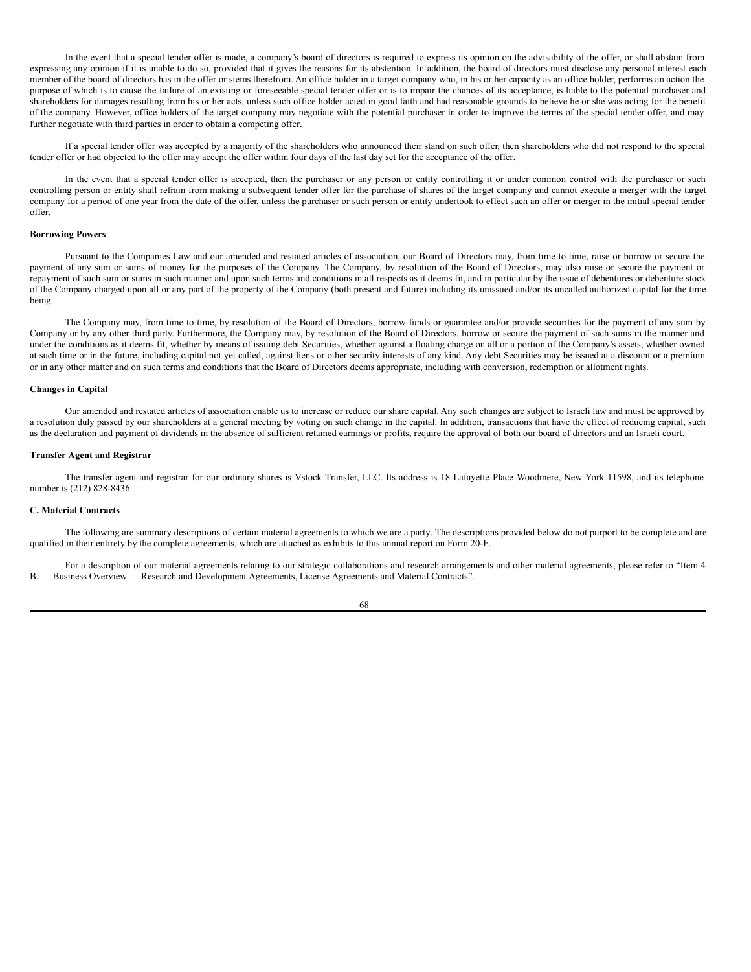In the event that a special tender offer is made, a company's board of directors is required to express its opinion on the advisability of the offer, or shall abstain from expressing any opinion if it is unable to do so, provided that it gives the reasons for its abstention. In addition, the board of directors must disclose any personal interest each member of the board of directors has in the offer or stems therefrom. An office holder in a target company who, in his or her capacity as an office holder, performs an action the purpose of which is to cause the failure of an existing or foreseeable special tender offer or is to impair the chances of its acceptance, is liable to the potential purchaser and shareholders for damages resulting from his or her acts, unless such office holder acted in good faith and had reasonable grounds to believe he or she was acting for the benefit of the company. However, office holders of the target company may negotiate with the potential purchaser in order to improve the terms of the special tender offer, and may further negotiate with third parties in order to obtain a competing offer.

If a special tender offer was accepted by a majority of the shareholders who announced their stand on such offer, then shareholders who did not respond to the special tender offer or had objected to the offer may accept the offer within four days of the last day set for the acceptance of the offer.

In the event that a special tender offer is accepted, then the purchaser or any person or entity controlling it or under common control with the purchaser or such controlling person or entity shall refrain from making a subsequent tender offer for the purchase of shares of the target company and cannot execute a merger with the target company for a period of one year from the date of the offer, unless the purchaser or such person or entity undertook to effect such an offer or merger in the initial special tender offer.

### **Borrowing Powers**

Pursuant to the Companies Law and our amended and restated articles of association, our Board of Directors may, from time to time, raise or borrow or secure the payment of any sum or sums of money for the purposes of the Company. The Company, by resolution of the Board of Directors, may also raise or secure the payment or repayment of such sum or sums in such manner and upon such terms and conditions in all respects as it deems fit, and in particular by the issue of debentures or debenture stock of the Company charged upon all or any part of the property of the Company (both present and future) including its unissued and/or its uncalled authorized capital for the time being.

The Company may, from time to time, by resolution of the Board of Directors, borrow funds or guarantee and/or provide securities for the payment of any sum by Company or by any other third party. Furthermore, the Company may, by resolution of the Board of Directors, borrow or secure the payment of such sums in the manner and under the conditions as it deems fit, whether by means of issuing debt Securities, whether against a floating charge on all or a portion of the Company's assets, whether owned at such time or in the future, including capital not yet called, against liens or other security interests of any kind. Any debt Securities may be issued at a discount or a premium or in any other matter and on such terms and conditions that the Board of Directors deems appropriate, including with conversion, redemption or allotment rights.

#### **Changes in Capital**

Our amended and restated articles of association enable us to increase or reduce our share capital. Any such changes are subject to Israeli law and must be approved by a resolution duly passed by our shareholders at a general meeting by voting on such change in the capital. In addition, transactions that have the effect of reducing capital, such as the declaration and payment of dividends in the absence of sufficient retained earnings or profits, require the approval of both our board of directors and an Israeli court.

#### **Transfer Agent and Registrar**

The transfer agent and registrar for our ordinary shares is Vstock Transfer, LLC. Its address is 18 Lafayette Place Woodmere, New York 11598, and its telephone number is (212) 828-8436.

#### **C. Material Contracts**

The following are summary descriptions of certain material agreements to which we are a party. The descriptions provided below do not purport to be complete and are qualified in their entirety by the complete agreements, which are attached as exhibits to this annual report on Form 20-F.

For a description of our material agreements relating to our strategic collaborations and research arrangements and other material agreements, please refer to "Item 4 B. — Business Overview — Research and Development Agreements, License Agreements and Material Contracts".

#### 68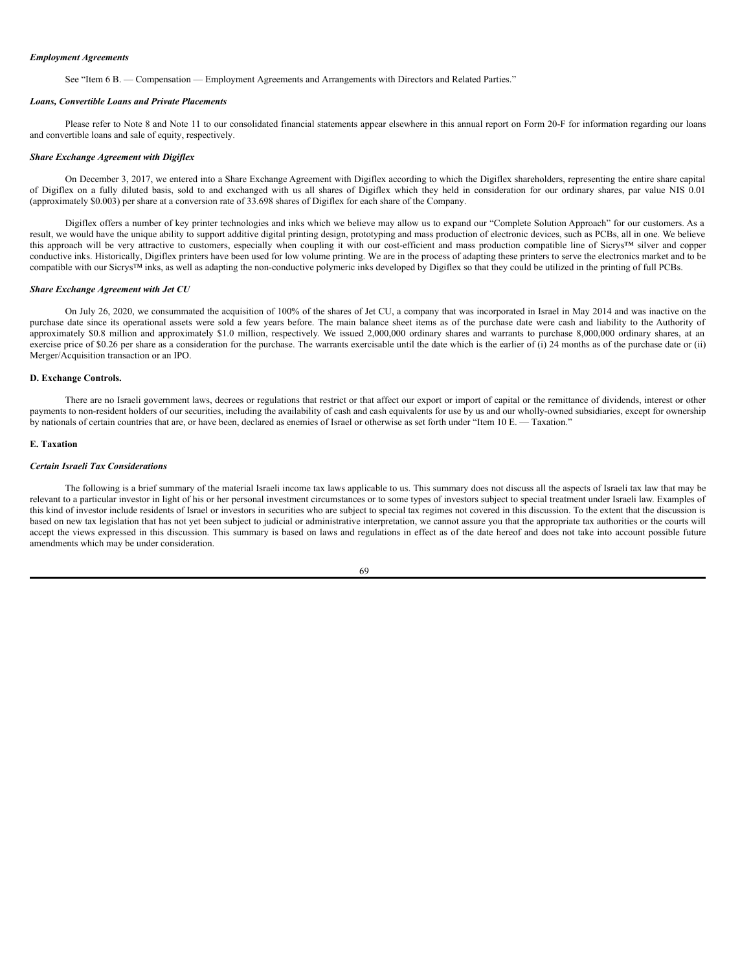#### *Employment Agreements*

See "Item 6 B. — Compensation — Employment Agreements and Arrangements with Directors and Related Parties."

#### *Loans, Convertible Loans and Private Placements*

Please refer to Note 8 and Note 11 to our consolidated financial statements appear elsewhere in this annual report on Form 20-F for information regarding our loans and convertible loans and sale of equity, respectively.

#### *Share Exchange Agreement with Digiflex*

On December 3, 2017, we entered into a Share Exchange Agreement with Digiflex according to which the Digiflex shareholders, representing the entire share capital of Digiflex on a fully diluted basis, sold to and exchanged with us all shares of Digiflex which they held in consideration for our ordinary shares, par value NIS 0.01 (approximately \$0.003) per share at a conversion rate of 33.698 shares of Digiflex for each share of the Company.

Digiflex offers a number of key printer technologies and inks which we believe may allow us to expand our "Complete Solution Approach" for our customers. As a result, we would have the unique ability to support additive digital printing design, prototyping and mass production of electronic devices, such as PCBs, all in one. We believe this approach will be very attractive to customers, especially when coupling it with our cost-efficient and mass production compatible line of Sicrys™ silver and copper conductive inks. Historically, Digiflex printers have been used for low volume printing. We are in the process of adapting these printers to serve the electronics market and to be compatible with our Sicrys™ inks, as well as adapting the non-conductive polymeric inks developed by Digiflex so that they could be utilized in the printing of full PCBs.

#### *Share Exchange Agreement with Jet CU*

On July 26, 2020, we consummated the acquisition of 100% of the shares of Jet CU, a company that was incorporated in Israel in May 2014 and was inactive on the purchase date since its operational assets were sold a few years before. The main balance sheet items as of the purchase date were cash and liability to the Authority of approximately \$0.8 million and approximately \$1.0 million, respectively. We issued 2,000,000 ordinary shares and warrants to purchase 8,000,000 ordinary shares, at an exercise price of \$0.26 per share as a consideration for the purchase. The warrants exercisable until the date which is the earlier of (i) 24 months as of the purchase date or (ii) Merger/Acquisition transaction or an IPO.

#### **D. Exchange Controls.**

There are no Israeli government laws, decrees or regulations that restrict or that affect our export or import of capital or the remittance of dividends, interest or other payments to non-resident holders of our securities, including the availability of cash and cash equivalents for use by us and our wholly-owned subsidiaries, except for ownership by nationals of certain countries that are, or have been, declared as enemies of Israel or otherwise as set forth under "Item 10 E. — Taxation."

#### **E. Taxation**

#### *Certain Israeli Tax Considerations*

The following is a brief summary of the material Israeli income tax laws applicable to us. This summary does not discuss all the aspects of Israeli tax law that may be relevant to a particular investor in light of his or her personal investment circumstances or to some types of investors subject to special treatment under Israeli law. Examples of this kind of investor include residents of Israel or investors in securities who are subject to special tax regimes not covered in this discussion. To the extent that the discussion is based on new tax legislation that has not yet been subject to judicial or administrative interpretation, we cannot assure you that the appropriate tax authorities or the courts will accept the views expressed in this discussion. This summary is based on laws and regulations in effect as of the date hereof and does not take into account possible future amendments which may be under consideration.

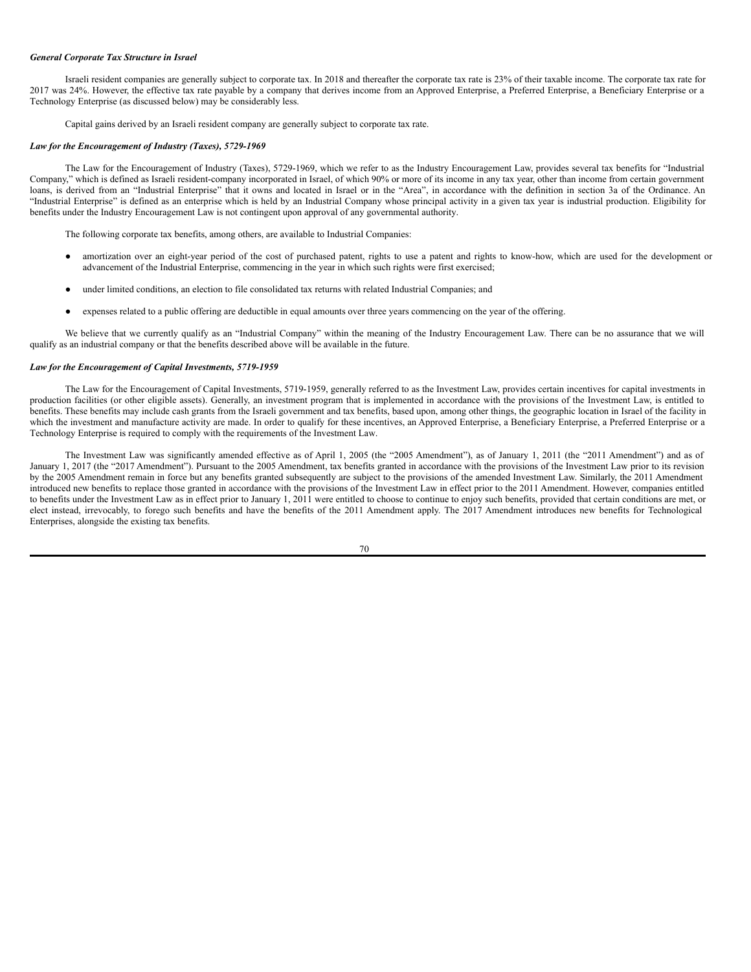#### *General Corporate Tax Structure in Israel*

Israeli resident companies are generally subject to corporate tax. In 2018 and thereafter the corporate tax rate is 23% of their taxable income. The corporate tax rate for 2017 was 24%. However, the effective tax rate payable by a company that derives income from an Approved Enterprise, a Preferred Enterprise, a Beneficiary Enterprise or a Technology Enterprise (as discussed below) may be considerably less.

Capital gains derived by an Israeli resident company are generally subject to corporate tax rate.

#### *Law for the Encouragement of Industry (Taxes), 5729-1969*

The Law for the Encouragement of Industry (Taxes), 5729-1969, which we refer to as the Industry Encouragement Law, provides several tax benefits for "Industrial Company," which is defined as Israeli resident-company incorporated in Israel, of which 90% or more of its income in any tax year, other than income from certain government loans, is derived from an "Industrial Enterprise" that it owns and located in Israel or in the "Area", in accordance with the definition in section 3a of the Ordinance. An "Industrial Enterprise" is defined as an enterprise which is held by an Industrial Company whose principal activity in a given tax year is industrial production. Eligibility for benefits under the Industry Encouragement Law is not contingent upon approval of any governmental authority.

The following corporate tax benefits, among others, are available to Industrial Companies:

- amortization over an eight-year period of the cost of purchased patent, rights to use a patent and rights to know-how, which are used for the development or advancement of the Industrial Enterprise, commencing in the year in which such rights were first exercised;
- under limited conditions, an election to file consolidated tax returns with related Industrial Companies; and
- expenses related to a public offering are deductible in equal amounts over three years commencing on the year of the offering.

We believe that we currently qualify as an "Industrial Company" within the meaning of the Industry Encouragement Law. There can be no assurance that we will qualify as an industrial company or that the benefits described above will be available in the future.

#### *Law for the Encouragement of Capital Investments, 5719-1959*

The Law for the Encouragement of Capital Investments, 5719-1959, generally referred to as the Investment Law, provides certain incentives for capital investments in production facilities (or other eligible assets). Generally, an investment program that is implemented in accordance with the provisions of the Investment Law, is entitled to benefits. These benefits may include cash grants from the Israeli government and tax benefits, based upon, among other things, the geographic location in Israel of the facility in which the investment and manufacture activity are made. In order to qualify for these incentives, an Approved Enterprise, a Beneficiary Enterprise, a Preferred Enterprise or a Technology Enterprise is required to comply with the requirements of the Investment Law.

The Investment Law was significantly amended effective as of April 1, 2005 (the "2005 Amendment"), as of January 1, 2011 (the "2011 Amendment") and as of January 1, 2017 (the "2017 Amendment"). Pursuant to the 2005 Amendment, tax benefits granted in accordance with the provisions of the Investment Law prior to its revision by the 2005 Amendment remain in force but any benefits granted subsequently are subject to the provisions of the amended Investment Law. Similarly, the 2011 Amendment introduced new benefits to replace those granted in accordance with the provisions of the Investment Law in effect prior to the 2011 Amendment. However, companies entitled to benefits under the Investment Law as in effect prior to January 1, 2011 were entitled to choose to continue to enjoy such benefits, provided that certain conditions are met, or elect instead, irrevocably, to forego such benefits and have the benefits of the 2011 Amendment apply. The 2017 Amendment introduces new benefits for Technological Enterprises, alongside the existing tax benefits.

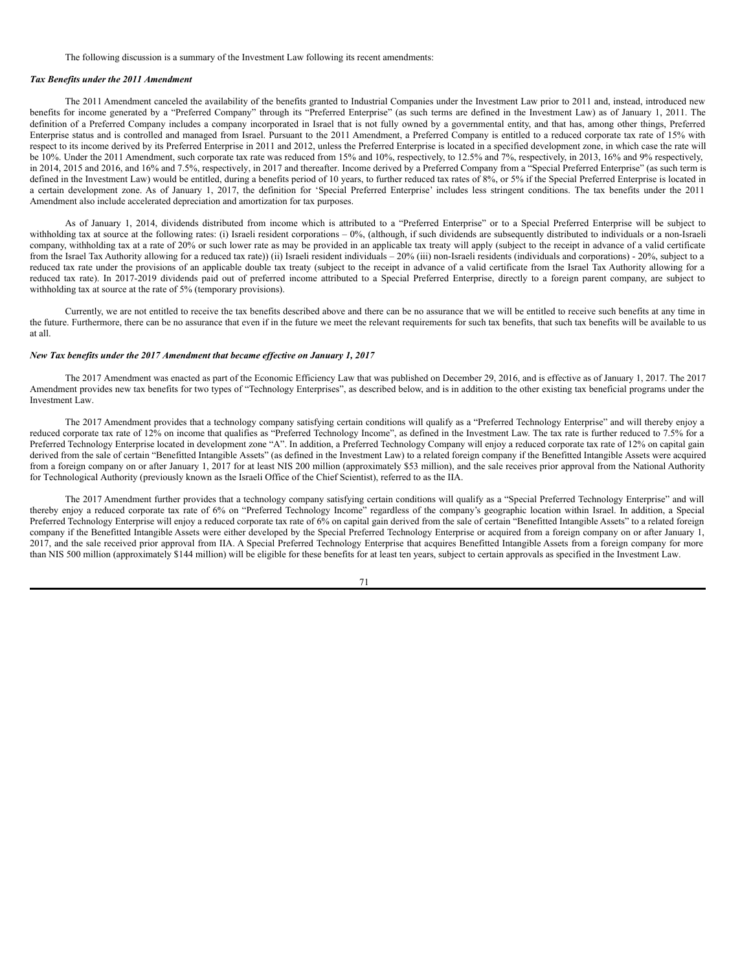#### The following discussion is a summary of the Investment Law following its recent amendments:

#### *Tax Benefits under the 2011 Amendment*

The 2011 Amendment canceled the availability of the benefits granted to Industrial Companies under the Investment Law prior to 2011 and, instead, introduced new benefits for income generated by a "Preferred Company" through its "Preferred Enterprise" (as such terms are defined in the Investment Law) as of January 1, 2011. The definition of a Preferred Company includes a company incorporated in Israel that is not fully owned by a governmental entity, and that has, among other things, Preferred Enterprise status and is controlled and managed from Israel. Pursuant to the 2011 Amendment, a Preferred Company is entitled to a reduced corporate tax rate of 15% with respect to its income derived by its Preferred Enterprise in 2011 and 2012, unless the Preferred Enterprise is located in a specified development zone, in which case the rate will be 10%. Under the 2011 Amendment, such corporate tax rate was reduced from 15% and 10%, respectively, to 12.5% and 7%, respectively, in 2013, 16% and 9% respectively, in 2014, 2015 and 2016, and 16% and 7.5%, respectively, in 2017 and thereafter. Income derived by a Preferred Company from a "Special Preferred Enterprise" (as such term is defined in the Investment Law) would be entitled, during a benefits period of 10 years, to further reduced tax rates of 8%, or 5% if the Special Preferred Enterprise is located in a certain development zone. As of January 1, 2017, the definition for 'Special Preferred Enterprise' includes less stringent conditions. The tax benefits under the 2011 Amendment also include accelerated depreciation and amortization for tax purposes.

As of January 1, 2014, dividends distributed from income which is attributed to a "Preferred Enterprise" or to a Special Preferred Enterprise will be subject to withholding tax at source at the following rates: (i) Israeli resident corporations – 0%, (although, if such dividends are subsequently distributed to individuals or a non-Israeli company, withholding tax at a rate of 20% or such lower rate as may be provided in an applicable tax treaty will apply (subject to the receipt in advance of a valid certificate from the Israel Tax Authority allowing for a reduced tax rate)) (ii) Israeli resident individuals – 20% (iii) non-Israeli residents (individuals and corporations) - 20%, subject to a reduced tax rate under the provisions of an applicable double tax treaty (subject to the receipt in advance of a valid certificate from the Israel Tax Authority allowing for a reduced tax rate). In 2017-2019 dividends paid out of preferred income attributed to a Special Preferred Enterprise, directly to a foreign parent company, are subject to withholding tax at source at the rate of 5% (temporary provisions).

Currently, we are not entitled to receive the tax benefits described above and there can be no assurance that we will be entitled to receive such benefits at any time in the future. Furthermore, there can be no assurance that even if in the future we meet the relevant requirements for such tax benefits, that such tax benefits will be available to us at all.

#### *New Tax benefits under the 2017 Amendment that became ef ective on January 1, 2017*

The 2017 Amendment was enacted as part of the Economic Efficiency Law that was published on December 29, 2016, and is effective as of January 1, 2017. The 2017 Amendment provides new tax benefits for two types of "Technology Enterprises", as described below, and is in addition to the other existing tax beneficial programs under the Investment Law.

The 2017 Amendment provides that a technology company satisfying certain conditions will qualify as a "Preferred Technology Enterprise" and will thereby enjoy a reduced corporate tax rate of 12% on income that qualifies as "Preferred Technology Income", as defined in the Investment Law. The tax rate is further reduced to 7.5% for a Preferred Technology Enterprise located in development zone "A". In addition, a Preferred Technology Company will enjoy a reduced corporate tax rate of 12% on capital gain derived from the sale of certain "Benefitted Intangible Assets" (as defined in the Investment Law) to a related foreign company if the Benefitted Intangible Assets were acquired from a foreign company on or after January 1, 2017 for at least NIS 200 million (approximately \$53 million), and the sale receives prior approval from the National Authority for Technological Authority (previously known as the Israeli Office of the Chief Scientist), referred to as the IIA.

The 2017 Amendment further provides that a technology company satisfying certain conditions will qualify as a "Special Preferred Technology Enterprise" and will thereby enjoy a reduced corporate tax rate of 6% on "Preferred Technology Income" regardless of the company's geographic location within Israel. In addition, a Special Preferred Technology Enterprise will enjoy a reduced corporate tax rate of 6% on capital gain derived from the sale of certain "Benefitted Intangible Assets" to a related foreign company if the Benefitted Intangible Assets were either developed by the Special Preferred Technology Enterprise or acquired from a foreign company on or after January 1, 2017, and the sale received prior approval from IIA. A Special Preferred Technology Enterprise that acquires Benefitted Intangible Assets from a foreign company for more than NIS 500 million (approximately \$144 million) will be eligible for these benefits for at least ten years, subject to certain approvals as specified in the Investment Law.

71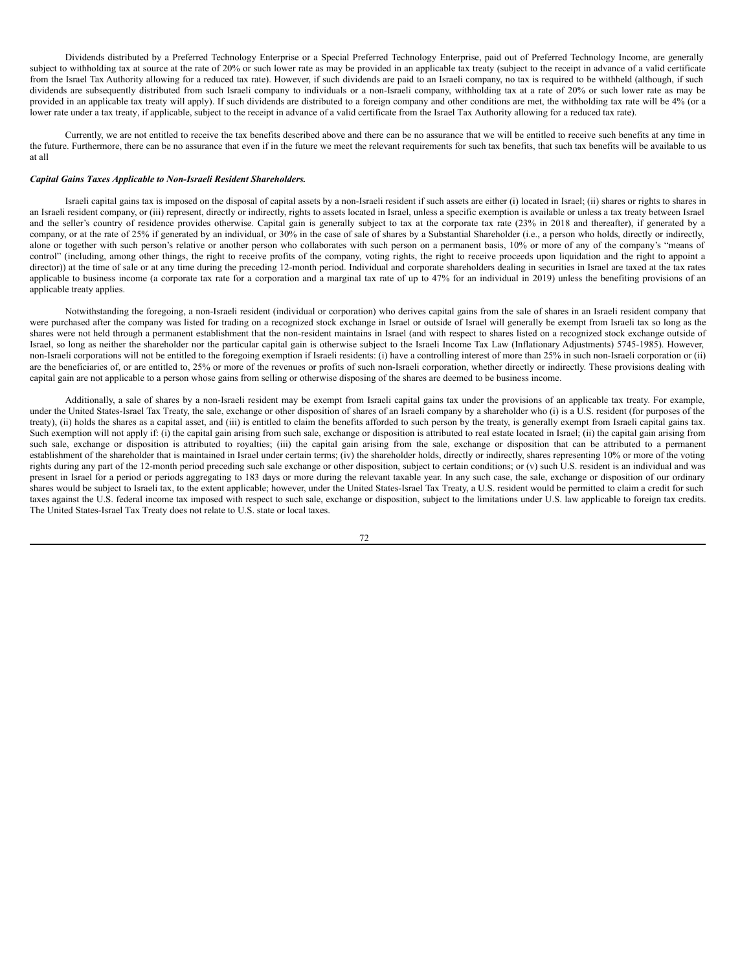Dividends distributed by a Preferred Technology Enterprise or a Special Preferred Technology Enterprise, paid out of Preferred Technology Income, are generally subject to withholding tax at source at the rate of 20% or such lower rate as may be provided in an applicable tax treaty (subject to the receipt in advance of a valid certificate from the Israel Tax Authority allowing for a reduced tax rate). However, if such dividends are paid to an Israeli company, no tax is required to be withheld (although, if such dividends are subsequently distributed from such Israeli company to individuals or a non-Israeli company, withholding tax at a rate of 20% or such lower rate as may be provided in an applicable tax treaty will apply). If such dividends are distributed to a foreign company and other conditions are met, the withholding tax rate will be 4% (or a lower rate under a tax treaty, if applicable, subject to the receipt in advance of a valid certificate from the Israel Tax Authority allowing for a reduced tax rate).

Currently, we are not entitled to receive the tax benefits described above and there can be no assurance that we will be entitled to receive such benefits at any time in the future. Furthermore, there can be no assurance that even if in the future we meet the relevant requirements for such tax benefits, that such tax benefits will be available to us at all

### *Capital Gains Taxes Applicable to Non-Israeli Resident Shareholders.*

Israeli capital gains tax is imposed on the disposal of capital assets by a non-Israeli resident if such assets are either (i) located in Israel; (ii) shares or rights to shares in an Israeli resident company, or (iii) represent, directly or indirectly, rights to assets located in Israel, unless a specific exemption is available or unless a tax treaty between Israel and the seller's country of residence provides otherwise. Capital gain is generally subject to tax at the corporate tax rate (23% in 2018 and thereafter), if generated by a company, or at the rate of 25% if generated by an individual, or 30% in the case of sale of shares by a Substantial Shareholder (i.e., a person who holds, directly or indirectly, alone or together with such person's relative or another person who collaborates with such person on a permanent basis, 10% or more of any of the company's "means of control" (including, among other things, the right to receive profits of the company, voting rights, the right to receive proceeds upon liquidation and the right to appoint a director)) at the time of sale or at any time during the preceding 12-month period. Individual and corporate shareholders dealing in securities in Israel are taxed at the tax rates applicable to business income (a corporate tax rate for a corporation and a marginal tax rate of up to 47% for an individual in 2019) unless the benefiting provisions of an applicable treaty applies.

Notwithstanding the foregoing, a non-Israeli resident (individual or corporation) who derives capital gains from the sale of shares in an Israeli resident company that were purchased after the company was listed for trading on a recognized stock exchange in Israel or outside of Israel will generally be exempt from Israeli tax so long as the shares were not held through a permanent establishment that the non-resident maintains in Israel (and with respect to shares listed on a recognized stock exchange outside of Israel, so long as neither the shareholder nor the particular capital gain is otherwise subject to the Israeli Income Tax Law (Inflationary Adjustments) 5745-1985). However, non-Israeli corporations will not be entitled to the foregoing exemption if Israeli residents: (i) have a controlling interest of more than 25% in such non-Israeli corporation or (ii) are the beneficiaries of, or are entitled to, 25% or more of the revenues or profits of such non-Israeli corporation, whether directly or indirectly. These provisions dealing with capital gain are not applicable to a person whose gains from selling or otherwise disposing of the shares are deemed to be business income.

Additionally, a sale of shares by a non-Israeli resident may be exempt from Israeli capital gains tax under the provisions of an applicable tax treaty. For example, under the United States-Israel Tax Treaty, the sale, exchange or other disposition of shares of an Israeli company by a shareholder who (i) is a U.S. resident (for purposes of the treaty), (ii) holds the shares as a capital asset, and (iii) is entitled to claim the benefits afforded to such person by the treaty, is generally exempt from Israeli capital gains tax. Such exemption will not apply if: (i) the capital gain arising from such sale, exchange or disposition is attributed to real estate located in Israel; (ii) the capital gain arising from such sale, exchange or disposition is attributed to royalties; (iii) the capital gain arising from the sale, exchange or disposition that can be attributed to a permanent establishment of the shareholder that is maintained in Israel under certain terms; (iv) the shareholder holds, directly or indirectly, shares representing 10% or more of the voting rights during any part of the 12-month period preceding such sale exchange or other disposition, subject to certain conditions; or (v) such U.S. resident is an individual and was present in Israel for a period or periods aggregating to 183 days or more during the relevant taxable year. In any such case, the sale, exchange or disposition of our ordinary shares would be subject to Israeli tax, to the extent applicable; however, under the United States-Israel Tax Treaty, a U.S. resident would be permitted to claim a credit for such taxes against the U.S. federal income tax imposed with respect to such sale, exchange or disposition, subject to the limitations under U.S. law applicable to foreign tax credits. The United States-Israel Tax Treaty does not relate to U.S. state or local taxes.

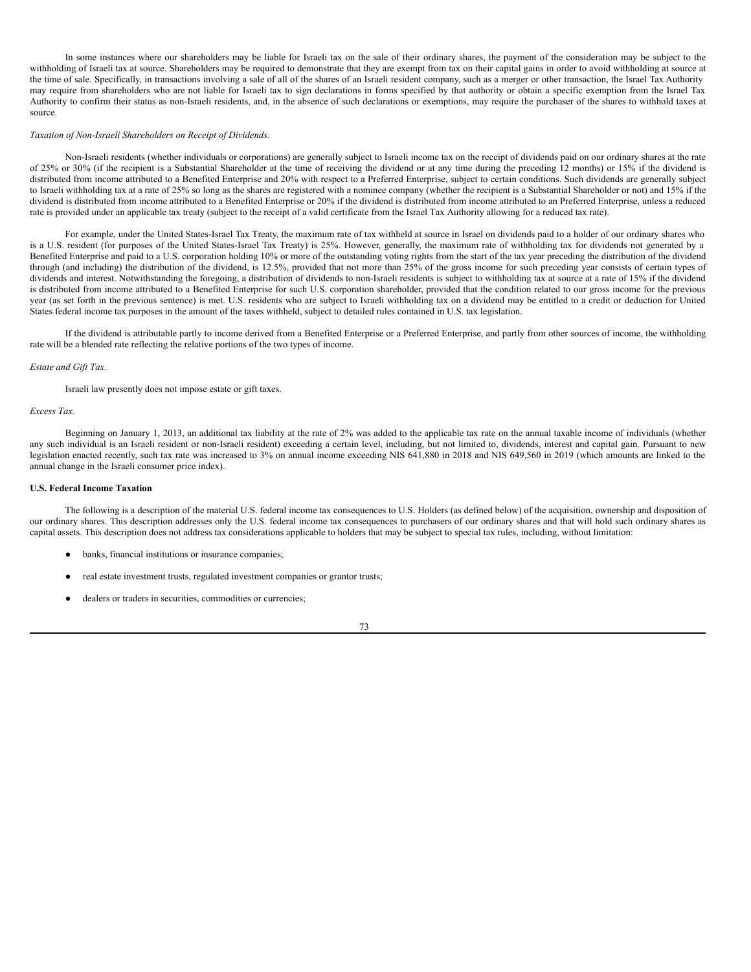In some instances where our shareholders may be liable for Israeli tax on the sale of their ordinary shares, the payment of the consideration may be subject to the withholding of Israeli tax at source. Shareholders may be required to demonstrate that they are exempt from tax on their capital gains in order to avoid withholding at source at the time of sale. Specifically, in transactions involving a sale of all of the shares of an Israeli resident company, such as a merger or other transaction, the Israel Tax Authority may require from shareholders who are not liable for Israeli tax to sign declarations in forms specified by that authority or obtain a specific exemption from the Israel Tax Authority to confirm their status as non-Israeli residents, and, in the absence of such declarations or exemptions, may require the purchaser of the shares to withhold taxes at source.

#### *Taxation of Non-Israeli Shareholders on Receipt of Dividends.*

Non-Israeli residents (whether individuals or corporations) are generally subject to Israeli income tax on the receipt of dividends paid on our ordinary shares at the rate of 25% or 30% (if the recipient is a Substantial Shareholder at the time of receiving the dividend or at any time during the preceding 12 months) or 15% if the dividend is distributed from income attributed to a Benefited Enterprise and 20% with respect to a Preferred Enterprise, subject to certain conditions. Such dividends are generally subject to Israeli withholding tax at a rate of 25% so long as the shares are registered with a nominee company (whether the recipient is a Substantial Shareholder or not) and 15% if the dividend is distributed from income attributed to a Benefited Enterprise or 20% if the dividend is distributed from income attributed to an Preferred Enterprise, unless a reduced rate is provided under an applicable tax treaty (subject to the receipt of a valid certificate from the Israel Tax Authority allowing for a reduced tax rate).

For example, under the United States-Israel Tax Treaty, the maximum rate of tax withheld at source in Israel on dividends paid to a holder of our ordinary shares who is a U.S. resident (for purposes of the United States-Israel Tax Treaty) is 25%. However, generally, the maximum rate of withholding tax for dividends not generated by a Benefited Enterprise and paid to a U.S. corporation holding 10% or more of the outstanding voting rights from the start of the tax year preceding the distribution of the dividend through (and including) the distribution of the dividend, is 12.5%, provided that not more than 25% of the gross income for such preceding year consists of certain types of dividends and interest. Notwithstanding the foregoing, a distribution of dividends to non-Israeli residents is subject to withholding tax at source at a rate of 15% if the dividend is distributed from income attributed to a Benefited Enterprise for such U.S. corporation shareholder, provided that the condition related to our gross income for the previous year (as set forth in the previous sentence) is met. U.S. residents who are subject to Israeli withholding tax on a dividend may be entitled to a credit or deduction for United States federal income tax purposes in the amount of the taxes withheld, subject to detailed rules contained in U.S. tax legislation.

If the dividend is attributable partly to income derived from a Benefited Enterprise or a Preferred Enterprise, and partly from other sources of income, the withholding rate will be a blended rate reflecting the relative portions of the two types of income.

#### *Estate and Gift Tax.*

Israeli law presently does not impose estate or gift taxes.

#### *Excess Tax.*

Beginning on January 1, 2013, an additional tax liability at the rate of 2% was added to the applicable tax rate on the annual taxable income of individuals (whether any such individual is an Israeli resident or non-Israeli resident) exceeding a certain level, including, but not limited to, dividends, interest and capital gain. Pursuant to new legislation enacted recently, such tax rate was increased to 3% on annual income exceeding NIS 641,880 in 2018 and NIS 649,560 in 2019 (which amounts are linked to the annual change in the Israeli consumer price index).

#### **U.S. Federal Income Taxation**

The following is a description of the material U.S. federal income tax consequences to U.S. Holders (as defined below) of the acquisition, ownership and disposition of our ordinary shares. This description addresses only the U.S. federal income tax consequences to purchasers of our ordinary shares and that will hold such ordinary shares as capital assets. This description does not address tax considerations applicable to holders that may be subject to special tax rules, including, without limitation:

- banks, financial institutions or insurance companies;
- real estate investment trusts, regulated investment companies or grantor trusts;
- dealers or traders in securities, commodities or currencies;

#### 73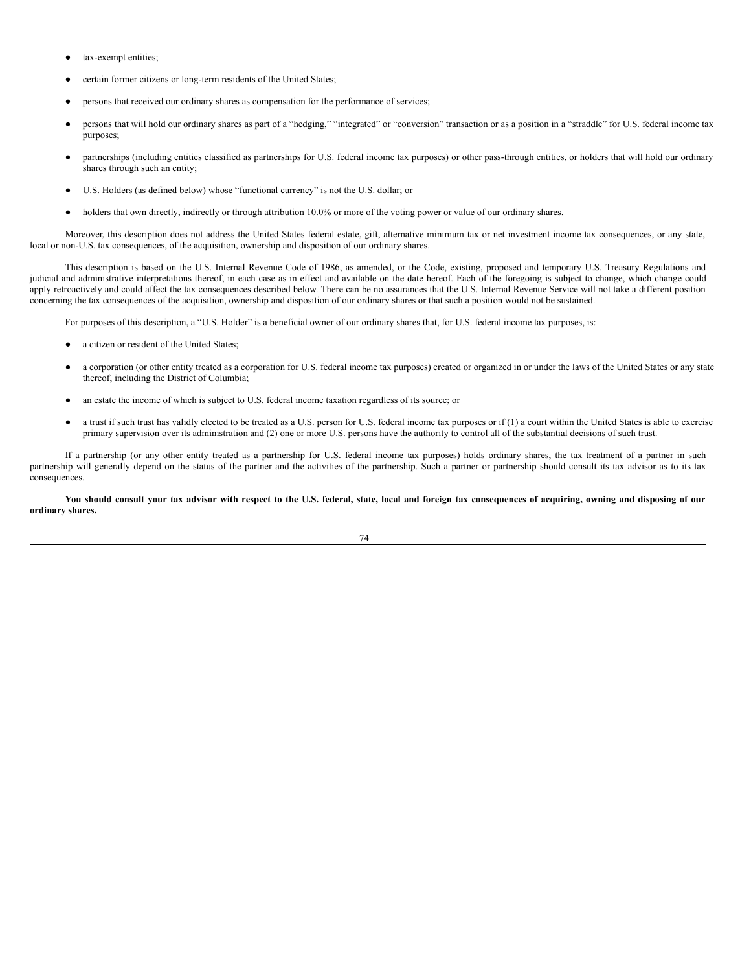- tax-exempt entities;
- certain former citizens or long-term residents of the United States;
- persons that received our ordinary shares as compensation for the performance of services;
- persons that will hold our ordinary shares as part of a "hedging," "integrated" or "conversion" transaction or as a position in a "straddle" for U.S. federal income tax purposes;
- partnerships (including entities classified as partnerships for U.S. federal income tax purposes) or other pass-through entities, or holders that will hold our ordinary shares through such an entity;
- U.S. Holders (as defined below) whose "functional currency" is not the U.S. dollar; or
- holders that own directly, indirectly or through attribution 10.0% or more of the voting power or value of our ordinary shares.

Moreover, this description does not address the United States federal estate, gift, alternative minimum tax or net investment income tax consequences, or any state, local or non-U.S. tax consequences, of the acquisition, ownership and disposition of our ordinary shares.

This description is based on the U.S. Internal Revenue Code of 1986, as amended, or the Code, existing, proposed and temporary U.S. Treasury Regulations and judicial and administrative interpretations thereof, in each case as in effect and available on the date hereof. Each of the foregoing is subject to change, which change could apply retroactively and could affect the tax consequences described below. There can be no assurances that the U.S. Internal Revenue Service will not take a different position concerning the tax consequences of the acquisition, ownership and disposition of our ordinary shares or that such a position would not be sustained.

For purposes of this description, a "U.S. Holder" is a beneficial owner of our ordinary shares that, for U.S. federal income tax purposes, is:

- a citizen or resident of the United States;
- a corporation (or other entity treated as a corporation for U.S. federal income tax purposes) created or organized in or under the laws of the United States or any state thereof, including the District of Columbia;
- an estate the income of which is subject to U.S. federal income taxation regardless of its source; or
- a trust if such trust has validly elected to be treated as a U.S. person for U.S. federal income tax purposes or if (1) a court within the United States is able to exercise primary supervision over its administration and (2) one or more U.S. persons have the authority to control all of the substantial decisions of such trust.

If a partnership (or any other entity treated as a partnership for U.S. federal income tax purposes) holds ordinary shares, the tax treatment of a partner in such partnership will generally depend on the status of the partner and the activities of the partnership. Such a partner or partnership should consult its tax advisor as to its tax consequences.

You should consult your tax advisor with respect to the U.S. federal, state, local and foreign tax consequences of acquiring, owning and disposing of our **ordinary shares.**

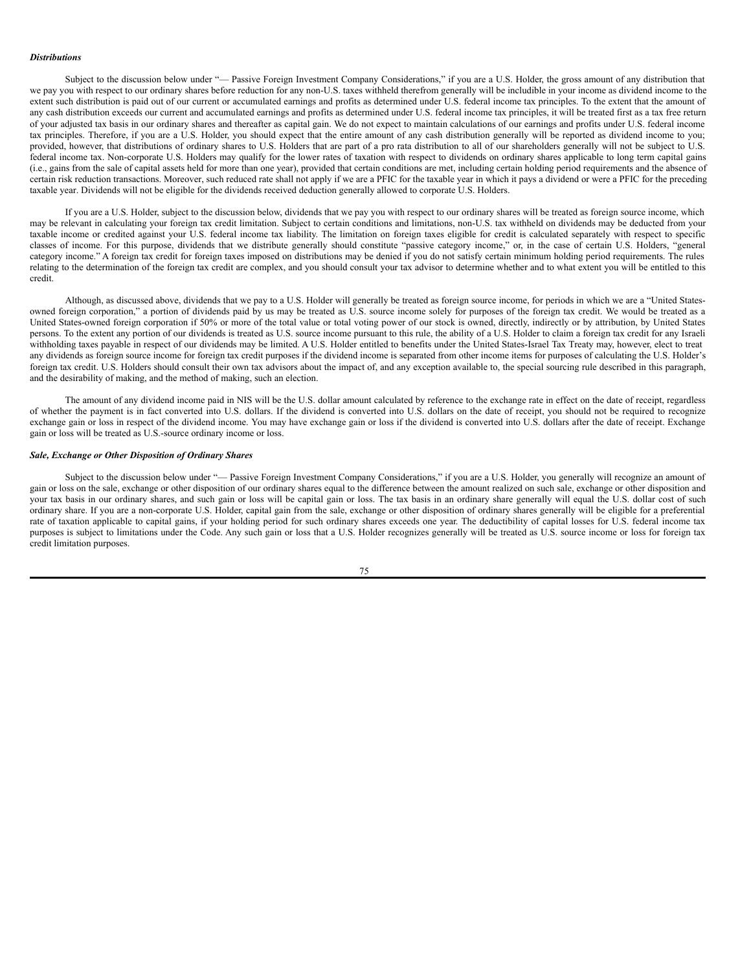#### *Distributions*

Subject to the discussion below under "- Passive Foreign Investment Company Considerations," if you are a U.S. Holder, the gross amount of any distribution that we pay you with respect to our ordinary shares before reduction for any non-U.S. taxes withheld therefrom generally will be includible in your income as dividend income to the extent such distribution is paid out of our current or accumulated earnings and profits as determined under U.S. federal income tax principles. To the extent that the amount of any cash distribution exceeds our current and accumulated earnings and profits as determined under U.S. federal income tax principles, it will be treated first as a tax free return of your adjusted tax basis in our ordinary shares and thereafter as capital gain. We do not expect to maintain calculations of our earnings and profits under U.S. federal income tax principles. Therefore, if you are a U.S. Holder, you should expect that the entire amount of any cash distribution generally will be reported as dividend income to you; provided, however, that distributions of ordinary shares to U.S. Holders that are part of a pro rata distribution to all of our shareholders generally will not be subject to U.S. federal income tax. Non-corporate U.S. Holders may qualify for the lower rates of taxation with respect to dividends on ordinary shares applicable to long term capital gains (i.e., gains from the sale of capital assets held for more than one year), provided that certain conditions are met, including certain holding period requirements and the absence of certain risk reduction transactions. Moreover, such reduced rate shall not apply if we are a PFIC for the taxable year in which it pays a dividend or were a PFIC for the preceding taxable year. Dividends will not be eligible for the dividends received deduction generally allowed to corporate U.S. Holders.

If you are a U.S. Holder, subject to the discussion below, dividends that we pay you with respect to our ordinary shares will be treated as foreign source income, which may be relevant in calculating your foreign tax credit limitation. Subject to certain conditions and limitations, non-U.S. tax withheld on dividends may be deducted from your taxable income or credited against your U.S. federal income tax liability. The limitation on foreign taxes eligible for credit is calculated separately with respect to specific classes of income. For this purpose, dividends that we distribute generally should constitute "passive category income," or, in the case of certain U.S. Holders, "general category income." A foreign tax credit for foreign taxes imposed on distributions may be denied if you do not satisfy certain minimum holding period requirements. The rules relating to the determination of the foreign tax credit are complex, and you should consult your tax advisor to determine whether and to what extent you will be entitled to this credit.

Although, as discussed above, dividends that we pay to a U.S. Holder will generally be treated as foreign source income, for periods in which we are a "United Statesowned foreign corporation," a portion of dividends paid by us may be treated as U.S. source income solely for purposes of the foreign tax credit. We would be treated as a United States-owned foreign corporation if 50% or more of the total value or total voting power of our stock is owned, directly, indirectly or by attribution, by United States persons. To the extent any portion of our dividends is treated as U.S. source income pursuant to this rule, the ability of a U.S. Holder to claim a foreign tax credit for any Israeli withholding taxes payable in respect of our dividends may be limited. A U.S. Holder entitled to benefits under the United States-Israel Tax Treaty may, however, elect to treat any dividends as foreign source income for foreign tax credit purposes if the dividend income is separated from other income items for purposes of calculating the U.S. Holder's foreign tax credit. U.S. Holders should consult their own tax advisors about the impact of, and any exception available to, the special sourcing rule described in this paragraph, and the desirability of making, and the method of making, such an election.

The amount of any dividend income paid in NIS will be the U.S. dollar amount calculated by reference to the exchange rate in effect on the date of receipt, regardless of whether the payment is in fact converted into U.S. dollars. If the dividend is converted into U.S. dollars on the date of receipt, you should not be required to recognize exchange gain or loss in respect of the dividend income. You may have exchange gain or loss if the dividend is converted into U.S. dollars after the date of receipt. Exchange gain or loss will be treated as U.S.-source ordinary income or loss.

#### *Sale, Exchange or Other Disposition of Ordinary Shares*

Subject to the discussion below under "— Passive Foreign Investment Company Considerations," if you are a U.S. Holder, you generally will recognize an amount of gain or loss on the sale, exchange or other disposition of our ordinary shares equal to the difference between the amount realized on such sale, exchange or other disposition and your tax basis in our ordinary shares, and such gain or loss will be capital gain or loss. The tax basis in an ordinary share generally will equal the U.S. dollar cost of such ordinary share. If you are a non-corporate U.S. Holder, capital gain from the sale, exchange or other disposition of ordinary shares generally will be eligible for a preferential rate of taxation applicable to capital gains, if your holding period for such ordinary shares exceeds one year. The deductibility of capital losses for U.S. federal income tax purposes is subject to limitations under the Code. Any such gain or loss that a U.S. Holder recognizes generally will be treated as U.S. source income or loss for foreign tax credit limitation purposes.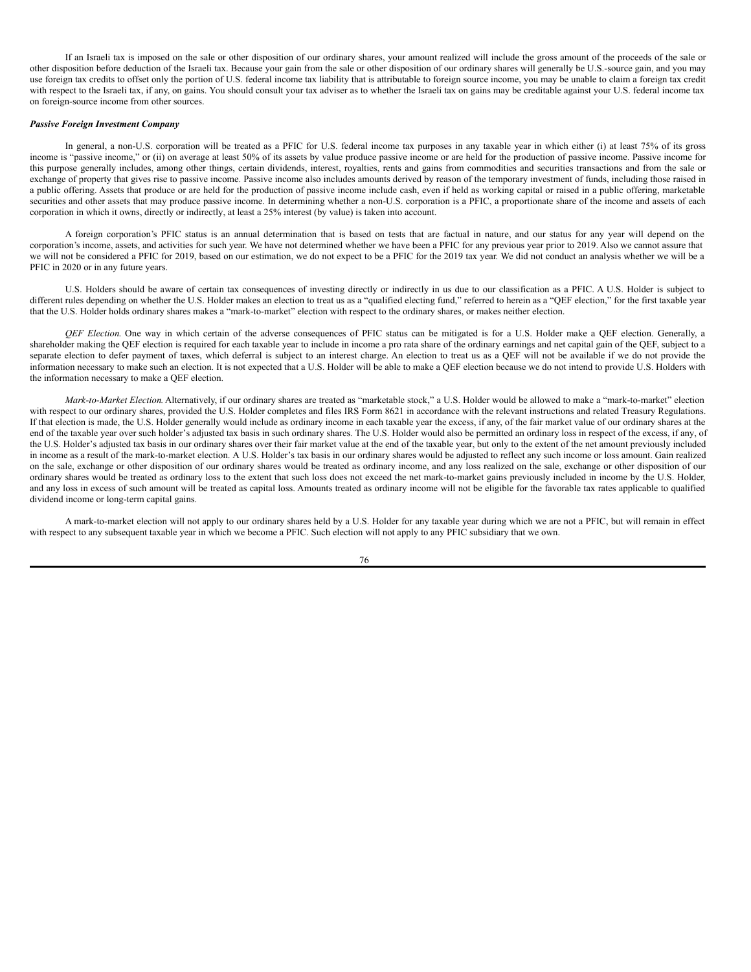If an Israeli tax is imposed on the sale or other disposition of our ordinary shares, your amount realized will include the gross amount of the proceeds of the sale or other disposition before deduction of the Israeli tax. Because your gain from the sale or other disposition of our ordinary shares will generally be U.S.-source gain, and you may use foreign tax credits to offset only the portion of U.S. federal income tax liability that is attributable to foreign source income, you may be unable to claim a foreign tax credit with respect to the Israeli tax, if any, on gains. You should consult your tax adviser as to whether the Israeli tax on gains may be creditable against your U.S. federal income tax on foreign-source income from other sources.

#### *Passive Foreign Investment Company*

In general, a non-U.S. corporation will be treated as a PFIC for U.S. federal income tax purposes in any taxable year in which either (i) at least 75% of its gross income is "passive income," or (ii) on average at least 50% of its assets by value produce passive income or are held for the production of passive income. Passive income for this purpose generally includes, among other things, certain dividends, interest, royalties, rents and gains from commodities and securities transactions and from the sale or exchange of property that gives rise to passive income. Passive income also includes amounts derived by reason of the temporary investment of funds, including those raised in a public offering. Assets that produce or are held for the production of passive income include cash, even if held as working capital or raised in a public offering, marketable securities and other assets that may produce passive income. In determining whether a non-U.S. corporation is a PFIC, a proportionate share of the income and assets of each corporation in which it owns, directly or indirectly, at least a 25% interest (by value) is taken into account.

A foreign corporation's PFIC status is an annual determination that is based on tests that are factual in nature, and our status for any year will depend on the corporation's income, assets, and activities for such year. We have not determined whether we have been a PFIC for any previous year prior to 2019. Also we cannot assure that we will not be considered a PFIC for 2019, based on our estimation, we do not expect to be a PFIC for the 2019 tax year. We did not conduct an analysis whether we will be a PFIC in 2020 or in any future years.

U.S. Holders should be aware of certain tax consequences of investing directly or indirectly in us due to our classification as a PFIC. A U.S. Holder is subject to different rules depending on whether the U.S. Holder makes an election to treat us as a "qualified electing fund," referred to herein as a "QEF election," for the first taxable year that the U.S. Holder holds ordinary shares makes a "mark-to-market" election with respect to the ordinary shares, or makes neither election.

*QEF Election*. One way in which certain of the adverse consequences of PFIC status can be mitigated is for a U.S. Holder make a QEF election. Generally, a shareholder making the QEF election is required for each taxable year to include in income a pro rata share of the ordinary earnings and net capital gain of the QEF, subject to a separate election to defer payment of taxes, which deferral is subject to an interest charge. An election to treat us as a QEF will not be available if we do not provide the information necessary to make such an election. It is not expected that a U.S. Holder will be able to make a QEF election because we do not intend to provide U.S. Holders with the information necessary to make a QEF election.

*Mark-to-Market Election*. Alternatively, if our ordinary shares are treated as "marketable stock," a U.S. Holder would be allowed to make a "mark-to-market" election with respect to our ordinary shares, provided the U.S. Holder completes and files IRS Form 8621 in accordance with the relevant instructions and related Treasury Regulations. If that election is made, the U.S. Holder generally would include as ordinary income in each taxable year the excess, if any, of the fair market value of our ordinary shares at the end of the taxable year over such holder's adjusted tax basis in such ordinary shares. The U.S. Holder would also be permitted an ordinary loss in respect of the excess, if any, of the U.S. Holder's adjusted tax basis in our ordinary shares over their fair market value at the end of the taxable year, but only to the extent of the net amount previously included in income as a result of the mark-to-market election. A U.S. Holder's tax basis in our ordinary shares would be adjusted to reflect any such income or loss amount. Gain realized on the sale, exchange or other disposition of our ordinary shares would be treated as ordinary income, and any loss realized on the sale, exchange or other disposition of our ordinary shares would be treated as ordinary loss to the extent that such loss does not exceed the net mark-to-market gains previously included in income by the U.S. Holder, and any loss in excess of such amount will be treated as capital loss. Amounts treated as ordinary income will not be eligible for the favorable tax rates applicable to qualified dividend income or long-term capital gains.

A mark-to-market election will not apply to our ordinary shares held by a U.S. Holder for any taxable year during which we are not a PFIC, but will remain in effect with respect to any subsequent taxable year in which we become a PFIC. Such election will not apply to any PFIC subsidiary that we own.

#### 76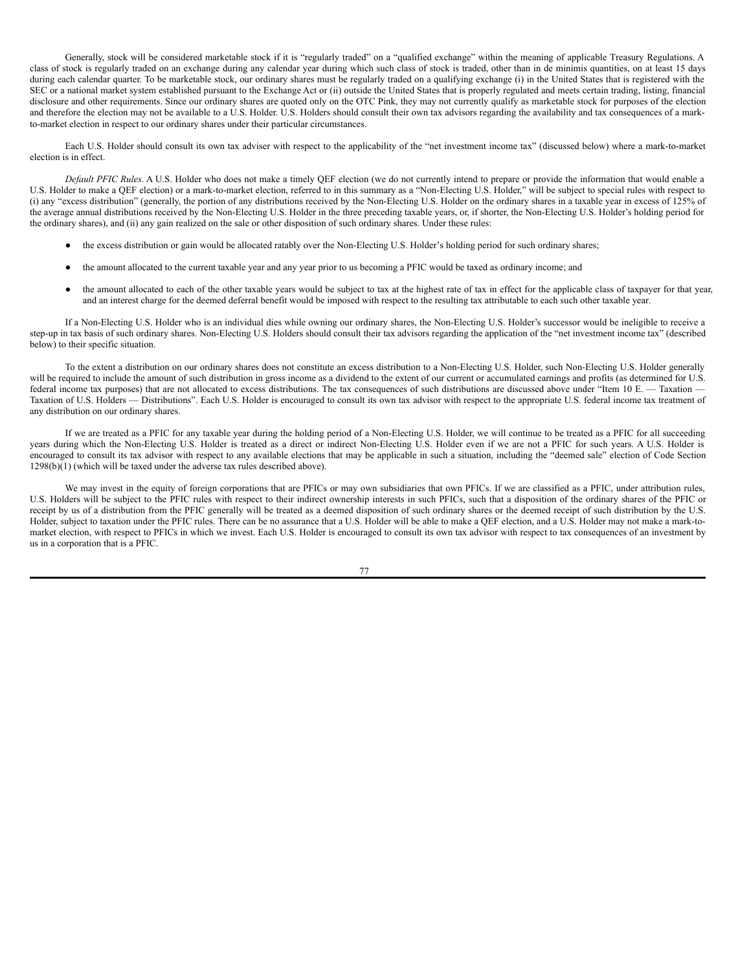Generally, stock will be considered marketable stock if it is "regularly traded" on a "qualified exchange" within the meaning of applicable Treasury Regulations. A class of stock is regularly traded on an exchange during any calendar year during which such class of stock is traded, other than in de minimis quantities, on at least 15 days during each calendar quarter. To be marketable stock, our ordinary shares must be regularly traded on a qualifying exchange (i) in the United States that is registered with the SEC or a national market system established pursuant to the Exchange Act or (ii) outside the United States that is properly regulated and meets certain trading, listing, financial disclosure and other requirements. Since our ordinary shares are quoted only on the OTC Pink, they may not currently qualify as marketable stock for purposes of the election and therefore the election may not be available to a U.S. Holder. U.S. Holders should consult their own tax advisors regarding the availability and tax consequences of a markto-market election in respect to our ordinary shares under their particular circumstances.

Each U.S. Holder should consult its own tax adviser with respect to the applicability of the "net investment income tax" (discussed below) where a mark-to-market election is in effect.

*Default PFIC Rules*. A U.S. Holder who does not make a timely QEF election (we do not currently intend to prepare or provide the information that would enable a U.S. Holder to make a QEF election) or a mark-to-market election, referred to in this summary as a "Non-Electing U.S. Holder," will be subject to special rules with respect to (i) any "excess distribution" (generally, the portion of any distributions received by the Non-Electing U.S. Holder on the ordinary shares in a taxable year in excess of 125% of the average annual distributions received by the Non-Electing U.S. Holder in the three preceding taxable years, or, if shorter, the Non-Electing U.S. Holder's holding period for the ordinary shares), and (ii) any gain realized on the sale or other disposition of such ordinary shares. Under these rules:

- the excess distribution or gain would be allocated ratably over the Non-Electing U.S. Holder's holding period for such ordinary shares;
- the amount allocated to the current taxable year and any year prior to us becoming a PFIC would be taxed as ordinary income; and
- the amount allocated to each of the other taxable years would be subject to tax at the highest rate of tax in effect for the applicable class of taxpayer for that year, and an interest charge for the deemed deferral benefit would be imposed with respect to the resulting tax attributable to each such other taxable year.

If a Non-Electing U.S. Holder who is an individual dies while owning our ordinary shares, the Non-Electing U.S. Holder's successor would be ineligible to receive a step-up in tax basis of such ordinary shares. Non-Electing U.S. Holders should consult their tax advisors regarding the application of the "net investment income tax" (described below) to their specific situation.

To the extent a distribution on our ordinary shares does not constitute an excess distribution to a Non-Electing U.S. Holder, such Non-Electing U.S. Holder generally will be required to include the amount of such distribution in gross income as a dividend to the extent of our current or accumulated earnings and profits (as determined for U.S. federal income tax purposes) that are not allocated to excess distributions. The tax consequences of such distributions are discussed above under "Item 10 E. — Taxation -Taxation of U.S. Holders — Distributions". Each U.S. Holder is encouraged to consult its own tax advisor with respect to the appropriate U.S. federal income tax treatment of any distribution on our ordinary shares.

If we are treated as a PFIC for any taxable year during the holding period of a Non-Electing U.S. Holder, we will continue to be treated as a PFIC for all succeeding years during which the Non-Electing U.S. Holder is treated as a direct or indirect Non-Electing U.S. Holder even if we are not a PFIC for such years. A U.S. Holder is encouraged to consult its tax advisor with respect to any available elections that may be applicable in such a situation, including the "deemed sale" election of Code Section 1298(b)(1) (which will be taxed under the adverse tax rules described above).

We may invest in the equity of foreign corporations that are PFICs or may own subsidiaries that own PFICs. If we are classified as a PFIC, under attribution rules, U.S. Holders will be subject to the PFIC rules with respect to their indirect ownership interests in such PFICs, such that a disposition of the ordinary shares of the PFIC or receipt by us of a distribution from the PFIC generally will be treated as a deemed disposition of such ordinary shares or the deemed receipt of such distribution by the U.S. Holder, subject to taxation under the PFIC rules. There can be no assurance that a U.S. Holder will be able to make a QEF election, and a U.S. Holder may not make a mark-tomarket election, with respect to PFICs in which we invest. Each U.S. Holder is encouraged to consult its own tax advisor with respect to tax consequences of an investment by us in a corporation that is a PFIC.

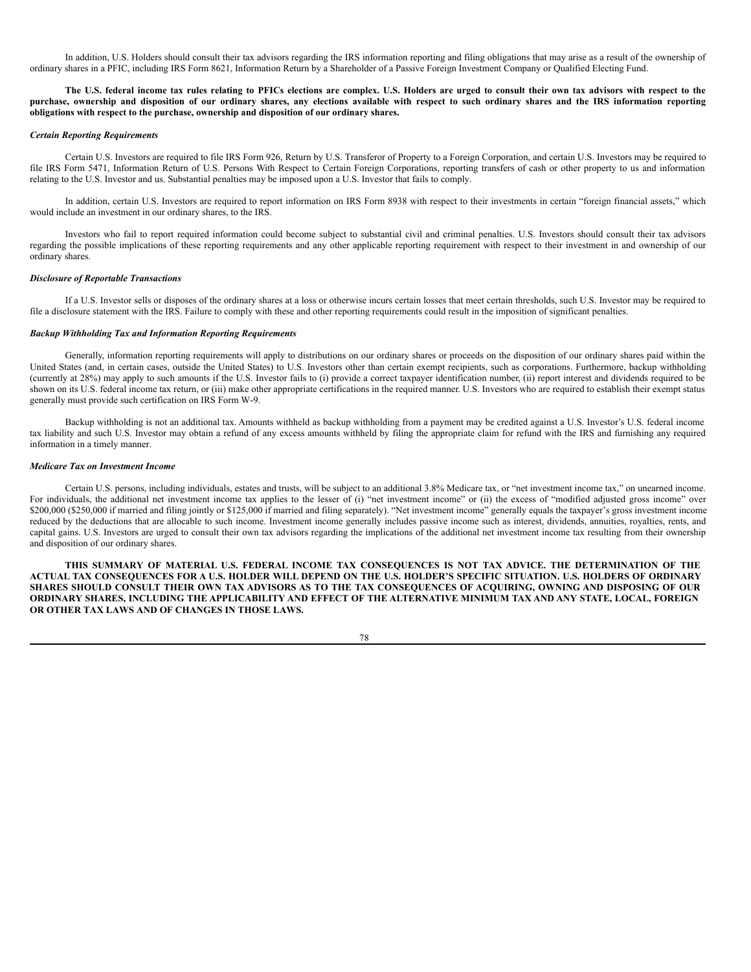In addition, U.S. Holders should consult their tax advisors regarding the IRS information reporting and filing obligations that may arise as a result of the ownership of ordinary shares in a PFIC, including IRS Form 8621, Information Return by a Shareholder of a Passive Foreign Investment Company or Qualified Electing Fund.

#### The U.S. federal income tax rules relating to PFICs elections are complex. U.S. Holders are urged to consult their own tax advisors with respect to the purchase, ownership and disposition of our ordinary shares, any elections available with respect to such ordinary shares and the IRS information reporting **obligations with respect to the purchase, ownership and disposition of our ordinary shares.**

#### *Certain Reporting Requirements*

Certain U.S. Investors are required to file IRS Form 926, Return by U.S. Transferor of Property to a Foreign Corporation, and certain U.S. Investors may be required to file IRS Form 5471, Information Return of U.S. Persons With Respect to Certain Foreign Corporations, reporting transfers of cash or other property to us and information relating to the U.S. Investor and us. Substantial penalties may be imposed upon a U.S. Investor that fails to comply.

In addition, certain U.S. Investors are required to report information on IRS Form 8938 with respect to their investments in certain "foreign financial assets," which would include an investment in our ordinary shares, to the IRS.

Investors who fail to report required information could become subject to substantial civil and criminal penalties. U.S. Investors should consult their tax advisors regarding the possible implications of these reporting requirements and any other applicable reporting requirement with respect to their investment in and ownership of our ordinary shares.

#### *Disclosure of Reportable Transactions*

If a U.S. Investor sells or disposes of the ordinary shares at a loss or otherwise incurs certain losses that meet certain thresholds, such U.S. Investor may be required to file a disclosure statement with the IRS. Failure to comply with these and other reporting requirements could result in the imposition of significant penalties.

#### *Backup Withholding Tax and Information Reporting Requirements*

Generally, information reporting requirements will apply to distributions on our ordinary shares or proceeds on the disposition of our ordinary shares paid within the United States (and, in certain cases, outside the United States) to U.S. Investors other than certain exempt recipients, such as corporations. Furthermore, backup withholding (currently at 28%) may apply to such amounts if the U.S. Investor fails to (i) provide a correct taxpayer identification number, (ii) report interest and dividends required to be shown on its U.S. federal income tax return, or (iii) make other appropriate certifications in the required manner. U.S. Investors who are required to establish their exempt status generally must provide such certification on IRS Form W-9.

Backup withholding is not an additional tax. Amounts withheld as backup withholding from a payment may be credited against a U.S. Investor's U.S. federal income tax liability and such U.S. Investor may obtain a refund of any excess amounts withheld by filing the appropriate claim for refund with the IRS and furnishing any required information in a timely manner.

#### *Medicare Tax on Investment Income*

Certain U.S. persons, including individuals, estates and trusts, will be subject to an additional 3.8% Medicare tax, or "net investment income tax," on unearned income. For individuals, the additional net investment income tax applies to the lesser of (i) "net investment income" or (ii) the excess of "modified adjusted gross income" over \$200,000 (\$250,000 if married and filing jointly or \$125,000 if married and filing separately). "Net investment income" generally equals the taxpayer's gross investment income reduced by the deductions that are allocable to such income. Investment income generally includes passive income such as interest, dividends, annuities, royalties, rents, and capital gains. U.S. Investors are urged to consult their own tax advisors regarding the implications of the additional net investment income tax resulting from their ownership and disposition of our ordinary shares.

**THIS SUMMARY OF MATERIAL U.S. FEDERAL INCOME TAX CONSEQUENCES IS NOT TAX ADVICE. THE DETERMINATION OF THE** ACTUAL TAX CONSEQUENCES FOR A U.S. HOLDER WILL DEPEND ON THE U.S. HOLDER'S SPECIFIC SITUATION. U.S. HOLDERS OF ORDINARY SHARES SHOULD CONSULT THEIR OWN TAX ADVISORS AS TO THE TAX CONSEQUENCES OF ACQUIRING, OWNING AND DISPOSING OF OUR ORDINARY SHARES, INCLUDING THE APPLICABILITY AND EFFECT OF THE ALTERNATIVE MINIMUM TAX AND ANY STATE, LOCAL, FOREIGN **OR OTHER TAX LAWS AND OF CHANGES IN THOSE LAWS.**

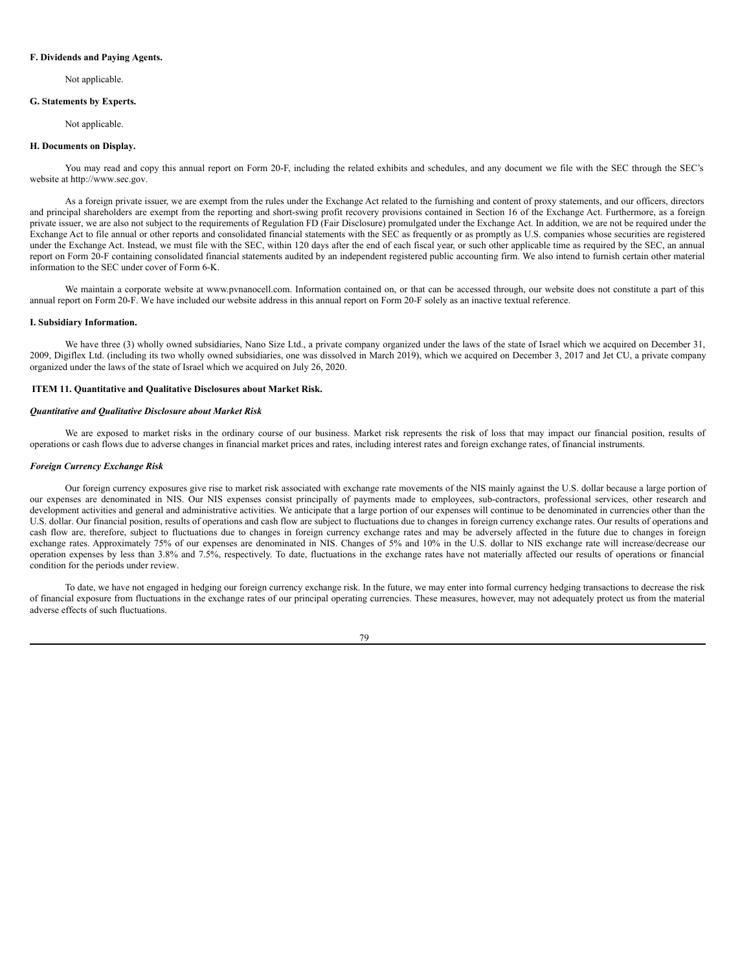#### **F. Dividends and Paying Agents.**

Not applicable.

#### **G. Statements by Experts.**

Not applicable.

### **H. Documents on Display.**

You may read and copy this annual report on Form 20-F, including the related exhibits and schedules, and any document we file with the SEC through the SEC's website at http://www.sec.gov.

As a foreign private issuer, we are exempt from the rules under the Exchange Act related to the furnishing and content of proxy statements, and our officers, directors and principal shareholders are exempt from the reporting and short-swing profit recovery provisions contained in Section 16 of the Exchange Act. Furthermore, as a foreign private issuer, we are also not subject to the requirements of Regulation FD (Fair Disclosure) promulgated under the Exchange Act. In addition, we are not be required under the Exchange Act to file annual or other reports and consolidated financial statements with the SEC as frequently or as promptly as U.S. companies whose securities are registered under the Exchange Act. Instead, we must file with the SEC, within 120 days after the end of each fiscal year, or such other applicable time as required by the SEC, an annual report on Form 20-F containing consolidated financial statements audited by an independent registered public accounting firm. We also intend to furnish certain other material information to the SEC under cover of Form 6-K.

We maintain a corporate website at www.pynanocell.com. Information contained on, or that can be accessed through, our website does not constitute a part of this annual report on Form 20-F. We have included our website address in this annual report on Form 20-F solely as an inactive textual reference.

### **I. Subsidiary Information.**

We have three (3) wholly owned subsidiaries, Nano Size Ltd., a private company organized under the laws of the state of Israel which we acquired on December 31, 2009, Digiflex Ltd. (including its two wholly owned subsidiaries, one was dissolved in March 2019), which we acquired on December 3, 2017 and Jet CU, a private company organized under the laws of the state of Israel which we acquired on July 26, 2020.

#### **ITEM 11. Quantitative and Qualitative Disclosures about Market Risk.**

#### *Quantitative and Qualitative Disclosure about Market Risk*

We are exposed to market risks in the ordinary course of our business. Market risk represents the risk of loss that may impact our financial position, results of operations or cash flows due to adverse changes in financial market prices and rates, including interest rates and foreign exchange rates, of financial instruments.

### *Foreign Currency Exchange Risk*

Our foreign currency exposures give rise to market risk associated with exchange rate movements of the NIS mainly against the U.S. dollar because a large portion of our expenses are denominated in NIS. Our NIS expenses consist principally of payments made to employees, sub-contractors, professional services, other research and development activities and general and administrative activities. We anticipate that a large portion of our expenses will continue to be denominated in currencies other than the U.S. dollar. Our financial position, results of operations and cash flow are subject to fluctuations due to changes in foreign currency exchange rates. Our results of operations and cash flow are, therefore, subject to fluctuations due to changes in foreign currency exchange rates and may be adversely affected in the future due to changes in foreign exchange rates. Approximately 75% of our expenses are denominated in NIS. Changes of 5% and 10% in the U.S. dollar to NIS exchange rate will increase/decrease our operation expenses by less than 3.8% and 7.5%, respectively. To date, fluctuations in the exchange rates have not materially affected our results of operations or financial condition for the periods under review.

To date, we have not engaged in hedging our foreign currency exchange risk. In the future, we may enter into formal currency hedging transactions to decrease the risk of financial exposure from fluctuations in the exchange rates of our principal operating currencies. These measures, however, may not adequately protect us from the material adverse effects of such fluctuations.

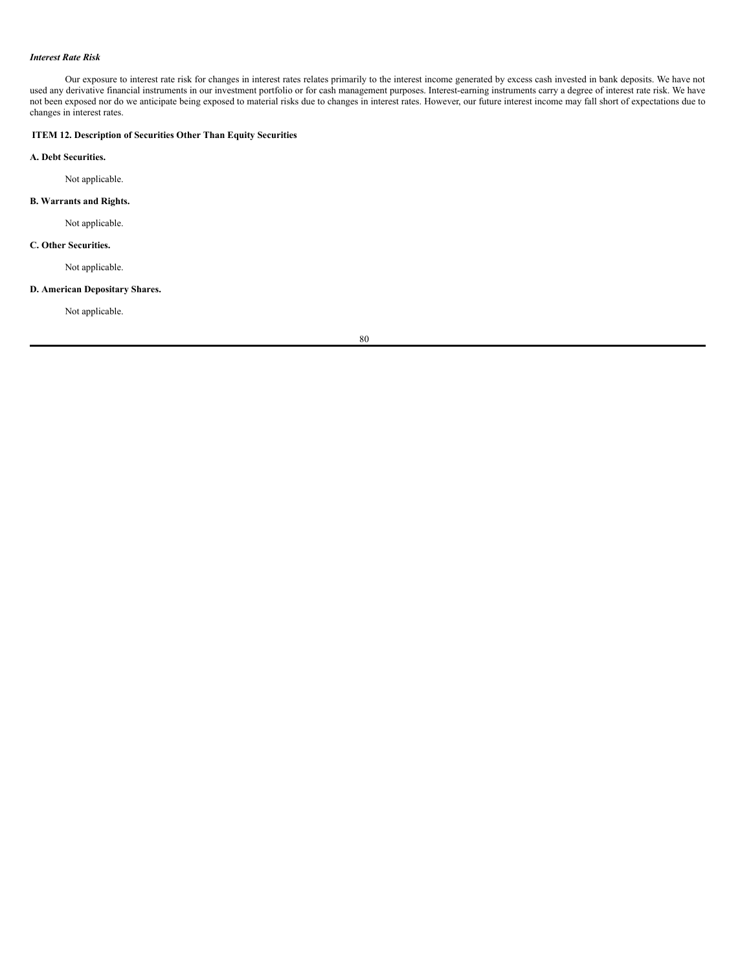### *Interest Rate Risk*

Our exposure to interest rate risk for changes in interest rates relates primarily to the interest income generated by excess cash invested in bank deposits. We have not used any derivative financial instruments in our investment portfolio or for cash management purposes. Interest-earning instruments carry a degree of interest rate risk. We have not been exposed nor do we anticipate being exposed to material risks due to changes in interest rates. However, our future interest income may fall short of expectations due to changes in interest rates.

### **ITEM 12. Description of Securities Other Than Equity Securities**

**A. Debt Securities.**

Not applicable.

### **B. Warrants and Rights.**

Not applicable.

### **C. Other Securities.**

Not applicable.

### **D. American Depositary Shares.**

Not applicable.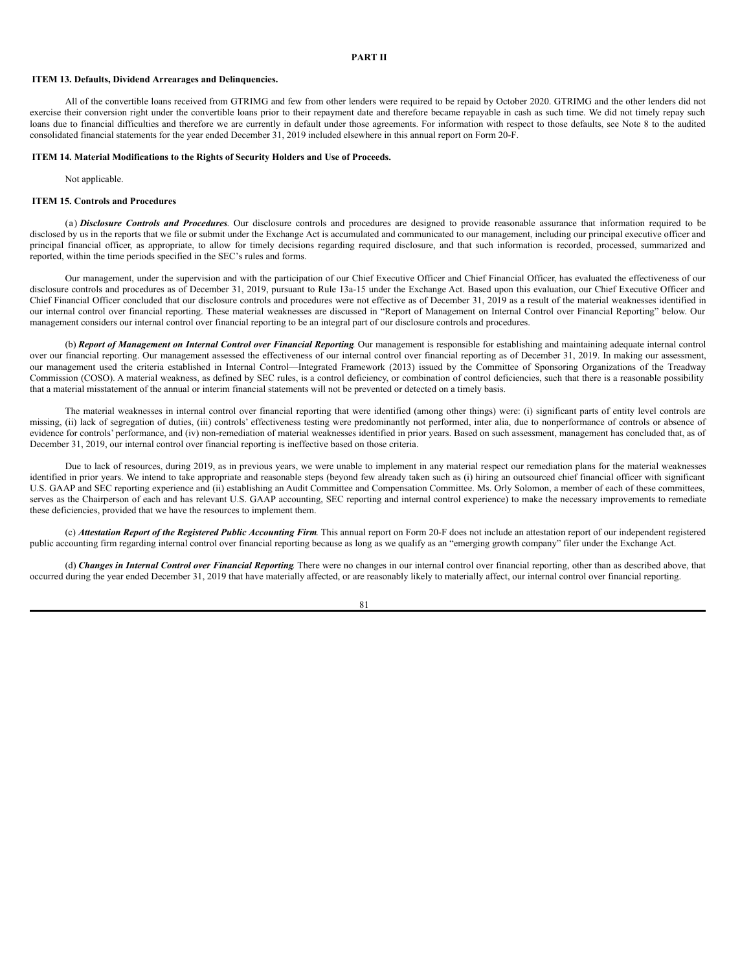#### **PART II**

#### **ITEM 13. Defaults, Dividend Arrearages and Delinquencies.**

All of the convertible loans received from GTRIMG and few from other lenders were required to be repaid by October 2020. GTRIMG and the other lenders did not exercise their conversion right under the convertible loans prior to their repayment date and therefore became repayable in cash as such time. We did not timely repay such loans due to financial difficulties and therefore we are currently in default under those agreements. For information with respect to those defaults, see Note 8 to the audited consolidated financial statements for the year ended December 31, 2019 included elsewhere in this annual report on Form 20-F.

### **ITEM 14. Material Modifications to the Rights of Security Holders and Use of Proceeds.**

Not applicable.

#### **ITEM 15. Controls and Procedures**

(a) *Disclosure Controls and Procedures*. Our disclosure controls and procedures are designed to provide reasonable assurance that information required to be disclosed by us in the reports that we file or submit under the Exchange Act is accumulated and communicated to our management, including our principal executive officer and principal financial officer, as appropriate, to allow for timely decisions regarding required disclosure, and that such information is recorded, processed, summarized and reported, within the time periods specified in the SEC's rules and forms.

Our management, under the supervision and with the participation of our Chief Executive Officer and Chief Financial Officer, has evaluated the effectiveness of our disclosure controls and procedures as of December 31, 2019, pursuant to Rule 13a-15 under the Exchange Act. Based upon this evaluation, our Chief Executive Officer and Chief Financial Officer concluded that our disclosure controls and procedures were not effective as of December 31, 2019 as a result of the material weaknesses identified in our internal control over financial reporting. These material weaknesses are discussed in "Report of Management on Internal Control over Financial Reporting" below. Our management considers our internal control over financial reporting to be an integral part of our disclosure controls and procedures.

(b) *Report of Management on Internal Control over Financial Reporting*. Our management is responsible for establishing and maintaining adequate internal control over our financial reporting. Our management assessed the effectiveness of our internal control over financial reporting as of December 31, 2019. In making our assessment, our management used the criteria established in Internal Control—Integrated Framework (2013) issued by the Committee of Sponsoring Organizations of the Treadway Commission (COSO). A material weakness, as defined by SEC rules, is a control deficiency, or combination of control deficiencies, such that there is a reasonable possibility that a material misstatement of the annual or interim financial statements will not be prevented or detected on a timely basis.

The material weaknesses in internal control over financial reporting that were identified (among other things) were: (i) significant parts of entity level controls are missing, (ii) lack of segregation of duties, (iii) controls' effectiveness testing were predominantly not performed, inter alia, due to nonperformance of controls or absence of evidence for controls' performance, and (iv) non-remediation of material weaknesses identified in prior years. Based on such assessment, management has concluded that, as of December 31, 2019, our internal control over financial reporting is ineffective based on those criteria.

Due to lack of resources, during 2019, as in previous years, we were unable to implement in any material respect our remediation plans for the material weaknesses identified in prior years. We intend to take appropriate and reasonable steps (beyond few already taken such as (i) hiring an outsourced chief financial officer with significant U.S. GAAP and SEC reporting experience and (ii) establishing an Audit Committee and Compensation Committee. Ms. Orly Solomon, a member of each of these committees, serves as the Chairperson of each and has relevant U.S. GAAP accounting, SEC reporting and internal control experience) to make the necessary improvements to remediate these deficiencies, provided that we have the resources to implement them.

(c) *Attestation Report of the Registered Public Accounting Firm*. This annual report on Form 20-F does not include an attestation report of our independent registered public accounting firm regarding internal control over financial reporting because as long as we qualify as an "emerging growth company" filer under the Exchange Act.

(d) *Changes in Internal Control over Financial Reporting*. There were no changes in our internal control over financial reporting, other than as described above, that occurred during the year ended December 31, 2019 that have materially affected, or are reasonably likely to materially affect, our internal control over financial reporting.

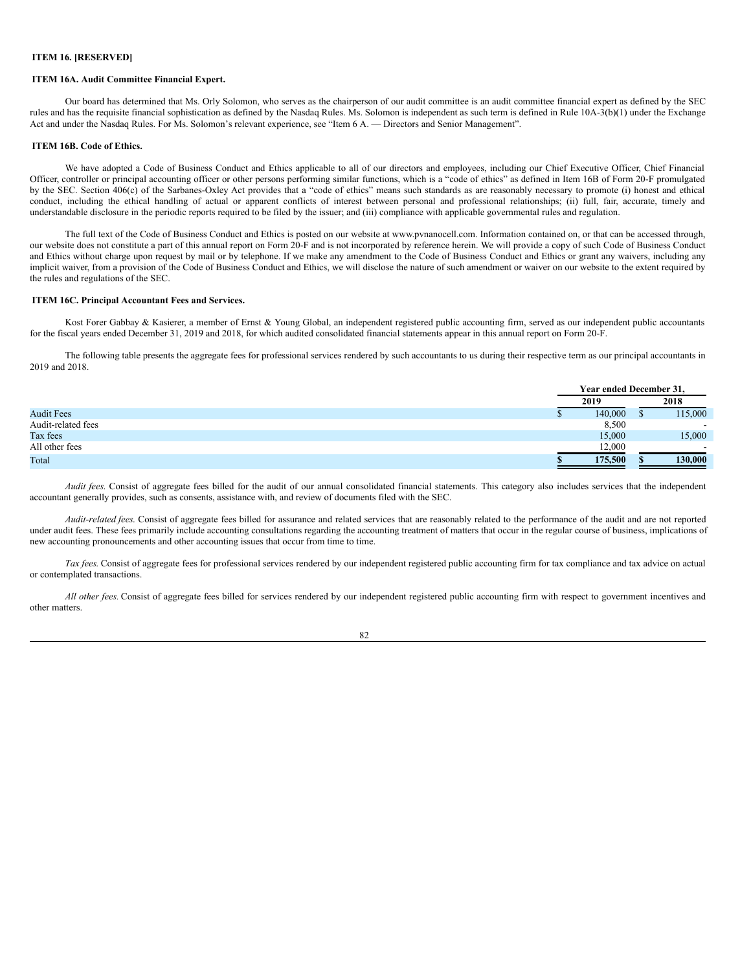#### **ITEM 16. [RESERVED]**

#### **ITEM 16A. Audit Committee Financial Expert.**

Our board has determined that Ms. Orly Solomon, who serves as the chairperson of our audit committee is an audit committee financial expert as defined by the SEC rules and has the requisite financial sophistication as defined by the Nasdaq Rules. Ms. Solomon is independent as such term is defined in Rule 10A-3(b)(1) under the Exchange Act and under the Nasdaq Rules. For Ms. Solomon's relevant experience, see "Item 6 A. — Directors and Senior Management".

#### **ITEM 16B. Code of Ethics.**

We have adopted a Code of Business Conduct and Ethics applicable to all of our directors and employees, including our Chief Executive Officer, Chief Financial Officer, controller or principal accounting officer or other persons performing similar functions, which is a "code of ethics" as defined in Item 16B of Form 20-F promulgated by the SEC. Section 406(c) of the Sarbanes-Oxley Act provides that a "code of ethics" means such standards as are reasonably necessary to promote (i) honest and ethical conduct, including the ethical handling of actual or apparent conflicts of interest between personal and professional relationships; (ii) full, fair, accurate, timely and understandable disclosure in the periodic reports required to be filed by the issuer; and (iii) compliance with applicable governmental rules and regulation.

The full text of the Code of Business Conduct and Ethics is posted on our website at www.pvnanocell.com. Information contained on, or that can be accessed through, our website does not constitute a part of this annual report on Form 20-F and is not incorporated by reference herein. We will provide a copy of such Code of Business Conduct and Ethics without charge upon request by mail or by telephone. If we make any amendment to the Code of Business Conduct and Ethics or grant any waivers, including any implicit waiver, from a provision of the Code of Business Conduct and Ethics, we will disclose the nature of such amendment or waiver on our website to the extent required by the rules and regulations of the SEC.

#### **ITEM 16C. Principal Accountant Fees and Services.**

Kost Forer Gabbay & Kasierer, a member of Ernst & Young Global, an independent registered public accounting firm, served as our independent public accountants for the fiscal years ended December 31, 2019 and 2018, for which audited consolidated financial statements appear in this annual report on Form 20-F.

The following table presents the aggregate fees for professional services rendered by such accountants to us during their respective term as our principal accountants in 2019 and 2018.

|                    |   | Year ended December 31, |                          |  |  |
|--------------------|---|-------------------------|--------------------------|--|--|
|                    |   | 2019                    | 2018                     |  |  |
| <b>Audit Fees</b>  | w | 140,000                 | 115,000                  |  |  |
| Audit-related fees |   | 8,500                   | $\overline{\phantom{0}}$ |  |  |
| Tax fees           |   | 15,000                  | 15,000                   |  |  |
| All other fees     |   | 12.000                  |                          |  |  |
| Total              |   | 175,500                 | 130,000                  |  |  |

*Audit fees*. Consist of aggregate fees billed for the audit of our annual consolidated financial statements. This category also includes services that the independent accountant generally provides, such as consents, assistance with, and review of documents filed with the SEC.

*Audit-related fees*. Consist of aggregate fees billed for assurance and related services that are reasonably related to the performance of the audit and are not reported under audit fees. These fees primarily include accounting consultations regarding the accounting treatment of matters that occur in the regular course of business, implications of new accounting pronouncements and other accounting issues that occur from time to time.

*Tax fees*. Consist of aggregate fees for professional services rendered by our independent registered public accounting firm for tax compliance and tax advice on actual or contemplated transactions.

*All other fees.* Consist of aggregate fees billed for services rendered by our independent registered public accounting firm with respect to government incentives and other matters.

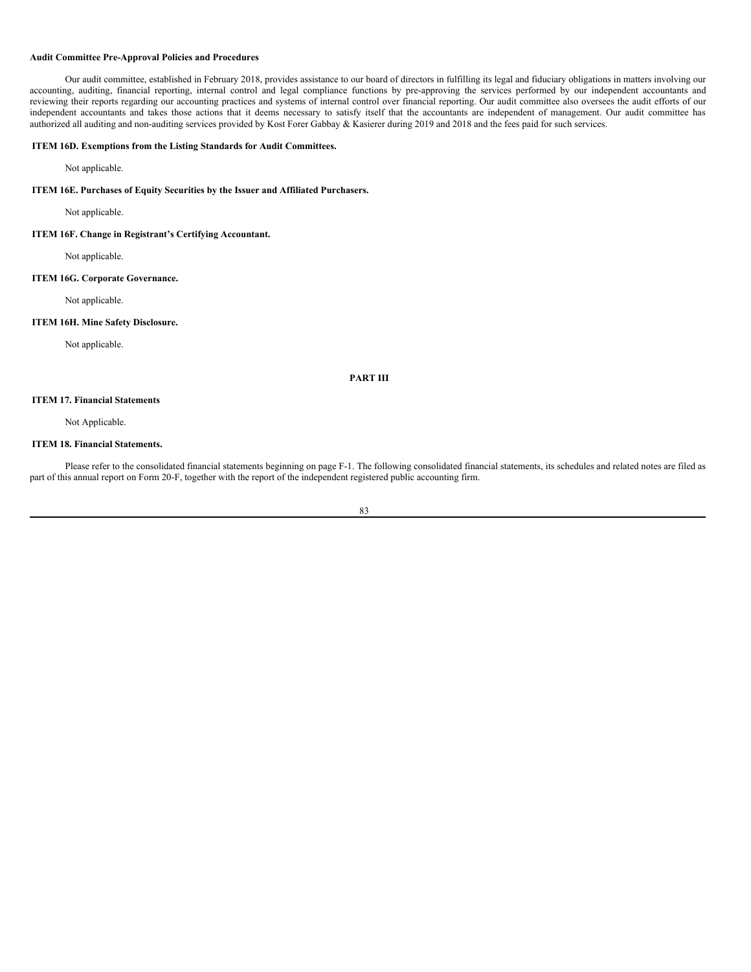#### **Audit Committee Pre-Approval Policies and Procedures**

Our audit committee, established in February 2018, provides assistance to our board of directors in fulfilling its legal and fiduciary obligations in matters involving our accounting, auditing, financial reporting, internal control and legal compliance functions by pre-approving the services performed by our independent accountants and reviewing their reports regarding our accounting practices and systems of internal control over financial reporting. Our audit committee also oversees the audit efforts of our independent accountants and takes those actions that it deems necessary to satisfy itself that the accountants are independent of management. Our audit committee has authorized all auditing and non-auditing services provided by Kost Forer Gabbay & Kasierer during 2019 and 2018 and the fees paid for such services.

#### **ITEM 16D. Exemptions from the Listing Standards for Audit Committees.**

Not applicable.

#### **ITEM 16E. Purchases of Equity Securities by the Issuer and Affiliated Purchasers.**

Not applicable.

#### **ITEM 16F. Change in Registrant's Certifying Accountant.**

Not applicable.

#### **ITEM 16G. Corporate Governance.**

Not applicable.

### **ITEM 16H. Mine Safety Disclosure.**

Not applicable.

### **PART III**

### **ITEM 17. Financial Statements**

Not Applicable.

### **ITEM 18. Financial Statements.**

Please refer to the consolidated financial statements beginning on page F-1. The following consolidated financial statements, its schedules and related notes are filed as part of this annual report on Form 20-F, together with the report of the independent registered public accounting firm.

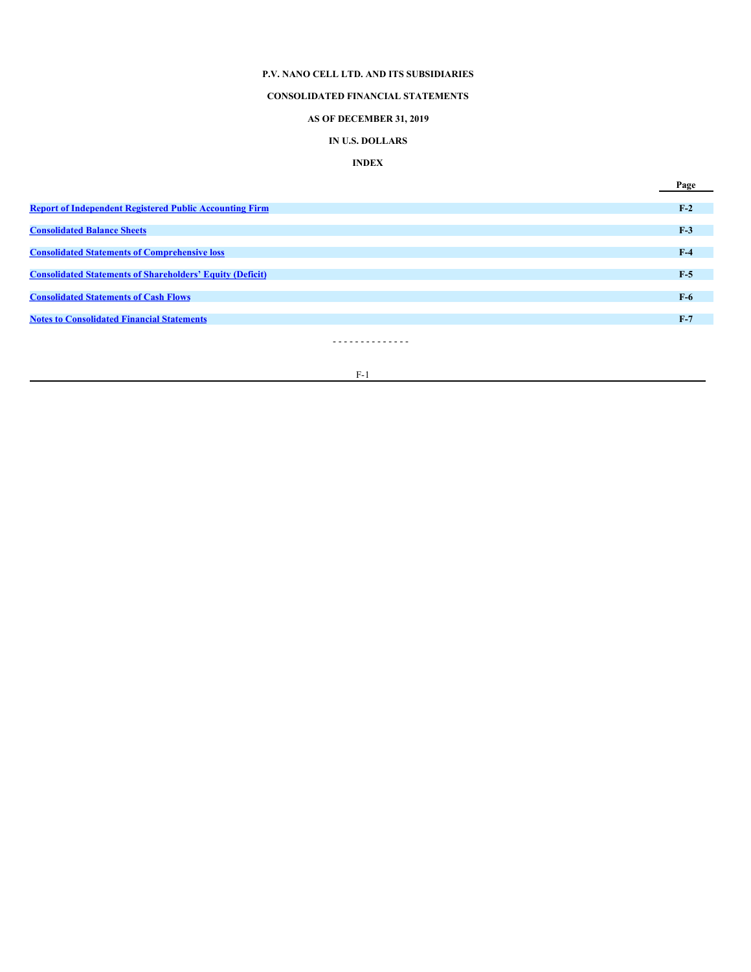## **P.V. NANO CELL LTD. AND ITS SUBSIDIARIES**

### **CONSOLIDATED FINANCIAL STATEMENTS**

### **AS OF DECEMBER 31, 2019**

### **IN U.S. DOLLARS**

### **INDEX**

**Page**

| <b>Report of Independent Registered Public Accounting Firm</b>   | $F-2$ |
|------------------------------------------------------------------|-------|
|                                                                  |       |
| <b>Consolidated Balance Sheets</b>                               | $F-3$ |
|                                                                  |       |
| <b>Consolidated Statements of Comprehensive loss</b>             | $F-4$ |
|                                                                  |       |
| <b>Consolidated Statements of Shareholders' Equity (Deficit)</b> | $F-5$ |
|                                                                  |       |
| <b>Consolidated Statements of Cash Flows</b>                     | $F-6$ |
|                                                                  |       |
| <b>Notes to Consolidated Financial Statements</b>                | $F-7$ |
|                                                                  |       |
|                                                                  |       |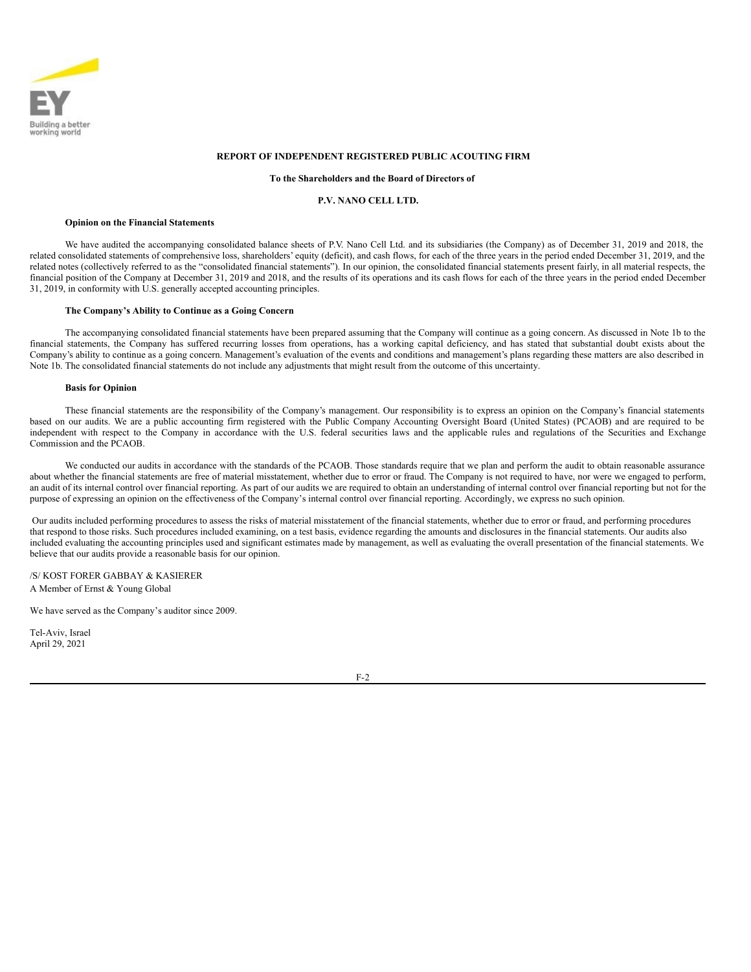

### <span id="page-89-0"></span>**REPORT OF INDEPENDENT REGISTERED PUBLIC ACOUTING FIRM**

#### **To the Shareholders and the Board of Directors of**

#### **P.V. NANO CELL LTD.**

#### **Opinion on the Financial Statements**

We have audited the accompanying consolidated balance sheets of P.V. Nano Cell Ltd. and its subsidiaries (the Company) as of December 31, 2019 and 2018, the related consolidated statements of comprehensive loss, shareholders' equity (deficit), and cash flows, for each of the three years in the period ended December 31, 2019, and the related notes (collectively referred to as the "consolidated financial statements"). In our opinion, the consolidated financial statements present fairly, in all material respects, the financial position of the Company at December 31, 2019 and 2018, and the results of its operations and its cash flows for each of the three years in the period ended December 31, 2019, in conformity with U.S. generally accepted accounting principles.

#### **The Company's Ability to Continue as a Going Concern**

The accompanying consolidated financial statements have been prepared assuming that the Company will continue as a going concern. As discussed in Note 1b to the financial statements, the Company has suffered recurring losses from operations, has a working capital deficiency, and has stated that substantial doubt exists about the Company's ability to continue as a going concern. Management's evaluation of the events and conditions and management's plans regarding these matters are also described in Note 1b. The consolidated financial statements do not include any adjustments that might result from the outcome of this uncertainty.

#### **Basis for Opinion**

These financial statements are the responsibility of the Company's management. Our responsibility is to express an opinion on the Company's financial statements based on our audits. We are a public accounting firm registered with the Public Company Accounting Oversight Board (United States) (PCAOB) and are required to be independent with respect to the Company in accordance with the U.S. federal securities laws and the applicable rules and regulations of the Securities and Exchange Commission and the PCAOB.

We conducted our audits in accordance with the standards of the PCAOB. Those standards require that we plan and perform the audit to obtain reasonable assurance about whether the financial statements are free of material misstatement, whether due to error or fraud. The Company is not required to have, nor were we engaged to perform, an audit of its internal control over financial reporting. As part of our audits we are required to obtain an understanding of internal control over financial reporting but not for the purpose of expressing an opinion on the effectiveness of the Company's internal control over financial reporting. Accordingly, we express no such opinion.

Our audits included performing procedures to assess the risks of material misstatement of the financial statements, whether due to error or fraud, and performing procedures that respond to those risks. Such procedures included examining, on a test basis, evidence regarding the amounts and disclosures in the financial statements. Our audits also included evaluating the accounting principles used and significant estimates made by management, as well as evaluating the overall presentation of the financial statements. We believe that our audits provide a reasonable basis for our opinion.

/S/ KOST FORER GABBAY & KASIERER A Member of Ernst & Young Global

We have served as the Company's auditor since 2009.

Tel-Aviv, Israel April 29, 2021

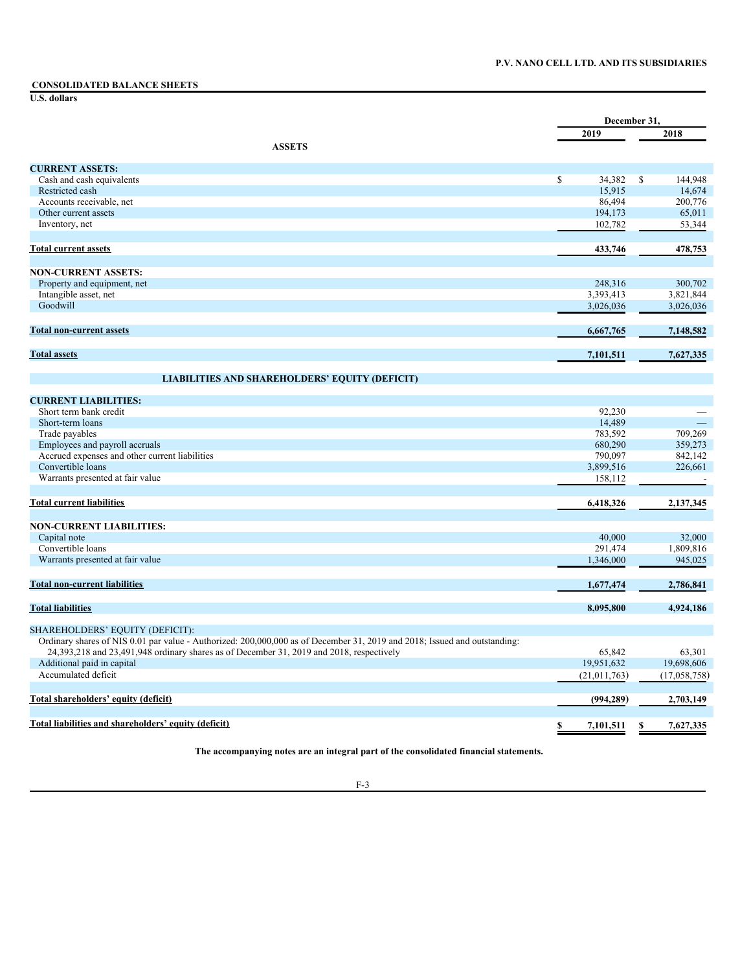#### <span id="page-90-0"></span>**CONSOLIDATED BALANCE SHEETS**

#### **U.S. dollars**

|                                                                                                                                                              | December 31, |              |              |              |  |  |
|--------------------------------------------------------------------------------------------------------------------------------------------------------------|--------------|--------------|--------------|--------------|--|--|
|                                                                                                                                                              |              | 2019         |              | 2018         |  |  |
| <b>ASSETS</b>                                                                                                                                                |              |              |              |              |  |  |
| <b>CURRENT ASSETS:</b>                                                                                                                                       |              |              |              |              |  |  |
| Cash and cash equivalents                                                                                                                                    | $\mathbb{S}$ | 34,382       | $\mathbb{S}$ | 144,948      |  |  |
| Restricted cash                                                                                                                                              |              | 15,915       |              | 14,674       |  |  |
| Accounts receivable, net                                                                                                                                     |              | 86,494       |              | 200,776      |  |  |
| Other current assets                                                                                                                                         |              | 194,173      |              | 65,011       |  |  |
| Inventory, net                                                                                                                                               |              | 102,782      |              | 53,344       |  |  |
| <b>Total current assets</b>                                                                                                                                  |              | 433,746      |              | 478,753      |  |  |
| <b>NON-CURRENT ASSETS:</b>                                                                                                                                   |              |              |              |              |  |  |
| Property and equipment, net                                                                                                                                  |              | 248,316      |              | 300,702      |  |  |
| Intangible asset, net                                                                                                                                        |              | 3,393,413    |              | 3,821,844    |  |  |
| Goodwill                                                                                                                                                     |              | 3,026,036    |              | 3,026,036    |  |  |
| <b>Total non-current assets</b>                                                                                                                              |              | 6,667,765    |              | 7,148,582    |  |  |
| <b>Total assets</b>                                                                                                                                          |              | 7,101,511    |              | 7,627,335    |  |  |
|                                                                                                                                                              |              |              |              |              |  |  |
| <b>LIABILITIES AND SHAREHOLDERS' EQUITY (DEFICIT)</b>                                                                                                        |              |              |              |              |  |  |
| <b>CURRENT LIABILITIES:</b>                                                                                                                                  |              |              |              |              |  |  |
| Short term bank credit                                                                                                                                       |              | 92,230       |              |              |  |  |
| Short-term loans                                                                                                                                             |              | 14,489       |              |              |  |  |
| Trade payables                                                                                                                                               |              | 783,592      |              | 709,269      |  |  |
| Employees and payroll accruals                                                                                                                               |              | 680,290      |              | 359,273      |  |  |
| Accrued expenses and other current liabilities                                                                                                               |              | 790,097      |              | 842,142      |  |  |
| Convertible loans                                                                                                                                            |              | 3,899,516    |              | 226,661      |  |  |
| Warrants presented at fair value                                                                                                                             |              | 158,112      |              |              |  |  |
| <b>Total current liabilities</b>                                                                                                                             |              | 6,418,326    |              | 2,137,345    |  |  |
| <b>NON-CURRENT LIABILITIES:</b>                                                                                                                              |              |              |              |              |  |  |
| Capital note                                                                                                                                                 |              | 40,000       |              | 32,000       |  |  |
| Convertible loans                                                                                                                                            |              | 291,474      |              | 1,809,816    |  |  |
| Warrants presented at fair value                                                                                                                             |              | 1,346,000    |              | 945,025      |  |  |
|                                                                                                                                                              |              |              |              |              |  |  |
| <b>Total non-current liabilities</b>                                                                                                                         |              | 1,677,474    |              | 2,786,841    |  |  |
| <b>Total liabilities</b>                                                                                                                                     |              | 8,095,800    |              | 4,924,186    |  |  |
|                                                                                                                                                              |              |              |              |              |  |  |
| SHAREHOLDERS' EQUITY (DEFICIT):<br>Ordinary shares of NIS 0.01 par value - Authorized: 200,000,000 as of December 31, 2019 and 2018; Issued and outstanding: |              |              |              |              |  |  |
| 24, 393, 218 and 23, 491, 948 ordinary shares as of December 31, 2019 and 2018, respectively                                                                 |              | 65,842       |              | 63,301       |  |  |
| Additional paid in capital                                                                                                                                   |              | 19,951,632   |              | 19,698,606   |  |  |
| Accumulated deficit                                                                                                                                          |              | (21,011,763) |              | (17,058,758) |  |  |
| Total shareholders' equity (deficit)                                                                                                                         |              | (994, 289)   |              | 2,703,149    |  |  |
|                                                                                                                                                              |              |              |              |              |  |  |
| Total liabilities and shareholders' equity (deficit)                                                                                                         | \$           | 7,101,511    | \$           | 7,627,335    |  |  |

**The accompanying notes are an integral part of the consolidated financial statements.**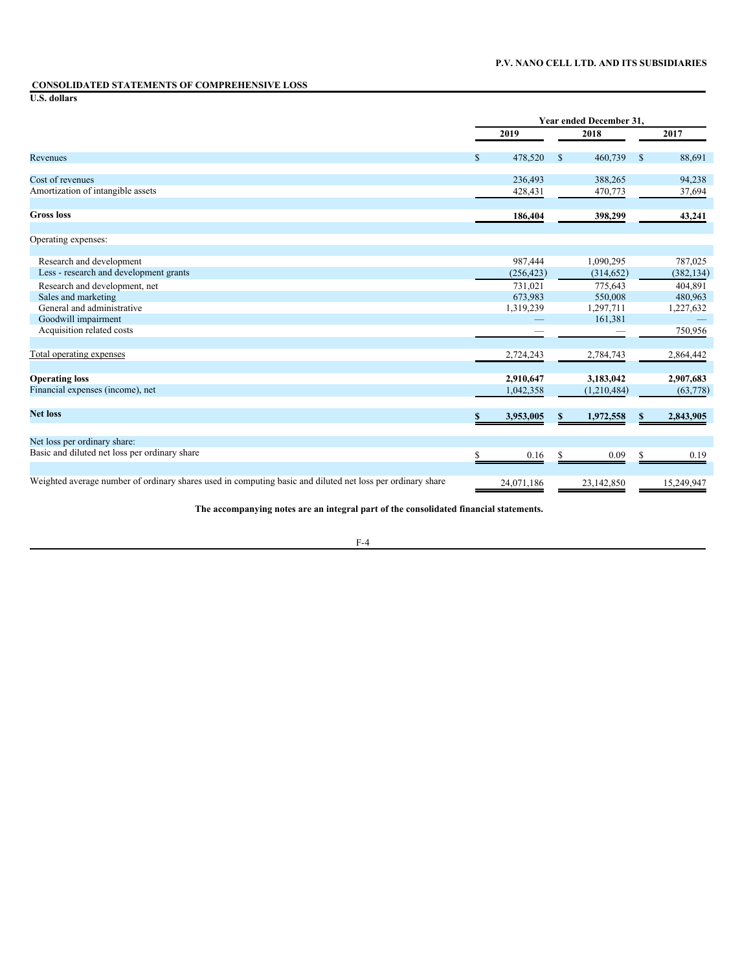#### <span id="page-91-0"></span>**CONSOLIDATED STATEMENTS OF COMPREHENSIVE LOSS**

**U.S. dollars**

|                                                                                                            | Year ended December 31, |            |     |             |              |            |
|------------------------------------------------------------------------------------------------------------|-------------------------|------------|-----|-------------|--------------|------------|
|                                                                                                            |                         | 2019       |     | 2018        |              | 2017       |
| Revenues                                                                                                   | $\mathbb{S}$            | 478,520    | \$  | 460,739     | $\mathbb{S}$ | 88,691     |
| Cost of revenues                                                                                           |                         | 236,493    |     | 388,265     |              | 94,238     |
| Amortization of intangible assets                                                                          |                         | 428,431    |     | 470,773     |              | 37,694     |
| <b>Gross</b> loss                                                                                          |                         | 186,404    |     | 398,299     |              | 43,241     |
| Operating expenses:                                                                                        |                         |            |     |             |              |            |
| Research and development                                                                                   |                         | 987,444    |     | 1,090,295   |              | 787,025    |
| Less - research and development grants                                                                     |                         | (256, 423) |     | (314, 652)  |              | (382, 134) |
| Research and development, net                                                                              |                         | 731,021    |     | 775,643     |              | 404,891    |
| Sales and marketing                                                                                        |                         | 673,983    |     | 550,008     |              | 480,963    |
| General and administrative                                                                                 |                         | 1,319,239  |     | 1,297,711   |              | 1,227,632  |
| Goodwill impairment                                                                                        |                         |            |     | 161,381     |              |            |
| Acquisition related costs                                                                                  |                         |            |     |             |              | 750,956    |
| Total operating expenses                                                                                   |                         | 2,724,243  |     | 2,784,743   |              | 2,864,442  |
| <b>Operating loss</b>                                                                                      |                         | 2,910,647  |     | 3,183,042   |              | 2,907,683  |
| Financial expenses (income), net                                                                           |                         | 1,042,358  |     | (1,210,484) |              | (63,778)   |
| <b>Net loss</b>                                                                                            | S                       | 3,953,005  | S   | 1,972,558   | S            | 2,843,905  |
| Net loss per ordinary share:                                                                               |                         |            |     |             |              |            |
| Basic and diluted net loss per ordinary share                                                              |                         | 0.16       | \$. | 0.09        | S            | 0.19       |
|                                                                                                            |                         |            |     |             |              |            |
| Weighted average number of ordinary shares used in computing basic and diluted net loss per ordinary share |                         | 24,071,186 |     | 23,142,850  |              | 15,249,947 |

**The accompanying notes are an integral part of the consolidated financial statements.**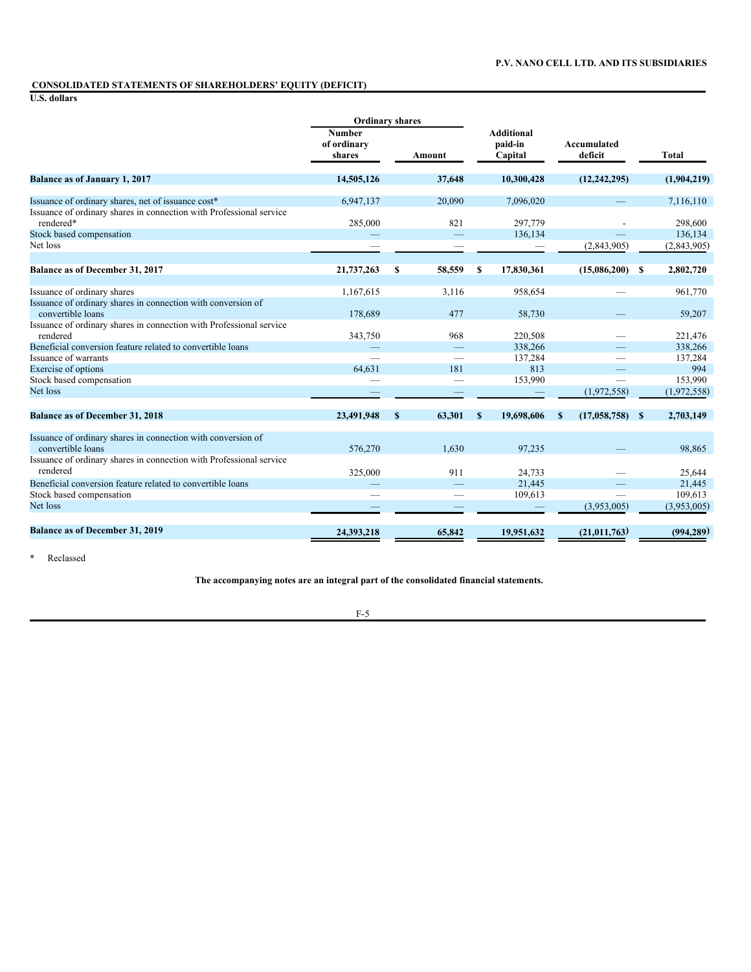#### <span id="page-92-0"></span>**CONSOLIDATED STATEMENTS OF SHAREHOLDERS' EQUITY (DEFICIT)**

#### **U.S. dollars**

|                                                                                   | <b>Ordinary shares</b>                 |              |                          |              |                                         |    |                        |              |
|-----------------------------------------------------------------------------------|----------------------------------------|--------------|--------------------------|--------------|-----------------------------------------|----|------------------------|--------------|
|                                                                                   | <b>Number</b><br>of ordinary<br>shares |              | Amount                   |              | <b>Additional</b><br>paid-in<br>Capital |    | Accumulated<br>deficit | <b>Total</b> |
| Balance as of January 1, 2017                                                     | 14,505,126                             |              | 37,648                   |              | 10,300,428                              |    | (12, 242, 295)         | (1,904,219)  |
| Issuance of ordinary shares, net of issuance cost*                                | 6,947,137                              |              | 20,090                   |              | 7,096,020                               |    |                        | 7,116,110    |
| Issuance of ordinary shares in connection with Professional service<br>rendered*  |                                        |              |                          |              |                                         |    |                        | 298,600      |
| Stock based compensation                                                          | 285,000                                |              | 821                      |              | 297,779<br>136,134                      |    |                        | 136,134      |
| Net loss                                                                          |                                        |              |                          |              |                                         |    | (2,843,905)            | (2,843,905)  |
| Balance as of December 31, 2017                                                   | 21,737,263                             | S            | 58,559                   | S            | 17,830,361                              |    | $(15,086,200)$ \$      | 2,802,720    |
|                                                                                   |                                        |              |                          |              |                                         |    |                        |              |
| Issuance of ordinary shares                                                       | 1,167,615                              |              | 3,116                    |              | 958,654                                 |    |                        | 961,770      |
| Issuance of ordinary shares in connection with conversion of<br>convertible loans | 178,689                                |              | 477                      |              | 58,730                                  |    |                        | 59,207       |
| Issuance of ordinary shares in connection with Professional service<br>rendered   | 343,750                                |              | 968                      |              | 220,508                                 |    |                        | 221,476      |
| Beneficial conversion feature related to convertible loans                        |                                        |              |                          |              | 338,266                                 |    |                        | 338,266      |
| Issuance of warrants                                                              |                                        |              |                          |              | 137,284                                 |    |                        | 137,284      |
| Exercise of options                                                               | 64,631                                 |              | 181                      |              | 813                                     |    |                        | 994          |
| Stock based compensation                                                          |                                        |              |                          |              | 153,990                                 |    |                        | 153,990      |
| Net loss                                                                          |                                        |              |                          |              |                                         |    | (1,972,558)            | (1,972,558)  |
| Balance as of December 31, 2018                                                   | 23,491,948                             | $\mathbf{s}$ | 63,301                   | $\mathbf{s}$ | 19,698,606                              | S. | $(17,058,758)$ \$      | 2,703,149    |
| Issuance of ordinary shares in connection with conversion of                      |                                        |              |                          |              |                                         |    |                        |              |
| convertible loans                                                                 | 576,270                                |              | 1,630                    |              | 97,235                                  |    |                        | 98,865       |
| Issuance of ordinary shares in connection with Professional service<br>rendered   |                                        |              |                          |              |                                         |    |                        |              |
|                                                                                   | 325,000                                |              | 911                      |              | 24,733                                  |    |                        | 25,644       |
| Beneficial conversion feature related to convertible loans                        |                                        |              |                          |              | 21,445                                  |    |                        | 21,445       |
| Stock based compensation<br>Net loss                                              |                                        |              | $\overline{\phantom{0}}$ |              | 109,613                                 |    |                        | 109,613      |
|                                                                                   |                                        |              |                          |              |                                         |    | (3,953,005)            | (3,953,005)  |
| <b>Balance as of December 31, 2019</b>                                            | 24,393,218                             |              | 65,842                   |              | 19,951,632                              |    | (21.011.763)           | (994.289)    |

\* Reclassed

**The accompanying notes are an integral part of the consolidated financial statements.**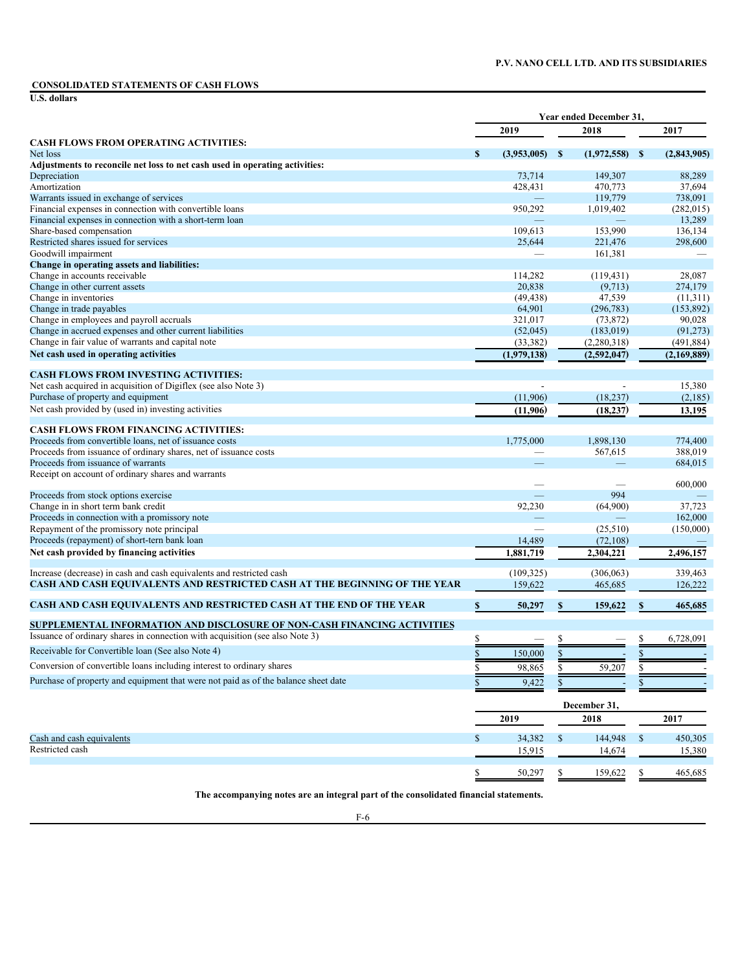# <span id="page-93-0"></span>**CONSOLIDATED STATEMENTS OF CASH FLOWS**

| .S. dollars |
|-------------|
|             |

|                                                                                    | Year ended December 31. |             |              |              |      |             |
|------------------------------------------------------------------------------------|-------------------------|-------------|--------------|--------------|------|-------------|
|                                                                                    |                         | 2019        |              | 2018         |      | 2017        |
| <b>CASH FLOWS FROM OPERATING ACTIVITIES:</b>                                       |                         |             |              |              |      |             |
| Net loss                                                                           | \$                      | (3,953,005) | $\mathbf{s}$ | (1,972,558)  | - \$ | (2,843,905) |
| Adjustments to reconcile net loss to net cash used in operating activities:        |                         |             |              |              |      |             |
| Depreciation                                                                       |                         | 73,714      |              | 149,307      |      | 88,289      |
| Amortization                                                                       |                         | 428,431     |              | 470,773      |      | 37,694      |
| Warrants issued in exchange of services                                            |                         |             |              | 119,779      |      | 738,091     |
| Financial expenses in connection with convertible loans                            |                         | 950,292     |              | 1,019,402    |      | (282, 015)  |
| Financial expenses in connection with a short-term loan                            |                         |             |              |              |      | 13,289      |
| Share-based compensation                                                           |                         | 109,613     |              | 153,990      |      | 136,134     |
| Restricted shares issued for services                                              |                         | 25,644      |              | 221,476      |      | 298,600     |
| Goodwill impairment                                                                |                         |             |              | 161,381      |      |             |
| Change in operating assets and liabilities:                                        |                         |             |              |              |      |             |
| Change in accounts receivable                                                      |                         | 114,282     |              | (119, 431)   |      | 28,087      |
| Change in other current assets                                                     |                         | 20,838      |              | (9,713)      |      | 274,179     |
| Change in inventories                                                              |                         | (49, 438)   |              | 47,539       |      | (11,311)    |
| Change in trade payables                                                           |                         | 64,901      |              | (296, 783)   |      | (153, 892)  |
| Change in employees and payroll accruals                                           |                         | 321,017     |              | (73, 872)    |      | 90,028      |
| Change in accrued expenses and other current liabilities                           |                         | (52,045)    |              | (183, 019)   |      | (91, 273)   |
| Change in fair value of warrants and capital note                                  |                         | (33, 382)   |              | (2,280,318)  |      | (491, 884)  |
| Net cash used in operating activities                                              |                         | (1,979,138) |              | (2,592,047)  |      | (2,169,889) |
| <b>CASH FLOWS FROM INVESTING ACTIVITIES:</b>                                       |                         |             |              |              |      |             |
| Net cash acquired in acquisition of Digiflex (see also Note 3)                     |                         |             |              |              |      | 15,380      |
| Purchase of property and equipment                                                 |                         | (11,906)    |              | (18, 237)    |      | (2,185)     |
| Net cash provided by (used in) investing activities                                |                         | (11,906)    |              | (18, 237)    |      | 13,195      |
| <b>CASH FLOWS FROM FINANCING ACTIVITIES:</b>                                       |                         |             |              |              |      |             |
| Proceeds from convertible loans, net of issuance costs                             |                         | 1,775,000   |              | 1,898,130    |      | 774,400     |
| Proceeds from issuance of ordinary shares, net of issuance costs                   |                         |             |              | 567,615      |      | 388,019     |
| Proceeds from issuance of warrants                                                 |                         |             |              |              |      | 684,015     |
| Receipt on account of ordinary shares and warrants                                 |                         |             |              |              |      |             |
| Proceeds from stock options exercise                                               |                         |             |              | 994          |      | 600,000     |
| Change in in short term bank credit                                                |                         | 92,230      |              | (64,900)     |      | 37,723      |
| Proceeds in connection with a promissory note                                      |                         |             |              |              |      | 162,000     |
| Repayment of the promissory note principal                                         |                         |             |              | (25,510)     |      | (150,000)   |
| Proceeds (repayment) of short-tern bank loan                                       |                         | 14,489      |              | (72, 108)    |      |             |
| Net cash provided by financing activities                                          |                         |             |              |              |      |             |
|                                                                                    |                         | 1,881,719   |              | 2,304,221    |      | 2,496,157   |
| Increase (decrease) in cash and cash equivalents and restricted cash               |                         | (109, 325)  |              | (306, 063)   |      | 339,463     |
| CASH AND CASH EQUIVALENTS AND RESTRICTED CASH AT THE BEGINNING OF THE YEAR         |                         | 159,622     |              | 465,685      |      | 126,222     |
| CASH AND CASH EQUIVALENTS AND RESTRICTED CASH AT THE END OF THE YEAR               | \$                      | 50,297      | \$           | 159,622      | \$   | 465,685     |
| <b>SUPPLEMENTAL INFORMATION AND DISCLOSURE OF NON-CASH FINANCING ACTIVITIES</b>    |                         |             |              |              |      |             |
| Issuance of ordinary shares in connection with acquisition (see also Note 3)       |                         |             | \$           |              |      | 6,728,091   |
| Receivable for Convertible loan (See also Note 4)                                  | \$                      | 150,000     | \$           |              | \$   |             |
| Conversion of convertible loans including interest to ordinary shares              | \$                      | 98,865      | \$           | 59,207       | \$   |             |
| Purchase of property and equipment that were not paid as of the balance sheet date |                         |             |              |              |      |             |
|                                                                                    |                         | 9,422       | \$           |              |      |             |
|                                                                                    |                         |             |              | December 31, |      |             |
|                                                                                    |                         | 2019        |              | 2018         |      | 2017        |
| Cash and cash equivalents                                                          | \$                      | 34,382      | \$           | 144,948      | $\$$ | 450,305     |
| Restricted cash                                                                    |                         | 15,915      |              | 14,674       |      | 15,380      |
|                                                                                    | \$                      | 50,297      | \$           | 159,622      | \$   | 465,685     |
|                                                                                    |                         |             |              |              |      |             |

**The accompanying notes are an integral part of the consolidated financial statements.**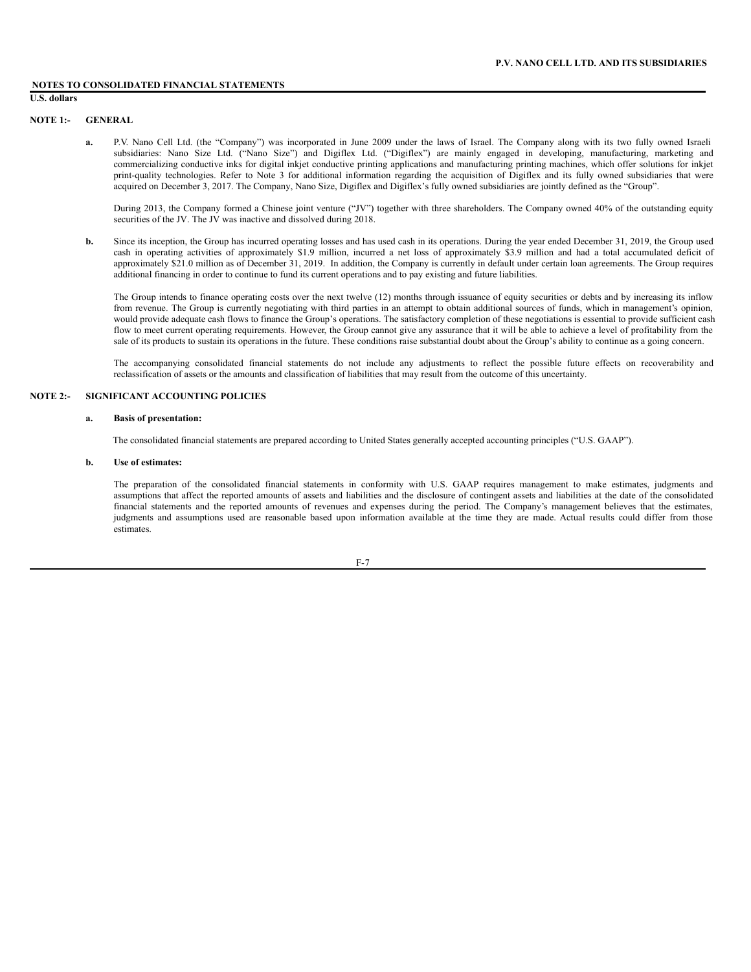#### <span id="page-94-0"></span>**NOTE 1:- GENERAL**

**a.** P.V. Nano Cell Ltd. (the "Company") was incorporated in June 2009 under the laws of Israel. The Company along with its two fully owned Israeli subsidiaries: Nano Size Ltd. ("Nano Size") and Digiflex Ltd. ("Digiflex") are mainly engaged in developing, manufacturing, marketing and commercializing conductive inks for digital inkjet conductive printing applications and manufacturing printing machines, which offer solutions for inkjet print-quality technologies. Refer to Note 3 for additional information regarding the acquisition of Digiflex and its fully owned subsidiaries that were acquired on December 3, 2017. The Company, Nano Size, Digiflex and Digiflex's fully owned subsidiaries are jointly defined as the "Group".

During 2013, the Company formed a Chinese joint venture ("JV") together with three shareholders. The Company owned 40% of the outstanding equity securities of the JV. The JV was inactive and dissolved during 2018.

**b.** Since its inception, the Group has incurred operating losses and has used cash in its operations. During the year ended December 31, 2019, the Group used cash in operating activities of approximately \$1.9 million, incurred a net loss of approximately \$3.9 million and had a total accumulated deficit of approximately \$21.0 million as of December 31, 2019. In addition, the Company is currently in default under certain loan agreements. The Group requires additional financing in order to continue to fund its current operations and to pay existing and future liabilities.

The Group intends to finance operating costs over the next twelve (12) months through issuance of equity securities or debts and by increasing its inflow from revenue. The Group is currently negotiating with third parties in an attempt to obtain additional sources of funds, which in management's opinion, would provide adequate cash flows to finance the Group's operations. The satisfactory completion of these negotiations is essential to provide sufficient cash flow to meet current operating requirements. However, the Group cannot give any assurance that it will be able to achieve a level of profitability from the sale of its products to sustain its operations in the future. These conditions raise substantial doubt about the Group's ability to continue as a going concern.

The accompanying consolidated financial statements do not include any adjustments to reflect the possible future effects on recoverability and reclassification of assets or the amounts and classification of liabilities that may result from the outcome of this uncertainty.

#### **NOTE 2:- SIGNIFICANT ACCOUNTING POLICIES**

#### **a. Basis of presentation:**

The consolidated financial statements are prepared according to United States generally accepted accounting principles ("U.S. GAAP").

#### **b. Use of estimates:**

The preparation of the consolidated financial statements in conformity with U.S. GAAP requires management to make estimates, judgments and assumptions that affect the reported amounts of assets and liabilities and the disclosure of contingent assets and liabilities at the date of the consolidated financial statements and the reported amounts of revenues and expenses during the period. The Company's management believes that the estimates, judgments and assumptions used are reasonable based upon information available at the time they are made. Actual results could differ from those estimates.

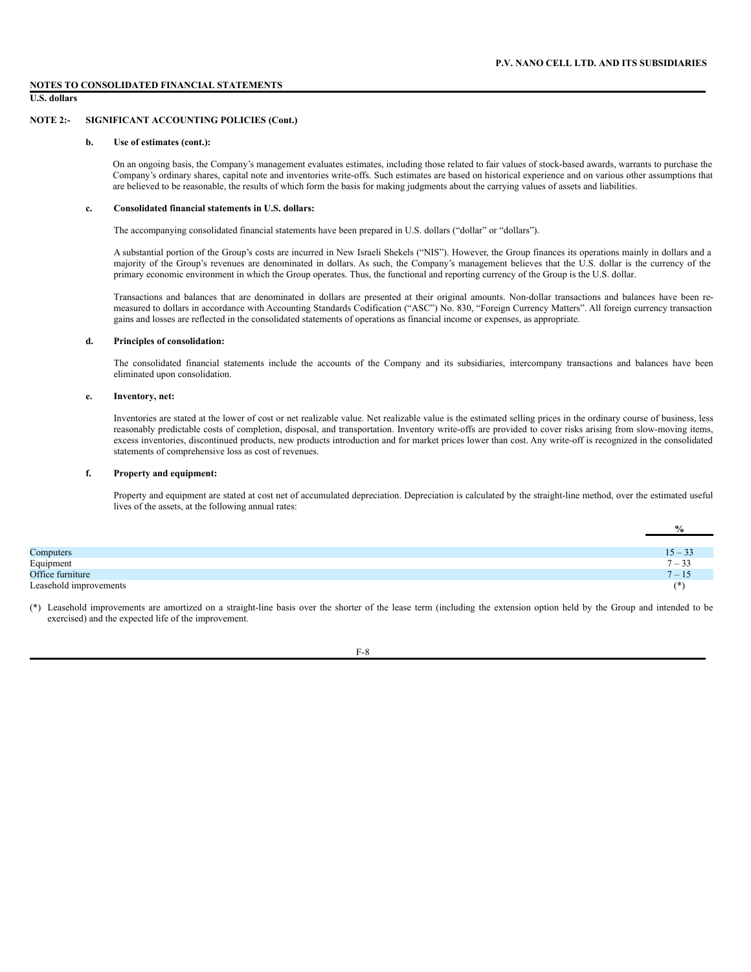**%**

# **NOTES TO CONSOLIDATED FINANCIAL STATEMENTS**

### **U.S. dollars**

### **NOTE 2:- SIGNIFICANT ACCOUNTING POLICIES (Cont.)**

#### **b. Use of estimates (cont.):**

On an ongoing basis, the Company's management evaluates estimates, including those related to fair values of stock-based awards, warrants to purchase the Company's ordinary shares, capital note and inventories write-offs. Such estimates are based on historical experience and on various other assumptions that are believed to be reasonable, the results of which form the basis for making judgments about the carrying values of assets and liabilities.

#### **c. Consolidated financial statements in U.S. dollars:**

The accompanying consolidated financial statements have been prepared in U.S. dollars ("dollar" or "dollars").

A substantial portion of the Group's costs are incurred in New Israeli Shekels ("NIS"). However, the Group finances its operations mainly in dollars and a majority of the Group's revenues are denominated in dollars. As such, the Company's management believes that the U.S. dollar is the currency of the primary economic environment in which the Group operates. Thus, the functional and reporting currency of the Group is the U.S. dollar.

Transactions and balances that are denominated in dollars are presented at their original amounts. Non-dollar transactions and balances have been remeasured to dollars in accordance with Accounting Standards Codification ("ASC") No. 830, "Foreign Currency Matters". All foreign currency transaction gains and losses are reflected in the consolidated statements of operations as financial income or expenses, as appropriate.

#### **d. Principles of consolidation:**

The consolidated financial statements include the accounts of the Company and its subsidiaries, intercompany transactions and balances have been eliminated upon consolidation.

#### **e. Inventory, net:**

Inventories are stated at the lower of cost or net realizable value. Net realizable value is the estimated selling prices in the ordinary course of business, less reasonably predictable costs of completion, disposal, and transportation. Inventory write-offs are provided to cover risks arising from slow-moving items, excess inventories, discontinued products, new products introduction and for market prices lower than cost. Any write-off is recognized in the consolidated statements of comprehensive loss as cost of revenues.

#### **f. Property and equipment:**

Property and equipment are stated at cost net of accumulated depreciation. Depreciation is calculated by the straight-line method, over the estimated useful lives of the assets, at the following annual rates:

| Computers              | $15 - 33$ |
|------------------------|-----------|
| Equipment              | $7 - 33$  |
| Office furniture       | $7 - 1$   |
| Leasehold improvements | 7*        |

(\*) Leasehold improvements are amortized on a straight-line basis over the shorter of the lease term (including the extension option held by the Group and intended to be exercised) and the expected life of the improvement.

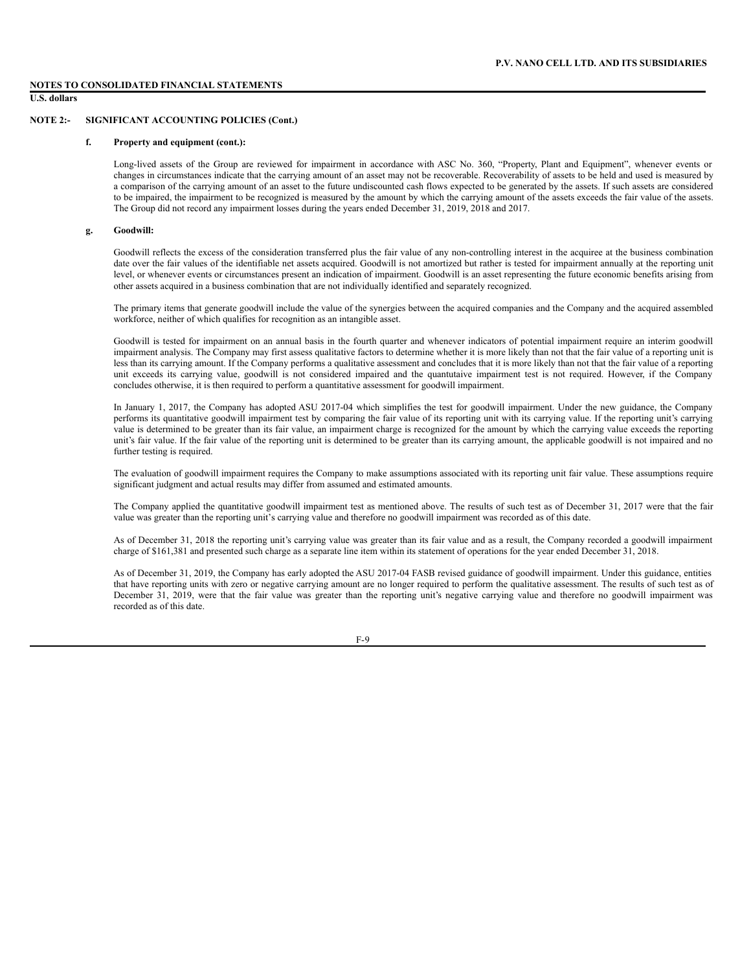### **NOTE 2:- SIGNIFICANT ACCOUNTING POLICIES (Cont.)**

#### **f. Property and equipment (cont.):**

Long-lived assets of the Group are reviewed for impairment in accordance with ASC No. 360, "Property, Plant and Equipment", whenever events or changes in circumstances indicate that the carrying amount of an asset may not be recoverable. Recoverability of assets to be held and used is measured by a comparison of the carrying amount of an asset to the future undiscounted cash flows expected to be generated by the assets. If such assets are considered to be impaired, the impairment to be recognized is measured by the amount by which the carrying amount of the assets exceeds the fair value of the assets. The Group did not record any impairment losses during the years ended December 31, 2019, 2018 and 2017.

### **g. Goodwill:**

Goodwill reflects the excess of the consideration transferred plus the fair value of any non-controlling interest in the acquiree at the business combination date over the fair values of the identifiable net assets acquired. Goodwill is not amortized but rather is tested for impairment annually at the reporting unit level, or whenever events or circumstances present an indication of impairment. Goodwill is an asset representing the future economic benefits arising from other assets acquired in a business combination that are not individually identified and separately recognized.

The primary items that generate goodwill include the value of the synergies between the acquired companies and the Company and the acquired assembled workforce, neither of which qualifies for recognition as an intangible asset.

Goodwill is tested for impairment on an annual basis in the fourth quarter and whenever indicators of potential impairment require an interim goodwill impairment analysis. The Company may first assess qualitative factors to determine whether it is more likely than not that the fair value of a reporting unit is less than its carrying amount. If the Company performs a qualitative assessment and concludes that it is more likely than not that the fair value of a reporting unit exceeds its carrying value, goodwill is not considered impaired and the quantutaive impairment test is not required. However, if the Company concludes otherwise, it is then required to perform a quantitative assessment for goodwill impairment.

In January 1, 2017, the Company has adopted ASU 2017-04 which simplifies the test for goodwill impairment. Under the new guidance, the Company performs its quantitative goodwill impairment test by comparing the fair value of its reporting unit with its carrying value. If the reporting unit's carrying value is determined to be greater than its fair value, an impairment charge is recognized for the amount by which the carrying value exceeds the reporting unit's fair value. If the fair value of the reporting unit is determined to be greater than its carrying amount, the applicable goodwill is not impaired and no further testing is required.

The evaluation of goodwill impairment requires the Company to make assumptions associated with its reporting unit fair value. These assumptions require significant judgment and actual results may differ from assumed and estimated amounts.

The Company applied the quantitative goodwill impairment test as mentioned above. The results of such test as of December 31, 2017 were that the fair value was greater than the reporting unit's carrying value and therefore no goodwill impairment was recorded as of this date.

As of December 31, 2018 the reporting unit's carrying value was greater than its fair value and as a result, the Company recorded a goodwill impairment charge of \$161,381 and presented such charge as a separate line item within its statement of operations for the year ended December 31, 2018.

As of December 31, 2019, the Company has early adopted the ASU 2017-04 FASB revised guidance of goodwill impairment. Under this guidance, entities that have reporting units with zero or negative carrying amount are no longer required to perform the qualitative assessment. The results of such test as of December 31, 2019, were that the fair value was greater than the reporting unit's negative carrying value and therefore no goodwill impairment was recorded as of this date.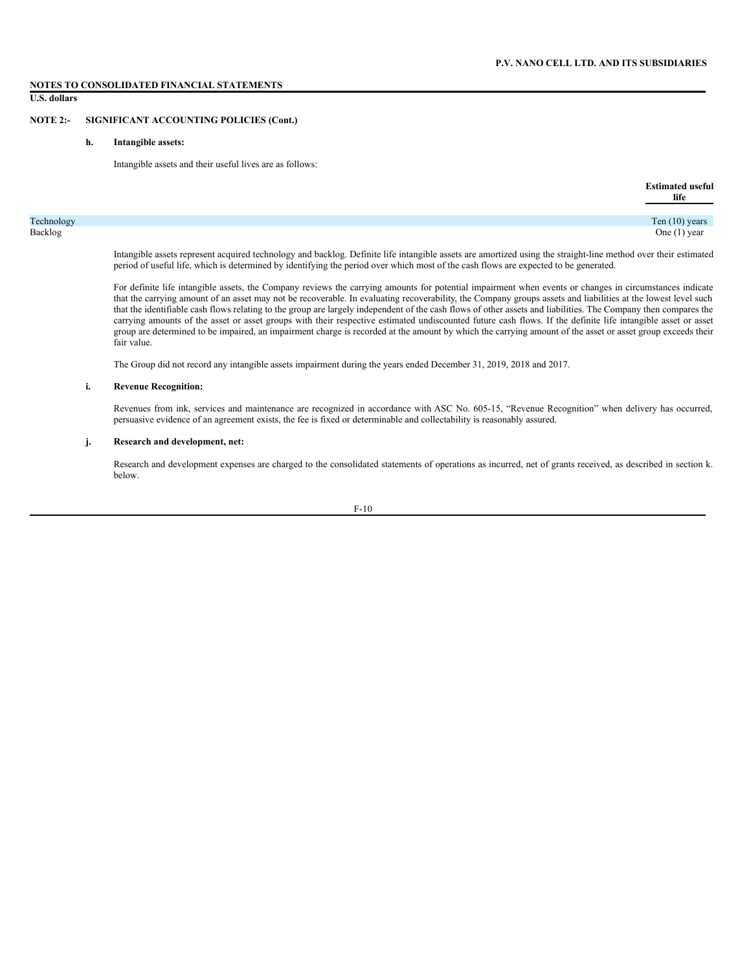### **NOTES TO CONSOLIDATED FINANCIAL STATEMENTS**

### **U.S. dollars**

### **NOTE 2:- SIGNIFICANT ACCOUNTING POLICIES (Cont.)**

#### **h. Intangible assets:**

Intangible assets and their useful lives are as follows:

|            | <b>Estimated useful</b> |
|------------|-------------------------|
|            | life                    |
|            |                         |
| Technology | Ten $(10)$ years        |
| Backlog    | One $(1)$ year          |

Intangible assets represent acquired technology and backlog. Definite life intangible assets are amortized using the straight-line method over their estimated period of useful life, which is determined by identifying the period over which most of the cash flows are expected to be generated.

For definite life intangible assets, the Company reviews the carrying amounts for potential impairment when events or changes in circumstances indicate that the carrying amount of an asset may not be recoverable. In evaluating recoverability, the Company groups assets and liabilities at the lowest level such that the identifiable cash flows relating to the group are largely independent of the cash flows of other assets and liabilities. The Company then compares the carrying amounts of the asset or asset groups with their respective estimated undiscounted future cash flows. If the definite life intangible asset or asset group are determined to be impaired, an impairment charge is recorded at the amount by which the carrying amount of the asset or asset group exceeds their fair value.

The Group did not record any intangible assets impairment during the years ended December 31, 2019, 2018 and 2017.

#### **i. Revenue Recognition:**

Revenues from ink, services and maintenance are recognized in accordance with ASC No. 605-15, "Revenue Recognition" when delivery has occurred, persuasive evidence of an agreement exists, the fee is fixed or determinable and collectability is reasonably assured.

#### **j. Research and development, net:**

Research and development expenses are charged to the consolidated statements of operations as incurred, net of grants received, as described in section k. below.

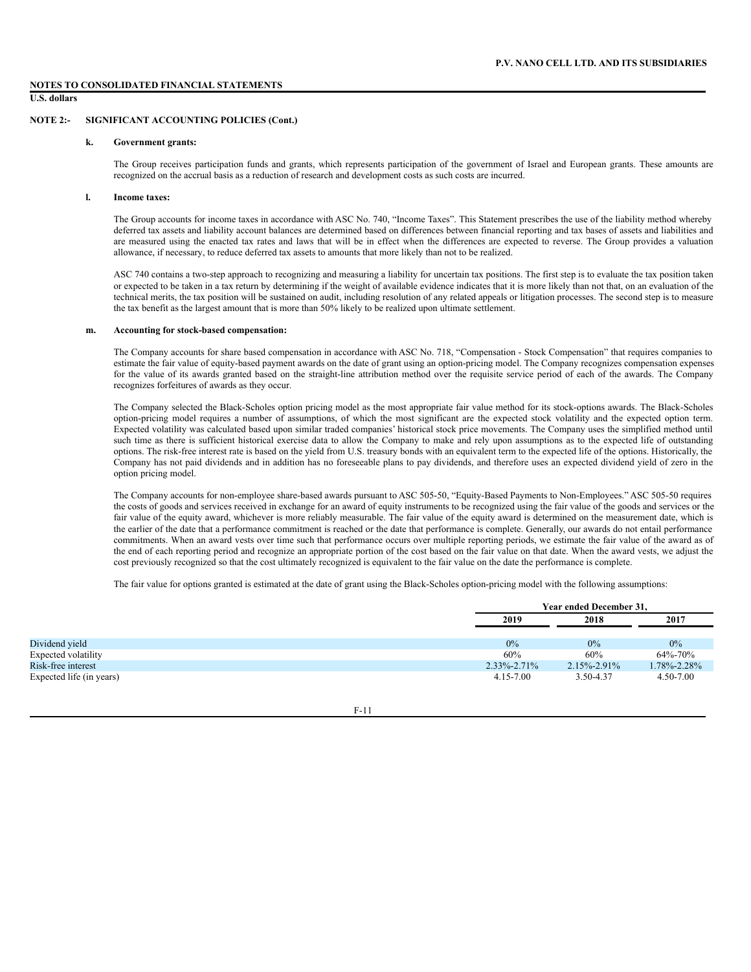### **NOTE 2:- SIGNIFICANT ACCOUNTING POLICIES (Cont.)**

#### **k. Government grants:**

The Group receives participation funds and grants, which represents participation of the government of Israel and European grants. These amounts are recognized on the accrual basis as a reduction of research and development costs as such costs are incurred.

#### **l. Income taxes:**

The Group accounts for income taxes in accordance with ASC No. 740, "Income Taxes". This Statement prescribes the use of the liability method whereby deferred tax assets and liability account balances are determined based on differences between financial reporting and tax bases of assets and liabilities and are measured using the enacted tax rates and laws that will be in effect when the differences are expected to reverse. The Group provides a valuation allowance, if necessary, to reduce deferred tax assets to amounts that more likely than not to be realized.

ASC 740 contains a two-step approach to recognizing and measuring a liability for uncertain tax positions. The first step is to evaluate the tax position taken or expected to be taken in a tax return by determining if the weight of available evidence indicates that it is more likely than not that, on an evaluation of the technical merits, the tax position will be sustained on audit, including resolution of any related appeals or litigation processes. The second step is to measure the tax benefit as the largest amount that is more than 50% likely to be realized upon ultimate settlement.

#### **m. Accounting for stock-based compensation:**

The Company accounts for share based compensation in accordance with ASC No. 718, "Compensation - Stock Compensation" that requires companies to estimate the fair value of equity-based payment awards on the date of grant using an option-pricing model. The Company recognizes compensation expenses for the value of its awards granted based on the straight-line attribution method over the requisite service period of each of the awards. The Company recognizes forfeitures of awards as they occur.

The Company selected the Black-Scholes option pricing model as the most appropriate fair value method for its stock-options awards. The Black-Scholes option-pricing model requires a number of assumptions, of which the most significant are the expected stock volatility and the expected option term. Expected volatility was calculated based upon similar traded companies' historical stock price movements. The Company uses the simplified method until such time as there is sufficient historical exercise data to allow the Company to make and rely upon assumptions as to the expected life of outstanding options. The risk-free interest rate is based on the yield from U.S. treasury bonds with an equivalent term to the expected life of the options. Historically, the Company has not paid dividends and in addition has no foreseeable plans to pay dividends, and therefore uses an expected dividend yield of zero in the option pricing model.

The Company accounts for non-employee share-based awards pursuant to ASC 505-50, "Equity-Based Payments to Non-Employees." ASC 505-50 requires the costs of goods and services received in exchange for an award of equity instruments to be recognized using the fair value of the goods and services or the fair value of the equity award, whichever is more reliably measurable. The fair value of the equity award is determined on the measurement date, which is the earlier of the date that a performance commitment is reached or the date that performance is complete. Generally, our awards do not entail performance commitments. When an award vests over time such that performance occurs over multiple reporting periods, we estimate the fair value of the award as of the end of each reporting period and recognize an appropriate portion of the cost based on the fair value on that date. When the award vests, we adjust the cost previously recognized so that the cost ultimately recognized is equivalent to the fair value on the date the performance is complete.

The fair value for options granted is estimated at the date of grant using the Black-Scholes option-pricing model with the following assumptions:

|                          | Year ended December 31. |                   |               |  |  |  |
|--------------------------|-------------------------|-------------------|---------------|--|--|--|
|                          | 2019                    | 2018              | 2017          |  |  |  |
|                          |                         |                   |               |  |  |  |
| Dividend yield           | 0%                      | $0\%$             | 0%            |  |  |  |
| Expected volatility      | 60%                     | 60%               | $64\% - 70\%$ |  |  |  |
| Risk-free interest       | $2.33\% - 2.71\%$       | $2.15\% - 2.91\%$ | .78%-2.28%    |  |  |  |
| Expected life (in years) | $4.15 - 7.00$           | 3.50-4.37         | $4.50 - 7.00$ |  |  |  |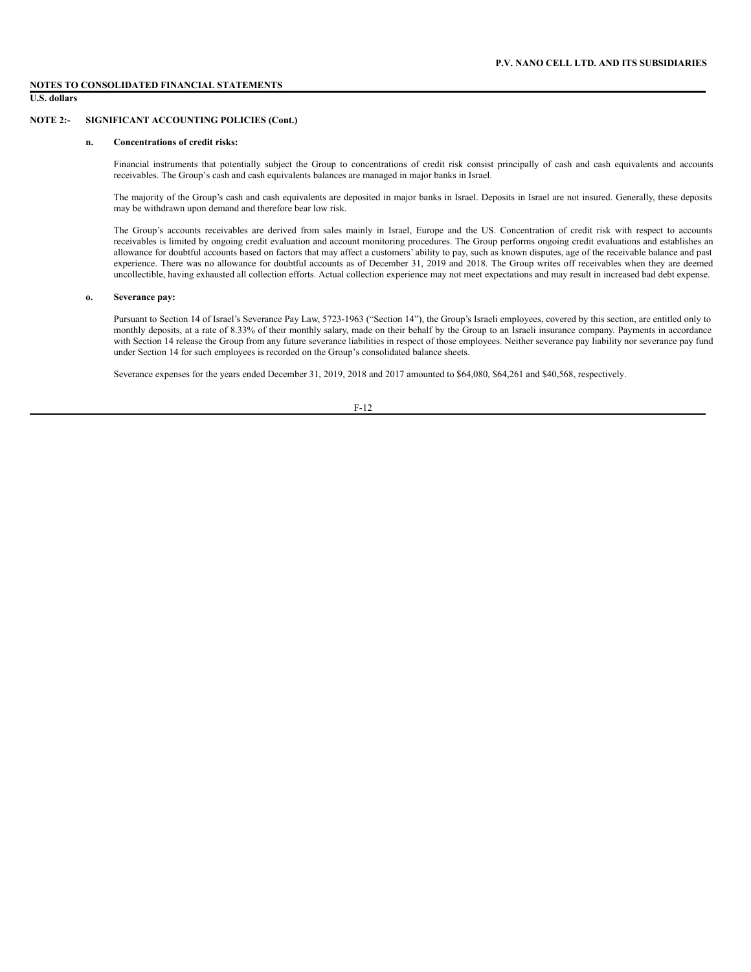### **NOTE 2:- SIGNIFICANT ACCOUNTING POLICIES (Cont.)**

#### **n. Concentrations of credit risks:**

Financial instruments that potentially subject the Group to concentrations of credit risk consist principally of cash and cash equivalents and accounts receivables. The Group's cash and cash equivalents balances are managed in major banks in Israel.

The majority of the Group's cash and cash equivalents are deposited in major banks in Israel. Deposits in Israel are not insured. Generally, these deposits may be withdrawn upon demand and therefore bear low risk.

The Group's accounts receivables are derived from sales mainly in Israel, Europe and the US. Concentration of credit risk with respect to accounts receivables is limited by ongoing credit evaluation and account monitoring procedures. The Group performs ongoing credit evaluations and establishes an allowance for doubtful accounts based on factors that may affect a customers' ability to pay, such as known disputes, age of the receivable balance and past experience. There was no allowance for doubtful accounts as of December 31, 2019 and 2018. The Group writes off receivables when they are deemed uncollectible, having exhausted all collection efforts. Actual collection experience may not meet expectations and may result in increased bad debt expense.

#### **o. Severance pay:**

Pursuant to Section 14 of Israel's Severance Pay Law, 5723-1963 ("Section 14"), the Group's Israeli employees, covered by this section, are entitled only to monthly deposits, at a rate of 8.33% of their monthly salary, made on their behalf by the Group to an Israeli insurance company. Payments in accordance with Section 14 release the Group from any future severance liabilities in respect of those employees. Neither severance pay liability nor severance pay fund under Section 14 for such employees is recorded on the Group's consolidated balance sheets.

Severance expenses for the years ended December 31, 2019, 2018 and 2017 amounted to \$64,080, \$64,261 and \$40,568, respectively.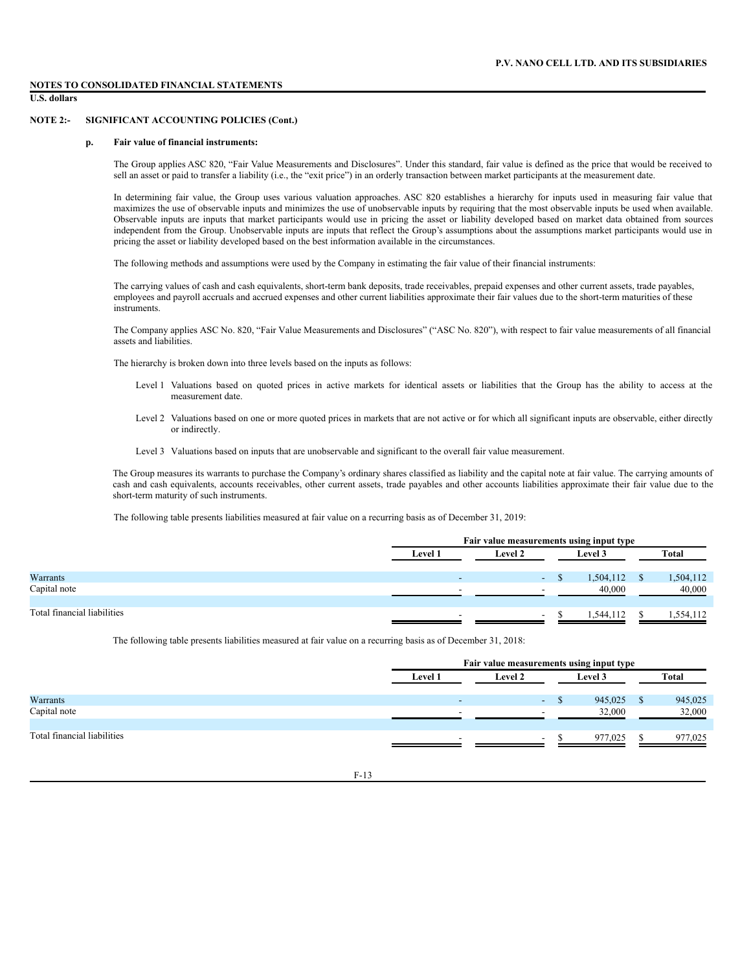# **NOTE 2:- SIGNIFICANT ACCOUNTING POLICIES (Cont.)**

### **p. Fair value of financial instruments:**

The Group applies ASC 820, "Fair Value Measurements and Disclosures". Under this standard, fair value is defined as the price that would be received to sell an asset or paid to transfer a liability (i.e., the "exit price") in an orderly transaction between market participants at the measurement date.

In determining fair value, the Group uses various valuation approaches. ASC 820 establishes a hierarchy for inputs used in measuring fair value that maximizes the use of observable inputs and minimizes the use of unobservable inputs by requiring that the most observable inputs be used when available. Observable inputs are inputs that market participants would use in pricing the asset or liability developed based on market data obtained from sources independent from the Group. Unobservable inputs are inputs that reflect the Group's assumptions about the assumptions market participants would use in pricing the asset or liability developed based on the best information available in the circumstances.

The following methods and assumptions were used by the Company in estimating the fair value of their financial instruments:

The carrying values of cash and cash equivalents, short-term bank deposits, trade receivables, prepaid expenses and other current assets, trade payables, employees and payroll accruals and accrued expenses and other current liabilities approximate their fair values due to the short-term maturities of these instruments.

The Company applies ASC No. 820, "Fair Value Measurements and Disclosures" ("ASC No. 820"), with respect to fair value measurements of all financial assets and liabilities.

The hierarchy is broken down into three levels based on the inputs as follows:

- Level 1 Valuations based on quoted prices in active markets for identical assets or liabilities that the Group has the ability to access at the measurement date.
- Level 2 Valuations based on one or more quoted prices in markets that are not active or for which all significant inputs are observable, either directly or indirectly.
- Level 3 Valuations based on inputs that are unobservable and significant to the overall fair value measurement.

The Group measures its warrants to purchase the Company's ordinary shares classified as liability and the capital note at fair value. The carrying amounts of cash and cash equivalents, accounts receivables, other current assets, trade payables and other accounts liabilities approximate their fair value due to the short-term maturity of such instruments.

The following table presents liabilities measured at fair value on a recurring basis as of December 31, 2019:

|                             |                          | Fair value measurements using input type |  |          |  |           |  |  |  |  |  |
|-----------------------------|--------------------------|------------------------------------------|--|----------|--|-----------|--|--|--|--|--|
|                             | Level 1                  | <b>Level 2</b>                           |  | Level 3  |  | Total     |  |  |  |  |  |
| Warrants                    |                          | $\sim$                                   |  | .504,112 |  | 1,504,112 |  |  |  |  |  |
| Capital note                | $\sim$                   | $\overline{\phantom{0}}$                 |  | 40,000   |  | 40,000    |  |  |  |  |  |
|                             |                          |                                          |  |          |  |           |  |  |  |  |  |
| Total financial liabilities | $\overline{\phantom{0}}$ | $\overline{\phantom{0}}$                 |  | .544.112 |  | 1,554,112 |  |  |  |  |  |

The following table presents liabilities measured at fair value on a recurring basis as of December 31, 2018:

|                             |                | Fair value measurements using input type             |    |                   |  |                   |  |  |  |  |
|-----------------------------|----------------|------------------------------------------------------|----|-------------------|--|-------------------|--|--|--|--|
|                             | <b>Level 1</b> | <b>Level 2</b>                                       |    | <b>Level 3</b>    |  | Total             |  |  |  |  |
| Warrants<br>Capital note    | -              | $\overline{\phantom{a}}$<br>$\overline{\phantom{0}}$ | кD | 945,025<br>32,000 |  | 945,025<br>32,000 |  |  |  |  |
| Total financial liabilities |                | $\sim$                                               |    | 977,025           |  | 977,025           |  |  |  |  |

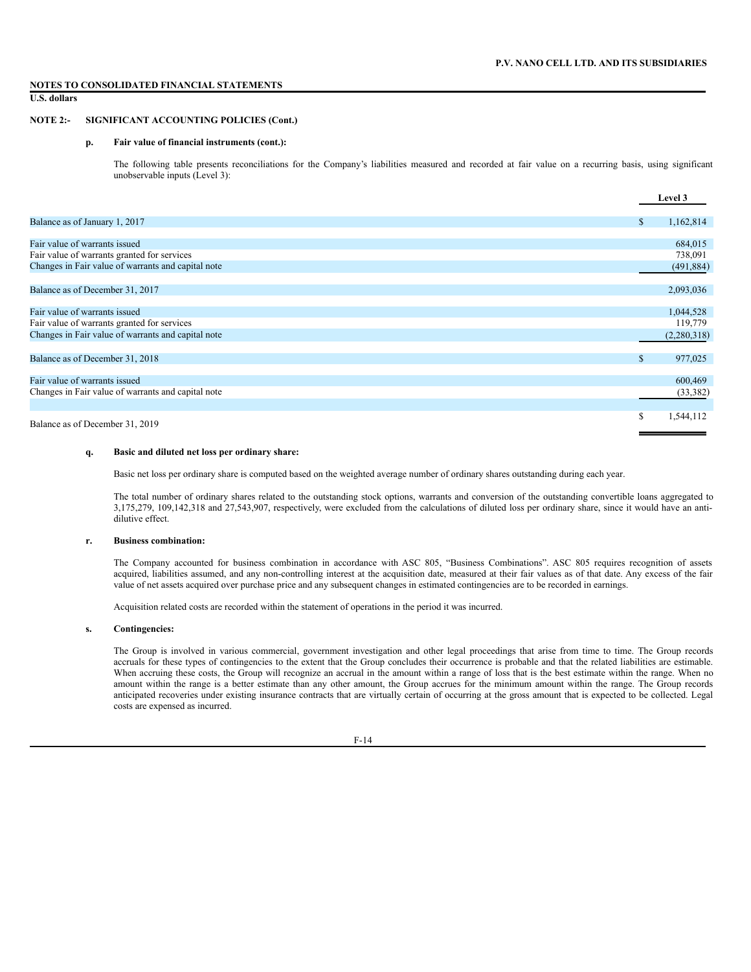### **NOTES TO CONSOLIDATED FINANCIAL STATEMENTS**

### **U.S. dollars**

### **NOTE 2:- SIGNIFICANT ACCOUNTING POLICIES (Cont.)**

#### **p. Fair value of financial instruments (cont.):**

The following table presents reconciliations for the Company's liabilities measured and recorded at fair value on a recurring basis, using significant unobservable inputs (Level 3):

|                                                    |    | Level 3       |
|----------------------------------------------------|----|---------------|
| Balance as of January 1, 2017                      | S. | 1,162,814     |
|                                                    |    |               |
| Fair value of warrants issued                      |    | 684,015       |
| Fair value of warrants granted for services        |    | 738,091       |
| Changes in Fair value of warrants and capital note |    | (491, 884)    |
| Balance as of December 31, 2017                    |    | 2,093,036     |
|                                                    |    |               |
| Fair value of warrants issued                      |    | 1,044,528     |
| Fair value of warrants granted for services        |    | 119,779       |
| Changes in Fair value of warrants and capital note |    | (2, 280, 318) |
| Balance as of December 31, 2018                    | \$ | 977,025       |
|                                                    |    |               |
| Fair value of warrants issued                      |    | 600,469       |
| Changes in Fair value of warrants and capital note |    | (33, 382)     |
|                                                    |    |               |
| Balance as of December 31, 2019                    | ъ  | 1,544,112     |

#### **q. Basic and diluted net loss per ordinary share:**

Basic net loss per ordinary share is computed based on the weighted average number of ordinary shares outstanding during each year.

The total number of ordinary shares related to the outstanding stock options, warrants and conversion of the outstanding convertible loans aggregated to 3,175,279, 109,142,318 and 27,543,907, respectively, were excluded from the calculations of diluted loss per ordinary share, since it would have an antidilutive effect.

#### **r. Business combination:**

The Company accounted for business combination in accordance with ASC 805, "Business Combinations". ASC 805 requires recognition of assets acquired, liabilities assumed, and any non-controlling interest at the acquisition date, measured at their fair values as of that date. Any excess of the fair value of net assets acquired over purchase price and any subsequent changes in estimated contingencies are to be recorded in earnings.

Acquisition related costs are recorded within the statement of operations in the period it was incurred.

### **s. Contingencies:**

The Group is involved in various commercial, government investigation and other legal proceedings that arise from time to time. The Group records accruals for these types of contingencies to the extent that the Group concludes their occurrence is probable and that the related liabilities are estimable. When accruing these costs, the Group will recognize an accrual in the amount within a range of loss that is the best estimate within the range. When no amount within the range is a better estimate than any other amount, the Group accrues for the minimum amount within the range. The Group records anticipated recoveries under existing insurance contracts that are virtually certain of occurring at the gross amount that is expected to be collected. Legal costs are expensed as incurred.

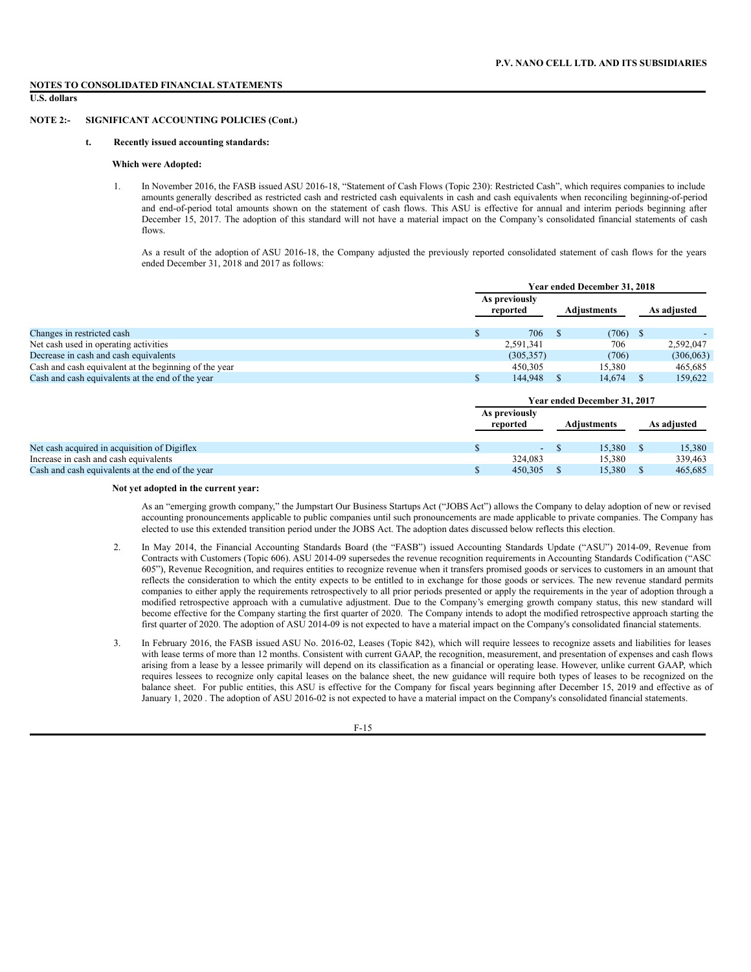### **NOTE 2:- SIGNIFICANT ACCOUNTING POLICIES (Cont.)**

#### **t. Recently issued accounting standards:**

#### **Which were Adopted:**

1. In November 2016, the FASB issued ASU 2016-18, "Statement of Cash Flows (Topic 230): Restricted Cash", which requires companies to include amounts generally described as restricted cash and restricted cash equivalents in cash and cash equivalents when reconciling beginning-of-period and end-of-period total amounts shown on the statement of cash flows. This ASU is effective for annual and interim periods beginning after December 15, 2017. The adoption of this standard will not have a material impact on the Company's consolidated financial statements of cash flows.

As a result of the adoption of ASU 2016-18, the Company adjusted the previously reported consolidated statement of cash flows for the years ended December 31, 2018 and 2017 as follows:

|                                                       | Year ended December 31, 2018 |  |                    |  |             |
|-------------------------------------------------------|------------------------------|--|--------------------|--|-------------|
|                                                       | As previously<br>reported    |  | <b>Adjustments</b> |  | As adjusted |
| Changes in restricted cash                            | 706                          |  | (706)              |  |             |
| Net cash used in operating activities                 | 2,591,341                    |  | 706                |  | 2.592.047   |
| Decrease in cash and cash equivalents                 | (305, 357)                   |  | (706)              |  | (306, 063)  |
| Cash and cash equivalent at the beginning of the year | 450,305                      |  | 15.380             |  | 465.685     |
| Cash and cash equivalents at the end of the year      | 144,948                      |  | 14.674             |  | 159.622     |

|                                                  | Year ended December 31, 2017 |  |                    |  |             |
|--------------------------------------------------|------------------------------|--|--------------------|--|-------------|
|                                                  | As previously<br>reported    |  | <b>Adiustments</b> |  | As adjusted |
| Net cash acquired in acquisition of Digiflex     | $\overline{\phantom{0}}$     |  | 15.380             |  | 15,380      |
| Increase in cash and cash equivalents            | 324,083                      |  | 15.380             |  | 339,463     |
| Cash and cash equivalents at the end of the year | 450,305                      |  | 15,380             |  | 465,685     |

#### **Not yet adopted in the current year:**

As an "emerging growth company," the Jumpstart Our Business Startups Act ("JOBS Act") allows the Company to delay adoption of new or revised accounting pronouncements applicable to public companies until such pronouncements are made applicable to private companies. The Company has elected to use this extended transition period under the JOBS Act. The adoption dates discussed below reflects this election.

- 2. In May 2014, the Financial Accounting Standards Board (the "FASB") issued Accounting Standards Update ("ASU") 2014-09, Revenue from Contracts with Customers (Topic 606). ASU 2014-09 supersedes the revenue recognition requirements in Accounting Standards Codification ("ASC 605"), Revenue Recognition, and requires entities to recognize revenue when it transfers promised goods or services to customers in an amount that reflects the consideration to which the entity expects to be entitled to in exchange for those goods or services. The new revenue standard permits companies to either apply the requirements retrospectively to all prior periods presented or apply the requirements in the year of adoption through a modified retrospective approach with a cumulative adjustment. Due to the Company's emerging growth company status, this new standard will become effective for the Company starting the first quarter of 2020. The Company intends to adopt the modified retrospective approach starting the first quarter of 2020. The adoption of ASU 2014-09 is not expected to have a material impact on the Company's consolidated financial statements.
- 3. In February 2016, the FASB issued ASU No. 2016-02, Leases (Topic 842), which will require lessees to recognize assets and liabilities for leases with lease terms of more than 12 months. Consistent with current GAAP, the recognition, measurement, and presentation of expenses and cash flows arising from a lease by a lessee primarily will depend on its classification as a financial or operating lease. However, unlike current GAAP, which requires lessees to recognize only capital leases on the balance sheet, the new guidance will require both types of leases to be recognized on the balance sheet. For public entities, this ASU is effective for the Company for fiscal years beginning after December 15, 2019 and effective as of January 1, 2020 . The adoption of ASU 2016-02 is not expected to have a material impact on the Company's consolidated financial statements.

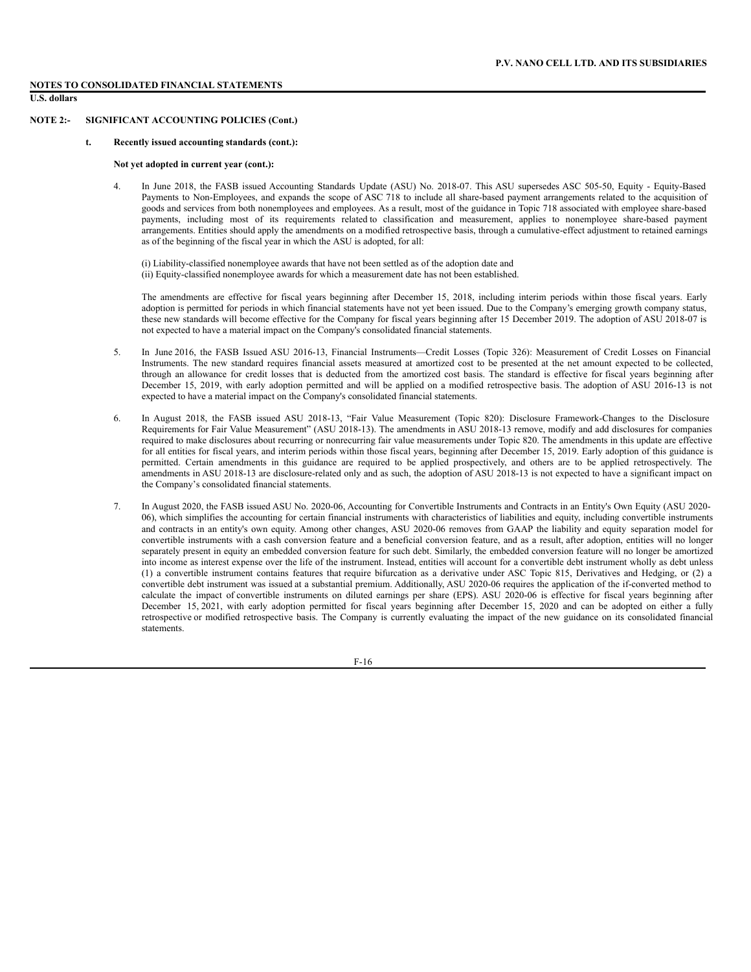### **NOTE 2:- SIGNIFICANT ACCOUNTING POLICIES (Cont.)**

#### **t. Recently issued accounting standards (cont.):**

#### **Not yet adopted in current year (cont.):**

4. In June 2018, the FASB issued Accounting Standards Update (ASU) No. 2018-07. This ASU supersedes ASC 505-50, Equity - Equity-Based Payments to Non-Employees, and expands the scope of ASC 718 to include all share-based payment arrangements related to the acquisition of goods and services from both nonemployees and employees. As a result, most of the guidance in Topic 718 associated with employee share-based payments, including most of its requirements related to classification and measurement, applies to nonemployee share-based payment arrangements. Entities should apply the amendments on a modified retrospective basis, through a cumulative-effect adjustment to retained earnings as of the beginning of the fiscal year in which the ASU is adopted, for all:

(i) Liability-classified nonemployee awards that have not been settled as of the adoption date and (ii) Equity-classified nonemployee awards for which a measurement date has not been established.

The amendments are effective for fiscal years beginning after December 15, 2018, including interim periods within those fiscal years. Early adoption is permitted for periods in which financial statements have not yet been issued. Due to the Company's emerging growth company status, these new standards will become effective for the Company for fiscal years beginning after 15 December 2019. The adoption of ASU 2018-07 is not expected to have a material impact on the Company's consolidated financial statements.

- 5. In June 2016, the FASB Issued ASU 2016-13, Financial Instruments—Credit Losses (Topic 326): Measurement of Credit Losses on Financial Instruments. The new standard requires financial assets measured at amortized cost to be presented at the net amount expected to be collected, through an allowance for credit losses that is deducted from the amortized cost basis. The standard is effective for fiscal years beginning after December 15, 2019, with early adoption permitted and will be applied on a modified retrospective basis. The adoption of ASU 2016-13 is not expected to have a material impact on the Company's consolidated financial statements.
- 6. In August 2018, the FASB issued ASU 2018-13, "Fair Value Measurement (Topic 820): Disclosure Framework-Changes to the Disclosure Requirements for Fair Value Measurement" (ASU 2018-13). The amendments in ASU 2018-13 remove, modify and add disclosures for companies required to make disclosures about recurring or nonrecurring fair value measurements under Topic 820. The amendments in this update are effective for all entities for fiscal years, and interim periods within those fiscal years, beginning after December 15, 2019. Early adoption of this guidance is permitted. Certain amendments in this guidance are required to be applied prospectively, and others are to be applied retrospectively. The amendments in ASU 2018-13 are disclosure-related only and as such, the adoption of ASU 2018-13 is not expected to have a significant impact on the Company's consolidated financial statements.
- 7. In August 2020, the FASB issued ASU No. 2020-06, Accounting for Convertible Instruments and Contracts in an Entity's Own Equity (ASU 2020- 06), which simplifies the accounting for certain financial instruments with characteristics of liabilities and equity, including convertible instruments and contracts in an entity's own equity. Among other changes, ASU 2020-06 removes from GAAP the liability and equity separation model for convertible instruments with a cash conversion feature and a beneficial conversion feature, and as a result, after adoption, entities will no longer separately present in equity an embedded conversion feature for such debt. Similarly, the embedded conversion feature will no longer be amortized into income as interest expense over the life of the instrument. Instead, entities will account for a convertible debt instrument wholly as debt unless (1) a convertible instrument contains features that require bifurcation as a derivative under ASC Topic 815, Derivatives and Hedging, or (2) a convertible debt instrument was issued at a substantial premium. Additionally, ASU 2020-06 requires the application of the if-converted method to calculate the impact of convertible instruments on diluted earnings per share (EPS). ASU 2020-06 is effective for fiscal years beginning after December 15, 2021, with early adoption permitted for fiscal years beginning after December 15, 2020 and can be adopted on either a fully retrospective or modified retrospective basis. The Company is currently evaluating the impact of the new guidance on its consolidated financial statements.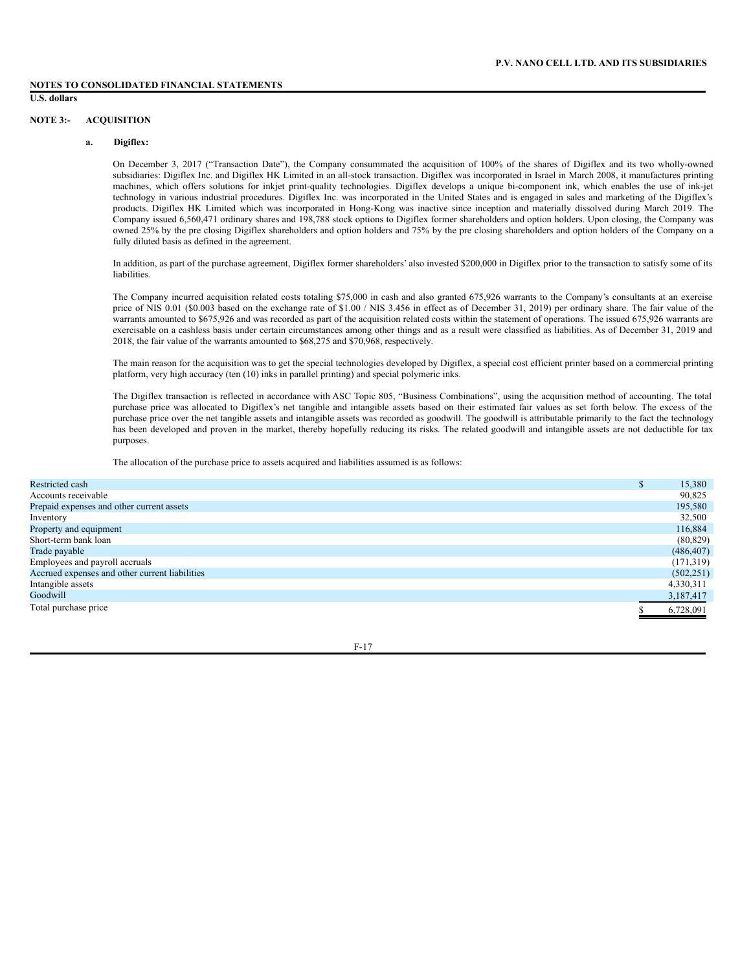### **NOTE 3:- ACQUISITION**

### **a. Digiflex:**

On December 3, 2017 ("Transaction Date"), the Company consummated the acquisition of 100% of the shares of Digiflex and its two wholly-owned subsidiaries: Digiflex Inc. and Digiflex HK Limited in an all-stock transaction. Digiflex was incorporated in Israel in March 2008, it manufactures printing machines, which offers solutions for inkjet print-quality technologies. Digiflex develops a unique bi-component ink, which enables the use of ink-jet technology in various industrial procedures. Digiflex Inc. was incorporated in the United States and is engaged in sales and marketing of the Digiflex's products. Digiflex HK Limited which was incorporated in Hong-Kong was inactive since inception and materially dissolved during March 2019. The Company issued 6,560,471 ordinary shares and 198,788 stock options to Digiflex former shareholders and option holders. Upon closing, the Company was owned 25% by the pre closing Digiflex shareholders and option holders and 75% by the pre closing shareholders and option holders of the Company on a fully diluted basis as defined in the agreement.

In addition, as part of the purchase agreement, Digiflex former shareholders' also invested \$200,000 in Digiflex prior to the transaction to satisfy some of its liabilities.

The Company incurred acquisition related costs totaling \$75,000 in cash and also granted 675,926 warrants to the Company's consultants at an exercise price of NIS 0.01 (\$0.003 based on the exchange rate of \$1.00 / NIS 3.456 in effect as of December 31, 2019) per ordinary share. The fair value of the warrants amounted to \$675,926 and was recorded as part of the acquisition related costs within the statement of operations. The issued 675,926 warrants are exercisable on a cashless basis under certain circumstances among other things and as a result were classified as liabilities. As of December 31, 2019 and 2018, the fair value of the warrants amounted to \$68,275 and \$70,968, respectively.

The main reason for the acquisition was to get the special technologies developed by Digiflex, a special cost efficient printer based on a commercial printing platform, very high accuracy (ten (10) inks in parallel printing) and special polymeric inks.

The Digiflex transaction is reflected in accordance with ASC Topic 805, "Business Combinations", using the acquisition method of accounting. The total purchase price was allocated to Digiflex's net tangible and intangible assets based on their estimated fair values as set forth below. The excess of the purchase price over the net tangible assets and intangible assets was recorded as goodwill. The goodwill is attributable primarily to the fact the technology has been developed and proven in the market, thereby hopefully reducing its risks. The related goodwill and intangible assets are not deductible for tax purposes.

The allocation of the purchase price to assets acquired and liabilities assumed is as follows:

| Restricted cash                                | 15,380     |
|------------------------------------------------|------------|
| Accounts receivable                            | 90,825     |
| Prepaid expenses and other current assets      | 195,580    |
| Inventory                                      | 32,500     |
| Property and equipment                         | 116,884    |
| Short-term bank loan                           | (80, 829)  |
| Trade payable                                  | (486, 407) |
| Employees and payroll accruals                 | (171, 319) |
| Accrued expenses and other current liabilities | (502, 251) |
| Intangible assets                              | 4,330,311  |
| Goodwill                                       | 3,187,417  |
| Total purchase price                           | 6,728,091  |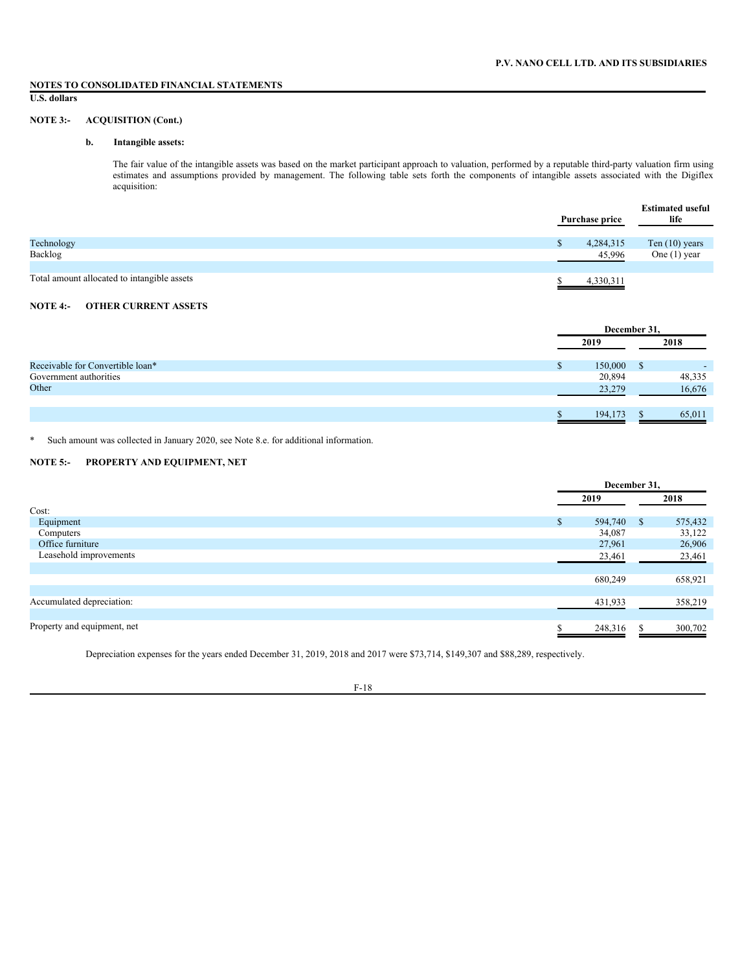# **NOTES TO CONSOLIDATED FINANCIAL STATEMENTS**

# **U.S. dollars**

### **NOTE 3:- ACQUISITION (Cont.)**

### **b. Intangible assets:**

The fair value of the intangible assets was based on the market participant approach to valuation, performed by a reputable third-party valuation firm using estimates and assumptions provided by management. The following table sets forth the components of intangible assets associated with the Digiflex acquisition:

|                                             | <b>Purchase price</b> | <b>Estimated useful</b><br>life |
|---------------------------------------------|-----------------------|---------------------------------|
|                                             |                       |                                 |
| Technology                                  | 4,284,315             | Ten $(10)$ years                |
| Backlog                                     | 45,996                | One $(1)$ year                  |
|                                             |                       |                                 |
| Total amount allocated to intangible assets | 4,330,311             |                                 |

### **NOTE 4:- OTHER CURRENT ASSETS**

| December 31, |  |        |  |
|--------------|--|--------|--|
| 2019         |  | 2018   |  |
| 150,000      |  |        |  |
| 20,894       |  | 48,335 |  |
| 23,279       |  | 16,676 |  |
|              |  |        |  |
| 194,173      |  | 65,011 |  |
|              |  |        |  |

\* Such amount was collected in January 2020, see Note 8.e. for additional information.

### **NOTE 5:- PROPERTY AND EQUIPMENT, NET**

|                             |              | December 31, |               |         |  |
|-----------------------------|--------------|--------------|---------------|---------|--|
|                             |              | 2019         |               | 2018    |  |
| Cost:                       |              |              |               |         |  |
| Equipment                   | $\mathbb{S}$ | 594,740      | <sup>\$</sup> | 575,432 |  |
| Computers                   |              | 34,087       |               | 33,122  |  |
| Office furniture            |              | 27,961       |               | 26,906  |  |
| Leasehold improvements      |              | 23,461       |               | 23,461  |  |
|                             |              |              |               |         |  |
|                             |              | 680,249      |               | 658,921 |  |
|                             |              |              |               |         |  |
| Accumulated depreciation:   |              | 431,933      |               | 358,219 |  |
|                             |              |              |               |         |  |
| Property and equipment, net |              | 248,316      |               | 300,702 |  |

Depreciation expenses for the years ended December 31, 2019, 2018 and 2017 were \$73,714, \$149,307 and \$88,289, respectively.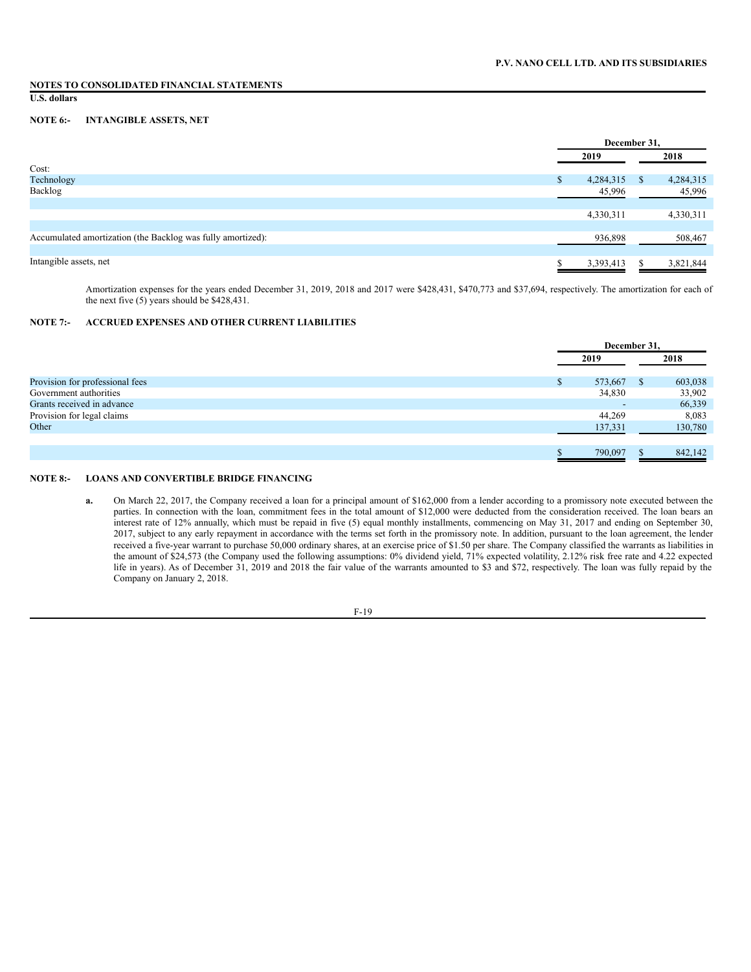### **NOTE 6:- INTANGIBLE ASSETS, NET**

|                                                             |   | December 31. |    |           |  |  |  |  |  |  |  |  |  |  |  |      |
|-------------------------------------------------------------|---|--------------|----|-----------|--|--|--|--|--|--|--|--|--|--|--|------|
|                                                             |   | 2019         |    |           |  |  |  |  |  |  |  |  |  |  |  | 2018 |
| Cost:                                                       |   |              |    |           |  |  |  |  |  |  |  |  |  |  |  |      |
| Technology                                                  | S | 4,284,315    | \$ | 4,284,315 |  |  |  |  |  |  |  |  |  |  |  |      |
| Backlog                                                     |   | 45,996       |    | 45,996    |  |  |  |  |  |  |  |  |  |  |  |      |
|                                                             |   |              |    |           |  |  |  |  |  |  |  |  |  |  |  |      |
|                                                             |   | 4,330,311    |    | 4,330,311 |  |  |  |  |  |  |  |  |  |  |  |      |
|                                                             |   |              |    |           |  |  |  |  |  |  |  |  |  |  |  |      |
| Accumulated amortization (the Backlog was fully amortized): |   | 936,898      |    | 508,467   |  |  |  |  |  |  |  |  |  |  |  |      |
|                                                             |   |              |    |           |  |  |  |  |  |  |  |  |  |  |  |      |
| Intangible assets, net                                      |   | 3,393,413    |    | 3,821,844 |  |  |  |  |  |  |  |  |  |  |  |      |

Amortization expenses for the years ended December 31, 2019, 2018 and 2017 were \$428,431, \$470,773 and \$37,694, respectively. The amortization for each of the next five (5) years should be \$428,431.

### **NOTE 7:- ACCRUED EXPENSES AND OTHER CURRENT LIABILITIES**

|                                 |   | December 31,             |              |         |  |
|---------------------------------|---|--------------------------|--------------|---------|--|
|                                 |   | 2019                     |              | 2018    |  |
| Provision for professional fees | S | 573,667                  | <sup>S</sup> | 603,038 |  |
| Government authorities          |   | 34,830                   |              | 33,902  |  |
| Grants received in advance      |   | $\overline{\phantom{a}}$ |              | 66,339  |  |
| Provision for legal claims      |   | 44,269                   |              | 8,083   |  |
| Other                           |   | 137,331                  |              | 130,780 |  |
|                                 |   |                          |              |         |  |
|                                 |   | 790,097                  |              | 842,142 |  |

### **NOTE 8:- LOANS AND CONVERTIBLE BRIDGE FINANCING**

**a.** On March 22, 2017, the Company received a loan for a principal amount of \$162,000 from a lender according to a promissory note executed between the parties. In connection with the loan, commitment fees in the total amount of \$12,000 were deducted from the consideration received. The loan bears an interest rate of 12% annually, which must be repaid in five (5) equal monthly installments, commencing on May 31, 2017 and ending on September 30, 2017, subject to any early repayment in accordance with the terms set forth in the promissory note. In addition, pursuant to the loan agreement, the lender received a five-year warrant to purchase 50,000 ordinary shares, at an exercise price of \$1.50 per share. The Company classified the warrants as liabilities in the amount of \$24,573 (the Company used the following assumptions: 0% dividend yield, 71% expected volatility, 2.12% risk free rate and 4.22 expected life in years). As of December 31, 2019 and 2018 the fair value of the warrants amounted to \$3 and \$72, respectively. The loan was fully repaid by the Company on January 2, 2018.

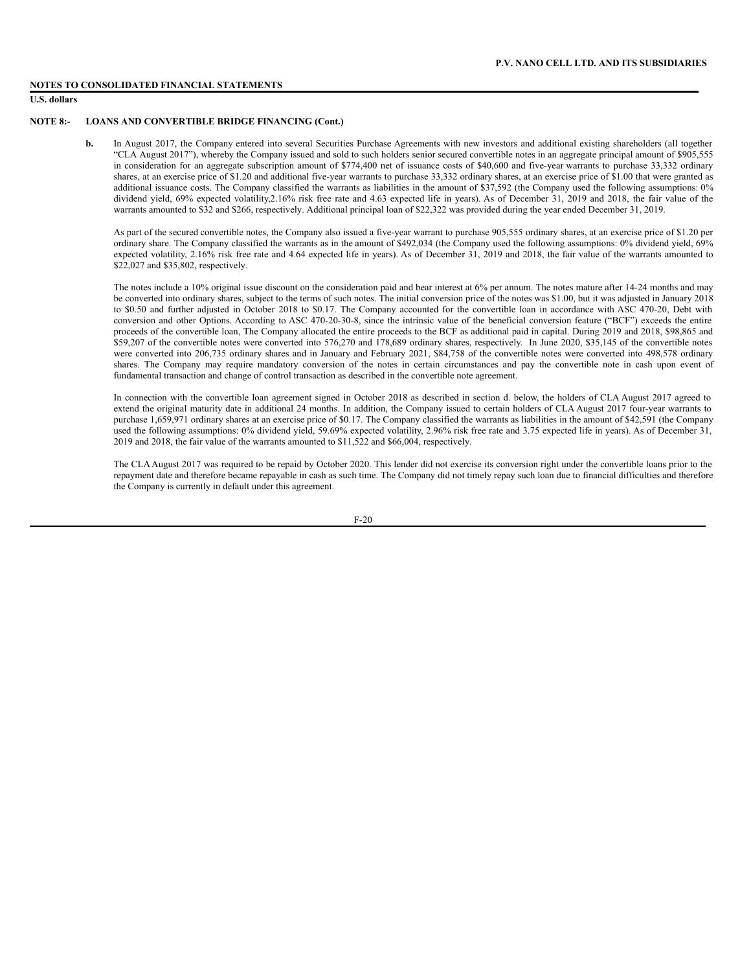#### **NOTES TO CONSOLIDATED FINANCIAL STATEMENTS**

#### **U.S. dollars**

### **NOTE 8:- LOANS AND CONVERTIBLE BRIDGE FINANCING (Cont.)**

**b.** In August 2017, the Company entered into several Securities Purchase Agreements with new investors and additional existing shareholders (all together "CLA August 2017"), whereby the Company issued and sold to such holders senior secured convertible notes in an aggregate principal amount of \$905,555 in consideration for an aggregate subscription amount of \$774,400 net of issuance costs of \$40,600 and five-year warrants to purchase 33,332 ordinary shares, at an exercise price of \$1.20 and additional five-year warrants to purchase 33,332 ordinary shares, at an exercise price of \$1.00 that were granted as additional issuance costs. The Company classified the warrants as liabilities in the amount of \$37,592 (the Company used the following assumptions: 0% dividend yield, 69% expected volatility,2.16% risk free rate and 4.63 expected life in years). As of December 31, 2019 and 2018, the fair value of the warrants amounted to \$32 and \$266, respectively. Additional principal loan of \$22,322 was provided during the year ended December 31, 2019.

As part of the secured convertible notes, the Company also issued a five-year warrant to purchase 905,555 ordinary shares, at an exercise price of \$1.20 per ordinary share. The Company classified the warrants as in the amount of \$492,034 (the Company used the following assumptions: 0% dividend yield, 69% expected volatility, 2.16% risk free rate and 4.64 expected life in years). As of December 31, 2019 and 2018, the fair value of the warrants amounted to \$22,027 and \$35,802, respectively.

The notes include a 10% original issue discount on the consideration paid and bear interest at 6% per annum. The notes mature after 14-24 months and may be converted into ordinary shares, subject to the terms of such notes. The initial conversion price of the notes was \$1.00, but it was adjusted in January 2018 to \$0.50 and further adjusted in October 2018 to \$0.17. The Company accounted for the convertible loan in accordance with ASC 470-20, Debt with conversion and other Options. According to ASC 470-20-30-8, since the intrinsic value of the beneficial conversion feature ("BCF") exceeds the entire proceeds of the convertible loan, The Company allocated the entire proceeds to the BCF as additional paid in capital. During 2019 and 2018, \$98,865 and \$59,207 of the convertible notes were converted into 576,270 and 178,689 ordinary shares, respectively. In June 2020, \$35,145 of the convertible notes were converted into 206,735 ordinary shares and in January and February 2021, \$84,758 of the convertible notes were converted into 498,578 ordinary shares. The Company may require mandatory conversion of the notes in certain circumstances and pay the convertible note in cash upon event of fundamental transaction and change of control transaction as described in the convertible note agreement.

In connection with the convertible loan agreement signed in October 2018 as described in section d. below, the holders of CLA August 2017 agreed to extend the original maturity date in additional 24 months. In addition, the Company issued to certain holders of CLA August 2017 four-year warrants to purchase 1,659,971 ordinary shares at an exercise price of \$0.17. The Company classified the warrants as liabilities in the amount of \$42,591 (the Company used the following assumptions: 0% dividend yield, 59.69% expected volatility, 2.96% risk free rate and 3.75 expected life in years). As of December 31, 2019 and 2018, the fair value of the warrants amounted to \$11,522 and \$66,004, respectively.

The CLAAugust 2017 was required to be repaid by October 2020. This lender did not exercise its conversion right under the convertible loans prior to the repayment date and therefore became repayable in cash as such time. The Company did not timely repay such loan due to financial difficulties and therefore the Company is currently in default under this agreement.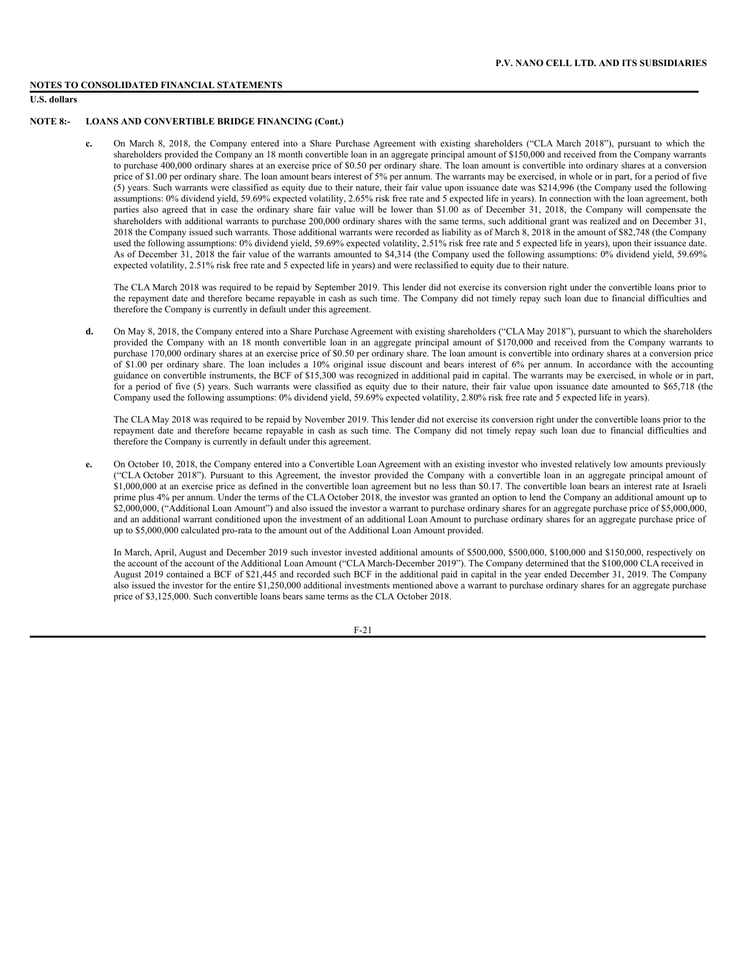# **U.S. dollars**

## **NOTE 8:- LOANS AND CONVERTIBLE BRIDGE FINANCING (Cont.)**

**c.** On March 8, 2018, the Company entered into a Share Purchase Agreement with existing shareholders ("CLA March 2018"), pursuant to which the shareholders provided the Company an 18 month convertible loan in an aggregate principal amount of \$150,000 and received from the Company warrants to purchase 400,000 ordinary shares at an exercise price of \$0.50 per ordinary share. The loan amount is convertible into ordinary shares at a conversion price of \$1.00 per ordinary share. The loan amount bears interest of 5% per annum. The warrants may be exercised, in whole or in part, for a period of five (5) years. Such warrants were classified as equity due to their nature, their fair value upon issuance date was \$214,996 (the Company used the following assumptions: 0% dividend yield, 59.69% expected volatility, 2.65% risk free rate and 5 expected life in years). In connection with the loan agreement, both parties also agreed that in case the ordinary share fair value will be lower than \$1.00 as of December 31, 2018, the Company will compensate the shareholders with additional warrants to purchase 200,000 ordinary shares with the same terms, such additional grant was realized and on December 31, 2018 the Company issued such warrants. Those additional warrants were recorded as liability as of March 8, 2018 in the amount of \$82,748 (the Company used the following assumptions: 0% dividend yield, 59.69% expected volatility, 2.51% risk free rate and 5 expected life in years), upon their issuance date. As of December 31, 2018 the fair value of the warrants amounted to \$4,314 (the Company used the following assumptions: 0% dividend yield, 59.69% expected volatility, 2.51% risk free rate and 5 expected life in years) and were reclassified to equity due to their nature.

The CLA March 2018 was required to be repaid by September 2019. This lender did not exercise its conversion right under the convertible loans prior to the repayment date and therefore became repayable in cash as such time. The Company did not timely repay such loan due to financial difficulties and therefore the Company is currently in default under this agreement.

**d.** On May 8, 2018, the Company entered into a Share Purchase Agreement with existing shareholders ("CLA May 2018"), pursuant to which the shareholders provided the Company with an 18 month convertible loan in an aggregate principal amount of \$170,000 and received from the Company warrants to purchase 170,000 ordinary shares at an exercise price of \$0.50 per ordinary share. The loan amount is convertible into ordinary shares at a conversion price of \$1.00 per ordinary share. The loan includes a 10% original issue discount and bears interest of 6% per annum. In accordance with the accounting guidance on convertible instruments, the BCF of \$15,300 was recognized in additional paid in capital. The warrants may be exercised, in whole or in part, for a period of five (5) years. Such warrants were classified as equity due to their nature, their fair value upon issuance date amounted to \$65,718 (the Company used the following assumptions: 0% dividend yield, 59.69% expected volatility, 2.80% risk free rate and 5 expected life in years).

The CLA May 2018 was required to be repaid by November 2019. This lender did not exercise its conversion right under the convertible loans prior to the repayment date and therefore became repayable in cash as such time. The Company did not timely repay such loan due to financial difficulties and therefore the Company is currently in default under this agreement.

**e.** On October 10, 2018, the Company entered into a Convertible Loan Agreement with an existing investor who invested relatively low amounts previously ("CLA October 2018"). Pursuant to this Agreement, the investor provided the Company with a convertible loan in an aggregate principal amount of \$1,000,000 at an exercise price as defined in the convertible loan agreement but no less than \$0.17. The convertible loan bears an interest rate at Israeli prime plus 4% per annum. Under the terms of the CLA October 2018, the investor was granted an option to lend the Company an additional amount up to \$2,000,000, ("Additional Loan Amount") and also issued the investor a warrant to purchase ordinary shares for an aggregate purchase price of \$5,000,000, and an additional warrant conditioned upon the investment of an additional Loan Amount to purchase ordinary shares for an aggregate purchase price of up to \$5,000,000 calculated pro-rata to the amount out of the Additional Loan Amount provided.

In March, April, August and December 2019 such investor invested additional amounts of \$500,000, \$500,000, \$100,000 and \$150,000, respectively on the account of the account of the Additional Loan Amount ("CLA March-December 2019"). The Company determined that the \$100,000 CLA received in August 2019 contained a BCF of \$21,445 and recorded such BCF in the additional paid in capital in the year ended December 31, 2019. The Company also issued the investor for the entire \$1,250,000 additional investments mentioned above a warrant to purchase ordinary shares for an aggregate purchase price of \$3,125,000. Such convertible loans bears same terms as the CLA October 2018.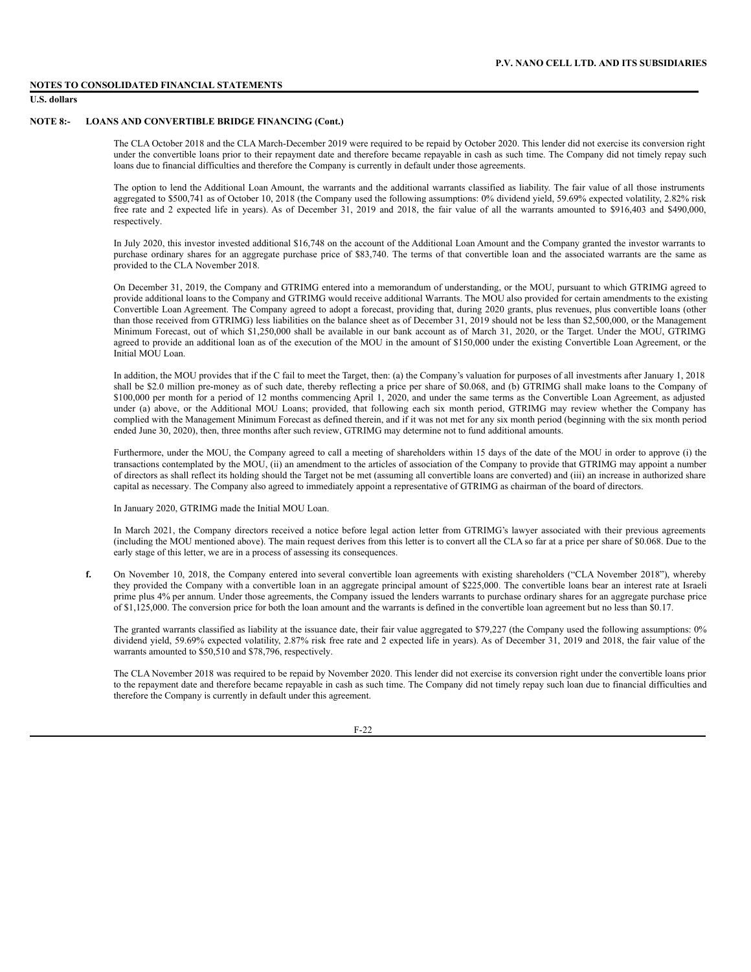## **U.S. dollars**

### **NOTE 8:- LOANS AND CONVERTIBLE BRIDGE FINANCING (Cont.)**

The CLA October 2018 and the CLA March-December 2019 were required to be repaid by October 2020. This lender did not exercise its conversion right under the convertible loans prior to their repayment date and therefore became repayable in cash as such time. The Company did not timely repay such loans due to financial difficulties and therefore the Company is currently in default under those agreements.

The option to lend the Additional Loan Amount, the warrants and the additional warrants classified as liability. The fair value of all those instruments aggregated to \$500,741 as of October 10, 2018 (the Company used the following assumptions: 0% dividend yield, 59.69% expected volatility, 2.82% risk free rate and 2 expected life in years). As of December 31, 2019 and 2018, the fair value of all the warrants amounted to \$916,403 and \$490,000, respectively.

In July 2020, this investor invested additional \$16,748 on the account of the Additional Loan Amount and the Company granted the investor warrants to purchase ordinary shares for an aggregate purchase price of \$83,740. The terms of that convertible loan and the associated warrants are the same as provided to the CLA November 2018.

On December 31, 2019, the Company and GTRIMG entered into a memorandum of understanding, or the MOU, pursuant to which GTRIMG agreed to provide additional loans to the Company and GTRIMG would receive additional Warrants. The MOU also provided for certain amendments to the existing Convertible Loan Agreement. The Company agreed to adopt a forecast, providing that, during 2020 grants, plus revenues, plus convertible loans (other than those received from GTRIMG) less liabilities on the balance sheet as of December 31, 2019 should not be less than \$2,500,000, or the Management Minimum Forecast, out of which \$1,250,000 shall be available in our bank account as of March 31, 2020, or the Target. Under the MOU, GTRIMG agreed to provide an additional loan as of the execution of the MOU in the amount of \$150,000 under the existing Convertible Loan Agreement, or the Initial MOU Loan.

In addition, the MOU provides that if the C fail to meet the Target, then: (a) the Company's valuation for purposes of all investments after January 1, 2018 shall be \$2.0 million pre-money as of such date, thereby reflecting a price per share of \$0.068, and (b) GTRIMG shall make loans to the Company of \$100,000 per month for a period of 12 months commencing April 1, 2020, and under the same terms as the Convertible Loan Agreement, as adjusted under (a) above, or the Additional MOU Loans; provided, that following each six month period, GTRIMG may review whether the Company has complied with the Management Minimum Forecast as defined therein, and if it was not met for any six month period (beginning with the six month period ended June 30, 2020), then, three months after such review, GTRIMG may determine not to fund additional amounts.

Furthermore, under the MOU, the Company agreed to call a meeting of shareholders within 15 days of the date of the MOU in order to approve (i) the transactions contemplated by the MOU, (ii) an amendment to the articles of association of the Company to provide that GTRIMG may appoint a number of directors as shall reflect its holding should the Target not be met (assuming all convertible loans are converted) and (iii) an increase in authorized share capital as necessary. The Company also agreed to immediately appoint a representative of GTRIMG as chairman of the board of directors.

In January 2020, GTRIMG made the Initial MOU Loan.

In March 2021, the Company directors received a notice before legal action letter from GTRIMG's lawyer associated with their previous agreements (including the MOU mentioned above). The main request derives from this letter is to convert all the CLA so far at a price per share of \$0.068. Due to the early stage of this letter, we are in a process of assessing its consequences.

**f.** On November 10, 2018, the Company entered into several convertible loan agreements with existing shareholders ("CLA November 2018"), whereby they provided the Company with a convertible loan in an aggregate principal amount of \$225,000. The convertible loans bear an interest rate at Israeli prime plus 4% per annum. Under those agreements, the Company issued the lenders warrants to purchase ordinary shares for an aggregate purchase price of \$1,125,000. The conversion price for both the loan amount and the warrants is defined in the convertible loan agreement but no less than \$0.17.

The granted warrants classified as liability at the issuance date, their fair value aggregated to \$79,227 (the Company used the following assumptions: 0% dividend yield, 59.69% expected volatility, 2.87% risk free rate and 2 expected life in years). As of December 31, 2019 and 2018, the fair value of the warrants amounted to \$50,510 and \$78,796, respectively.

The CLA November 2018 was required to be repaid by November 2020. This lender did not exercise its conversion right under the convertible loans prior to the repayment date and therefore became repayable in cash as such time. The Company did not timely repay such loan due to financial difficulties and therefore the Company is currently in default under this agreement.

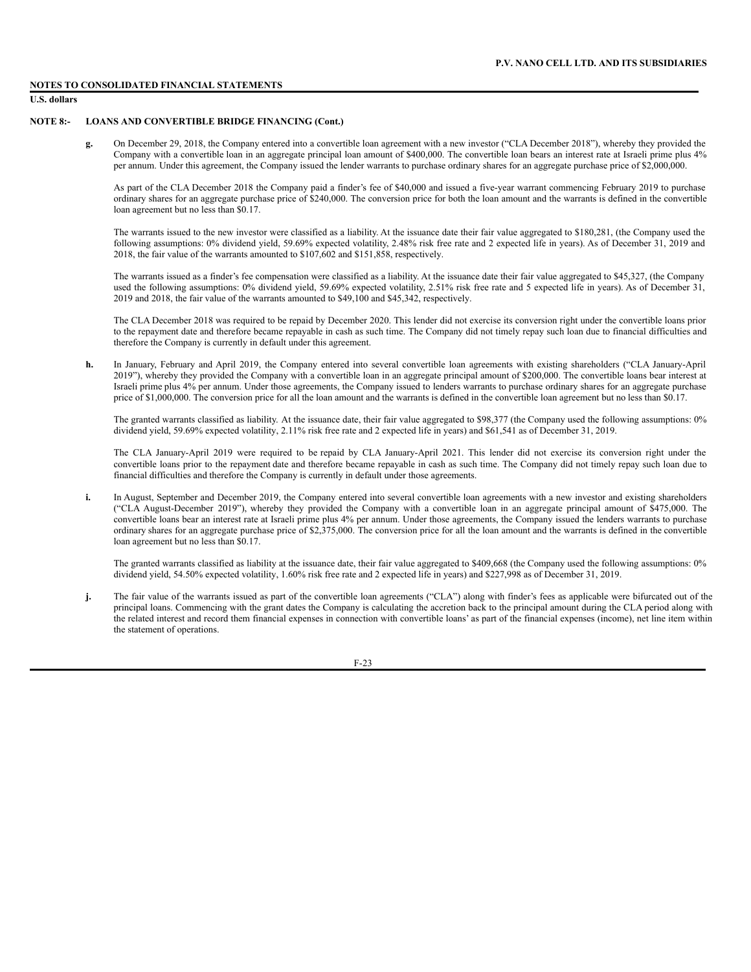## **U.S. dollars**

### **NOTE 8:- LOANS AND CONVERTIBLE BRIDGE FINANCING (Cont.)**

**g.** On December 29, 2018, the Company entered into a convertible loan agreement with a new investor ("CLA December 2018"), whereby they provided the Company with a convertible loan in an aggregate principal loan amount of \$400,000. The convertible loan bears an interest rate at Israeli prime plus 4% per annum. Under this agreement, the Company issued the lender warrants to purchase ordinary shares for an aggregate purchase price of \$2,000,000.

As part of the CLA December 2018 the Company paid a finder's fee of \$40,000 and issued a five-year warrant commencing February 2019 to purchase ordinary shares for an aggregate purchase price of \$240,000. The conversion price for both the loan amount and the warrants is defined in the convertible loan agreement but no less than \$0.17.

The warrants issued to the new investor were classified as a liability. At the issuance date their fair value aggregated to \$180,281, (the Company used the following assumptions: 0% dividend yield, 59.69% expected volatility, 2.48% risk free rate and 2 expected life in years). As of December 31, 2019 and 2018, the fair value of the warrants amounted to \$107,602 and \$151,858, respectively.

The warrants issued as a finder's fee compensation were classified as a liability. At the issuance date their fair value aggregated to \$45,327, (the Company used the following assumptions: 0% dividend yield, 59.69% expected volatility, 2.51% risk free rate and 5 expected life in years). As of December 31, 2019 and 2018, the fair value of the warrants amounted to \$49,100 and \$45,342, respectively.

The CLA December 2018 was required to be repaid by December 2020. This lender did not exercise its conversion right under the convertible loans prior to the repayment date and therefore became repayable in cash as such time. The Company did not timely repay such loan due to financial difficulties and therefore the Company is currently in default under this agreement.

**h.** In January, February and April 2019, the Company entered into several convertible loan agreements with existing shareholders ("CLA January-April 2019"), whereby they provided the Company with a convertible loan in an aggregate principal amount of \$200,000. The convertible loans bear interest at Israeli prime plus 4% per annum. Under those agreements, the Company issued to lenders warrants to purchase ordinary shares for an aggregate purchase price of \$1,000,000. The conversion price for all the loan amount and the warrants is defined in the convertible loan agreement but no less than \$0.17.

The granted warrants classified as liability. At the issuance date, their fair value aggregated to \$98,377 (the Company used the following assumptions: 0% dividend yield, 59.69% expected volatility, 2.11% risk free rate and 2 expected life in years) and \$61,541 as of December 31, 2019.

The CLA January-April 2019 were required to be repaid by CLA January-April 2021. This lender did not exercise its conversion right under the convertible loans prior to the repayment date and therefore became repayable in cash as such time. The Company did not timely repay such loan due to financial difficulties and therefore the Company is currently in default under those agreements.

**i.** In August, September and December 2019, the Company entered into several convertible loan agreements with a new investor and existing shareholders ("CLA August-December 2019"), whereby they provided the Company with a convertible loan in an aggregate principal amount of \$475,000. The convertible loans bear an interest rate at Israeli prime plus 4% per annum. Under those agreements, the Company issued the lenders warrants to purchase ordinary shares for an aggregate purchase price of \$2,375,000. The conversion price for all the loan amount and the warrants is defined in the convertible loan agreement but no less than \$0.17.

The granted warrants classified as liability at the issuance date, their fair value aggregated to \$409,668 (the Company used the following assumptions: 0% dividend yield, 54.50% expected volatility, 1.60% risk free rate and 2 expected life in years) and \$227,998 as of December 31, 2019.

**j.** The fair value of the warrants issued as part of the convertible loan agreements ("CLA") along with finder's fees as applicable were bifurcated out of the principal loans. Commencing with the grant dates the Company is calculating the accretion back to the principal amount during the CLA period along with the related interest and record them financial expenses in connection with convertible loans' as part of the financial expenses (income), net line item within the statement of operations.

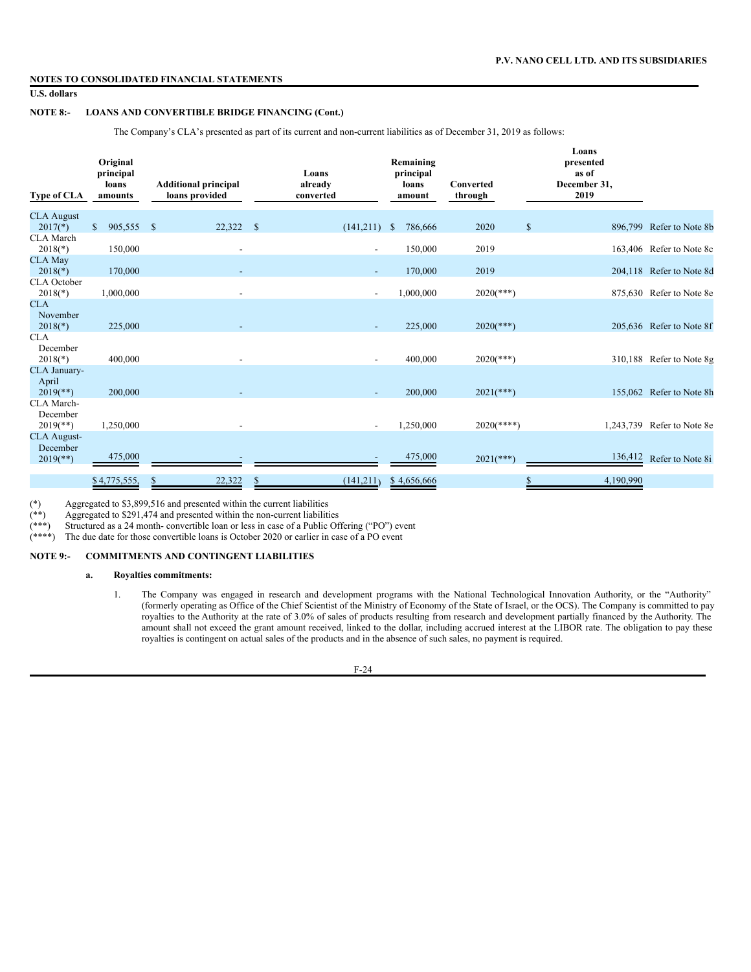# **U.S. dollars**

### **NOTE 8:- LOANS AND CONVERTIBLE BRIDGE FINANCING (Cont.)**

The Company's CLA's presented as part of its current and non-current liabilities as of December 31, 2019 as follows:

| <b>Type of CLA</b>                                       | Original<br>principal<br>loans<br>amounts | <b>Additional principal</b><br>loans provided | Loans<br>already<br>converted | Remaining<br>principal<br>loans<br>amount | Converted<br>through | Loans<br>presented<br>as of<br>December 31,<br>2019 |                            |
|----------------------------------------------------------|-------------------------------------------|-----------------------------------------------|-------------------------------|-------------------------------------------|----------------------|-----------------------------------------------------|----------------------------|
| <b>CLA</b> August<br>$2017(*)$                           | 905,555<br>$\mathbb{S}$                   | $\mathbb{S}$<br>22,322                        | $^{\circ}$<br>(141,211)       | <sup>\$</sup><br>786,666                  | 2020                 | \$                                                  | 896,799 Refer to Note 8b   |
| <b>CLA</b> March<br>$2018(*)$                            | 150,000                                   | ٠                                             |                               | 150,000<br>$\overline{\phantom{a}}$       | 2019                 |                                                     | 163,406 Refer to Note 8c   |
| <b>CLA</b> May<br>$2018(*)$                              | 170,000                                   |                                               |                               | 170,000                                   | 2019                 |                                                     | 204,118 Refer to Note 8d   |
| <b>CLA</b> October<br>$2018(*)$                          | 1,000,000                                 |                                               |                               | 1,000,000<br>$\overline{\phantom{a}}$     | $2020$ (***)         |                                                     | 875,630 Refer to Note 8e   |
| <b>CLA</b><br>November<br>$2018(*)$                      | 225,000                                   |                                               |                               | 225,000                                   | $2020$ (***)         |                                                     | 205,636 Refer to Note 8f   |
| <b>CLA</b><br>December<br>$2018(*)$                      | 400,000                                   |                                               |                               | 400,000<br>$\overline{\phantom{a}}$       | $2020$ (***)         |                                                     | 310,188 Refer to Note 8g   |
| CLA January-<br>April                                    |                                           |                                               |                               |                                           |                      |                                                     |                            |
| $2019$ <sup>**</sup> )<br>CLA March-<br>December         | 200,000                                   |                                               |                               | 200,000                                   | $2021$ (***)         |                                                     | 155,062 Refer to Note 8h   |
| $2019$ <sup>**</sup> )<br><b>CLA August-</b><br>December | 1,250,000<br>475,000                      |                                               |                               | 1,250,000<br>475,000                      | $2020$ (****)        | 136,412                                             | 1,243,739 Refer to Note 8e |
| $2019$ <sup>**</sup> )                                   | \$4,775,555,                              | \$<br>22,322                                  | \$<br>(141,211)               | \$4,656,666                               | $2021$ (***)         | \$<br>4,190,990                                     | Refer to Note 8i           |

(\*) Aggregated to \$3,899,516 and presented within the current liabilities

(\*\*) Aggregated to \$291,474 and presented within the non-current liabilities

Structured as a 24 month- convertible loan or less in case of a Public Offering ("PO") event

(\*\*\*\*) The due date for those convertible loans is October 2020 or earlier in case of a PO event

### **NOTE 9:- COMMITMENTS AND CONTINGENT LIABILITIES**

### **a. Royalties commitments:**

1. The Company was engaged in research and development programs with the National Technological Innovation Authority, or the "Authority" (formerly operating as Office of the Chief Scientist of the Ministry of Economy of the State of Israel, or the OCS). The Company is committed to pay royalties to the Authority at the rate of 3.0% of sales of products resulting from research and development partially financed by the Authority. The amount shall not exceed the grant amount received, linked to the dollar, including accrued interest at the LIBOR rate. The obligation to pay these royalties is contingent on actual sales of the products and in the absence of such sales, no payment is required.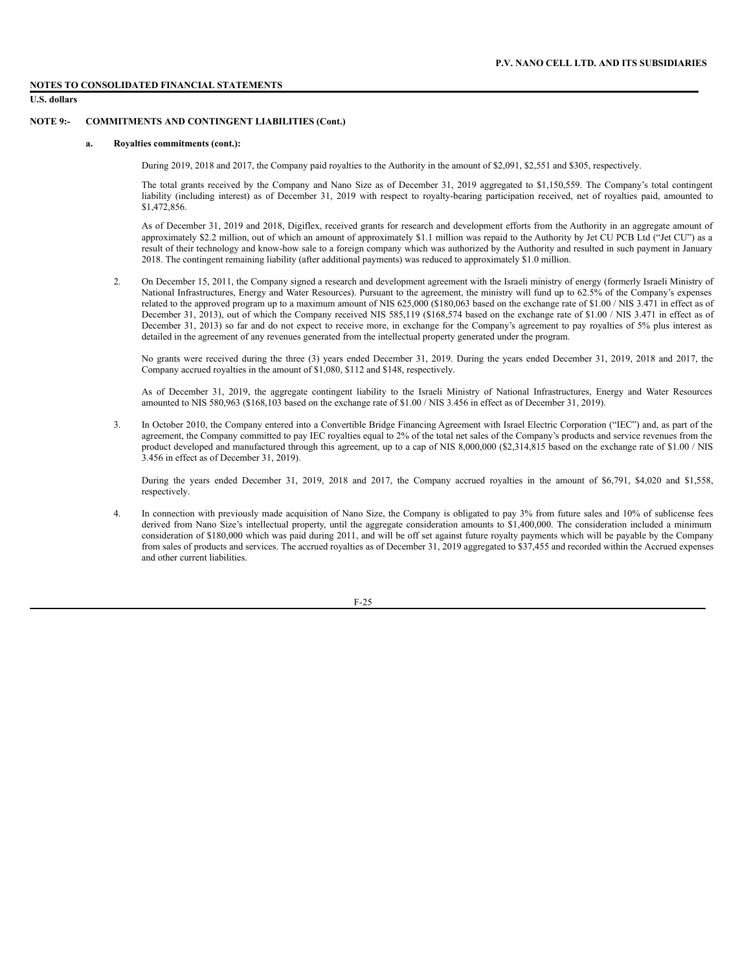## **U.S. dollars**

## **NOTE 9:- COMMITMENTS AND CONTINGENT LIABILITIES (Cont.)**

#### **a. Royalties commitments (cont.):**

During 2019, 2018 and 2017, the Company paid royalties to the Authority in the amount of \$2,091, \$2,551 and \$305, respectively.

The total grants received by the Company and Nano Size as of December 31, 2019 aggregated to \$1,150,559. The Company's total contingent liability (including interest) as of December 31, 2019 with respect to royalty-bearing participation received, net of royalties paid, amounted to \$1,472,856.

As of December 31, 2019 and 2018, Digiflex, received grants for research and development efforts from the Authority in an aggregate amount of approximately \$2.2 million, out of which an amount of approximately \$1.1 million was repaid to the Authority by Jet CU PCB Ltd ("Jet CU") as a result of their technology and know-how sale to a foreign company which was authorized by the Authority and resulted in such payment in January 2018. The contingent remaining liability (after additional payments) was reduced to approximately \$1.0 million.

2. On December 15, 2011, the Company signed a research and development agreement with the Israeli ministry of energy (formerly Israeli Ministry of National Infrastructures, Energy and Water Resources). Pursuant to the agreement, the ministry will fund up to 62.5% of the Company's expenses related to the approved program up to a maximum amount of NIS 625,000 (\$180,063 based on the exchange rate of \$1.00 / NIS 3.471 in effect as of December 31, 2013), out of which the Company received NIS 585,119 (\$168,574 based on the exchange rate of \$1.00 / NIS 3.471 in effect as of December 31, 2013) so far and do not expect to receive more, in exchange for the Company's agreement to pay royalties of 5% plus interest as detailed in the agreement of any revenues generated from the intellectual property generated under the program.

No grants were received during the three (3) years ended December 31, 2019. During the years ended December 31, 2019, 2018 and 2017, the Company accrued royalties in the amount of \$1,080, \$112 and \$148, respectively.

As of December 31, 2019, the aggregate contingent liability to the Israeli Ministry of National Infrastructures, Energy and Water Resources amounted to NIS 580,963 (\$168,103 based on the exchange rate of \$1.00 / NIS 3.456 in effect as of December 31, 2019).

3. In October 2010, the Company entered into a Convertible Bridge Financing Agreement with Israel Electric Corporation ("IEC") and, as part of the agreement, the Company committed to pay IEC royalties equal to 2% of the total net sales of the Company's products and service revenues from the product developed and manufactured through this agreement, up to a cap of NIS 8,000,000 (\$2,314,815 based on the exchange rate of \$1.00 / NIS 3.456 in effect as of December 31, 2019).

During the years ended December 31, 2019, 2018 and 2017, the Company accrued royalties in the amount of \$6,791, \$4,020 and \$1,558, respectively.

4. In connection with previously made acquisition of Nano Size, the Company is obligated to pay 3% from future sales and 10% of sublicense fees derived from Nano Size's intellectual property, until the aggregate consideration amounts to \$1,400,000. The consideration included a minimum consideration of \$180,000 which was paid during 2011, and will be off set against future royalty payments which will be payable by the Company from sales of products and services. The accrued royalties as of December 31, 2019 aggregated to \$37,455 and recorded within the Accrued expenses and other current liabilities.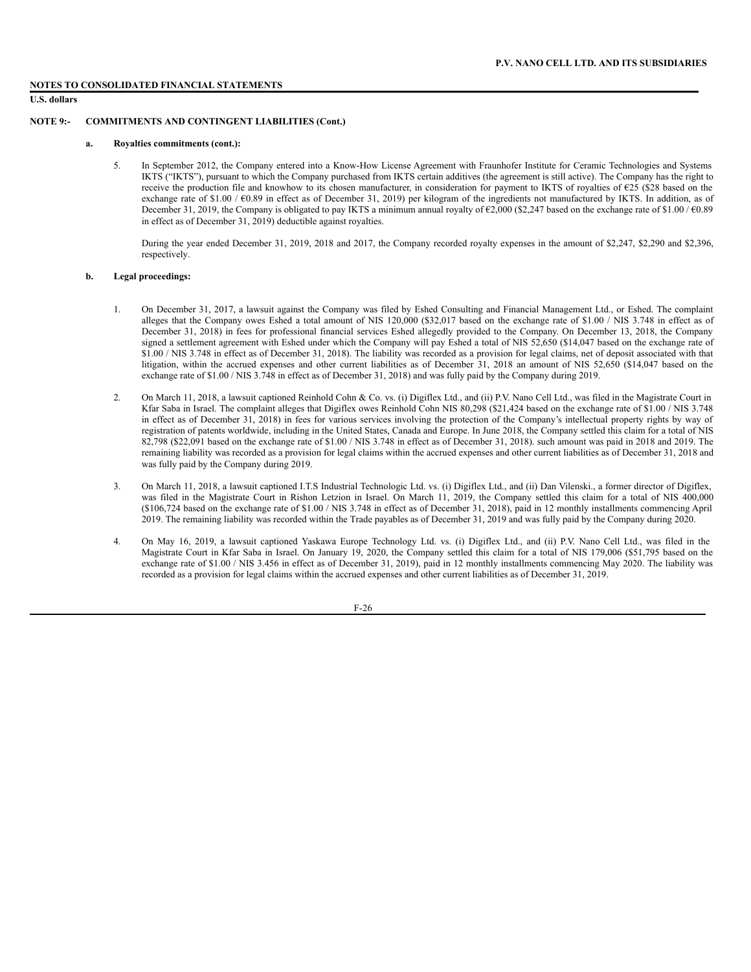## **U.S. dollars**

### **NOTE 9:- COMMITMENTS AND CONTINGENT LIABILITIES (Cont.)**

### **a. Royalties commitments (cont.):**

5. In September 2012, the Company entered into a Know-How License Agreement with Fraunhofer Institute for Ceramic Technologies and Systems IKTS ("IKTS"), pursuant to which the Company purchased from IKTS certain additives (the agreement is still active). The Company has the right to receive the production file and knowhow to its chosen manufacturer, in consideration for payment to IKTS of royalties of €25 (\$28 based on the exchange rate of \$1.00 / €0.89 in effect as of December 31, 2019) per kilogram of the ingredients not manufactured by IKTS. In addition, as of December 31, 2019, the Company is obligated to pay IKTS a minimum annual royalty of €2,000 (\$2,247 based on the exchange rate of \$1.00 / €0.89 in effect as of December 31, 2019) deductible against royalties.

During the year ended December 31, 2019, 2018 and 2017, the Company recorded royalty expenses in the amount of \$2,247, \$2,290 and \$2,396, respectively.

## **b. Legal proceedings:**

- 1. On December 31, 2017, a lawsuit against the Company was filed by Eshed Consulting and Financial Management Ltd., or Eshed. The complaint alleges that the Company owes Eshed a total amount of NIS 120,000 (\$32,017 based on the exchange rate of \$1.00 / NIS 3.748 in effect as of December 31, 2018) in fees for professional financial services Eshed allegedly provided to the Company. On December 13, 2018, the Company signed a settlement agreement with Eshed under which the Company will pay Eshed a total of NIS 52,650 (\$14,047 based on the exchange rate of \$1.00 / NIS 3.748 in effect as of December 31, 2018). The liability was recorded as a provision for legal claims, net of deposit associated with that litigation, within the accrued expenses and other current liabilities as of December 31, 2018 an amount of NIS 52,650 (\$14,047 based on the exchange rate of \$1.00 / NIS 3.748 in effect as of December 31, 2018) and was fully paid by the Company during 2019.
- 2. On March 11, 2018, a lawsuit captioned Reinhold Cohn & Co. vs. (i) Digiflex Ltd., and (ii) P.V. Nano Cell Ltd., was filed in the Magistrate Court in Kfar Saba in Israel. The complaint alleges that Digiflex owes Reinhold Cohn NIS 80,298 (\$21,424 based on the exchange rate of \$1.00 / NIS 3.748 in effect as of December 31, 2018) in fees for various services involving the protection of the Company's intellectual property rights by way of registration of patents worldwide, including in the United States, Canada and Europe. In June 2018, the Company settled this claim for a total of NIS 82,798 (\$22,091 based on the exchange rate of \$1.00 / NIS 3.748 in effect as of December 31, 2018). such amount was paid in 2018 and 2019. The remaining liability was recorded as a provision for legal claims within the accrued expenses and other current liabilities as of December 31, 2018 and was fully paid by the Company during 2019.
- 3. On March 11, 2018, a lawsuit captioned I.T.S Industrial Technologic Ltd. vs. (i) Digiflex Ltd., and (ii) Dan Vilenski., a former director of Digiflex, was filed in the Magistrate Court in Rishon Letzion in Israel. On March 11, 2019, the Company settled this claim for a total of NIS 400,000 (\$106,724 based on the exchange rate of \$1.00 / NIS 3.748 in effect as of December 31, 2018), paid in 12 monthly installments commencing April 2019. The remaining liability was recorded within the Trade payables as of December 31, 2019 and was fully paid by the Company during 2020.
- 4. On May 16, 2019, a lawsuit captioned Yaskawa Europe Technology Ltd. vs. (i) Digiflex Ltd., and (ii) P.V. Nano Cell Ltd., was filed in the Magistrate Court in Kfar Saba in Israel. On January 19, 2020, the Company settled this claim for a total of NIS 179,006 (\$51,795 based on the exchange rate of \$1.00 / NIS 3.456 in effect as of December 31, 2019), paid in 12 monthly installments commencing May 2020. The liability was recorded as a provision for legal claims within the accrued expenses and other current liabilities as of December 31, 2019.

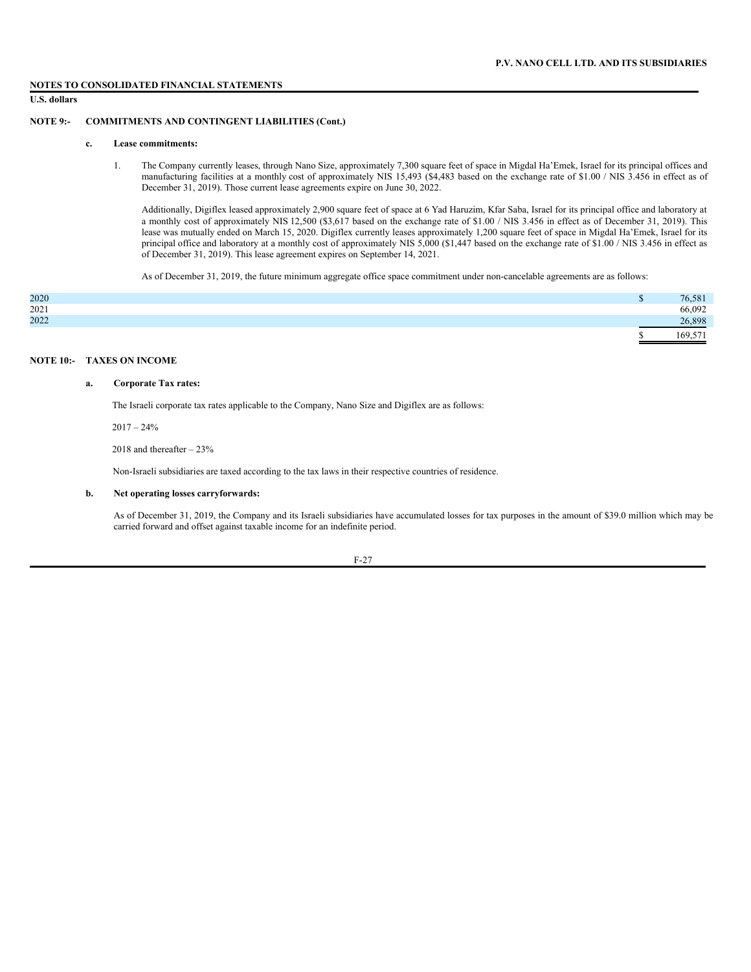## **U.S. dollars**

### **NOTE 9:- COMMITMENTS AND CONTINGENT LIABILITIES (Cont.)**

### **c. Lease commitments:**

1. The Company currently leases, through Nano Size, approximately 7,300 square feet of space in Migdal Ha'Emek, Israel for its principal offices and manufacturing facilities at a monthly cost of approximately NIS 15,493 (\$4,483 based on the exchange rate of \$1.00 / NIS 3.456 in effect as of December 31, 2019). Those current lease agreements expire on June 30, 2022.

Additionally, Digiflex leased approximately 2,900 square feet of space at 6 Yad Haruzim, Kfar Saba, Israel for its principal office and laboratory at a monthly cost of approximately NIS 12,500 (\$3,617 based on the exchange rate of \$1.00 / NIS 3.456 in effect as of December 31, 2019). This lease was mutually ended on March 15, 2020. Digiflex currently leases approximately 1,200 square feet of space in Migdal Ha'Emek, Israel for its principal office and laboratory at a monthly cost of approximately NIS 5,000 (\$1,447 based on the exchange rate of \$1.00 / NIS 3.456 in effect as of December 31, 2019). This lease agreement expires on September 14, 2021.

As of December 31, 2019, the future minimum aggregate office space commitment under non-cancelable agreements are as follows:

| 2020 | 76,581  |
|------|---------|
| 2021 | 66.092  |
| 2022 | 26.898  |
|      | 169,571 |

# **NOTE 10:- TAXES ON INCOME**

### **a. Corporate Tax rates:**

The Israeli corporate tax rates applicable to the Company, Nano Size and Digiflex are as follows:

 $2017 - 24\%$ 

2018 and thereafter – 23%

Non-Israeli subsidiaries are taxed according to the tax laws in their respective countries of residence.

#### **b. Net operating losses carryforwards:**

As of December 31, 2019, the Company and its Israeli subsidiaries have accumulated losses for tax purposes in the amount of \$39.0 million which may be carried forward and offset against taxable income for an indefinite period.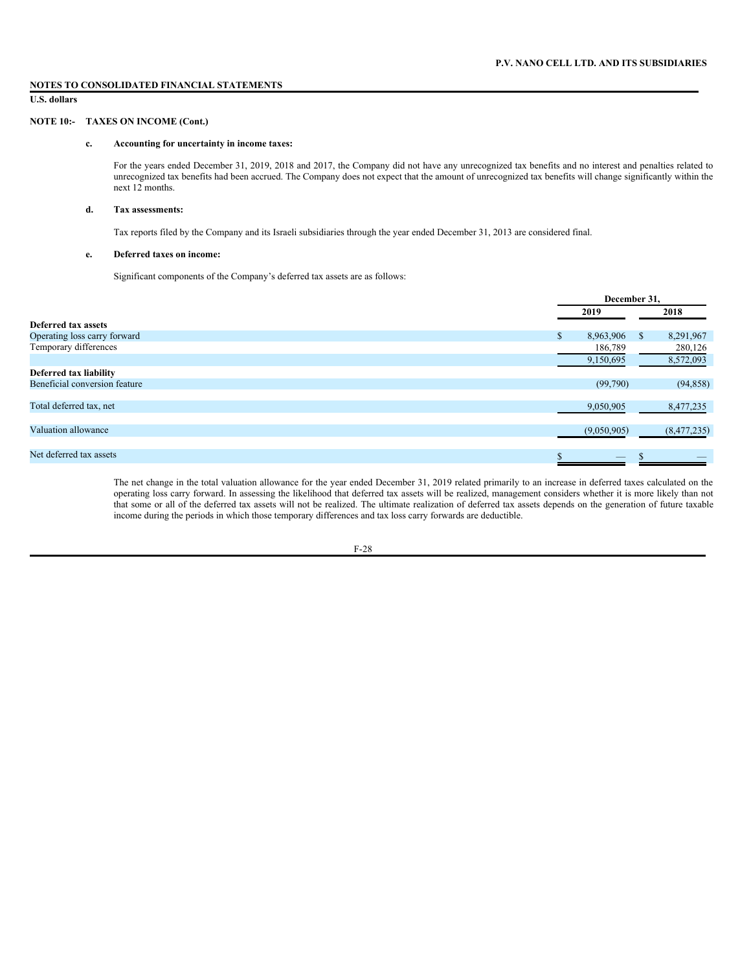# **U.S. dollars**

## **NOTE 10:- TAXES ON INCOME (Cont.)**

#### **c. Accounting for uncertainty in income taxes:**

For the years ended December 31, 2019, 2018 and 2017, the Company did not have any unrecognized tax benefits and no interest and penalties related to unrecognized tax benefits had been accrued. The Company does not expect that the amount of unrecognized tax benefits will change significantly within the next 12 months.

### **d. Tax assessments:**

Tax reports filed by the Company and its Israeli subsidiaries through the year ended December 31, 2013 are considered final.

### **e. Deferred taxes on income:**

Significant components of the Company's deferred tax assets are as follows:

|                               |                 | December 31.              |
|-------------------------------|-----------------|---------------------------|
|                               | 2019            | 2018                      |
| Deferred tax assets           |                 |                           |
| Operating loss carry forward  | 8,963,906<br>Ъ. | 8,291,967<br><sup>S</sup> |
| Temporary differences         | 186,789         | 280,126                   |
|                               | 9,150,695       | 8,572,093                 |
| Deferred tax liability        |                 |                           |
| Beneficial conversion feature | (99,790)        | (94, 858)                 |
|                               |                 |                           |
| Total deferred tax, net       | 9,050,905       | 8,477,235                 |
|                               |                 |                           |
| Valuation allowance           | (9,050,905)     | (8,477,235)               |
|                               |                 |                           |
| Net deferred tax assets       |                 |                           |

The net change in the total valuation allowance for the year ended December 31, 2019 related primarily to an increase in deferred taxes calculated on the operating loss carry forward. In assessing the likelihood that deferred tax assets will be realized, management considers whether it is more likely than not that some or all of the deferred tax assets will not be realized. The ultimate realization of deferred tax assets depends on the generation of future taxable income during the periods in which those temporary differences and tax loss carry forwards are deductible.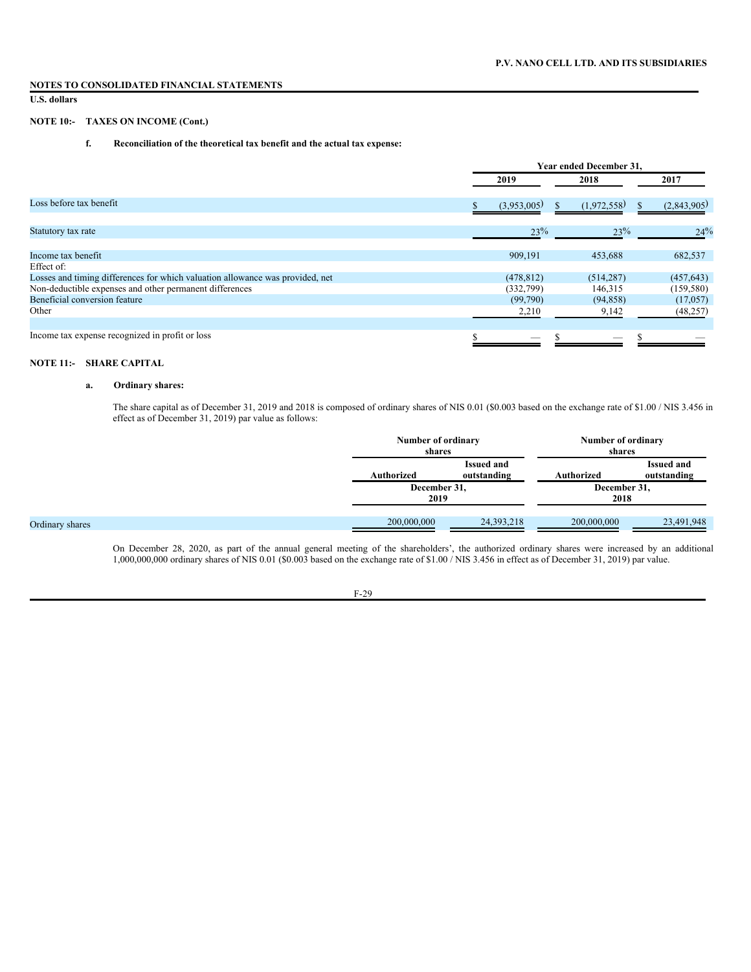# **U.S. dollars**

# **NOTE 10:- TAXES ON INCOME (Cont.)**

## **f. Reconciliation of the theoretical tax benefit and the actual tax expense:**

|                                                                                          |                       | <b>Year ended December 31.</b> |                        |  |  |  |  |
|------------------------------------------------------------------------------------------|-----------------------|--------------------------------|------------------------|--|--|--|--|
|                                                                                          | 2019                  | 2018                           | 2017                   |  |  |  |  |
| Loss before tax benefit                                                                  | (3,953,005)           | (1,972,558)                    | (2,843,905)            |  |  |  |  |
| Statutory tax rate                                                                       | 23%                   | 23%                            | 24%                    |  |  |  |  |
| Income tax benefit<br>Effect of:                                                         | 909,191               | 453,688                        | 682,537                |  |  |  |  |
| Losses and timing differences for which valuation allowance was provided, net            | (478, 812)            | (514, 287)                     | (457, 643)             |  |  |  |  |
| Non-deductible expenses and other permanent differences<br>Beneficial conversion feature | (332,799)<br>(99,790) | 146,315<br>(94,858)            | (159, 580)<br>(17,057) |  |  |  |  |
| Other                                                                                    | 2,210                 | 9,142                          | (48, 257)              |  |  |  |  |
| Income tax expense recognized in profit or loss                                          |                       | $\overline{\phantom{a}}$       |                        |  |  |  |  |

## **NOTE 11:- SHARE CAPITAL**

### **a. Ordinary shares:**

The share capital as of December 31, 2019 and 2018 is composed of ordinary shares of NIS 0.01 (\$0.003 based on the exchange rate of \$1.00 / NIS 3.456 in effect as of December 31, 2019) par value as follows:

|                 |             | <b>Number of ordinary</b><br>shares |             | <b>Number of ordinary</b><br>shares |  |  |
|-----------------|-------------|-------------------------------------|-------------|-------------------------------------|--|--|
|                 | Authorized  | <b>Issued and</b><br>outstanding    | Authorized  | <b>Issued and</b><br>outstanding    |  |  |
|                 |             | December 31,<br>2019                |             | December 31,<br>2018                |  |  |
| Ordinary shares | 200,000,000 | 24,393,218                          | 200,000,000 | 23,491,948                          |  |  |

On December 28, 2020, as part of the annual general meeting of the shareholders', the authorized ordinary shares were increased by an additional 1,000,000,000 ordinary shares of NIS 0.01 (\$0.003 based on the exchange rate of \$1.00 / NIS 3.456 in effect as of December 31, 2019) par value.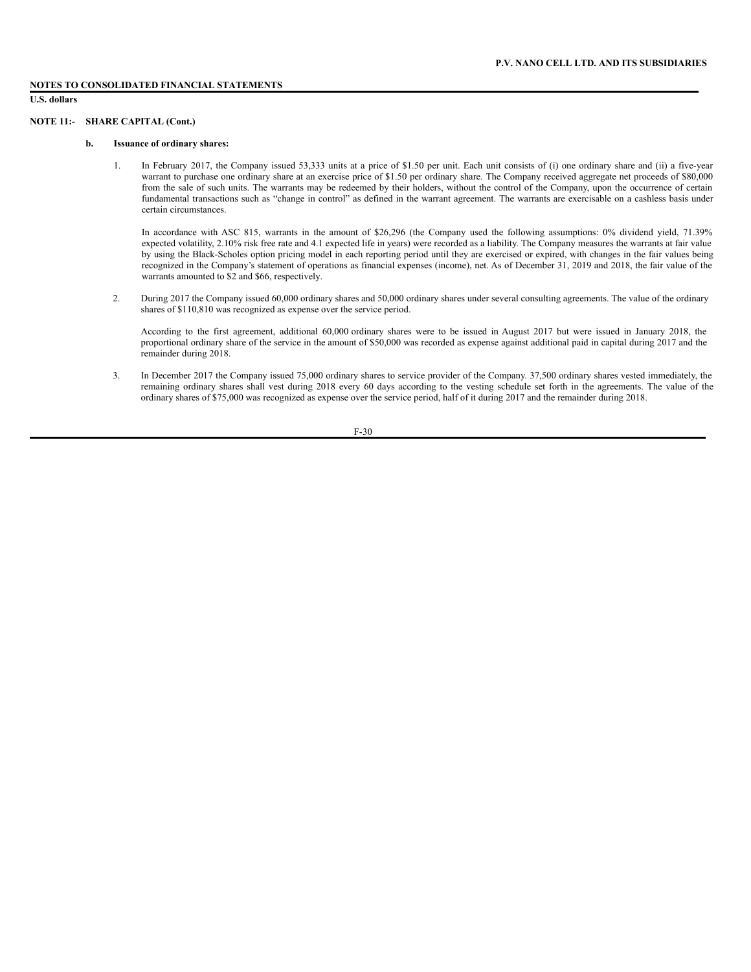# **U.S. dollars**

## **NOTE 11:- SHARE CAPITAL (Cont.)**

### **b. Issuance of ordinary shares:**

1. In February 2017, the Company issued 53,333 units at a price of \$1.50 per unit. Each unit consists of (i) one ordinary share and (ii) a five-year warrant to purchase one ordinary share at an exercise price of \$1.50 per ordinary share. The Company received aggregate net proceeds of \$80,000 from the sale of such units. The warrants may be redeemed by their holders, without the control of the Company, upon the occurrence of certain fundamental transactions such as "change in control" as defined in the warrant agreement. The warrants are exercisable on a cashless basis under certain circumstances.

In accordance with ASC 815, warrants in the amount of \$26,296 (the Company used the following assumptions: 0% dividend yield, 71.39% expected volatility, 2.10% risk free rate and 4.1 expected life in years) were recorded as a liability. The Company measures the warrants at fair value by using the Black-Scholes option pricing model in each reporting period until they are exercised or expired, with changes in the fair values being recognized in the Company's statement of operations as financial expenses (income), net. As of December 31, 2019 and 2018, the fair value of the warrants amounted to \$2 and \$66, respectively.

2. During 2017 the Company issued 60,000 ordinary shares and 50,000 ordinary shares under several consulting agreements. The value of the ordinary shares of \$110,810 was recognized as expense over the service period.

According to the first agreement, additional 60,000 ordinary shares were to be issued in August 2017 but were issued in January 2018, the proportional ordinary share of the service in the amount of \$50,000 was recorded as expense against additional paid in capital during 2017 and the remainder during 2018.

3. In December 2017 the Company issued 75,000 ordinary shares to service provider of the Company. 37,500 ordinary shares vested immediately, the remaining ordinary shares shall vest during 2018 every 60 days according to the vesting schedule set forth in the agreements. The value of the ordinary shares of \$75,000 was recognized as expense over the service period, half of it during 2017 and the remainder during 2018.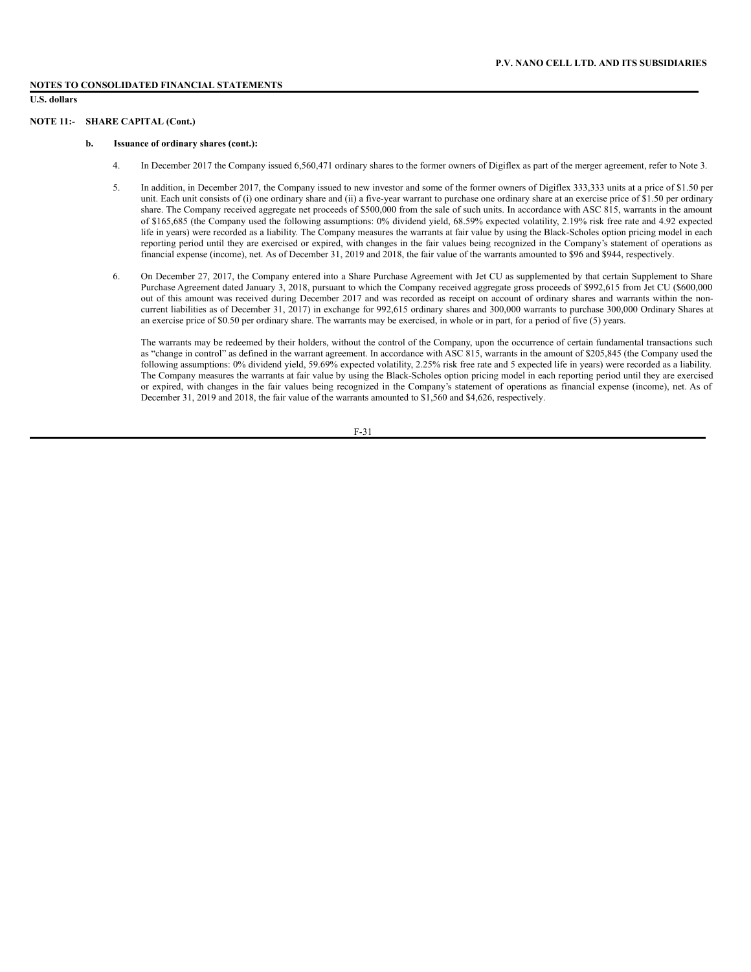# **U.S. dollars**

## **NOTE 11:- SHARE CAPITAL (Cont.)**

### **b. Issuance of ordinary shares (cont.):**

- 4. In December 2017 the Company issued 6,560,471 ordinary shares to the former owners of Digiflex as part of the merger agreement, refer to Note 3.
- 5. In addition, in December 2017, the Company issued to new investor and some of the former owners of Digiflex 333,333 units at a price of \$1.50 per unit. Each unit consists of (i) one ordinary share and (ii) a five-year warrant to purchase one ordinary share at an exercise price of \$1.50 per ordinary share. The Company received aggregate net proceeds of \$500,000 from the sale of such units. In accordance with ASC 815, warrants in the amount of \$165,685 (the Company used the following assumptions: 0% dividend yield, 68.59% expected volatility, 2.19% risk free rate and 4.92 expected life in years) were recorded as a liability. The Company measures the warrants at fair value by using the Black-Scholes option pricing model in each reporting period until they are exercised or expired, with changes in the fair values being recognized in the Company's statement of operations as financial expense (income), net. As of December 31, 2019 and 2018, the fair value of the warrants amounted to \$96 and \$944, respectively.
- 6. On December 27, 2017, the Company entered into a Share Purchase Agreement with Jet CU as supplemented by that certain Supplement to Share Purchase Agreement dated January 3, 2018, pursuant to which the Company received aggregate gross proceeds of \$992,615 from Jet CU (\$600,000 out of this amount was received during December 2017 and was recorded as receipt on account of ordinary shares and warrants within the noncurrent liabilities as of December 31, 2017) in exchange for 992,615 ordinary shares and 300,000 warrants to purchase 300,000 Ordinary Shares at an exercise price of \$0.50 per ordinary share. The warrants may be exercised, in whole or in part, for a period of five (5) years.

The warrants may be redeemed by their holders, without the control of the Company, upon the occurrence of certain fundamental transactions such as "change in control" as defined in the warrant agreement. In accordance with ASC 815, warrants in the amount of \$205,845 (the Company used the following assumptions: 0% dividend yield, 59.69% expected volatility, 2.25% risk free rate and 5 expected life in years) were recorded as a liability. The Company measures the warrants at fair value by using the Black-Scholes option pricing model in each reporting period until they are exercised or expired, with changes in the fair values being recognized in the Company's statement of operations as financial expense (income), net. As of December 31, 2019 and 2018, the fair value of the warrants amounted to \$1,560 and \$4,626, respectively.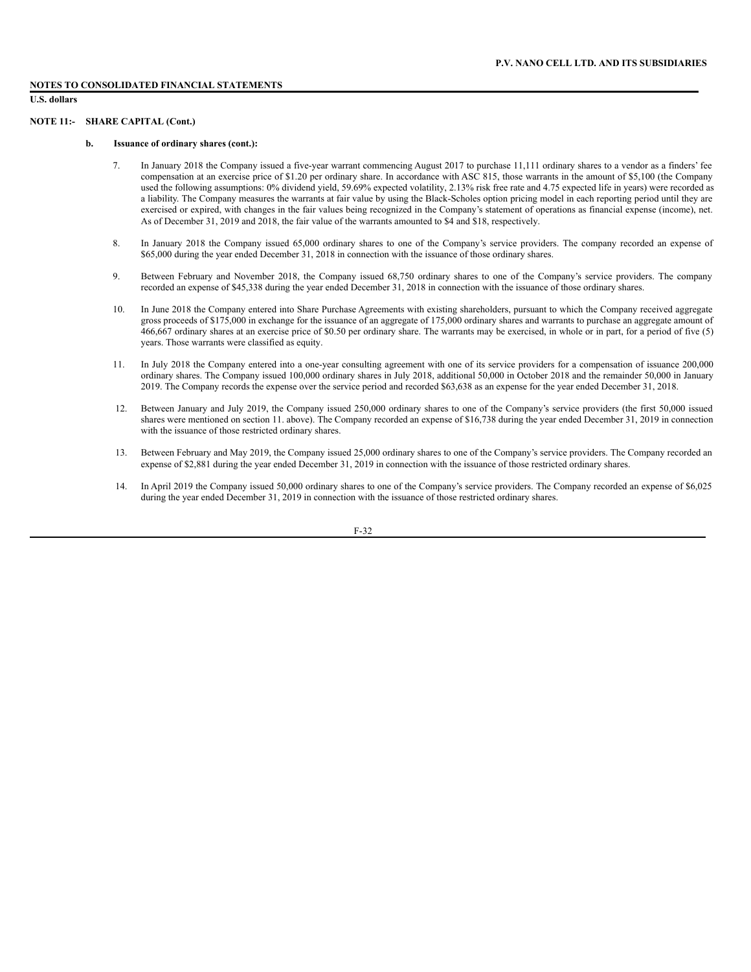# **U.S. dollars**

## **NOTE 11:- SHARE CAPITAL (Cont.)**

### **b. Issuance of ordinary shares (cont.):**

- 7. In January 2018 the Company issued a five-year warrant commencing August 2017 to purchase 11,111 ordinary shares to a vendor as a finders' fee compensation at an exercise price of \$1.20 per ordinary share. In accordance with ASC 815, those warrants in the amount of \$5,100 (the Company used the following assumptions: 0% dividend yield, 59.69% expected volatility, 2.13% risk free rate and 4.75 expected life in years) were recorded as a liability. The Company measures the warrants at fair value by using the Black-Scholes option pricing model in each reporting period until they are exercised or expired, with changes in the fair values being recognized in the Company's statement of operations as financial expense (income), net. As of December 31, 2019 and 2018, the fair value of the warrants amounted to \$4 and \$18, respectively.
- 8. In January 2018 the Company issued 65,000 ordinary shares to one of the Company's service providers. The company recorded an expense of \$65,000 during the year ended December 31, 2018 in connection with the issuance of those ordinary shares.
- 9. Between February and November 2018, the Company issued 68,750 ordinary shares to one of the Company's service providers. The company recorded an expense of \$45,338 during the year ended December 31, 2018 in connection with the issuance of those ordinary shares.
- 10. In June 2018 the Company entered into Share Purchase Agreements with existing shareholders, pursuant to which the Company received aggregate gross proceeds of \$175,000 in exchange for the issuance of an aggregate of 175,000 ordinary shares and warrants to purchase an aggregate amount of 466,667 ordinary shares at an exercise price of \$0.50 per ordinary share. The warrants may be exercised, in whole or in part, for a period of five (5) years. Those warrants were classified as equity.
- 11. In July 2018 the Company entered into a one-year consulting agreement with one of its service providers for a compensation of issuance 200,000 ordinary shares. The Company issued 100,000 ordinary shares in July 2018, additional 50,000 in October 2018 and the remainder 50,000 in January 2019. The Company records the expense over the service period and recorded \$63,638 as an expense for the year ended December 31, 2018.
- 12. Between January and July 2019, the Company issued 250,000 ordinary shares to one of the Company's service providers (the first 50,000 issued shares were mentioned on section 11. above). The Company recorded an expense of \$16,738 during the year ended December 31, 2019 in connection with the issuance of those restricted ordinary shares.
- 13. Between February and May 2019, the Company issued 25,000 ordinary shares to one of the Company's service providers. The Company recorded an expense of \$2,881 during the year ended December 31, 2019 in connection with the issuance of those restricted ordinary shares.
- 14. In April 2019 the Company issued 50,000 ordinary shares to one of the Company's service providers. The Company recorded an expense of \$6,025 during the year ended December 31, 2019 in connection with the issuance of those restricted ordinary shares.

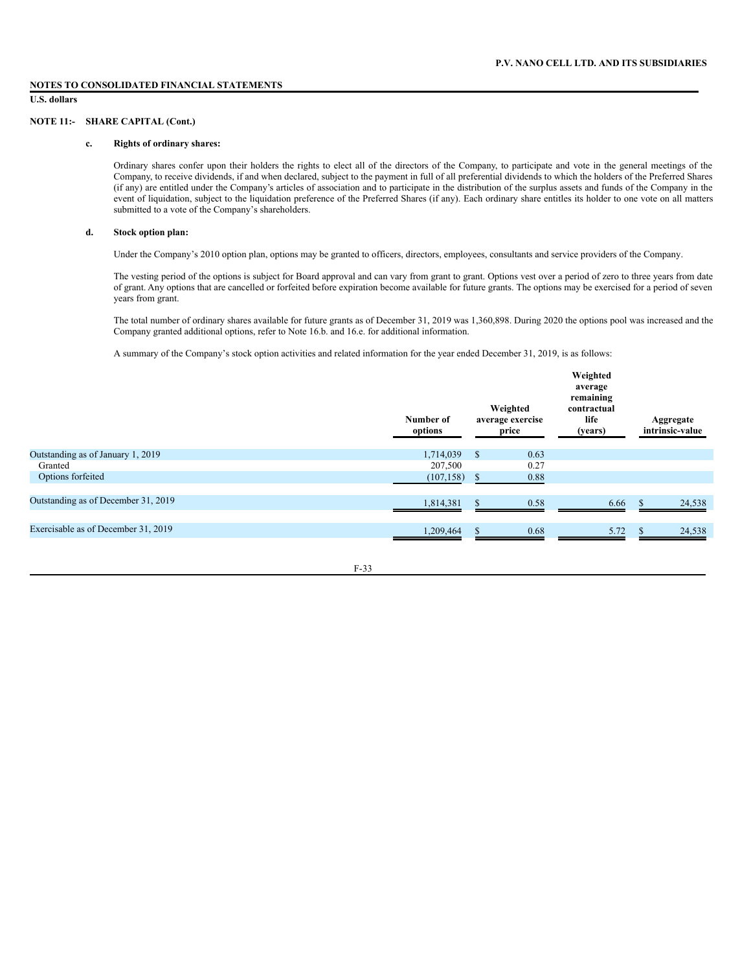# **U.S. dollars**

# **NOTE 11:- SHARE CAPITAL (Cont.)**

### **c. Rights of ordinary shares:**

Ordinary shares confer upon their holders the rights to elect all of the directors of the Company, to participate and vote in the general meetings of the Company, to receive dividends, if and when declared, subject to the payment in full of all preferential dividends to which the holders of the Preferred Shares (if any) are entitled under the Company's articles of association and to participate in the distribution of the surplus assets and funds of the Company in the event of liquidation, subject to the liquidation preference of the Preferred Shares (if any). Each ordinary share entitles its holder to one vote on all matters submitted to a vote of the Company's shareholders.

### **d. Stock option plan:**

Under the Company's 2010 option plan, options may be granted to officers, directors, employees, consultants and service providers of the Company.

The vesting period of the options is subject for Board approval and can vary from grant to grant. Options vest over a period of zero to three years from date of grant. Any options that are cancelled or forfeited before expiration become available for future grants. The options may be exercised for a period of seven years from grant.

The total number of ordinary shares available for future grants as of December 31, 2019 was 1,360,898. During 2020 the options pool was increased and the Company granted additional options, refer to Note 16.b. and 16.e. for additional information.

A summary of the Company's stock option activities and related information for the year ended December 31, 2019, is as follows:

|                                     | Number of<br>options |              | Weighted<br>average exercise<br>price | Weighted<br>average<br>remaining<br>contractual<br>life<br>(years) | Aggregate<br>intrinsic-value |        |
|-------------------------------------|----------------------|--------------|---------------------------------------|--------------------------------------------------------------------|------------------------------|--------|
| Outstanding as of January 1, 2019   | 1,714,039            | $^{\circ}$   | 0.63                                  |                                                                    |                              |        |
| Granted                             | 207,500              |              | 0.27                                  |                                                                    |                              |        |
| Options forfeited                   | (107, 158)           | $\mathbb{S}$ | 0.88                                  |                                                                    |                              |        |
|                                     |                      |              |                                       |                                                                    |                              |        |
| Outstanding as of December 31, 2019 | 1,814,381            |              | 0.58                                  | 6.66                                                               |                              | 24,538 |
|                                     |                      |              |                                       |                                                                    |                              |        |
| Exercisable as of December 31, 2019 | 1,209,464            |              | 0.68                                  | 5.72                                                               |                              | 24,538 |
|                                     |                      |              |                                       |                                                                    |                              |        |

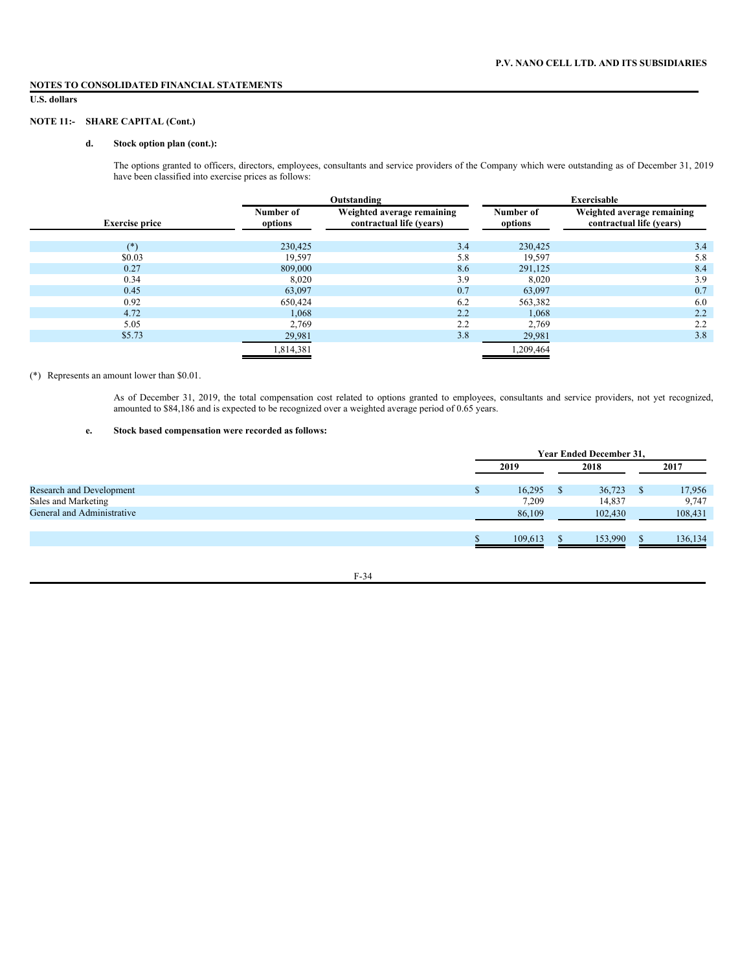# **U.S. dollars**

# **NOTE 11:- SHARE CAPITAL (Cont.)**

# **d. Stock option plan (cont.):**

The options granted to officers, directors, employees, consultants and service providers of the Company which were outstanding as of December 31, 2019 have been classified into exercise prices as follows:

|                       |                      | Outstanding                                            | Exercisable          |                                                        |  |  |
|-----------------------|----------------------|--------------------------------------------------------|----------------------|--------------------------------------------------------|--|--|
| <b>Exercise price</b> | Number of<br>options | Weighted average remaining<br>contractual life (years) | Number of<br>options | Weighted average remaining<br>contractual life (years) |  |  |
| $(*)$                 | 230,425              | 3.4                                                    | 230,425              | 3.4                                                    |  |  |
| \$0.03                | 19,597               | 5.8                                                    | 19,597               | 5.8                                                    |  |  |
| 0.27                  | 809,000              | 8.6                                                    | 291,125              | 8.4                                                    |  |  |
| 0.34                  | 8,020                | 3.9                                                    | 8,020                | 3.9                                                    |  |  |
| 0.45                  | 63,097               | 0.7                                                    | 63.097               | 0.7                                                    |  |  |
| 0.92                  | 650,424              | 6.2                                                    | 563,382              | 6.0                                                    |  |  |
| 4.72                  | 1,068                | 2.2                                                    | 1,068                | 2.2                                                    |  |  |
| 5.05                  | 2,769                | 2.2                                                    | 2,769                | 2.2                                                    |  |  |
| \$5.73                | 29,981               | 3.8                                                    | 29,981               | 3.8                                                    |  |  |
|                       | 1,814,381            |                                                        | 1,209,464            |                                                        |  |  |

(\*) Represents an amount lower than \$0.01.

As of December 31, 2019, the total compensation cost related to options granted to employees, consultants and service providers, not yet recognized, amounted to \$84,186 and is expected to be recognized over a weighted average period of 0.65 years.

## **e. Stock based compensation were recorded as follows:**

|                                 | <b>Year Ended December 31,</b> |  |         |  |         |  |
|---------------------------------|--------------------------------|--|---------|--|---------|--|
|                                 | 2019                           |  | 2018    |  | 2017    |  |
| <b>Research and Development</b> | 16,295                         |  | 36,723  |  | 17,956  |  |
| Sales and Marketing             | 7,209                          |  | 14,837  |  | 9,747   |  |
| General and Administrative      | 86,109                         |  | 102,430 |  | 108,431 |  |
|                                 | 109.613                        |  | 153,990 |  | 136,134 |  |

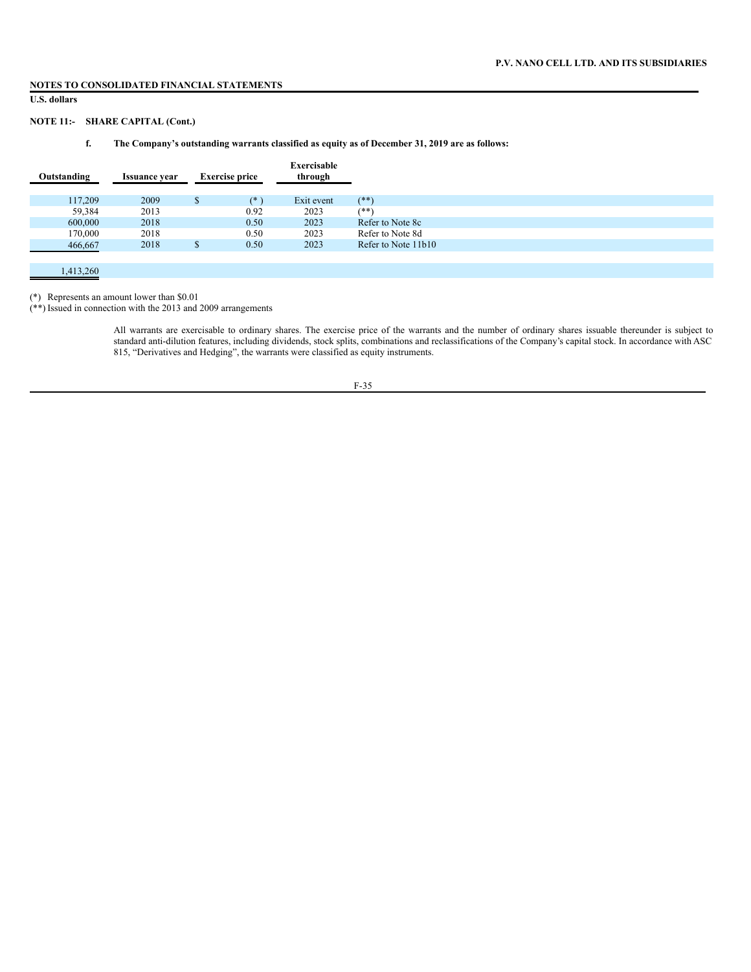**U.S. dollars**

# **NOTE 11:- SHARE CAPITAL (Cont.)**

## **f. The Company's outstanding warrants classified as equity as of December 31, 2019 are as follows:**

| Outstanding | <b>Issuance vear</b> |   | <b>Exercise price</b> | <b>Exercisable</b><br>through |                     |
|-------------|----------------------|---|-----------------------|-------------------------------|---------------------|
| 117,209     | 2009                 | S | $\rightarrow$         | Exit event                    | $(**)$              |
| 59,384      | 2013                 |   | 0.92                  | 2023                          | $(**`$              |
| 600,000     | 2018                 |   | 0.50                  | 2023                          | Refer to Note 8c    |
| 170,000     | 2018                 |   | 0.50                  | 2023                          | Refer to Note 8d    |
| 466,667     | 2018                 | S | 0.50                  | 2023                          | Refer to Note 11b10 |
|             |                      |   |                       |                               |                     |
| 1,413,260   |                      |   |                       |                               |                     |

(\*) Represents an amount lower than \$0.01

(\*\*) Issued in connection with the 2013 and 2009 arrangements

All warrants are exercisable to ordinary shares. The exercise price of the warrants and the number of ordinary shares issuable thereunder is subject to standard anti-dilution features, including dividends, stock splits, combinations and reclassifications of the Company's capital stock. In accordance with ASC 815, "Derivatives and Hedging", the warrants were classified as equity instruments.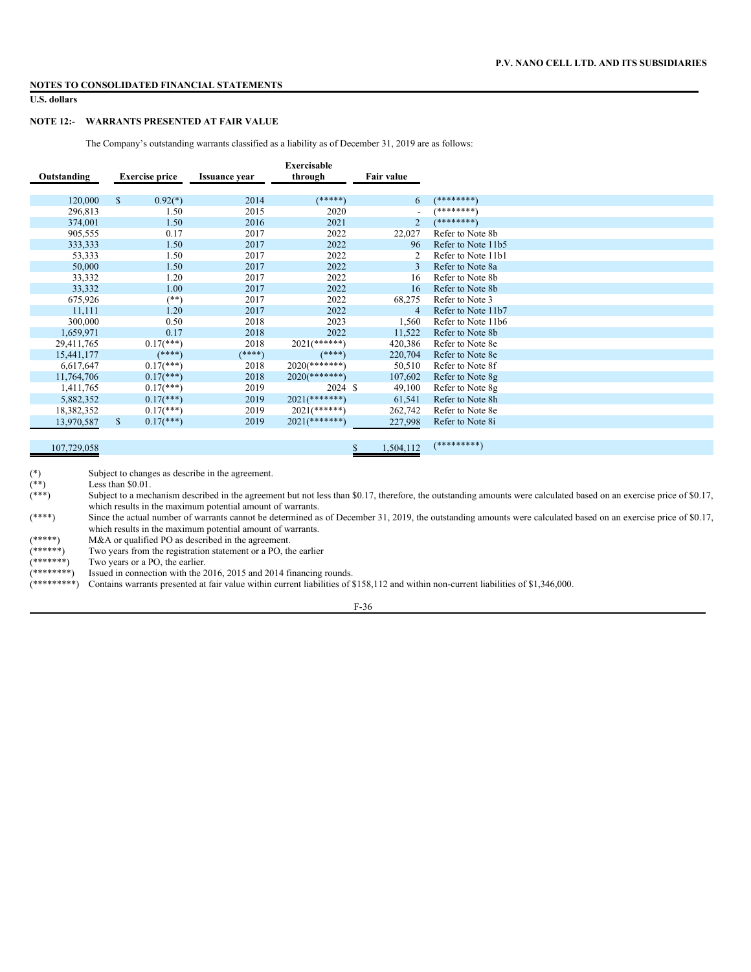# **U.S. dollars**

### **NOTE 12:- WARRANTS PRESENTED AT FAIR VALUE**

**Outstanding Exercise price Issuance year Exercisable through Fair value**  $120,000$  \$  $0.92(*)$   $2014$   $(*****)$  6  $(********)$ <br>296,813  $1.50$   $2015$   $2020$  -  $(********)$ 296,813 1.50 2015 2020 - (\*\*\*\*\*\*\*\*)<br>374,001 1.50 2016 2021 2 (\*\*\*\*\*\*\*\*) 374,001 1.50 2016 2021 2 (\*\*\*\*\*\*\*\*)<br>905,555 0.17 2017 2022 22,027 Refer to No 0.17 2017 2022 22,027 Refer to Note 8b<br>1.50 2017 2022 96 Refer to Note 11 333,333 1.50 2017 2022 96 Refer to Note 11b5<br>53,333 1.50 2017 2022 2 Refer to Note 11b1 53,333 1.50 2017 2022 2 Refer to Note 11b1<br>50.000 1.50 2017 2022 3 Refer to Note 8a 3 Refer to Note 8a 33,332 1.20 2017 2022 16 Refer to Note 8b<br>33,332 1.00 2017 2022 16 Refer to Note 8b Refer to Note 8b 675,926 (\*\*) 2017 2022 68,275 Refer to Note 3<br>11,111 1.20 2017 2022 4 Refer to Note 1 11,111 1.20 2017 2022 4 Refer to Note 11b7<br>300.000 0.50 2018 2023 1.560 Refer to Note 11b6 Refer to Note 11b6 1,659,971 0.17 2018 2022 11,522 Refer to Note 8b<br>29,411,765 0.17(\*\*\*) 2018 2021(\*\*\*\*\*\*) 420,386 Refer to Note 8e 29,411,765 0.17(\*\*\*) 2018 2021(\*\*\*\*\*\*\*) 420,386 Refer to Note 8e<br>
15,441,177 (\*\*\*\*)  $(****)$  (\*\*\*\*) 220,704 Refer to Note 8e 15,441,177 (\*\*\*\*) (\*\*\*\*) (\*\*\*\*) (\*\*\*\*) 220,704 Refer to Note 8e<br>
6,617,647 0.17(\*\*\*) 2018 2020(\*\*\*\*\*\*\*) 50,510 Refer to Note 8f 6,617,647 0.17(\*\*\*) 2018 2020(\*\*\*\*\*\*\*\*) 50,510 Refer to Note 8f<br>11,764,706 0.17(\*\*\*) 2018 2020(\*\*\*\*\*\*\*\*) 107,602 Refer to Note 8g  $\frac{(0.17(***)}{0.17(***)}$  2018 2020(\*\*\*\*\*\*\*) 107,602 Refer to Note 8g<br>
2019 2024 \$49,100 Refer to Note 8g 1,411,765 0.17(\*\*\*) 2019 2024 \$ 49,100 Refer to Note 8g<br>5,882,352 0.17(\*\*\*) 2019 2021(\*\*\*\*\*\*\*) 61,541 Refer to Note 8h  $5,0.17$ (\*\*\*)<br>  $5,0.17$ (\*\*\*)<br>  $2019$   $2021$ (\*\*\*\*\*\*)<br>  $2021$ (\*\*\*\*\*\*)<br>  $262,742$  Refer to Note 8e  $18,382,352$   $0.17$ <sup>\*\*\*</sup>) 2019  $2021$ (\*\*\*\*\*\*) 262,742 Refer to Note 8e<br>  $13.970.587$  \$  $0.17$ (\*\*\*) 2019  $2021$ (\*\*\*\*\*\*\*) 227,998 Refer to Note 8i 13,970,587 \$ 0.17(\*\*\*) 2019 2021(\*\*\*\*\*\*\*) 227,998  $107,729,058$   $$ 1,504,112$   $(********)$ 

The Company's outstanding warrants classified as a liability as of December 31, 2019 are as follows:

(\*) Subject to changes as describe in the agreement.

 $(**)$  Less than \$0.01.<br> $(***)$  Subject to a mec

Subject to a mechanism described in the agreement but not less than \$0.17, therefore, the outstanding amounts were calculated based on an exercise price of \$0.17, which results in the maximum potential amount of warrants.

(\*\*\*\*) Since the actual number of warrants cannot be determined as of December 31, 2019, the outstanding amounts were calculated based on an exercise price of \$0.17, which results in the maximum potential amount of warrants.

(\*\*\*\*\*) M&A or qualified PO as described in the agreement.<br>(\*\*\*\*\*\*) Two vears from the registration statement or a PO. the

(\*\*\*\*\*\*) Two years from the registration statement or a PO, the earlier (\*\*\*\*\*\*\*) Two years or a PO, the earlier.

(\*\*\*\*\*\*\*) Two years or a PO, the earlier.<br>(\*\*\*\*\*\*\*\*) Issued in connection with the 2  $(********)$  Issued in connection with the 2016, 2015 and 2014 financing rounds.<br> $(********$  Contains warrants presented at fair value within current liabilities of :

Contains warrants presented at fair value within current liabilities of \$158,112 and within non-current liabilities of \$1,346,000.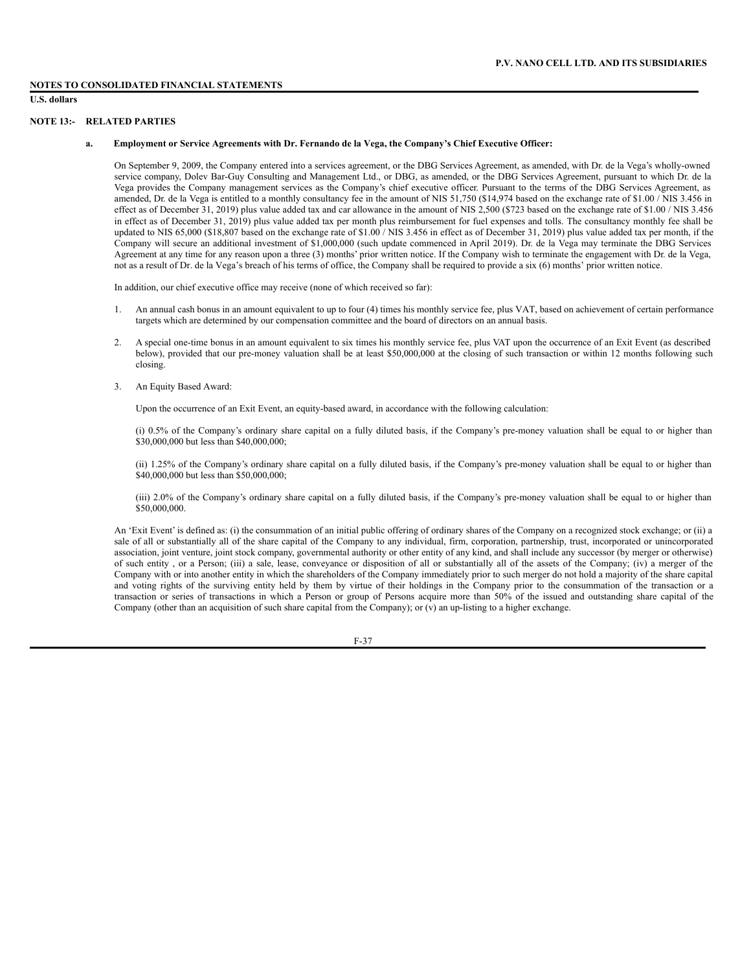## **U.S. dollars**

### **NOTE 13:- RELATED PARTIES**

#### **a. Employment or Service Agreements with Dr. Fernando de la Vega, the Company's Chief Executive Officer:**

On September 9, 2009, the Company entered into a services agreement, or the DBG Services Agreement, as amended, with Dr. de la Vega's wholly-owned service company, Dolev Bar-Guy Consulting and Management Ltd., or DBG, as amended, or the DBG Services Agreement, pursuant to which Dr. de la Vega provides the Company management services as the Company's chief executive officer. Pursuant to the terms of the DBG Services Agreement, as amended, Dr. de la Vega is entitled to a monthly consultancy fee in the amount of NIS 51,750 (\$14,974 based on the exchange rate of \$1.00 / NIS 3.456 in effect as of December 31, 2019) plus value added tax and car allowance in the amount of NIS 2,500 (\$723 based on the exchange rate of \$1.00 / NIS 3.456 in effect as of December 31, 2019) plus value added tax per month plus reimbursement for fuel expenses and tolls. The consultancy monthly fee shall be updated to NIS 65,000 (\$18,807 based on the exchange rate of \$1.00 / NIS 3.456 in effect as of December 31, 2019) plus value added tax per month, if the Company will secure an additional investment of \$1,000,000 (such update commenced in April 2019). Dr. de la Vega may terminate the DBG Services Agreement at any time for any reason upon a three (3) months' prior written notice. If the Company wish to terminate the engagement with Dr. de la Vega, not as a result of Dr. de la Vega's breach of his terms of office, the Company shall be required to provide a six (6) months' prior written notice.

In addition, our chief executive office may receive (none of which received so far):

- 1. An annual cash bonus in an amount equivalent to up to four (4) times his monthly service fee, plus VAT, based on achievement of certain performance targets which are determined by our compensation committee and the board of directors on an annual basis.
- 2. A special one-time bonus in an amount equivalent to six times his monthly service fee, plus VAT upon the occurrence of an Exit Event (as described below), provided that our pre-money valuation shall be at least \$50,000,000 at the closing of such transaction or within 12 months following such closing.
- 3. An Equity Based Award:

Upon the occurrence of an Exit Event, an equity-based award, in accordance with the following calculation:

(i) 0.5% of the Company's ordinary share capital on a fully diluted basis, if the Company's pre-money valuation shall be equal to or higher than \$30,000,000 but less than \$40,000,000;

(ii) 1.25% of the Company's ordinary share capital on a fully diluted basis, if the Company's pre-money valuation shall be equal to or higher than \$40,000,000 but less than \$50,000,000;

(iii) 2.0% of the Company's ordinary share capital on a fully diluted basis, if the Company's pre-money valuation shall be equal to or higher than \$50,000,000.

An 'Exit Event' is defined as: (i) the consummation of an initial public offering of ordinary shares of the Company on a recognized stock exchange; or (ii) a sale of all or substantially all of the share capital of the Company to any individual, firm, corporation, partnership, trust, incorporated or unincorporated association, joint venture, joint stock company, governmental authority or other entity of any kind, and shall include any successor (by merger or otherwise) of such entity , or a Person; (iii) a sale, lease, conveyance or disposition of all or substantially all of the assets of the Company; (iv) a merger of the Company with or into another entity in which the shareholders of the Company immediately prior to such merger do not hold a majority of the share capital and voting rights of the surviving entity held by them by virtue of their holdings in the Company prior to the consummation of the transaction or a transaction or series of transactions in which a Person or group of Persons acquire more than 50% of the issued and outstanding share capital of the Company (other than an acquisition of such share capital from the Company); or (v) an up-listing to a higher exchange.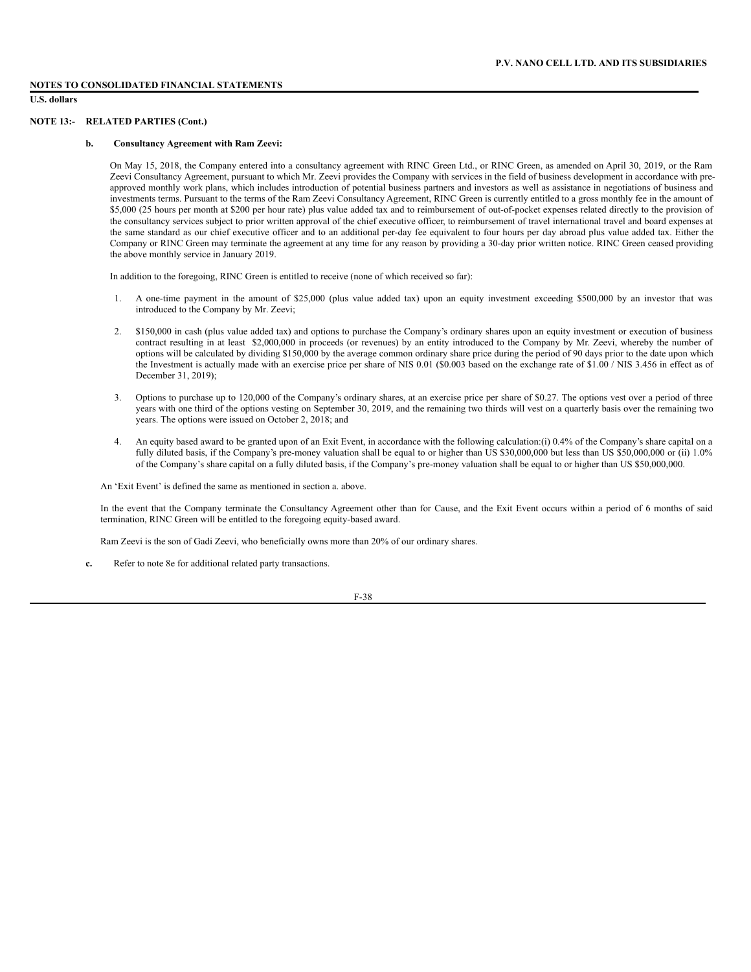## **U.S. dollars**

### **NOTE 13:- RELATED PARTIES (Cont.)**

#### **b. Consultancy Agreement with Ram Zeevi:**

On May 15, 2018, the Company entered into a consultancy agreement with RINC Green Ltd., or RINC Green, as amended on April 30, 2019, or the Ram Zeevi Consultancy Agreement, pursuant to which Mr. Zeevi provides the Company with services in the field of business development in accordance with preapproved monthly work plans, which includes introduction of potential business partners and investors as well as assistance in negotiations of business and investments terms. Pursuant to the terms of the Ram Zeevi Consultancy Agreement, RINC Green is currently entitled to a gross monthly fee in the amount of \$5,000 (25 hours per month at \$200 per hour rate) plus value added tax and to reimbursement of out-of-pocket expenses related directly to the provision of the consultancy services subject to prior written approval of the chief executive officer, to reimbursement of travel international travel and board expenses at the same standard as our chief executive officer and to an additional per-day fee equivalent to four hours per day abroad plus value added tax. Either the Company or RINC Green may terminate the agreement at any time for any reason by providing a 30-day prior written notice. RINC Green ceased providing the above monthly service in January 2019.

In addition to the foregoing, RINC Green is entitled to receive (none of which received so far):

- 1. A one-time payment in the amount of \$25,000 (plus value added tax) upon an equity investment exceeding \$500,000 by an investor that was introduced to the Company by Mr. Zeevi;
- 2. \$150,000 in cash (plus value added tax) and options to purchase the Company's ordinary shares upon an equity investment or execution of business contract resulting in at least \$2,000,000 in proceeds (or revenues) by an entity introduced to the Company by Mr. Zeevi, whereby the number of options will be calculated by dividing \$150,000 by the average common ordinary share price during the period of 90 days prior to the date upon which the Investment is actually made with an exercise price per share of NIS 0.01 (\$0.003 based on the exchange rate of \$1.00 / NIS 3.456 in effect as of December 31, 2019);
- 3. Options to purchase up to 120,000 of the Company's ordinary shares, at an exercise price per share of \$0.27. The options vest over a period of three years with one third of the options vesting on September 30, 2019, and the remaining two thirds will vest on a quarterly basis over the remaining two years. The options were issued on October 2, 2018; and
- 4. An equity based award to be granted upon of an Exit Event, in accordance with the following calculation:(i) 0.4% of the Company's share capital on a fully diluted basis, if the Company's pre-money valuation shall be equal to or higher than US \$30,000,000 but less than US \$50,000,000 or (ii) 1.0% of the Company's share capital on a fully diluted basis, if the Company's pre-money valuation shall be equal to or higher than US \$50,000,000.

An 'Exit Event' is defined the same as mentioned in section a. above.

In the event that the Company terminate the Consultancy Agreement other than for Cause, and the Exit Event occurs within a period of 6 months of said termination, RINC Green will be entitled to the foregoing equity-based award.

Ram Zeevi is the son of Gadi Zeevi, who beneficially owns more than 20% of our ordinary shares.

**c.** Refer to note 8e for additional related party transactions.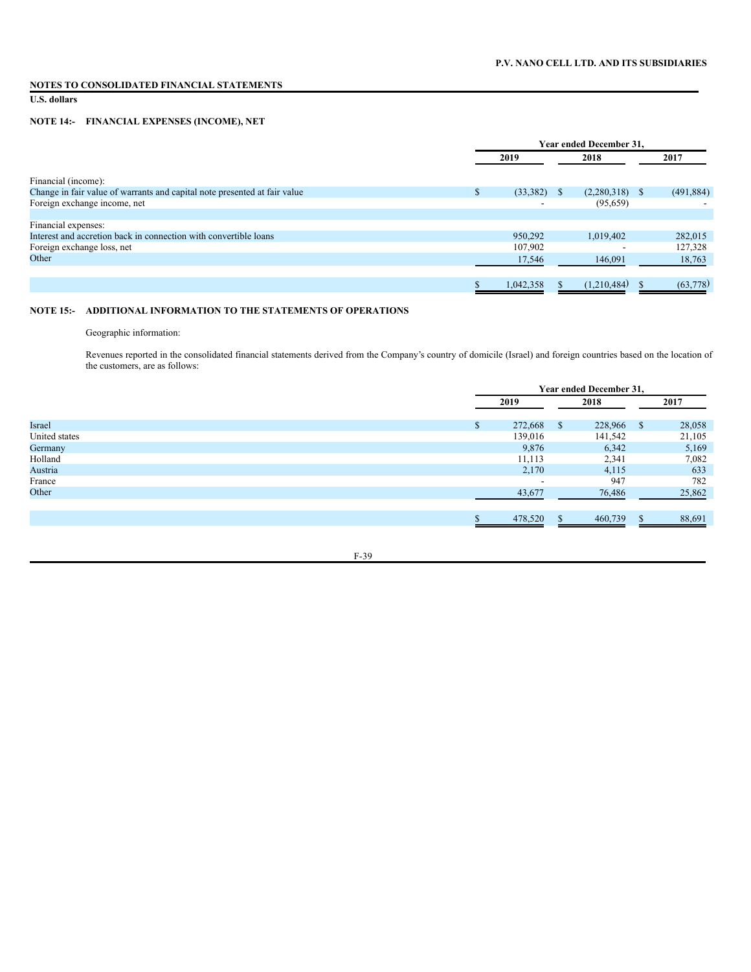# **U.S. dollars**

# **NOTE 14:- FINANCIAL EXPENSES (INCOME), NET**

|                                                                           | Year ended December 31. |           |          |                  |  |            |
|---------------------------------------------------------------------------|-------------------------|-----------|----------|------------------|--|------------|
|                                                                           |                         | 2019      |          | 2018             |  | 2017       |
| Financial (income):                                                       |                         |           |          |                  |  |            |
| Change in fair value of warrants and capital note presented at fair value | ъ                       | (33, 382) | <b>S</b> | $(2,280,318)$ \$ |  | (491, 884) |
| Foreign exchange income, net                                              |                         |           |          | (95, 659)        |  |            |
|                                                                           |                         |           |          |                  |  |            |
| Financial expenses:                                                       |                         |           |          |                  |  |            |
| Interest and accretion back in connection with convertible loans          |                         | 950,292   |          | 1,019,402        |  | 282,015    |
| Foreign exchange loss, net                                                |                         | 107,902   |          |                  |  | 127,328    |
| Other                                                                     |                         | 17,546    |          | 146,091          |  | 18,763     |
|                                                                           |                         |           |          |                  |  |            |
|                                                                           |                         | 1,042,358 |          | (1,210,484)      |  | (63, 778)  |

# **NOTE 15:- ADDITIONAL INFORMATION TO THE STATEMENTS OF OPERATIONS**

### Geographic information:

Revenues reported in the consolidated financial statements derived from the Company's country of domicile (Israel) and foreign countries based on the location of the customers, are as follows:

|               |               | Year ended December 31, |    |         |              |        |
|---------------|---------------|-------------------------|----|---------|--------------|--------|
|               |               | 2019                    |    | 2018    |              | 2017   |
| Israel        | <sup>\$</sup> | 272,668                 | \$ | 228,966 | $\mathbb{S}$ | 28,058 |
| United states |               | 139,016                 |    | 141,542 |              | 21,105 |
| Germany       |               | 9,876                   |    | 6,342   |              | 5,169  |
| Holland       |               | 11,113                  |    | 2,341   |              | 7,082  |
| Austria       |               | 2,170                   |    | 4,115   |              | 633    |
| France        |               | $\blacksquare$          |    | 947     |              | 782    |
| Other         |               | 43,677                  |    | 76,486  |              | 25,862 |
|               |               |                         |    |         |              |        |
|               |               | 478,520                 | ¢  | 460,739 | ¢            | 88,691 |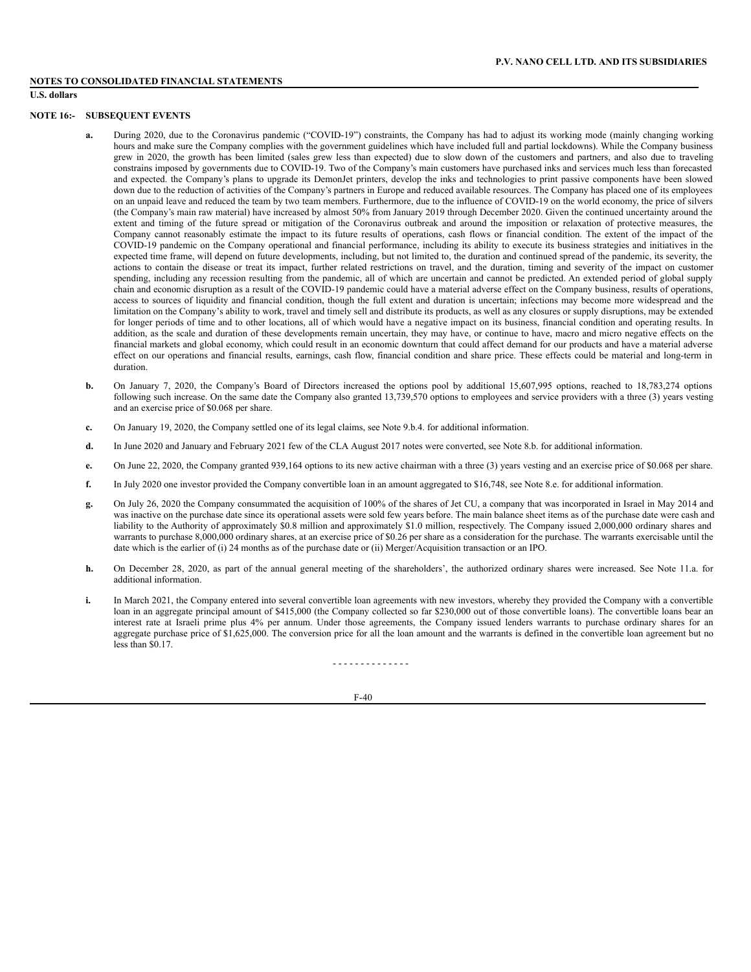## **U.S. dollars**

## **NOTE 16:- SUBSEQUENT EVENTS**

- **a.** During 2020, due to the Coronavirus pandemic ("COVID-19") constraints, the Company has had to adjust its working mode (mainly changing working hours and make sure the Company complies with the government guidelines which have included full and partial lockdowns). While the Company business grew in 2020, the growth has been limited (sales grew less than expected) due to slow down of the customers and partners, and also due to traveling constrains imposed by governments due to COVID-19. Two of the Company's main customers have purchased inks and services much less than forecasted and expected. the Company's plans to upgrade its DemonJet printers, develop the inks and technologies to print passive components have been slowed down due to the reduction of activities of the Company's partners in Europe and reduced available resources. The Company has placed one of its employees on an unpaid leave and reduced the team by two team members. Furthermore, due to the influence of COVID-19 on the world economy, the price of silvers (the Company's main raw material) have increased by almost 50% from January 2019 through December 2020. Given the continued uncertainty around the extent and timing of the future spread or mitigation of the Coronavirus outbreak and around the imposition or relaxation of protective measures, the Company cannot reasonably estimate the impact to its future results of operations, cash flows or financial condition. The extent of the impact of the COVID-19 pandemic on the Company operational and financial performance, including its ability to execute its business strategies and initiatives in the expected time frame, will depend on future developments, including, but not limited to, the duration and continued spread of the pandemic, its severity, the actions to contain the disease or treat its impact, further related restrictions on travel, and the duration, timing and severity of the impact on customer spending, including any recession resulting from the pandemic, all of which are uncertain and cannot be predicted. An extended period of global supply chain and economic disruption as a result of the COVID-19 pandemic could have a material adverse effect on the Company business, results of operations, access to sources of liquidity and financial condition, though the full extent and duration is uncertain; infections may become more widespread and the limitation on the Company's ability to work, travel and timely sell and distribute its products, as well as any closures or supply disruptions, may be extended for longer periods of time and to other locations, all of which would have a negative impact on its business, financial condition and operating results. In addition, as the scale and duration of these developments remain uncertain, they may have, or continue to have, macro and micro negative effects on the financial markets and global economy, which could result in an economic downturn that could affect demand for our products and have a material adverse effect on our operations and financial results, earnings, cash flow, financial condition and share price. These effects could be material and long-term in duration.
- **b.** On January 7, 2020, the Company's Board of Directors increased the options pool by additional 15,607,995 options, reached to 18,783,274 options following such increase. On the same date the Company also granted 13,739,570 options to employees and service providers with a three (3) years vesting and an exercise price of \$0.068 per share.
- **c.** On January 19, 2020, the Company settled one of its legal claims, see Note 9.b.4. for additional information.
- **d.** In June 2020 and January and February 2021 few of the CLA August 2017 notes were converted, see Note 8.b. for additional information.
- **e.** On June 22, 2020, the Company granted 939,164 options to its new active chairman with a three (3) years vesting and an exercise price of \$0.068 per share.
- **f.** In July 2020 one investor provided the Company convertible loan in an amount aggregated to \$16,748, see Note 8.e. for additional information.
- **g.** On July 26, 2020 the Company consummated the acquisition of 100% of the shares of Jet CU, a company that was incorporated in Israel in May 2014 and was inactive on the purchase date since its operational assets were sold few years before. The main balance sheet items as of the purchase date were cash and liability to the Authority of approximately \$0.8 million and approximately \$1.0 million, respectively. The Company issued 2,000,000 ordinary shares and warrants to purchase 8,000,000 ordinary shares, at an exercise price of \$0.26 per share as a consideration for the purchase. The warrants exercisable until the date which is the earlier of (i) 24 months as of the purchase date or (ii) Merger/Acquisition transaction or an IPO.
- **h.** On December 28, 2020, as part of the annual general meeting of the shareholders', the authorized ordinary shares were increased. See Note 11.a. for additional information.
- **i.** In March 2021, the Company entered into several convertible loan agreements with new investors, whereby they provided the Company with a convertible loan in an aggregate principal amount of \$415,000 (the Company collected so far \$230,000 out of those convertible loans). The convertible loans bear an interest rate at Israeli prime plus 4% per annum. Under those agreements, the Company issued lenders warrants to purchase ordinary shares for an aggregate purchase price of \$1,625,000. The conversion price for all the loan amount and the warrants is defined in the convertible loan agreement but no less than \$0.17.

- - - - - - - - - - - - - -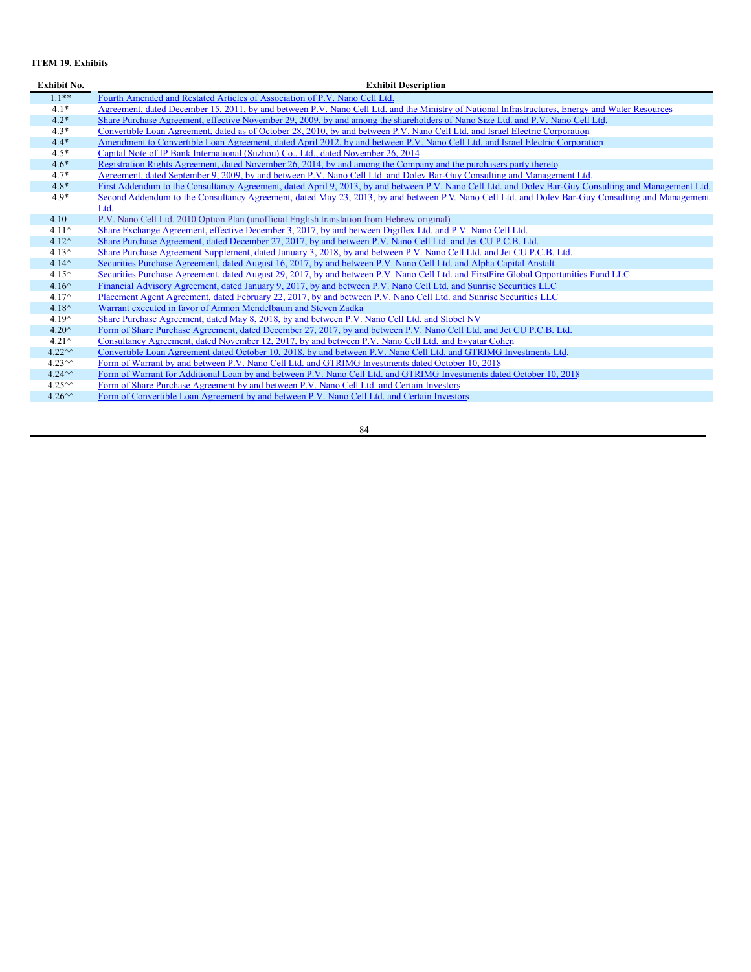# **ITEM 19. Exhibits**

| Exhibit No.                 | <b>Exhibit Description</b>                                                                                                                            |
|-----------------------------|-------------------------------------------------------------------------------------------------------------------------------------------------------|
| $1.1***$                    | Fourth Amended and Restated Articles of Association of P.V. Nano Cell Ltd.                                                                            |
| $4.1*$                      | Agreement, dated December 15, 2011, by and between P.V. Nano Cell Ltd. and the Ministry of National Infrastructures, Energy and Water Resources       |
| $4.2*$                      | Share Purchase Agreement, effective November 29, 2009, by and among the shareholders of Nano Size Ltd. and P.V. Nano Cell Ltd.                        |
| $4.3*$                      | Convertible Loan Agreement, dated as of October 28, 2010, by and between P.V. Nano Cell Ltd, and Israel Electric Corporation                          |
| $4.4*$                      | Amendment to Convertible Loan Agreement, dated April 2012, by and between P.V. Nano Cell Ltd, and Israel Electric Corporation                         |
| $4.5*$                      | Capital Note of IP Bank International (Suzhou) Co., Ltd., dated November 26, 2014                                                                     |
| $4.6*$                      | Registration Rights Agreement, dated November 26, 2014, by and among the Company and the purchasers party thereto                                     |
| $4.7*$                      | Agreement, dated September 9, 2009, by and between P.V. Nano Cell Ltd, and Doley Bar-Guy Consulting and Management Ltd.                               |
| $4.8*$                      | First Addendum to the Consultancy Agreement, dated April 9, 2013, by and between P.V. Nano Cell Ltd, and Doley Bar-Guy Consulting and Management Ltd. |
| $4.9*$                      | Second Addendum to the Consultancy Agreement, dated May 23, 2013, by and between P.V. Nano Cell Ltd. and Doley Bar-Guy Consulting and Management      |
|                             | Ltd.                                                                                                                                                  |
| 4.10                        | P.V. Nano Cell Ltd. 2010 Option Plan (unofficial English translation from Hebrew original)                                                            |
| $4.11^{\circ}$              | Share Exchange Agreement, effective December 3, 2017, by and between Digiflex Ltd, and P.V. Nano Cell Ltd.                                            |
| $4.12^{\wedge}$             | Share Purchase Agreement, dated December 27, 2017, by and between P.V. Nano Cell Ltd. and Jet CU P.C.B. Ltd.                                          |
| $4.13^{\circ}$              | Share Purchase Agreement Supplement, dated January 3, 2018, by and between P.V. Nano Cell Ltd. and Jet CU P.C.B. Ltd.                                 |
| $4.14^{\circ}$              | Securities Purchase Agreement, dated August 16, 2017, by and between P.V. Nano Cell Ltd, and Alpha Capital Anstalt                                    |
| $4.15^{\circ}$              | Securities Purchase Agreement. dated August 29, 2017, by and between P.V. Nano Cell Ltd. and FirstFire Global Opportunities Fund LLC                  |
| $4.16^{\circ}$              | Financial Advisory Agreement, dated January 9, 2017, by and between P.V. Nano Cell Ltd. and Sunrise Securities LLC                                    |
| $4.17^{\circ}$              | Placement Agent Agreement, dated February 22, 2017, by and between P.V. Nano Cell Ltd. and Sunrise Securities LLC                                     |
| $4.18^{\circ}$              | Warrant executed in favor of Amnon Mendelbaum and Steven Zadka                                                                                        |
| $4.19^{\wedge}$             | Share Purchase Agreement, dated May 8, 2018, by and between P.V. Nano Cell Ltd. and Slobel NV                                                         |
| $4.20^{\circ}$              | Form of Share Purchase Agreement, dated December 27, 2017, by and between P.V. Nano Cell Ltd. and Jet CU P.C.B. Ltd.                                  |
| $4.21^{\wedge}$             | Consultancy Agreement, dated November 12, 2017, by and between P.V. Nano Cell Ltd, and Evyatar Cohen                                                  |
| $4.22^{\wedge\wedge}$       | Convertible Loan Agreement dated October 10, 2018, by and between P.V. Nano Cell Ltd, and GTRIMG Investments Ltd.                                     |
| $4.23^{\prime\prime\prime}$ | Form of Warrant by and between P.V. Nano Cell Ltd. and GTRIMG Investments dated October 10, 2018                                                      |
| $4.24^{\wedge\wedge}$       | Form of Warrant for Additional Loan by and between P.V. Nano Cell Ltd. and GTRIMG Investments dated October 10, 2018                                  |
| $4.25^{\wedge\wedge}$       | Form of Share Purchase Agreement by and between P.V. Nano Cell Ltd. and Certain Investors                                                             |
| $4.26^{\wedge\wedge}$       | Form of Convertible Loan Agreement by and between P.V. Nano Cell Ltd. and Certain Investors                                                           |

84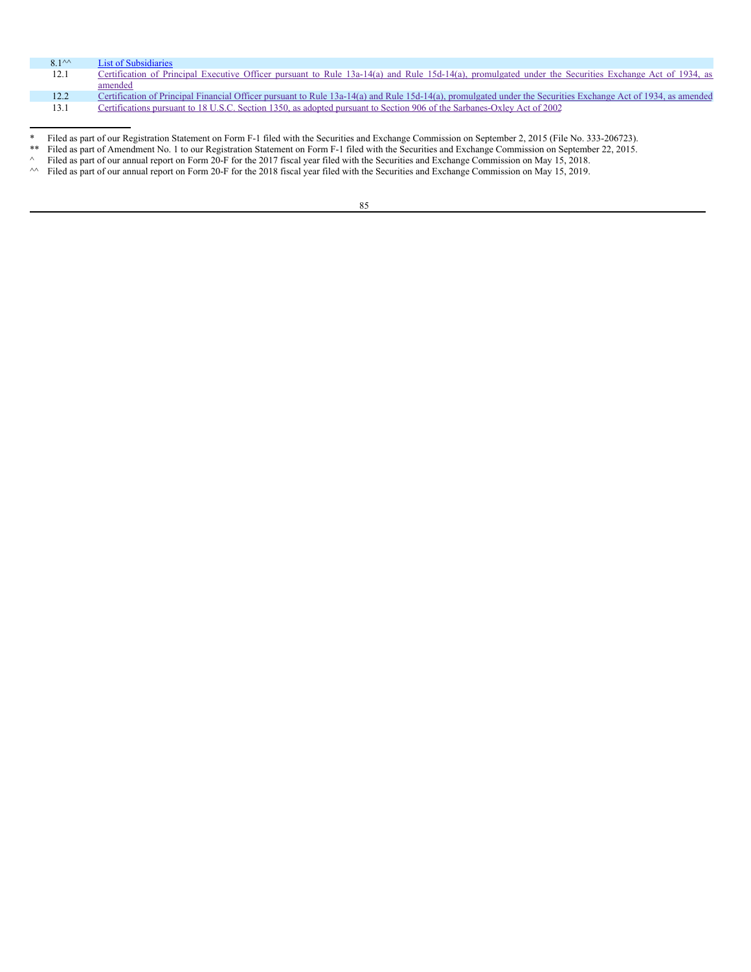| $8.1^{\wedge\wedge}$ | <b>List of Subsidiaries</b>                                                                                                                                   |
|----------------------|---------------------------------------------------------------------------------------------------------------------------------------------------------------|
| 12.1                 | Certification of Principal Executive Officer pursuant to Rule 13a-14(a) and Rule 15d-14(a), promulgated under the Securities Exchange Act of 1934, as         |
|                      | amended                                                                                                                                                       |
| 12.2                 | Certification of Principal Financial Officer pursuant to Rule 13a-14(a) and Rule 15d-14(a), promulgated under the Securities Exchange Act of 1934, as amended |
|                      | Certifications pursuant to 18 U.S.C. Section 1350, as adopted pursuant to Section 906 of the Sarbanes-Oxley Act of 2002                                       |

 $\sim$  Filed as part of our annual report on Form 20-F for the 2018 fiscal year filed with the Securities and Exchange Commission on May 15, 2019.



<sup>\*</sup> Filed as part of our Registration Statement on Form F-1 filed with the Securities and Exchange Commission on September 2, 2015 (File No. 333-206723).<br>\*\* Filed as part of Amendment No. 1 to our Registration Statement on F

<sup>\*\*</sup> Filed as part of Amendment No. 1 to our Registration Statement on Form F-1 filed with the Securities and Exchange Commission on September 22, 2015.

<sup>&</sup>lt;sup>^</sup> Filed as part of our annual report on Form 20-F for the 2017 fiscal year filed with the Securities and Exchange Commission on May 15, 2018.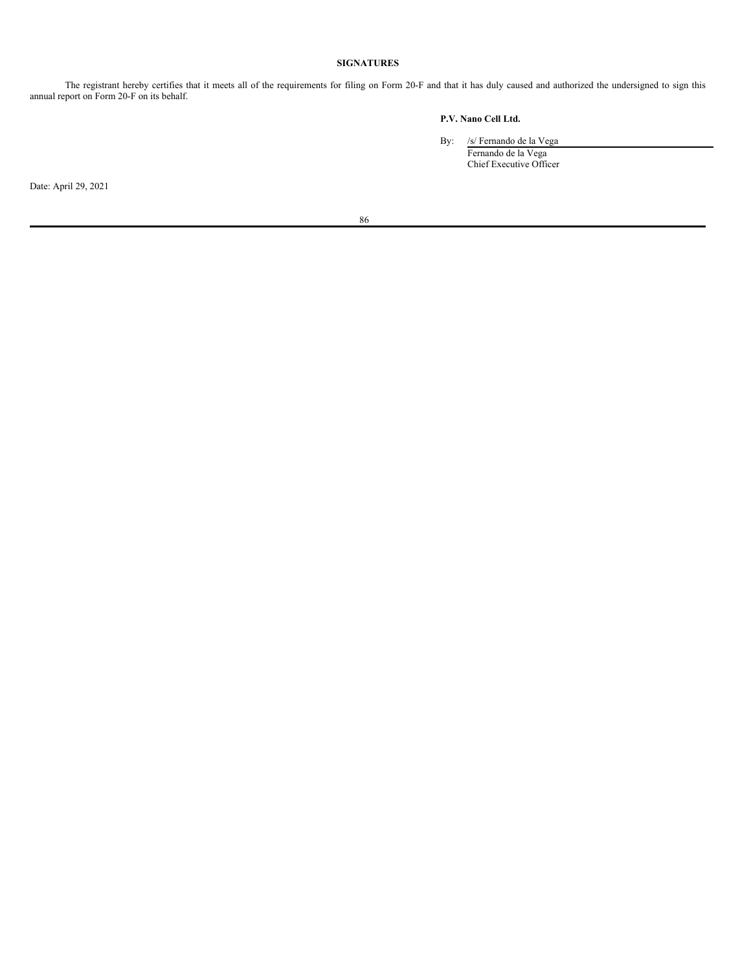# **SIGNATURES**

The registrant hereby certifies that it meets all of the requirements for filing on Form 20-F and that it has duly caused and authorized the undersigned to sign this annual report on Form 20-F on its behalf.

# **P.V. Nano Cell Ltd.**

By: /s/ Fernando de la Vega

Fernando de la Vega Chief Executive Officer

Date: April 29, 2021

86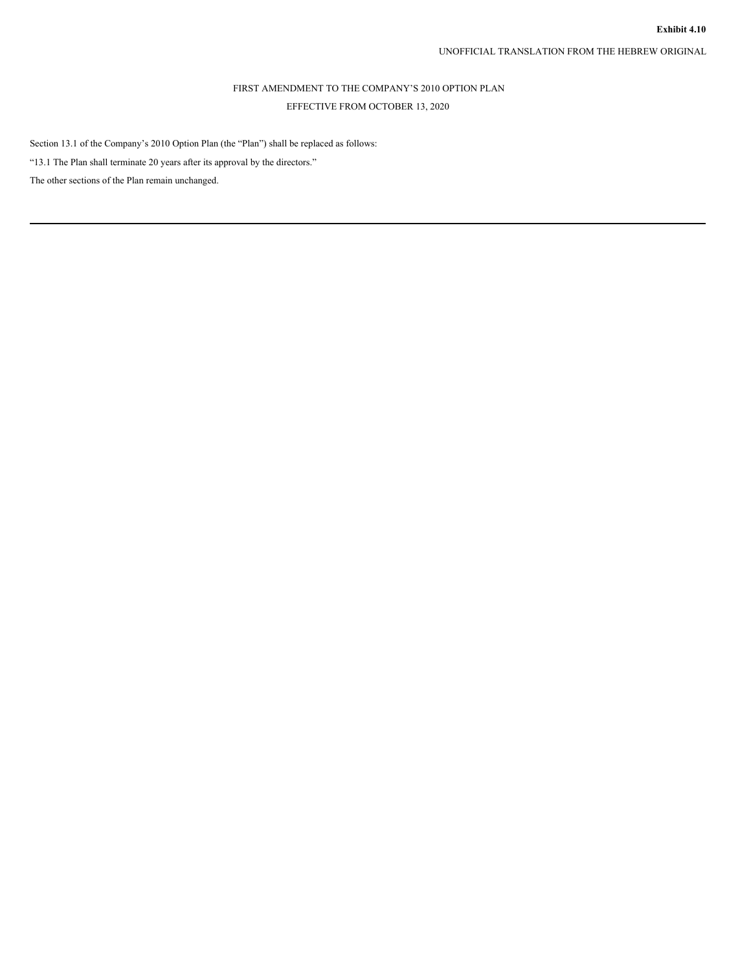# FIRST AMENDMENT TO THE COMPANY'S 2010 OPTION PLAN

# EFFECTIVE FROM OCTOBER 13, 2020

<span id="page-131-0"></span>Section 13.1 of the Company's 2010 Option Plan (the "Plan") shall be replaced as follows:

"13.1 The Plan shall terminate 20 years after its approval by the directors."

The other sections of the Plan remain unchanged.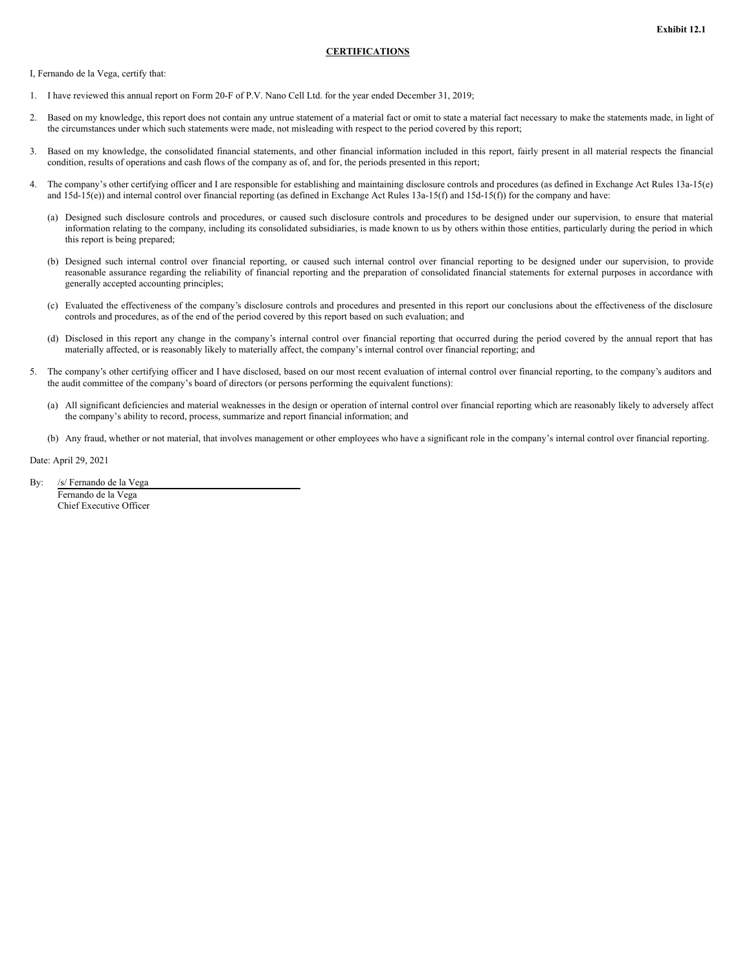### **CERTIFICATIONS**

<span id="page-132-0"></span>I, Fernando de la Vega, certify that:

- 1. I have reviewed this annual report on Form 20-F of P.V. Nano Cell Ltd. for the year ended December 31, 2019;
- 2. Based on my knowledge, this report does not contain any untrue statement of a material fact or omit to state a material fact necessary to make the statements made, in light of the circumstances under which such statements were made, not misleading with respect to the period covered by this report;
- 3. Based on my knowledge, the consolidated financial statements, and other financial information included in this report, fairly present in all material respects the financial condition, results of operations and cash flows of the company as of, and for, the periods presented in this report;
- 4. The company's other certifying officer and I are responsible for establishing and maintaining disclosure controls and procedures (as defined in Exchange Act Rules 13a-15(e) and 15d-15(e)) and internal control over financial reporting (as defined in Exchange Act Rules 13a-15(f) and 15d-15(f)) for the company and have:
	- (a) Designed such disclosure controls and procedures, or caused such disclosure controls and procedures to be designed under our supervision, to ensure that material information relating to the company, including its consolidated subsidiaries, is made known to us by others within those entities, particularly during the period in which this report is being prepared;
	- (b) Designed such internal control over financial reporting, or caused such internal control over financial reporting to be designed under our supervision, to provide reasonable assurance regarding the reliability of financial reporting and the preparation of consolidated financial statements for external purposes in accordance with generally accepted accounting principles;
	- (c) Evaluated the effectiveness of the company's disclosure controls and procedures and presented in this report our conclusions about the effectiveness of the disclosure controls and procedures, as of the end of the period covered by this report based on such evaluation; and
	- (d) Disclosed in this report any change in the company's internal control over financial reporting that occurred during the period covered by the annual report that has materially affected, or is reasonably likely to materially affect, the company's internal control over financial reporting; and
- 5. The company's other certifying officer and I have disclosed, based on our most recent evaluation of internal control over financial reporting, to the company's auditors and the audit committee of the company's board of directors (or persons performing the equivalent functions):
	- (a) All significant deficiencies and material weaknesses in the design or operation of internal control over financial reporting which are reasonably likely to adversely affect the company's ability to record, process, summarize and report financial information; and
	- (b) Any fraud, whether or not material, that involves management or other employees who have a significant role in the company's internal control over financial reporting.

Date: April 29, 2021

By: /s/ Fernando de la Vega Fernando de la Vega Chief Executive Officer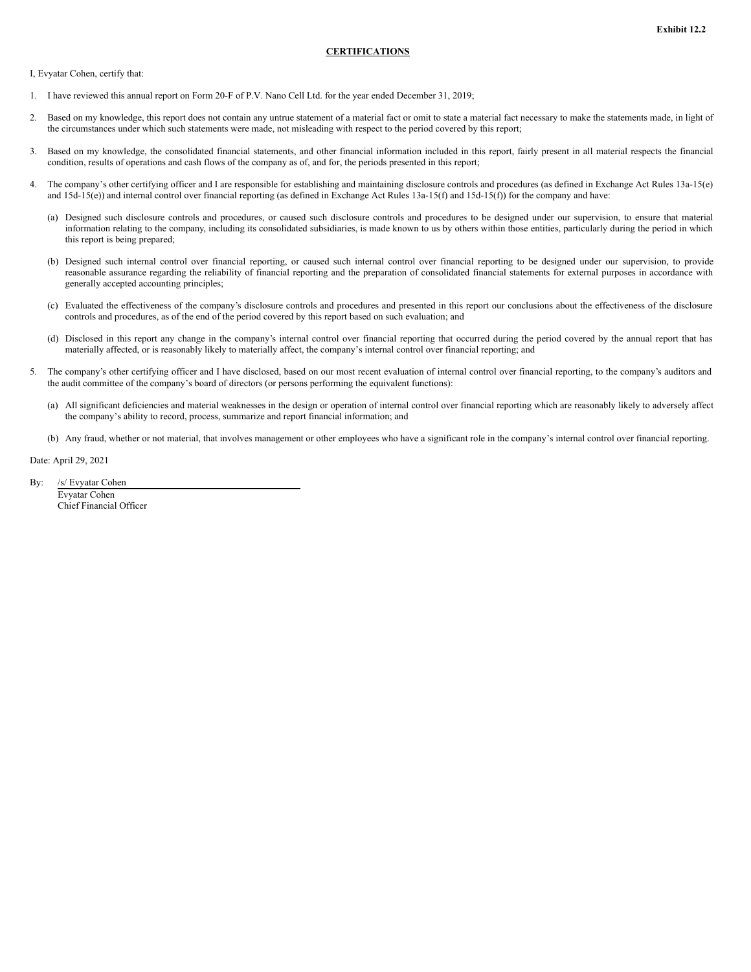### **CERTIFICATIONS**

<span id="page-133-0"></span>I, Evyatar Cohen, certify that:

- 1. I have reviewed this annual report on Form 20-F of P.V. Nano Cell Ltd. for the year ended December 31, 2019;
- 2. Based on my knowledge, this report does not contain any untrue statement of a material fact or omit to state a material fact necessary to make the statements made, in light of the circumstances under which such statements were made, not misleading with respect to the period covered by this report;
- 3. Based on my knowledge, the consolidated financial statements, and other financial information included in this report, fairly present in all material respects the financial condition, results of operations and cash flows of the company as of, and for, the periods presented in this report;
- 4. The company's other certifying officer and I are responsible for establishing and maintaining disclosure controls and procedures (as defined in Exchange Act Rules 13a-15(e) and 15d-15(e)) and internal control over financial reporting (as defined in Exchange Act Rules 13a-15(f) and 15d-15(f)) for the company and have:
	- (a) Designed such disclosure controls and procedures, or caused such disclosure controls and procedures to be designed under our supervision, to ensure that material information relating to the company, including its consolidated subsidiaries, is made known to us by others within those entities, particularly during the period in which this report is being prepared;
	- (b) Designed such internal control over financial reporting, or caused such internal control over financial reporting to be designed under our supervision, to provide reasonable assurance regarding the reliability of financial reporting and the preparation of consolidated financial statements for external purposes in accordance with generally accepted accounting principles;
	- (c) Evaluated the effectiveness of the company's disclosure controls and procedures and presented in this report our conclusions about the effectiveness of the disclosure controls and procedures, as of the end of the period covered by this report based on such evaluation; and
	- (d) Disclosed in this report any change in the company's internal control over financial reporting that occurred during the period covered by the annual report that has materially affected, or is reasonably likely to materially affect, the company's internal control over financial reporting; and
- 5. The company's other certifying officer and I have disclosed, based on our most recent evaluation of internal control over financial reporting, to the company's auditors and the audit committee of the company's board of directors (or persons performing the equivalent functions):
	- (a) All significant deficiencies and material weaknesses in the design or operation of internal control over financial reporting which are reasonably likely to adversely affect the company's ability to record, process, summarize and report financial information; and
	- (b) Any fraud, whether or not material, that involves management or other employees who have a significant role in the company's internal control over financial reporting.

Date: April 29, 2021

By: /s/ Evyatar Cohen Evyatar Cohen Chief Financial Officer